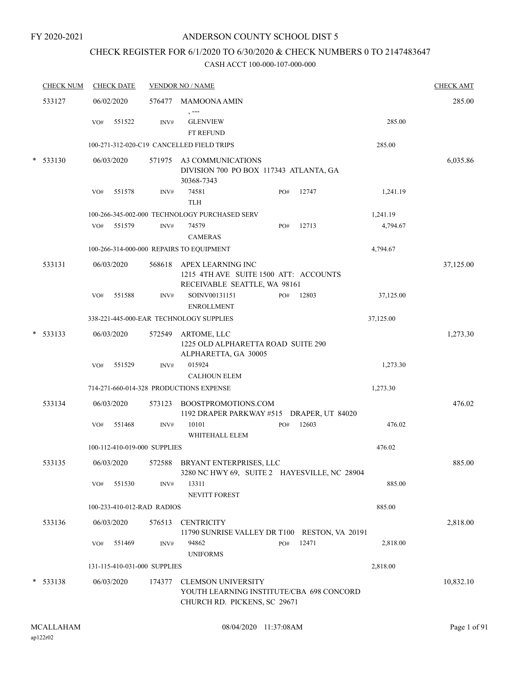#### FY 2020-2021

## ANDERSON COUNTY SCHOOL DIST 5

# CHECK REGISTER FOR 6/1/2020 TO 6/30/2020 & CHECK NUMBERS 0 TO 2147483647

|            | <b>CHECK NUM</b> |     | <b>CHECK DATE</b> |                              | <b>VENDOR NO / NAME</b>                                                                               |     |       |           | <b>CHECK AMT</b> |
|------------|------------------|-----|-------------------|------------------------------|-------------------------------------------------------------------------------------------------------|-----|-------|-----------|------------------|
| 533127     |                  |     | 06/02/2020        |                              | 576477 MAMOONA AMIN                                                                                   |     |       |           | 285.00           |
|            |                  | VO# | 551522            | INV#                         | $, --$<br><b>GLENVIEW</b><br>FT REFUND                                                                |     |       | 285.00    |                  |
|            |                  |     |                   |                              | 100-271-312-020-C19 CANCELLED FIELD TRIPS                                                             |     |       | 285.00    |                  |
| $*$ 533130 |                  |     | 06/03/2020        |                              | 571975 A3 COMMUNICATIONS<br>DIVISION 700 PO BOX 117343 ATLANTA, GA<br>30368-7343                      |     |       |           | 6,035.86         |
|            |                  | VO# | 551578            | INV#                         | 74581<br><b>TLH</b>                                                                                   | PO# | 12747 | 1,241.19  |                  |
|            |                  |     |                   |                              | 100-266-345-002-000 TECHNOLOGY PURCHASED SERV                                                         |     |       | 1,241.19  |                  |
|            |                  | VO# | 551579            | INV#                         | 74579<br><b>CAMERAS</b>                                                                               | PO# | 12713 | 4,794.67  |                  |
|            |                  |     |                   |                              | 100-266-314-000-000 REPAIRS TO EQUIPMENT                                                              |     |       | 4,794.67  |                  |
| 533131     |                  |     | 06/03/2020        |                              | 568618 APEX LEARNING INC<br>1215 4TH AVE SUITE 1500 ATT: ACCOUNTS<br>RECEIVABLE SEATTLE, WA 98161     |     |       |           | 37,125.00        |
|            |                  | VO# | 551588            | INV#                         | SOINV00131151                                                                                         | PO# | 12803 | 37,125.00 |                  |
|            |                  |     |                   |                              | <b>ENROLLMENT</b><br>338-221-445-000-EAR TECHNOLOGY SUPPLIES                                          |     |       | 37,125.00 |                  |
| $*$ 533133 |                  |     | 06/03/2020        |                              | 572549 ARTOME, LLC<br>1225 OLD ALPHARETTA ROAD SUITE 290<br>ALPHARETTA, GA 30005                      |     |       |           | 1,273.30         |
|            |                  | VO# | 551529            | INV#                         | 015924<br><b>CALHOUN ELEM</b>                                                                         |     |       | 1,273.30  |                  |
|            |                  |     |                   |                              | 714-271-660-014-328 PRODUCTIONS EXPENSE                                                               |     |       | 1,273.30  |                  |
|            |                  |     |                   |                              |                                                                                                       |     |       |           |                  |
| 533134     |                  |     | 06/03/2020        | 573123                       | BOOSTPROMOTIONS.COM<br>1192 DRAPER PARKWAY #515 DRAPER, UT 84020                                      |     |       |           | 476.02           |
|            |                  | VO# | 551468            | INV#                         | 10101<br>WHITEHALL ELEM                                                                               | PO# | 12603 | 476.02    |                  |
|            |                  |     |                   | 100-112-410-019-000 SUPPLIES |                                                                                                       |     |       | 476.02    |                  |
| 533135     |                  |     | 06/03/2020        |                              | 572588 BRYANT ENTERPRISES, LLC<br>3280 NC HWY 69, SUITE 2 HAYESVILLE, NC 28904                        |     |       |           | 885.00           |
|            |                  | VO# | 551530            | INV#                         | 13311<br><b>NEVITT FOREST</b>                                                                         |     |       | 885.00    |                  |
|            |                  |     |                   | 100-233-410-012-RAD RADIOS   |                                                                                                       |     |       | 885.00    |                  |
| 533136     |                  |     | 06/03/2020        | 576513                       | <b>CENTRICITY</b><br>11790 SUNRISE VALLEY DR T100 RESTON, VA 20191                                    |     |       |           | 2,818.00         |
|            |                  | VO# | 551469            | INV#                         | 94862<br><b>UNIFORMS</b>                                                                              | PO# | 12471 | 2,818.00  |                  |
|            |                  |     |                   | 131-115-410-031-000 SUPPLIES |                                                                                                       |     |       | 2,818.00  |                  |
| $* 533138$ |                  |     | 06/03/2020        | 174377                       | <b>CLEMSON UNIVERSITY</b><br>YOUTH LEARNING INSTITUTE/CBA 698 CONCORD<br>CHURCH RD. PICKENS, SC 29671 |     |       |           | 10,832.10        |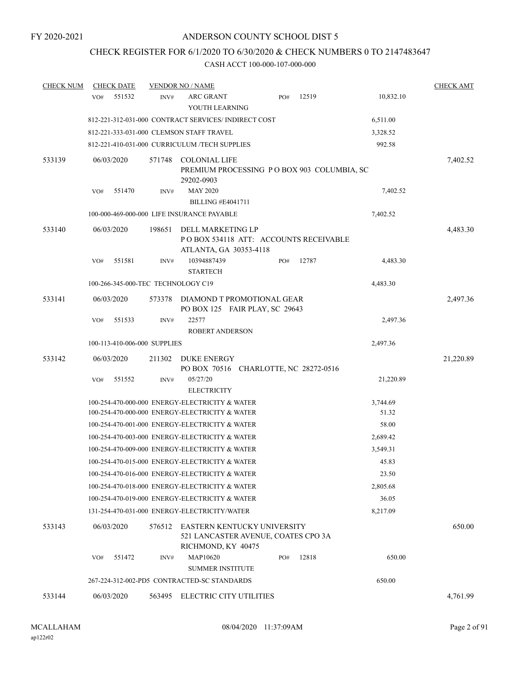# CHECK REGISTER FOR 6/1/2020 TO 6/30/2020 & CHECK NUMBERS 0 TO 2147483647

| <b>CHECK NUM</b> | <b>CHECK DATE</b>                  |        | <b>VENDOR NO / NAME</b>                                                                  |     |       |           | <b>CHECK AMT</b> |
|------------------|------------------------------------|--------|------------------------------------------------------------------------------------------|-----|-------|-----------|------------------|
|                  | 551532<br>VO#                      | INV#   | <b>ARC GRANT</b>                                                                         | PO# | 12519 | 10,832.10 |                  |
|                  |                                    |        | YOUTH LEARNING                                                                           |     |       |           |                  |
|                  |                                    |        | 812-221-312-031-000 CONTRACT SERVICES/INDIRECT COST                                      |     |       | 6,511.00  |                  |
|                  |                                    |        | 812-221-333-031-000 CLEMSON STAFF TRAVEL                                                 |     |       | 3,328.52  |                  |
|                  |                                    |        | 812-221-410-031-000 CURRICULUM /TECH SUPPLIES                                            |     |       | 992.58    |                  |
| 533139           | 06/03/2020                         | 571748 | <b>COLONIAL LIFE</b>                                                                     |     |       |           | 7,402.52         |
|                  |                                    |        | PREMIUM PROCESSING PO BOX 903 COLUMBIA, SC                                               |     |       |           |                  |
|                  |                                    |        | 29202-0903                                                                               |     |       |           |                  |
|                  | VO#<br>551470                      | INV#   | <b>MAY 2020</b><br><b>BILLING #E4041711</b>                                              |     |       | 7,402.52  |                  |
|                  |                                    |        | 100-000-469-000-000 LIFE INSURANCE PAYABLE                                               |     |       | 7,402.52  |                  |
|                  |                                    |        |                                                                                          |     |       |           |                  |
| 533140           | 06/03/2020                         | 198651 | DELL MARKETING LP                                                                        |     |       |           | 4,483.30         |
|                  |                                    |        | PO BOX 534118 ATT: ACCOUNTS RECEIVABLE<br>ATLANTA, GA 30353-4118                         |     |       |           |                  |
|                  | 551581<br>VO#                      | INV#   | 10394887439                                                                              | PO# | 12787 | 4,483.30  |                  |
|                  |                                    |        | <b>STARTECH</b>                                                                          |     |       |           |                  |
|                  | 100-266-345-000-TEC TECHNOLOGY C19 |        |                                                                                          |     |       | 4,483.30  |                  |
| 533141           | 06/03/2020                         | 573378 | DIAMOND T PROMOTIONAL GEAR                                                               |     |       |           | 2,497.36         |
|                  |                                    |        | PO BOX 125 FAIR PLAY, SC 29643                                                           |     |       |           |                  |
|                  | VO#<br>551533                      | INV#   | 22577                                                                                    |     |       | 2,497.36  |                  |
|                  |                                    |        | <b>ROBERT ANDERSON</b>                                                                   |     |       |           |                  |
|                  | 100-113-410-006-000 SUPPLIES       |        |                                                                                          |     |       | 2,497.36  |                  |
| 533142           | 06/03/2020                         | 211302 | DUKE ENERGY                                                                              |     |       |           | 21,220.89        |
|                  |                                    |        | PO BOX 70516 CHARLOTTE, NC 28272-0516                                                    |     |       |           |                  |
|                  | 551552<br>VO#                      | INV#   | 05/27/20<br><b>ELECTRICITY</b>                                                           |     |       | 21,220.89 |                  |
|                  |                                    |        | 100-254-470-000-000 ENERGY-ELECTRICITY & WATER                                           |     |       | 3,744.69  |                  |
|                  |                                    |        | 100-254-470-000-000 ENERGY-ELECTRICITY & WATER                                           |     |       | 51.32     |                  |
|                  |                                    |        | 100-254-470-001-000 ENERGY-ELECTRICITY & WATER                                           |     |       | 58.00     |                  |
|                  |                                    |        | 100-254-470-003-000 ENERGY-ELECTRICITY & WATER                                           |     |       | 2,689.42  |                  |
|                  |                                    |        | 100-254-470-009-000 ENERGY-ELECTRICITY & WATER                                           |     |       | 3,549.31  |                  |
|                  |                                    |        | 100-254-470-015-000 ENERGY-ELECTRICITY & WATER                                           |     |       | 45.83     |                  |
|                  |                                    |        | 100-254-470-016-000 ENERGY-ELECTRICITY & WATER                                           |     |       | 23.50     |                  |
|                  |                                    |        | 100-254-470-018-000 ENERGY-ELECTRICITY & WATER                                           |     |       | 2,805.68  |                  |
|                  |                                    |        | 100-254-470-019-000 ENERGY-ELECTRICITY & WATER                                           |     |       | 36.05     |                  |
|                  |                                    |        | 131-254-470-031-000 ENERGY-ELECTRICITY/WATER                                             |     |       | 8,217.09  |                  |
| 533143           | 06/03/2020                         | 576512 | EASTERN KENTUCKY UNIVERSITY<br>521 LANCASTER AVENUE, COATES CPO 3A<br>RICHMOND, KY 40475 |     |       |           | 650.00           |
|                  | 551472<br>VO#                      | INV#   | <b>MAP10620</b>                                                                          | PO# | 12818 | 650.00    |                  |
|                  |                                    |        | <b>SUMMER INSTITUTE</b>                                                                  |     |       |           |                  |
|                  |                                    |        | 267-224-312-002-PD5 CONTRACTED-SC STANDARDS                                              |     |       | 650.00    |                  |
| 533144           | 06/03/2020                         | 563495 | ELECTRIC CITY UTILITIES                                                                  |     |       |           | 4,761.99         |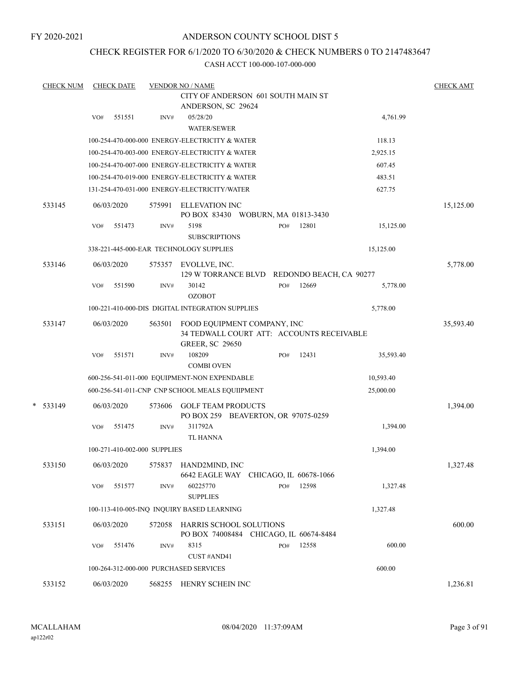FY 2020-2021

## ANDERSON COUNTY SCHOOL DIST 5

## CHECK REGISTER FOR 6/1/2020 TO 6/30/2020 & CHECK NUMBERS 0 TO 2147483647

| <b>CHECK NUM</b> |     | <b>CHECK DATE</b> |                              | <b>VENDOR NO / NAME</b>                                                                            |     |       |           | <b>CHECK AMT</b> |
|------------------|-----|-------------------|------------------------------|----------------------------------------------------------------------------------------------------|-----|-------|-----------|------------------|
|                  |     |                   |                              | CITY OF ANDERSON 601 SOUTH MAIN ST                                                                 |     |       |           |                  |
|                  | VO# | 551551            | INV#                         | ANDERSON, SC 29624<br>05/28/20<br><b>WATER/SEWER</b>                                               |     |       | 4,761.99  |                  |
|                  |     |                   |                              | 100-254-470-000-000 ENERGY-ELECTRICITY & WATER                                                     |     |       | 118.13    |                  |
|                  |     |                   |                              | 100-254-470-003-000 ENERGY-ELECTRICITY & WATER                                                     |     |       | 2,925.15  |                  |
|                  |     |                   |                              | 100-254-470-007-000 ENERGY-ELECTRICITY & WATER                                                     |     |       | 607.45    |                  |
|                  |     |                   |                              | 100-254-470-019-000 ENERGY-ELECTRICITY & WATER                                                     |     |       | 483.51    |                  |
|                  |     |                   |                              | 131-254-470-031-000 ENERGY-ELECTRICITY/WATER                                                       |     |       | 627.75    |                  |
| 533145           |     | 06/03/2020        | 575991                       | <b>ELLEVATION INC</b><br>PO BOX 83430 WOBURN, MA 01813-3430                                        |     |       |           | 15,125.00        |
|                  | VO# | 551473            | INV#                         | 5198<br><b>SUBSCRIPTIONS</b>                                                                       | PO# | 12801 | 15,125.00 |                  |
|                  |     |                   |                              | 338-221-445-000-EAR TECHNOLOGY SUPPLIES                                                            |     |       | 15,125.00 |                  |
| 533146           |     | 06/03/2020        | 575357                       | EVOLLVE, INC.<br>129 W TORRANCE BLVD REDONDO BEACH, CA 90277                                       |     |       |           | 5,778.00         |
|                  | VO# | 551590            | INV#                         | 30142<br><b>OZOBOT</b>                                                                             | PO# | 12669 | 5,778.00  |                  |
|                  |     |                   |                              | 100-221-410-000-DIS DIGITAL INTEGRATION SUPPLIES                                                   |     |       | 5,778.00  |                  |
| 533147           |     | 06/03/2020        | 563501                       | FOOD EQUIPMENT COMPANY, INC<br>34 TEDWALL COURT ATT: ACCOUNTS RECEIVABLE<br><b>GREER, SC 29650</b> |     |       |           | 35,593.40        |
|                  | VO# | 551571            | INV#                         | 108209<br><b>COMBI OVEN</b>                                                                        | PO# | 12431 | 35,593.40 |                  |
|                  |     |                   |                              | 600-256-541-011-000 EQUIPMENT-NON EXPENDABLE                                                       |     |       | 10,593.40 |                  |
|                  |     |                   |                              | 600-256-541-011-CNP CNP SCHOOL MEALS EQUIIPMENT                                                    |     |       | 25,000.00 |                  |
| $*$ 533149       |     | 06/03/2020        | 573606                       | <b>GOLF TEAM PRODUCTS</b><br>PO BOX 259 BEAVERTON, OR 97075-0259                                   |     |       |           | 1,394.00         |
|                  | VO# | 551475            | INV#                         | 311792A<br><b>TL HANNA</b>                                                                         |     |       | 1,394.00  |                  |
|                  |     |                   | 100-271-410-002-000 SUPPLIES |                                                                                                    |     |       | 1,394.00  |                  |
| 533150           |     | 06/03/2020        |                              | 575837 HAND2MIND, INC<br>6642 EAGLE WAY CHICAGO, IL 60678-1066                                     |     |       |           | 1,327.48         |
|                  | VO# | 551577            | INV#                         | 60225770<br><b>SUPPLIES</b>                                                                        | PO# | 12598 | 1,327.48  |                  |
|                  |     |                   |                              | 100-113-410-005-INQ INQUIRY BASED LEARNING                                                         |     |       | 1,327.48  |                  |
| 533151           |     | 06/03/2020        | 572058                       | HARRIS SCHOOL SOLUTIONS<br>PO BOX 74008484 CHICAGO, IL 60674-8484                                  |     |       |           | 600.00           |
|                  | VO# | 551476            | INV#                         | 8315<br>CUST #AND41                                                                                | PO# | 12558 | 600.00    |                  |
|                  |     |                   |                              | 100-264-312-000-000 PURCHASED SERVICES                                                             |     |       | 600.00    |                  |
| 533152           |     | 06/03/2020        |                              | 568255 HENRY SCHEIN INC                                                                            |     |       |           | 1,236.81         |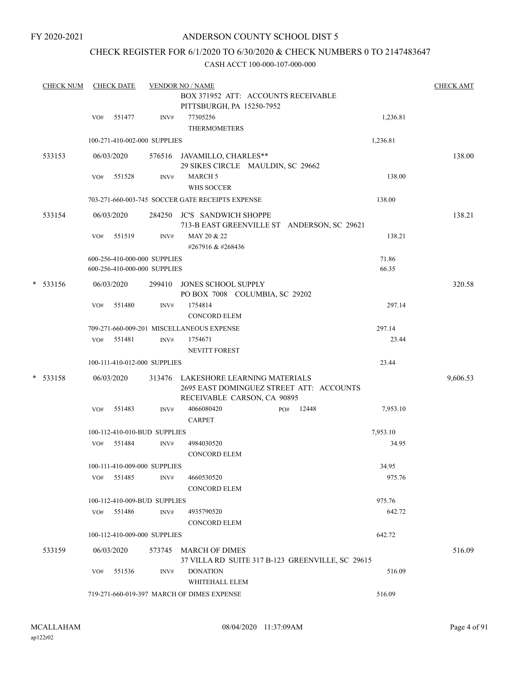# CHECK REGISTER FOR 6/1/2020 TO 6/30/2020 & CHECK NUMBERS 0 TO 2147483647

| <b>CHECK NUM</b> |     | <b>CHECK DATE</b>            |      | <b>VENDOR NO / NAME</b>                          |              |          | <b>CHECK AMT</b> |
|------------------|-----|------------------------------|------|--------------------------------------------------|--------------|----------|------------------|
|                  |     |                              |      | BOX 371952 ATT: ACCOUNTS RECEIVABLE              |              |          |                  |
|                  |     |                              |      | PITTSBURGH, PA 15250-7952                        |              |          |                  |
|                  | VO# | 551477                       | INV# | 77305256                                         |              | 1,236.81 |                  |
|                  |     |                              |      | <b>THERMOMETERS</b>                              |              |          |                  |
|                  |     | 100-271-410-002-000 SUPPLIES |      |                                                  |              | 1,236.81 |                  |
| 533153           |     | 06/03/2020                   |      | 576516 JAVAMILLO, CHARLES**                      |              |          | 138.00           |
|                  |     |                              |      | 29 SIKES CIRCLE MAULDIN, SC 29662                |              |          |                  |
|                  | VO# | 551528                       | INV# | <b>MARCH 5</b>                                   |              | 138.00   |                  |
|                  |     |                              |      | <b>WHS SOCCER</b>                                |              |          |                  |
|                  |     |                              |      | 703-271-660-003-745 SOCCER GATE RECEIPTS EXPENSE |              | 138.00   |                  |
|                  |     |                              |      | 284250 JC'S SANDWICH SHOPPE                      |              |          | 138.21           |
| 533154           |     | 06/03/2020                   |      | 713-B EAST GREENVILLE ST ANDERSON, SC 29621      |              |          |                  |
|                  | VO# | 551519                       | INV# | MAY 20 & 22                                      |              | 138.21   |                  |
|                  |     |                              |      | #267916 & #268436                                |              |          |                  |
|                  |     | 600-256-410-000-000 SUPPLIES |      |                                                  |              | 71.86    |                  |
|                  |     | 600-256-410-000-000 SUPPLIES |      |                                                  |              | 66.35    |                  |
|                  |     |                              |      |                                                  |              |          |                  |
| $* 533156$       |     | 06/03/2020                   |      | 299410 JONES SCHOOL SUPPLY                       |              |          | 320.58           |
|                  |     |                              |      | PO BOX 7008 COLUMBIA, SC 29202                   |              |          |                  |
|                  | VO# | 551480                       | INV# | 1754814                                          |              | 297.14   |                  |
|                  |     |                              |      | <b>CONCORD ELEM</b>                              |              |          |                  |
|                  |     |                              |      | 709-271-660-009-201 MISCELLANEOUS EXPENSE        |              | 297.14   |                  |
|                  | VO# | 551481                       | INV# | 1754671                                          |              | 23.44    |                  |
|                  |     |                              |      | <b>NEVITT FOREST</b>                             |              |          |                  |
|                  |     | 100-111-410-012-000 SUPPLIES |      |                                                  |              | 23.44    |                  |
| $* 533158$       |     | 06/03/2020                   |      | 313476 LAKESHORE LEARNING MATERIALS              |              |          | 9,606.53         |
|                  |     |                              |      | 2695 EAST DOMINGUEZ STREET ATT: ACCOUNTS         |              |          |                  |
|                  |     |                              |      | RECEIVABLE CARSON, CA 90895                      |              |          |                  |
|                  | VO# | 551483                       | INV# | 4066080420                                       | 12448<br>PO# | 7,953.10 |                  |
|                  |     |                              |      | <b>CARPET</b>                                    |              |          |                  |
|                  |     | 100-112-410-010-BUD SUPPLIES |      |                                                  |              | 7,953.10 |                  |
|                  | VO# | 551484                       | INV# | 4984030520                                       |              | 34.95    |                  |
|                  |     |                              |      | <b>CONCORD ELEM</b>                              |              |          |                  |
|                  |     | 100-111-410-009-000 SUPPLIES |      |                                                  |              | 34.95    |                  |
|                  | VO# | 551485                       | INV# | 4660530520                                       |              | 975.76   |                  |
|                  |     |                              |      | <b>CONCORD ELEM</b>                              |              |          |                  |
|                  |     | 100-112-410-009-BUD SUPPLIES |      |                                                  |              | 975.76   |                  |
|                  | VO# | 551486                       | INV# | 4935790520                                       |              | 642.72   |                  |
|                  |     |                              |      | <b>CONCORD ELEM</b>                              |              |          |                  |
|                  |     | 100-112-410-009-000 SUPPLIES |      |                                                  |              | 642.72   |                  |
| 533159           |     | 06/03/2020                   |      | 573745 MARCH OF DIMES                            |              |          | 516.09           |
|                  |     |                              |      | 37 VILLA RD SUITE 317 B-123 GREENVILLE, SC 29615 |              |          |                  |
|                  | VO# | 551536                       | INV# | <b>DONATION</b>                                  |              | 516.09   |                  |
|                  |     |                              |      | WHITEHALL ELEM                                   |              |          |                  |
|                  |     |                              |      | 719-271-660-019-397 MARCH OF DIMES EXPENSE       |              | 516.09   |                  |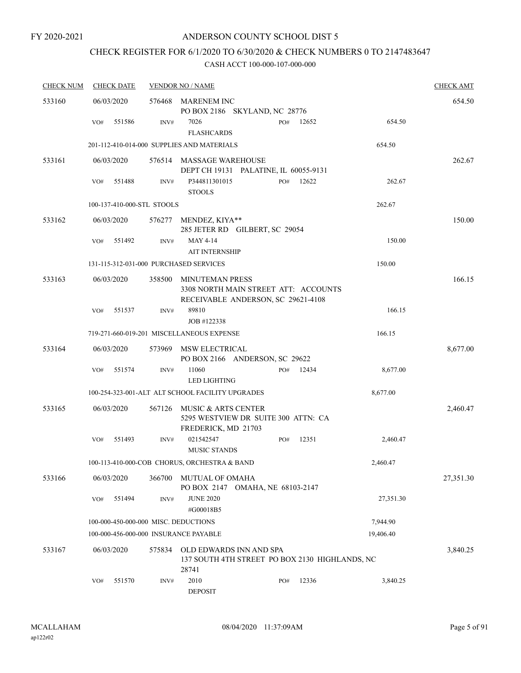# CHECK REGISTER FOR 6/1/2020 TO 6/30/2020 & CHECK NUMBERS 0 TO 2147483647

| <b>CHECK NUM</b> | <b>CHECK DATE</b>                      |        | <b>VENDOR NO / NAME</b>                                                                              |     |       |           | <b>CHECK AMT</b> |
|------------------|----------------------------------------|--------|------------------------------------------------------------------------------------------------------|-----|-------|-----------|------------------|
| 533160           | 06/03/2020                             | 576468 | MARENEM INC<br>PO BOX 2186 SKYLAND, NC 28776                                                         |     |       |           | 654.50           |
|                  | 551586<br>VO#                          | INV#   | 7026<br><b>FLASHCARDS</b>                                                                            | PO# | 12652 | 654.50    |                  |
|                  |                                        |        | 201-112-410-014-000 SUPPLIES AND MATERIALS                                                           |     |       | 654.50    |                  |
| 533161           | 06/03/2020                             |        | 576514 MASSAGE WAREHOUSE<br>DEPT CH 19131 PALATINE, IL 60055-9131                                    |     |       |           | 262.67           |
|                  | 551488<br>VO#                          | INV#   | P344811301015<br><b>STOOLS</b>                                                                       | PO# | 12622 | 262.67    |                  |
|                  | 100-137-410-000-STL STOOLS             |        |                                                                                                      |     |       | 262.67    |                  |
| 533162           | 06/03/2020                             | 576277 | MENDEZ, KIYA**<br>285 JETER RD GILBERT, SC 29054                                                     |     |       |           | 150.00           |
|                  | VO#<br>551492                          | INV#   | MAY 4-14<br><b>AIT INTERNSHIP</b>                                                                    |     |       | 150.00    |                  |
|                  | 131-115-312-031-000 PURCHASED SERVICES |        |                                                                                                      |     |       | 150.00    |                  |
| 533163           | 06/03/2020                             | 358500 | <b>MINUTEMAN PRESS</b><br>3308 NORTH MAIN STREET ATT: ACCOUNTS<br>RECEIVABLE ANDERSON, SC 29621-4108 |     |       |           | 166.15           |
|                  | 551537<br>VO#                          | INV#   | 89810<br>JOB #122338                                                                                 |     |       | 166.15    |                  |
|                  |                                        |        | 719-271-660-019-201 MISCELLANEOUS EXPENSE                                                            |     |       | 166.15    |                  |
| 533164           | 06/03/2020                             | 573969 | MSW ELECTRICAL<br>PO BOX 2166 ANDERSON, SC 29622                                                     |     |       |           | 8,677.00         |
|                  | 551574<br>VO#                          | INV#   | 11060<br><b>LED LIGHTING</b>                                                                         | PO# | 12434 | 8,677.00  |                  |
|                  |                                        |        | 100-254-323-001-ALT ALT SCHOOL FACILITY UPGRADES                                                     |     |       | 8,677.00  |                  |
| 533165           | 06/03/2020                             | 567126 | MUSIC & ARTS CENTER<br>5295 WESTVIEW DR SUITE 300 ATTN: CA<br>FREDERICK, MD 21703                    |     |       |           | 2,460.47         |
|                  | 551493<br>VO#                          | INV#   | 021542547<br><b>MUSIC STANDS</b>                                                                     | PO# | 12351 | 2,460.47  |                  |
|                  |                                        |        | 100-113-410-000-COB CHORUS, ORCHESTRA & BAND                                                         |     |       | 2,460.47  |                  |
| 533166           | 06/03/2020                             | 366700 | MUTUAL OF OMAHA<br>PO BOX 2147 OMAHA, NE 68103-2147                                                  |     |       |           | 27,351.30        |
|                  | 551494<br>VO#                          | INV#   | <b>JUNE 2020</b><br>#G00018B5                                                                        |     |       | 27,351.30 |                  |
|                  | 100-000-450-000-000 MISC. DEDUCTIONS   |        |                                                                                                      |     |       | 7,944.90  |                  |
|                  | 100-000-456-000-000 INSURANCE PAYABLE  |        |                                                                                                      |     |       | 19,406.40 |                  |
| 533167           | 06/03/2020                             | 575834 | OLD EDWARDS INN AND SPA<br>137 SOUTH 4TH STREET PO BOX 2130 HIGHLANDS, NC<br>28741                   |     |       |           | 3,840.25         |
|                  | 551570<br>VO#                          | INV#   | 2010<br><b>DEPOSIT</b>                                                                               | PO# | 12336 | 3,840.25  |                  |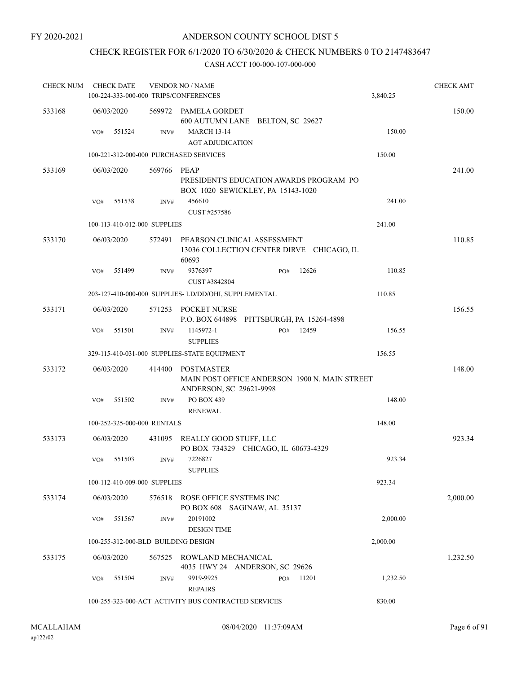# CHECK REGISTER FOR 6/1/2020 TO 6/30/2020 & CHECK NUMBERS 0 TO 2147483647

| <b>CHECK NUM</b> |     | <b>CHECK DATE</b>            |        | <b>VENDOR NO / NAME</b><br>100-224-333-000-000 TRIPS/CONFERENCES                              |     |       | 3,840.25 | <b>CHECK AMT</b> |
|------------------|-----|------------------------------|--------|-----------------------------------------------------------------------------------------------|-----|-------|----------|------------------|
| 533168           |     | 06/03/2020                   | 569972 | PAMELA GORDET<br>600 AUTUMN LANE BELTON, SC 29627                                             |     |       |          | 150.00           |
|                  | VO# | 551524                       | INV#   | <b>MARCH 13-14</b>                                                                            |     |       | 150.00   |                  |
|                  |     |                              |        | <b>AGT ADJUDICATION</b>                                                                       |     |       |          |                  |
|                  |     |                              |        | 100-221-312-000-000 PURCHASED SERVICES                                                        |     |       | 150.00   |                  |
| 533169           |     | 06/03/2020                   | 569766 | PEAP<br>PRESIDENT'S EDUCATION AWARDS PROGRAM PO<br>BOX 1020 SEWICKLEY, PA 15143-1020          |     |       |          | 241.00           |
|                  | VO# | 551538                       | INV#   | 456610<br>CUST #257586                                                                        |     |       | 241.00   |                  |
|                  |     | 100-113-410-012-000 SUPPLIES |        |                                                                                               |     |       | 241.00   |                  |
| 533170           |     | 06/03/2020                   | 572491 | PEARSON CLINICAL ASSESSMENT<br>13036 COLLECTION CENTER DIRVE CHICAGO, IL<br>60693             |     |       |          | 110.85           |
|                  | VO# | 551499                       | INV#   | 9376397<br>CUST #3842804                                                                      | PO# | 12626 | 110.85   |                  |
|                  |     |                              |        | 203-127-410-000-000 SUPPLIES-LD/DD/OHI, SUPPLEMENTAL                                          |     |       | 110.85   |                  |
| 533171           |     | 06/03/2020                   |        | 571253 POCKET NURSE<br>P.O. BOX 644898 PITTSBURGH, PA 15264-4898                              |     |       |          | 156.55           |
|                  | VO# | 551501                       | INV#   | 1145972-1<br><b>SUPPLIES</b>                                                                  | PO# | 12459 | 156.55   |                  |
|                  |     |                              |        | 329-115-410-031-000 SUPPLIES-STATE EQUIPMENT                                                  |     |       | 156.55   |                  |
| 533172           |     | 06/03/2020                   | 414400 | <b>POSTMASTER</b><br>MAIN POST OFFICE ANDERSON 1900 N. MAIN STREET<br>ANDERSON, SC 29621-9998 |     |       |          | 148.00           |
|                  | VO# | 551502                       | INV#   | PO BOX 439<br><b>RENEWAL</b>                                                                  |     |       | 148.00   |                  |
|                  |     | 100-252-325-000-000 RENTALS  |        |                                                                                               |     |       | 148.00   |                  |
| 533173           |     | 06/03/2020                   |        | 431095 REALLY GOOD STUFF, LLC<br>PO BOX 734329 CHICAGO, IL 60673-4329                         |     |       |          | 923.34           |
|                  |     | $VO#$ 551503                 | INV#   | 7226827<br><b>SUPPLIES</b>                                                                    |     |       | 923.34   |                  |
|                  |     | 100-112-410-009-000 SUPPLIES |        |                                                                                               |     |       | 923.34   |                  |
| 533174           |     | 06/03/2020                   | 576518 | ROSE OFFICE SYSTEMS INC<br>PO BOX 608 SAGINAW, AL 35137                                       |     |       |          | 2,000.00         |
|                  | VO# | 551567                       | INV#   | 20191002<br><b>DESIGN TIME</b>                                                                |     |       | 2,000.00 |                  |
|                  |     |                              |        | 100-255-312-000-BLD BUILDING DESIGN                                                           |     |       | 2,000.00 |                  |
| 533175           |     | 06/03/2020                   | 567525 | ROWLAND MECHANICAL<br>4035 HWY 24 ANDERSON, SC 29626                                          |     |       |          | 1,232.50         |
|                  | VO# | 551504                       | INV#   | 9919-9925<br><b>REPAIRS</b>                                                                   | PO# | 11201 | 1,232.50 |                  |
|                  |     |                              |        | 100-255-323-000-ACT ACTIVITY BUS CONTRACTED SERVICES                                          |     |       | 830.00   |                  |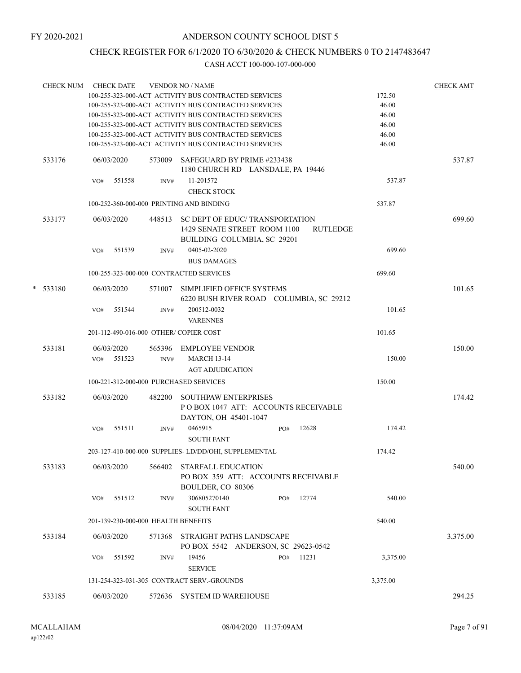# CHECK REGISTER FOR 6/1/2020 TO 6/30/2020 & CHECK NUMBERS 0 TO 2147483647

|   | <b>CHECK NUM</b> |     | <b>CHECK DATE</b> |                                     | <b>VENDOR NO / NAME</b><br>100-255-323-000-ACT ACTIVITY BUS CONTRACTED SERVICES<br>100-255-323-000-ACT ACTIVITY BUS CONTRACTED SERVICES |     |          | 172.50<br>46.00 | <b>CHECK AMT</b> |
|---|------------------|-----|-------------------|-------------------------------------|-----------------------------------------------------------------------------------------------------------------------------------------|-----|----------|-----------------|------------------|
|   |                  |     |                   |                                     | 100-255-323-000-ACT ACTIVITY BUS CONTRACTED SERVICES<br>100-255-323-000-ACT ACTIVITY BUS CONTRACTED SERVICES                            |     |          | 46.00<br>46.00  |                  |
|   |                  |     |                   |                                     | 100-255-323-000-ACT ACTIVITY BUS CONTRACTED SERVICES                                                                                    |     |          | 46.00           |                  |
|   |                  |     |                   |                                     | 100-255-323-000-ACT ACTIVITY BUS CONTRACTED SERVICES                                                                                    |     |          | 46.00           |                  |
|   | 533176           |     | 06/03/2020        |                                     | 573009 SAFEGUARD BY PRIME #233438<br>1180 CHURCH RD LANSDALE, PA 19446                                                                  |     |          |                 | 537.87           |
|   |                  | VO# | 551558            | INV#                                | 11-201572                                                                                                                               |     |          | 537.87          |                  |
|   |                  |     |                   |                                     | <b>CHECK STOCK</b>                                                                                                                      |     |          |                 |                  |
|   |                  |     |                   |                                     |                                                                                                                                         |     |          |                 |                  |
|   |                  |     |                   |                                     | 100-252-360-000-000 PRINTING AND BINDING                                                                                                |     |          | 537.87          |                  |
|   | 533177           |     | 06/03/2020        |                                     | 448513 SC DEPT OF EDUC/ TRANSPORTATION<br>1429 SENATE STREET ROOM 1100<br>BUILDING COLUMBIA, SC 29201                                   |     | RUTLEDGE |                 | 699.60           |
|   |                  | VO# | 551539            | INV#                                | 0405-02-2020<br><b>BUS DAMAGES</b>                                                                                                      |     |          | 699.60          |                  |
|   |                  |     |                   |                                     | 100-255-323-000-000 CONTRACTED SERVICES                                                                                                 |     |          | 699.60          |                  |
| * | 533180           |     | 06/03/2020        | 571007                              | SIMPLIFIED OFFICE SYSTEMS<br>6220 BUSH RIVER ROAD COLUMBIA, SC 29212                                                                    |     |          |                 | 101.65           |
|   |                  | VO# | 551544            | INV#                                | 200512-0032<br><b>VARENNES</b>                                                                                                          |     |          | 101.65          |                  |
|   |                  |     |                   |                                     | 201-112-490-016-000 OTHER/COPIER COST                                                                                                   |     |          | 101.65          |                  |
|   |                  |     |                   |                                     |                                                                                                                                         |     |          |                 |                  |
|   | 533181           |     | 06/03/2020        |                                     | 565396 EMPLOYEE VENDOR                                                                                                                  |     |          |                 | 150.00           |
|   |                  |     | VO# 551523        | INV#                                | <b>MARCH 13-14</b>                                                                                                                      |     |          | 150.00          |                  |
|   |                  |     |                   |                                     | <b>AGT ADJUDICATION</b>                                                                                                                 |     |          |                 |                  |
|   |                  |     |                   |                                     | 100-221-312-000-000 PURCHASED SERVICES                                                                                                  |     |          | 150.00          |                  |
|   | 533182           |     | 06/03/2020        | 482200                              | <b>SOUTHPAW ENTERPRISES</b><br>POBOX 1047 ATT: ACCOUNTS RECEIVABLE<br>DAYTON, OH 45401-1047                                             |     |          |                 | 174.42           |
|   |                  | VO# | 551511            | INV#                                | 0465915<br><b>SOUTH FANT</b>                                                                                                            | PO# | 12628    | 174.42          |                  |
|   |                  |     |                   |                                     | 203-127-410-000-000 SUPPLIES-LD/DD/OHI, SUPPLEMENTAL                                                                                    |     |          | 174.42          |                  |
|   |                  |     |                   |                                     |                                                                                                                                         |     |          |                 |                  |
|   | 533183           |     | 06/03/2020        | 566402                              | <b>STARFALL EDUCATION</b><br>PO BOX 359 ATT: ACCOUNTS RECEIVABLE<br>BOULDER, CO 80306                                                   |     |          |                 | 540.00           |
|   |                  | VO# | 551512            | INV#                                | 306805270140<br><b>SOUTH FANT</b>                                                                                                       | PO# | 12774    | 540.00          |                  |
|   |                  |     |                   | 201-139-230-000-000 HEALTH BENEFITS |                                                                                                                                         |     |          | 540.00          |                  |
|   | 533184           |     | 06/03/2020        | 571368                              | STRAIGHT PATHS LANDSCAPE                                                                                                                |     |          |                 | 3,375.00         |
|   |                  |     |                   |                                     | PO BOX 5542 ANDERSON, SC 29623-0542                                                                                                     |     |          |                 |                  |
|   |                  | VO# | 551592            | INV#                                | 19456<br><b>SERVICE</b>                                                                                                                 | PO# | 11231    | 3,375.00        |                  |
|   |                  |     |                   |                                     | 131-254-323-031-305 CONTRACT SERV.-GROUNDS                                                                                              |     |          | 3,375.00        |                  |
|   |                  |     |                   |                                     |                                                                                                                                         |     |          |                 |                  |
|   | 533185           |     | 06/03/2020        | 572636                              | SYSTEM ID WAREHOUSE                                                                                                                     |     |          |                 | 294.25           |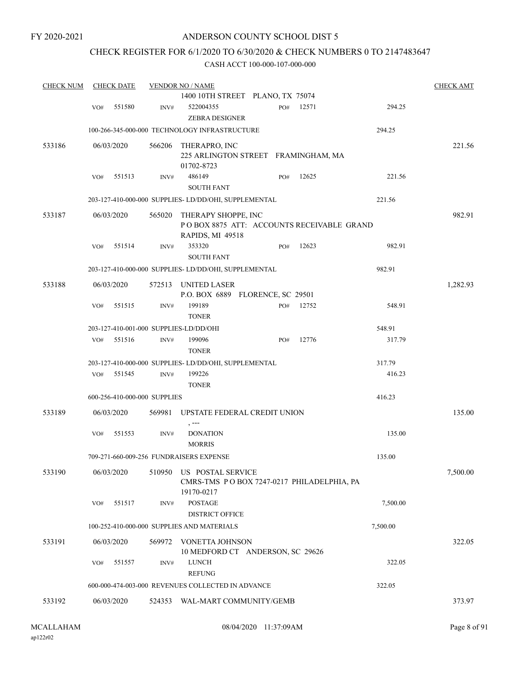# CHECK REGISTER FOR 6/1/2020 TO 6/30/2020 & CHECK NUMBERS 0 TO 2147483647

| <b>CHECK NUM</b> |     | <b>CHECK DATE</b>            |        | <b>VENDOR NO / NAME</b>                                                              |     |       |          | <b>CHECK AMT</b> |
|------------------|-----|------------------------------|--------|--------------------------------------------------------------------------------------|-----|-------|----------|------------------|
|                  |     |                              |        | 1400 10TH STREET PLANO, TX 75074                                                     |     |       |          |                  |
|                  | VO# | 551580                       | INV#   | 522004355                                                                            | PO# | 12571 | 294.25   |                  |
|                  |     |                              |        | <b>ZEBRA DESIGNER</b>                                                                |     |       |          |                  |
|                  |     |                              |        | 100-266-345-000-000 TECHNOLOGY INFRASTRUCTURE                                        |     |       | 294.25   |                  |
| 533186           |     | 06/03/2020                   | 566206 | THERAPRO, INC                                                                        |     |       |          | 221.56           |
|                  |     |                              |        | 225 ARLINGTON STREET FRAMINGHAM, MA                                                  |     |       |          |                  |
|                  |     |                              |        | 01702-8723                                                                           |     |       |          |                  |
|                  | VO# | 551513                       | INV#   | 486149<br><b>SOUTH FANT</b>                                                          | PO# | 12625 | 221.56   |                  |
|                  |     |                              |        | 203-127-410-000-000 SUPPLIES-LD/DD/OHI, SUPPLEMENTAL                                 |     |       | 221.56   |                  |
| 533187           |     | 06/03/2020                   | 565020 | THERAPY SHOPPE, INC<br>POBOX 8875 ATT: ACCOUNTS RECEIVABLE GRAND<br>RAPIDS, MI 49518 |     |       |          | 982.91           |
|                  | VO# | 551514                       | INV#   | 353320                                                                               | PO# | 12623 | 982.91   |                  |
|                  |     |                              |        | <b>SOUTH FANT</b>                                                                    |     |       |          |                  |
|                  |     |                              |        | 203-127-410-000-000 SUPPLIES- LD/DD/OHI, SUPPLEMENTAL                                |     |       | 982.91   |                  |
| 533188           |     | 06/03/2020                   | 572513 | UNITED LASER                                                                         |     |       |          | 1,282.93         |
|                  |     |                              |        | P.O. BOX 6889 FLORENCE, SC 29501                                                     |     |       |          |                  |
|                  | VO# | 551515                       | INV#   | 199189<br><b>TONER</b>                                                               | PO# | 12752 | 548.91   |                  |
|                  |     |                              |        | 203-127-410-001-000 SUPPLIES-LD/DD/OHI                                               |     |       | 548.91   |                  |
|                  | VO# | 551516                       | INV#   | 199096                                                                               | PO# | 12776 | 317.79   |                  |
|                  |     |                              |        | <b>TONER</b>                                                                         |     |       |          |                  |
|                  |     |                              |        | 203-127-410-000-000 SUPPLIES-LD/DD/OHI, SUPPLEMENTAL                                 |     |       | 317.79   |                  |
|                  | VO# | 551545                       | INV#   | 199226                                                                               |     |       | 416.23   |                  |
|                  |     |                              |        | <b>TONER</b>                                                                         |     |       |          |                  |
|                  |     | 600-256-410-000-000 SUPPLIES |        |                                                                                      |     |       | 416.23   |                  |
| 533189           |     | 06/03/2020                   | 569981 | UPSTATE FEDERAL CREDIT UNION<br>, ---                                                |     |       |          | 135.00           |
|                  | VO# | 551553                       | INV#   | <b>DONATION</b>                                                                      |     |       | 135.00   |                  |
|                  |     |                              |        | <b>MORRIS</b>                                                                        |     |       |          |                  |
|                  |     |                              |        | 709-271-660-009-256 FUNDRAISERS EXPENSE                                              |     |       | 135.00   |                  |
| 533190           |     | 06/03/2020                   | 510950 | US POSTAL SERVICE<br>CMRS-TMS PO BOX 7247-0217 PHILADELPHIA, PA<br>19170-0217        |     |       |          | 7,500.00         |
|                  | VO# | 551517                       | INV#   | <b>POSTAGE</b><br><b>DISTRICT OFFICE</b>                                             |     |       | 7,500.00 |                  |
|                  |     |                              |        | 100-252-410-000-000 SUPPLIES AND MATERIALS                                           |     |       | 7,500.00 |                  |
|                  |     |                              |        |                                                                                      |     |       |          |                  |
| 533191           |     | 06/03/2020                   | 569972 | VONETTA JOHNSON<br>10 MEDFORD CT ANDERSON, SC 29626                                  |     |       |          | 322.05           |
|                  | VO# | 551557                       | INV#   | <b>LUNCH</b><br><b>REFUNG</b>                                                        |     |       | 322.05   |                  |
|                  |     |                              |        | 600-000-474-003-000 REVENUES COLLECTED IN ADVANCE                                    |     |       | 322.05   |                  |
| 533192           |     | 06/03/2020                   |        | 524353 WAL-MART COMMUNITY/GEMB                                                       |     |       |          | 373.97           |
|                  |     |                              |        |                                                                                      |     |       |          |                  |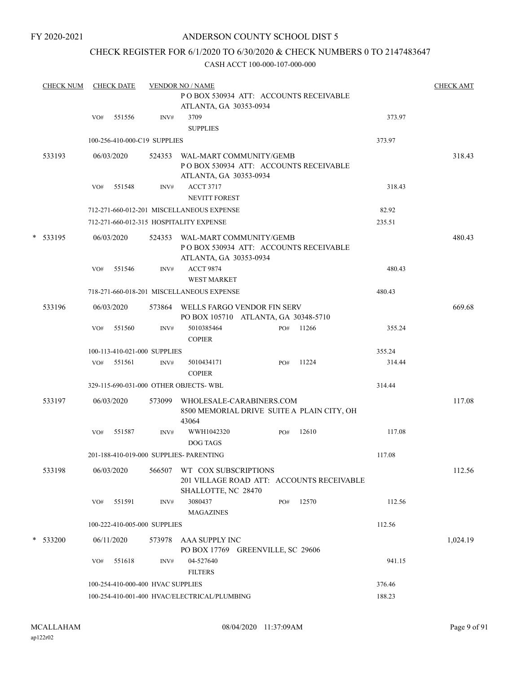## CHECK REGISTER FOR 6/1/2020 TO 6/30/2020 & CHECK NUMBERS 0 TO 2147483647

|   | <b>CHECK NUM</b> |     | <b>CHECK DATE</b> |                                   | <b>VENDOR NO / NAME</b>                                                                     |     |       |        | <b>CHECK AMT</b> |
|---|------------------|-----|-------------------|-----------------------------------|---------------------------------------------------------------------------------------------|-----|-------|--------|------------------|
|   |                  |     |                   |                                   | PO BOX 530934 ATT: ACCOUNTS RECEIVABLE<br>ATLANTA, GA 30353-0934                            |     |       |        |                  |
|   |                  | VO# | 551556            | INV#                              | 3709<br><b>SUPPLIES</b>                                                                     |     |       | 373.97 |                  |
|   |                  |     |                   | 100-256-410-000-C19 SUPPLIES      |                                                                                             |     |       | 373.97 |                  |
|   | 533193           |     | 06/03/2020        | 524353                            | WAL-MART COMMUNITY/GEMB<br>PO BOX 530934 ATT: ACCOUNTS RECEIVABLE<br>ATLANTA, GA 30353-0934 |     |       |        | 318.43           |
|   |                  | VO# | 551548            | INV#                              | <b>ACCT 3717</b><br>NEVITT FOREST                                                           |     |       | 318.43 |                  |
|   |                  |     |                   |                                   | 712-271-660-012-201 MISCELLANEOUS EXPENSE                                                   |     |       | 82.92  |                  |
|   |                  |     |                   |                                   | 712-271-660-012-315 HOSPITALITY EXPENSE                                                     |     |       | 235.51 |                  |
| * | 533195           |     | 06/03/2020        | 524353                            | WAL-MART COMMUNITY/GEMB<br>POBOX 530934 ATT: ACCOUNTS RECEIVABLE<br>ATLANTA, GA 30353-0934  |     |       |        | 480.43           |
|   |                  | VO# | 551546            | INV#                              | <b>ACCT 9874</b><br><b>WEST MARKET</b>                                                      |     |       | 480.43 |                  |
|   |                  |     |                   |                                   | 718-271-660-018-201 MISCELLANEOUS EXPENSE                                                   |     |       | 480.43 |                  |
|   | 533196           |     | 06/03/2020        |                                   | 573864 WELLS FARGO VENDOR FIN SERV<br>PO BOX 105710 ATLANTA, GA 30348-5710                  |     |       |        | 669.68           |
|   |                  | VO# | 551560            | INV#                              | 5010385464<br><b>COPIER</b>                                                                 | PO# | 11266 | 355.24 |                  |
|   |                  |     |                   | 100-113-410-021-000 SUPPLIES      |                                                                                             |     |       | 355.24 |                  |
|   |                  |     | VO# 551561        | INV#                              | 5010434171<br><b>COPIER</b>                                                                 | PO# | 11224 | 314.44 |                  |
|   |                  |     |                   |                                   | 329-115-690-031-000 OTHER OBJECTS-WBL                                                       |     |       | 314.44 |                  |
|   | 533197           |     | 06/03/2020        | 573099                            | WHOLESALE-CARABINERS.COM<br>8500 MEMORIAL DRIVE SUITE A PLAIN CITY, OH<br>43064             |     |       |        | 117.08           |
|   |                  | VO# | 551587            | INV#                              | WWH1042320<br>DOG TAGS                                                                      | PO# | 12610 | 117.08 |                  |
|   |                  |     |                   |                                   | 201-188-410-019-000 SUPPLIES- PARENTING                                                     |     |       | 117.08 |                  |
|   | 533198           |     | 06/03/2020        | 566507                            | WT COX SUBSCRIPTIONS<br>201 VILLAGE ROAD ATT: ACCOUNTS RECEIVABLE<br>SHALLOTTE, NC 28470    |     |       |        | 112.56           |
|   |                  | VO# | 551591            | INV#                              | 3080437<br><b>MAGAZINES</b>                                                                 | PO# | 12570 | 112.56 |                  |
|   |                  |     |                   | 100-222-410-005-000 SUPPLIES      |                                                                                             |     |       | 112.56 |                  |
|   | * 533200         |     | 06/11/2020        |                                   | 573978 AAA SUPPLY INC<br>PO BOX 17769 GREENVILLE, SC 29606                                  |     |       |        | 1,024.19         |
|   |                  | VO# | 551618            | INV#                              | 04-527640<br><b>FILTERS</b>                                                                 |     |       | 941.15 |                  |
|   |                  |     |                   | 100-254-410-000-400 HVAC SUPPLIES |                                                                                             |     |       | 376.46 |                  |
|   |                  |     |                   |                                   | 100-254-410-001-400 HVAC/ELECTRICAL/PLUMBING                                                |     |       | 188.23 |                  |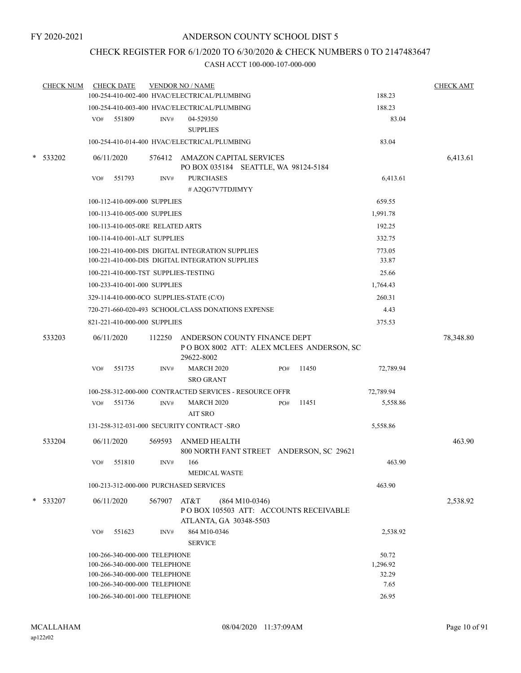# CHECK REGISTER FOR 6/1/2020 TO 6/30/2020 & CHECK NUMBERS 0 TO 2147483647

|        | <b>CHECK NUM</b> |     | <b>CHECK DATE</b>                    |             | <b>VENDOR NO / NAME</b>                                                |                  |     |                                          |           | <b>CHECK AMT</b> |
|--------|------------------|-----|--------------------------------------|-------------|------------------------------------------------------------------------|------------------|-----|------------------------------------------|-----------|------------------|
|        |                  |     |                                      |             | 100-254-410-002-400 HVAC/ELECTRICAL/PLUMBING                           |                  |     |                                          | 188.23    |                  |
|        |                  |     |                                      |             | 100-254-410-003-400 HVAC/ELECTRICAL/PLUMBING                           |                  |     |                                          | 188.23    |                  |
|        |                  | VO# | 551809                               | INV#        | 04-529350<br><b>SUPPLIES</b>                                           |                  |     |                                          | 83.04     |                  |
|        |                  |     |                                      |             | 100-254-410-014-400 HVAC/ELECTRICAL/PLUMBING                           |                  |     |                                          | 83.04     |                  |
| $\ast$ | 533202           |     | 06/11/2020                           |             | 576412 AMAZON CAPITAL SERVICES<br>PO BOX 035184 SEATTLE, WA 98124-5184 |                  |     |                                          |           | 6,413.61         |
|        |                  | VO# | 551793                               | INV#        | <b>PURCHASES</b>                                                       |                  |     |                                          | 6,413.61  |                  |
|        |                  |     |                                      |             | #A2QG7V7TDJIMYY                                                        |                  |     |                                          |           |                  |
|        |                  |     | 100-112-410-009-000 SUPPLIES         |             |                                                                        |                  |     |                                          | 659.55    |                  |
|        |                  |     | 100-113-410-005-000 SUPPLIES         |             |                                                                        |                  |     |                                          | 1,991.78  |                  |
|        |                  |     | 100-113-410-005-0RE RELATED ARTS     |             |                                                                        |                  |     |                                          | 192.25    |                  |
|        |                  |     | 100-114-410-001-ALT SUPPLIES         |             |                                                                        |                  |     |                                          | 332.75    |                  |
|        |                  |     |                                      |             | 100-221-410-000-DIS DIGITAL INTEGRATION SUPPLIES                       |                  |     |                                          | 773.05    |                  |
|        |                  |     |                                      |             | 100-221-410-000-DIS DIGITAL INTEGRATION SUPPLIES                       |                  |     |                                          | 33.87     |                  |
|        |                  |     | 100-221-410-000-TST SUPPLIES-TESTING |             |                                                                        |                  |     |                                          | 25.66     |                  |
|        |                  |     | 100-233-410-001-000 SUPPLIES         |             |                                                                        |                  |     |                                          | 1,764.43  |                  |
|        |                  |     |                                      |             | 329-114-410-000-0CO SUPPLIES-STATE (C/O)                               |                  |     |                                          | 260.31    |                  |
|        |                  |     |                                      |             | 720-271-660-020-493 SCHOOL/CLASS DONATIONS EXPENSE                     |                  |     |                                          | 4.43      |                  |
|        |                  |     | 821-221-410-000-000 SUPPLIES         |             |                                                                        |                  |     |                                          | 375.53    |                  |
|        | 533203           |     | 06/11/2020                           | 112250      | ANDERSON COUNTY FINANCE DEPT<br>29622-8002                             |                  |     | POBOX 8002 ATT: ALEX MCLEES ANDERSON, SC |           | 78,348.80        |
|        |                  | VO# | 551735                               | INV#        | <b>MARCH 2020</b><br><b>SRO GRANT</b>                                  |                  | PO# | 11450                                    | 72,789.94 |                  |
|        |                  |     |                                      |             | 100-258-312-000-000 CONTRACTED SERVICES - RESOURCE OFFR                |                  |     |                                          | 72,789.94 |                  |
|        |                  | VO# | 551736                               | INV#        | <b>MARCH 2020</b>                                                      |                  | PO# | 11451                                    | 5,558.86  |                  |
|        |                  |     |                                      |             | AIT SRO                                                                |                  |     |                                          |           |                  |
|        |                  |     |                                      |             | 131-258-312-031-000 SECURITY CONTRACT - SRO                            |                  |     |                                          | 5,558.86  |                  |
|        | 533204           |     | 06/11/2020                           | 569593      | ANMED HEALTH                                                           |                  |     | 800 NORTH FANT STREET ANDERSON, SC 29621 |           | 463.90           |
|        |                  |     | VO# 551810                           |             | $INV#$ 166<br><b>MEDICAL WASTE</b>                                     |                  |     |                                          | 463.90    |                  |
|        |                  |     |                                      |             | 100-213-312-000-000 PURCHASED SERVICES                                 |                  |     |                                          | 463.90    |                  |
|        | $*$ 533207       |     | 06/11/2020                           | 567907 AT&T | ATLANTA, GA 30348-5503                                                 | $(864 M10-0346)$ |     | PO BOX 105503 ATT: ACCOUNTS RECEIVABLE   |           | 2,538.92         |
|        |                  | VO# | 551623                               | INV#        | 864 M10-0346<br><b>SERVICE</b>                                         |                  |     |                                          | 2,538.92  |                  |
|        |                  |     | 100-266-340-000-000 TELEPHONE        |             |                                                                        |                  |     |                                          | 50.72     |                  |
|        |                  |     | 100-266-340-000-000 TELEPHONE        |             |                                                                        |                  |     |                                          | 1,296.92  |                  |
|        |                  |     | 100-266-340-000-000 TELEPHONE        |             |                                                                        |                  |     |                                          | 32.29     |                  |
|        |                  |     | 100-266-340-000-000 TELEPHONE        |             |                                                                        |                  |     |                                          | 7.65      |                  |
|        |                  |     | 100-266-340-001-000 TELEPHONE        |             |                                                                        |                  |     |                                          | 26.95     |                  |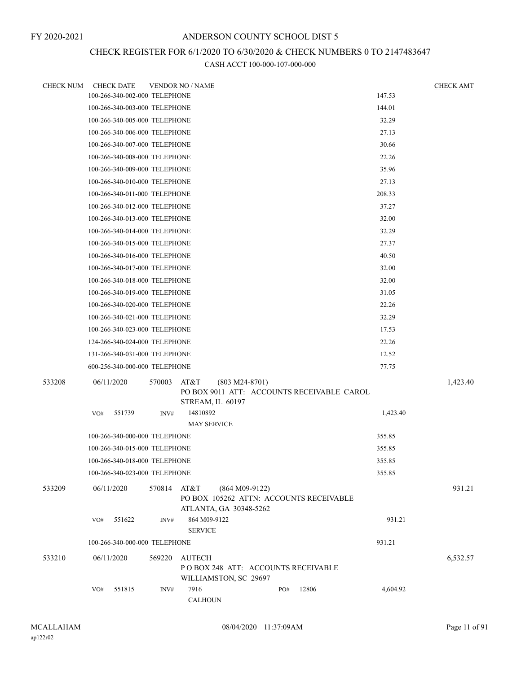# CHECK REGISTER FOR 6/1/2020 TO 6/30/2020 & CHECK NUMBERS 0 TO 2147483647

| <b>CHECK NUM</b> | <b>CHECK DATE</b>             |        |             | <b>VENDOR NO / NAME</b>        |                                                                                       |     |       |                                            |          | <b>CHECK AMT</b> |
|------------------|-------------------------------|--------|-------------|--------------------------------|---------------------------------------------------------------------------------------|-----|-------|--------------------------------------------|----------|------------------|
|                  | 100-266-340-002-000 TELEPHONE |        |             |                                |                                                                                       |     |       |                                            | 147.53   |                  |
|                  | 100-266-340-003-000 TELEPHONE |        |             |                                |                                                                                       |     |       |                                            | 144.01   |                  |
|                  | 100-266-340-005-000 TELEPHONE |        |             |                                |                                                                                       |     |       |                                            | 32.29    |                  |
|                  | 100-266-340-006-000 TELEPHONE |        |             |                                |                                                                                       |     |       |                                            | 27.13    |                  |
|                  | 100-266-340-007-000 TELEPHONE |        |             |                                |                                                                                       |     |       |                                            | 30.66    |                  |
|                  | 100-266-340-008-000 TELEPHONE |        |             |                                |                                                                                       |     |       |                                            | 22.26    |                  |
|                  | 100-266-340-009-000 TELEPHONE |        |             |                                |                                                                                       |     |       |                                            | 35.96    |                  |
|                  | 100-266-340-010-000 TELEPHONE |        |             |                                |                                                                                       |     |       |                                            | 27.13    |                  |
|                  | 100-266-340-011-000 TELEPHONE |        |             |                                |                                                                                       |     |       |                                            | 208.33   |                  |
|                  | 100-266-340-012-000 TELEPHONE |        |             |                                |                                                                                       |     |       |                                            | 37.27    |                  |
|                  | 100-266-340-013-000 TELEPHONE |        |             |                                |                                                                                       |     |       |                                            | 32.00    |                  |
|                  | 100-266-340-014-000 TELEPHONE |        |             |                                |                                                                                       |     |       |                                            | 32.29    |                  |
|                  | 100-266-340-015-000 TELEPHONE |        |             |                                |                                                                                       |     |       |                                            | 27.37    |                  |
|                  | 100-266-340-016-000 TELEPHONE |        |             |                                |                                                                                       |     |       |                                            | 40.50    |                  |
|                  | 100-266-340-017-000 TELEPHONE |        |             |                                |                                                                                       |     |       |                                            | 32.00    |                  |
|                  | 100-266-340-018-000 TELEPHONE |        |             |                                |                                                                                       |     |       |                                            | 32.00    |                  |
|                  | 100-266-340-019-000 TELEPHONE |        |             |                                |                                                                                       |     |       |                                            | 31.05    |                  |
|                  | 100-266-340-020-000 TELEPHONE |        |             |                                |                                                                                       |     |       |                                            | 22.26    |                  |
|                  | 100-266-340-021-000 TELEPHONE |        |             |                                |                                                                                       |     |       |                                            | 32.29    |                  |
|                  | 100-266-340-023-000 TELEPHONE |        |             |                                |                                                                                       |     |       |                                            | 17.53    |                  |
|                  | 124-266-340-024-000 TELEPHONE |        |             |                                |                                                                                       |     |       |                                            | 22.26    |                  |
|                  | 131-266-340-031-000 TELEPHONE |        |             |                                |                                                                                       |     |       |                                            | 12.52    |                  |
|                  | 600-256-340-000-000 TELEPHONE |        |             |                                |                                                                                       |     |       |                                            | 77.75    |                  |
| 533208           | 06/11/2020                    |        | 570003      | AT&T                           | $(803 M24-8701)$                                                                      |     |       |                                            |          | 1,423.40         |
|                  |                               |        |             |                                | STREAM, IL 60197                                                                      |     |       | PO BOX 9011 ATT: ACCOUNTS RECEIVABLE CAROL |          |                  |
|                  | VO#                           | 551739 | INV#        | 14810892<br><b>MAY SERVICE</b> |                                                                                       |     |       |                                            | 1,423.40 |                  |
|                  | 100-266-340-000-000 TELEPHONE |        |             |                                |                                                                                       |     |       |                                            | 355.85   |                  |
|                  | 100-266-340-015-000 TELEPHONE |        |             |                                |                                                                                       |     |       |                                            | 355.85   |                  |
|                  | 100-266-340-018-000 TELEPHONE |        |             |                                |                                                                                       |     |       |                                            | 355.85   |                  |
|                  | 100-266-340-023-000 TELEPHONE |        |             |                                |                                                                                       |     |       |                                            | 355.85   |                  |
| 533209           | 06/11/2020                    |        | 570814 AT&T |                                | $(864 M09-9122)$<br>PO BOX 105262 ATTN: ACCOUNTS RECEIVABLE<br>ATLANTA, GA 30348-5262 |     |       |                                            |          | 931.21           |
|                  | VO#                           | 551622 | INV#        | 864 M09-9122<br><b>SERVICE</b> |                                                                                       |     |       |                                            | 931.21   |                  |
|                  | 100-266-340-000-000 TELEPHONE |        |             |                                |                                                                                       |     |       |                                            | 931.21   |                  |
| 533210           | 06/11/2020                    |        | 569220      | AUTECH                         | POBOX 248 ATT: ACCOUNTS RECEIVABLE<br>WILLIAMSTON, SC 29697                           |     |       |                                            |          | 6,532.57         |
|                  | VO#                           | 551815 | INV#        | 7916<br><b>CALHOUN</b>         |                                                                                       | PO# | 12806 |                                            | 4,604.92 |                  |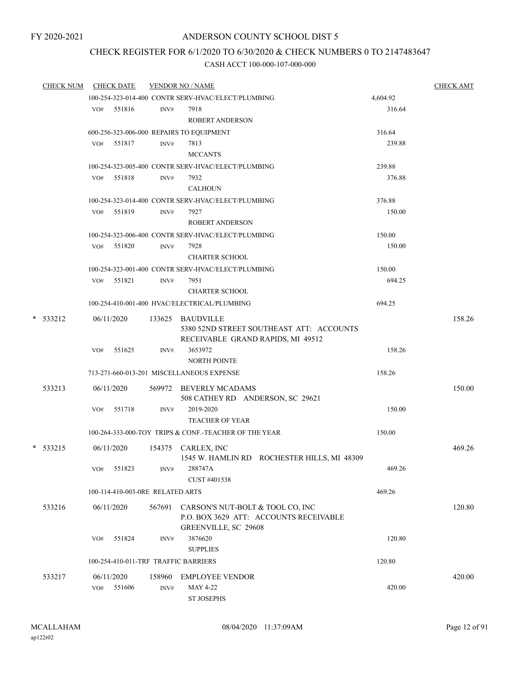#### FY 2020-2021

## ANDERSON COUNTY SCHOOL DIST 5

# CHECK REGISTER FOR 6/1/2020 TO 6/30/2020 & CHECK NUMBERS 0 TO 2147483647

| <b>CHECK NUM</b> |     | <b>CHECK DATE</b>                |        | <b>VENDOR NO / NAME</b>                               |          | <b>CHECK AMT</b> |
|------------------|-----|----------------------------------|--------|-------------------------------------------------------|----------|------------------|
|                  |     |                                  |        | 100-254-323-014-400 CONTR SERV-HVAC/ELECT/PLUMBING    | 4,604.92 |                  |
|                  |     | VO# 551816                       | INV#   | 7918                                                  | 316.64   |                  |
|                  |     |                                  |        | <b>ROBERT ANDERSON</b>                                |          |                  |
|                  |     |                                  |        | 600-256-323-006-000 REPAIRS TO EQUIPMENT              | 316.64   |                  |
|                  |     | VO# 551817                       | INV#   | 7813                                                  | 239.88   |                  |
|                  |     |                                  |        | <b>MCCANTS</b>                                        |          |                  |
|                  |     |                                  |        | 100-254-323-005-400 CONTR SERV-HVAC/ELECT/PLUMBING    | 239.88   |                  |
|                  |     | VO# 551818                       | INV#   | 7932                                                  | 376.88   |                  |
|                  |     |                                  |        | <b>CALHOUN</b>                                        |          |                  |
|                  |     |                                  |        | 100-254-323-014-400 CONTR SERV-HVAC/ELECT/PLUMBING    | 376.88   |                  |
|                  |     | VO# 551819                       | INV#   | 7927                                                  | 150.00   |                  |
|                  |     |                                  |        | <b>ROBERT ANDERSON</b>                                |          |                  |
|                  |     |                                  |        | 100-254-323-006-400 CONTR SERV-HVAC/ELECT/PLUMBING    | 150.00   |                  |
|                  | VO# | 551820                           | INV#   | 7928                                                  | 150.00   |                  |
|                  |     |                                  |        | <b>CHARTER SCHOOL</b>                                 |          |                  |
|                  |     |                                  |        | 100-254-323-001-400 CONTR SERV-HVAC/ELECT/PLUMBING    | 150.00   |                  |
|                  |     | VO# 551821                       | INV#   | 7951                                                  | 694.25   |                  |
|                  |     |                                  |        | <b>CHARTER SCHOOL</b>                                 |          |                  |
|                  |     |                                  |        | 100-254-410-001-400 HVAC/ELECTRICAL/PLUMBING          | 694.25   |                  |
| * 533212         |     | 06/11/2020                       |        | 133625 BAUDVILLE                                      |          | 158.26           |
|                  |     |                                  |        | 5380 52ND STREET SOUTHEAST ATT: ACCOUNTS              |          |                  |
|                  |     |                                  |        | RECEIVABLE GRAND RAPIDS, MI 49512                     |          |                  |
|                  | VO# | 551625                           | INV#   | 3653972                                               | 158.26   |                  |
|                  |     |                                  |        | <b>NORTH POINTE</b>                                   |          |                  |
|                  |     |                                  |        | 713-271-660-013-201 MISCELLANEOUS EXPENSE             | 158.26   |                  |
| 533213           |     | 06/11/2020                       |        | 569972 BEVERLY MCADAMS                                |          | 150.00           |
|                  |     |                                  |        | 508 CATHEY RD ANDERSON, SC 29621                      |          |                  |
|                  | VO# | 551718                           | INV#   | 2019-2020                                             | 150.00   |                  |
|                  |     |                                  |        | <b>TEACHER OF YEAR</b>                                |          |                  |
|                  |     |                                  |        | 100-264-333-000-TOY TRIPS & CONF.-TEACHER OF THE YEAR | 150.00   |                  |
| $*$ 533215       |     | 06/11/2020                       |        | 154375 CARLEX, INC                                    |          | 469.26           |
|                  |     |                                  |        | 1545 W. HAMLIN RD ROCHESTER HILLS, MI 48309           |          |                  |
|                  | VO# | 551823                           | INV#   | 288747A                                               | 469.26   |                  |
|                  |     |                                  |        | CUST #401538                                          |          |                  |
|                  |     | 100-114-410-003-0RE RELATED ARTS |        |                                                       | 469.26   |                  |
| 533216           |     | 06/11/2020                       | 567691 | CARSON'S NUT-BOLT & TOOL CO, INC                      |          | 120.80           |
|                  |     |                                  |        | P.O. BOX 3629 ATT: ACCOUNTS RECEIVABLE                |          |                  |
|                  |     |                                  |        | GREENVILLE, SC 29608                                  |          |                  |
|                  | VO# | 551824                           | INV#   | 3876620                                               | 120.80   |                  |
|                  |     |                                  |        | <b>SUPPLIES</b>                                       |          |                  |
|                  |     |                                  |        | 100-254-410-011-TRF TRAFFIC BARRIERS                  | 120.80   |                  |
| 533217           |     | 06/11/2020                       | 158960 | <b>EMPLOYEE VENDOR</b>                                |          | 420.00           |
|                  | VO# | 551606                           | INV#   | MAY 4-22                                              | 420.00   |                  |
|                  |     |                                  |        | <b>ST JOSEPHS</b>                                     |          |                  |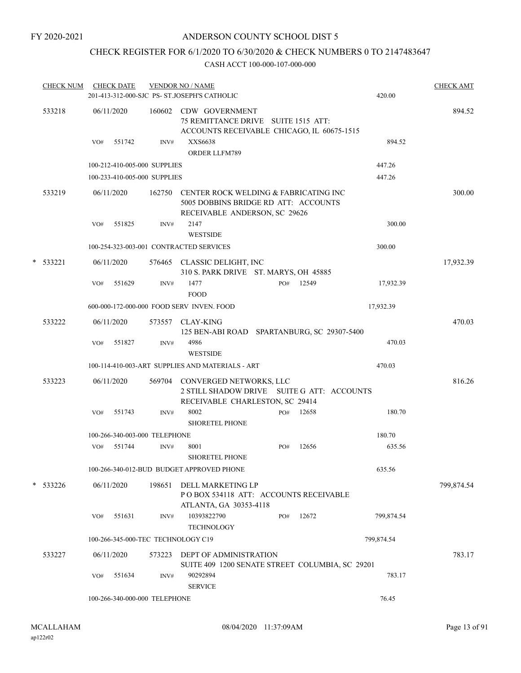# CHECK REGISTER FOR 6/1/2020 TO 6/30/2020 & CHECK NUMBERS 0 TO 2147483647

| <b>CHECK NUM</b> |                               | <b>CHECK DATE</b>                  |        | <b>VENDOR NO / NAME</b><br>201-413-312-000-SJC PS- ST.JOSEPH'S CATHOLIC                                               |     |       |  | 420.00     | <b>CHECK AMT</b> |
|------------------|-------------------------------|------------------------------------|--------|-----------------------------------------------------------------------------------------------------------------------|-----|-------|--|------------|------------------|
| 533218           |                               | 06/11/2020                         |        | 160602 CDW GOVERNMENT<br>75 REMITTANCE DRIVE SUITE 1515 ATT:<br>ACCOUNTS RECEIVABLE CHICAGO, IL 60675-1515            |     |       |  |            | 894.52           |
|                  | VO#                           | 551742                             | INV#   | XXS6638<br>ORDER LLFM789                                                                                              |     |       |  | 894.52     |                  |
|                  |                               | 100-212-410-005-000 SUPPLIES       |        |                                                                                                                       |     |       |  | 447.26     |                  |
|                  |                               | 100-233-410-005-000 SUPPLIES       |        |                                                                                                                       |     |       |  | 447.26     |                  |
| 533219           |                               | 06/11/2020                         |        | 162750 CENTER ROCK WELDING & FABRICATING INC<br>5005 DOBBINS BRIDGE RD ATT: ACCOUNTS<br>RECEIVABLE ANDERSON, SC 29626 |     |       |  |            | 300.00           |
|                  | VO#                           | 551825                             | INV#   | 2147<br><b>WESTSIDE</b>                                                                                               |     |       |  | 300.00     |                  |
|                  |                               |                                    |        | 100-254-323-003-001 CONTRACTED SERVICES                                                                               |     |       |  | 300.00     |                  |
| * 533221         |                               | 06/11/2020                         |        | 576465 CLASSIC DELIGHT, INC<br>310 S. PARK DRIVE ST. MARYS, OH 45885                                                  |     |       |  |            | 17,932.39        |
|                  | VO#                           | 551629                             | INV#   | 1477<br><b>FOOD</b>                                                                                                   | PO# | 12549 |  | 17,932.39  |                  |
|                  |                               |                                    |        | 600-000-172-000-000 FOOD SERV INVEN. FOOD                                                                             |     |       |  | 17,932.39  |                  |
| 533222           |                               | 06/11/2020                         | 573557 | <b>CLAY-KING</b><br>125 BEN-ABI ROAD SPARTANBURG, SC 29307-5400                                                       |     |       |  |            | 470.03           |
|                  | VO#                           | 551827                             | INV#   | 4986<br><b>WESTSIDE</b>                                                                                               |     |       |  | 470.03     |                  |
|                  |                               |                                    |        | 100-114-410-003-ART SUPPLIES AND MATERIALS - ART                                                                      |     |       |  | 470.03     |                  |
| 533223           |                               | 06/11/2020                         | 569704 | CONVERGED NETWORKS, LLC<br>2 STILL SHADOW DRIVE SUITE G ATT: ACCOUNTS<br>RECEIVABLE CHARLESTON, SC 29414              |     |       |  |            | 816.26           |
|                  | VO#                           | 551743                             | INV#   | 8002<br><b>SHORETEL PHONE</b>                                                                                         | PO# | 12658 |  | 180.70     |                  |
|                  |                               | 100-266-340-003-000 TELEPHONE      |        |                                                                                                                       |     |       |  | 180.70     |                  |
|                  | VO#                           | 551744                             | INV#   | 8001<br><b>SHORETEL PHONE</b>                                                                                         | PO# | 12656 |  | 635.56     |                  |
|                  |                               |                                    |        | 100-266-340-012-BUD BUDGET APPROVED PHONE                                                                             |     |       |  | 635.56     |                  |
| * 533226         |                               | 06/11/2020                         | 198651 | DELL MARKETING LP<br>POBOX 534118 ATT: ACCOUNTS RECEIVABLE<br>ATLANTA, GA 30353-4118                                  |     |       |  |            | 799,874.54       |
|                  | VO#                           | 551631                             | INV#   | 10393822790<br><b>TECHNOLOGY</b>                                                                                      | PO# | 12672 |  | 799,874.54 |                  |
|                  |                               | 100-266-345-000-TEC TECHNOLOGY C19 |        |                                                                                                                       |     |       |  | 799,874.54 |                  |
| 533227           |                               | 06/11/2020                         | 573223 | DEPT OF ADMINISTRATION<br>SUITE 409 1200 SENATE STREET COLUMBIA, SC 29201                                             |     |       |  |            | 783.17           |
|                  | VO#                           | 551634                             | INV#   | 90292894<br><b>SERVICE</b>                                                                                            |     |       |  | 783.17     |                  |
|                  | 100-266-340-000-000 TELEPHONE |                                    |        |                                                                                                                       |     |       |  | 76.45      |                  |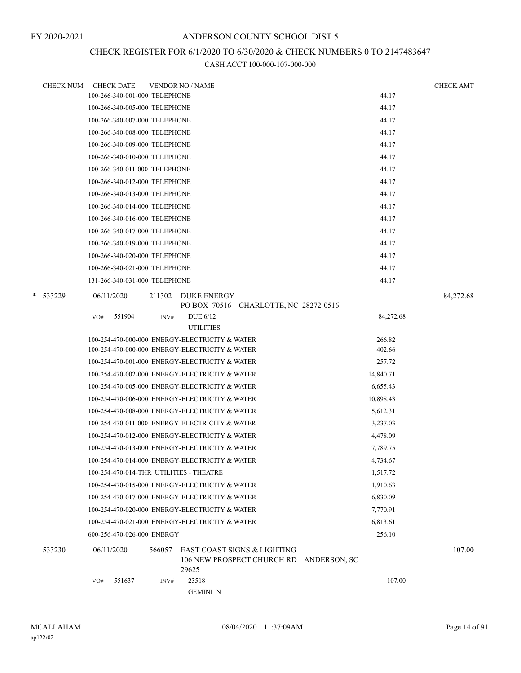# CHECK REGISTER FOR 6/1/2020 TO 6/30/2020 & CHECK NUMBERS 0 TO 2147483647

| <b>CHECK NUM</b> | <b>CHECK DATE</b>                              |        | <b>VENDOR NO / NAME</b>  |                                                                        |           | <b>CHECK AMT</b> |
|------------------|------------------------------------------------|--------|--------------------------|------------------------------------------------------------------------|-----------|------------------|
|                  | 100-266-340-001-000 TELEPHONE                  |        |                          |                                                                        | 44.17     |                  |
|                  | 100-266-340-005-000 TELEPHONE                  |        |                          |                                                                        | 44.17     |                  |
|                  | 100-266-340-007-000 TELEPHONE                  |        |                          |                                                                        | 44.17     |                  |
|                  | 100-266-340-008-000 TELEPHONE                  |        |                          |                                                                        | 44.17     |                  |
|                  | 100-266-340-009-000 TELEPHONE                  |        |                          |                                                                        | 44.17     |                  |
|                  | 100-266-340-010-000 TELEPHONE                  |        |                          |                                                                        | 44.17     |                  |
|                  | 100-266-340-011-000 TELEPHONE                  |        |                          |                                                                        | 44.17     |                  |
|                  | 100-266-340-012-000 TELEPHONE                  |        |                          |                                                                        | 44.17     |                  |
|                  | 100-266-340-013-000 TELEPHONE                  |        |                          |                                                                        | 44.17     |                  |
|                  | 100-266-340-014-000 TELEPHONE                  |        |                          |                                                                        | 44.17     |                  |
|                  | 100-266-340-016-000 TELEPHONE                  |        |                          |                                                                        | 44.17     |                  |
|                  | 100-266-340-017-000 TELEPHONE                  |        |                          |                                                                        | 44.17     |                  |
|                  | 100-266-340-019-000 TELEPHONE                  |        |                          |                                                                        | 44.17     |                  |
|                  | 100-266-340-020-000 TELEPHONE                  |        |                          |                                                                        | 44.17     |                  |
|                  | 100-266-340-021-000 TELEPHONE                  |        |                          |                                                                        | 44.17     |                  |
|                  | 131-266-340-031-000 TELEPHONE                  |        |                          |                                                                        | 44.17     |                  |
| * 533229         | 06/11/2020                                     | 211302 | <b>DUKE ENERGY</b>       | PO BOX 70516 CHARLOTTE, NC 28272-0516                                  |           | 84,272.68        |
|                  | 551904<br>VO#                                  | INV#   | DUE 6/12                 |                                                                        | 84,272.68 |                  |
|                  |                                                |        | <b>UTILITIES</b>         |                                                                        |           |                  |
|                  | 100-254-470-000-000 ENERGY-ELECTRICITY & WATER |        |                          |                                                                        | 266.82    |                  |
|                  | 100-254-470-000-000 ENERGY-ELECTRICITY & WATER |        |                          |                                                                        | 402.66    |                  |
|                  | 100-254-470-001-000 ENERGY-ELECTRICITY & WATER |        |                          |                                                                        | 257.72    |                  |
|                  | 100-254-470-002-000 ENERGY-ELECTRICITY & WATER |        |                          |                                                                        | 14,840.71 |                  |
|                  | 100-254-470-005-000 ENERGY-ELECTRICITY & WATER |        |                          |                                                                        | 6,655.43  |                  |
|                  | 100-254-470-006-000 ENERGY-ELECTRICITY & WATER |        |                          |                                                                        | 10,898.43 |                  |
|                  | 100-254-470-008-000 ENERGY-ELECTRICITY & WATER |        |                          |                                                                        | 5,612.31  |                  |
|                  | 100-254-470-011-000 ENERGY-ELECTRICITY & WATER |        |                          |                                                                        | 3,237.03  |                  |
|                  | 100-254-470-012-000 ENERGY-ELECTRICITY & WATER |        |                          |                                                                        | 4,478.09  |                  |
|                  | 100-254-470-013-000 ENERGY-ELECTRICITY & WATER |        |                          |                                                                        | 7,789.75  |                  |
|                  | 100-254-470-014-000 ENERGY-ELECTRICITY & WATER |        |                          |                                                                        | 4,734.67  |                  |
|                  | 100-254-470-014-THR UTILITIES - THEATRE        |        |                          |                                                                        | 1,517.72  |                  |
|                  | 100-254-470-015-000 ENERGY-ELECTRICITY & WATER |        |                          |                                                                        | 1,910.63  |                  |
|                  | 100-254-470-017-000 ENERGY-ELECTRICITY & WATER |        |                          |                                                                        | 6,830.09  |                  |
|                  | 100-254-470-020-000 ENERGY-ELECTRICITY & WATER |        |                          |                                                                        | 7,770.91  |                  |
|                  | 100-254-470-021-000 ENERGY-ELECTRICITY & WATER |        |                          |                                                                        | 6,813.61  |                  |
|                  | 600-256-470-026-000 ENERGY                     |        |                          |                                                                        | 256.10    |                  |
| 533230           | 06/11/2020                                     | 566057 | 29625                    | EAST COAST SIGNS & LIGHTING<br>106 NEW PROSPECT CHURCH RD ANDERSON, SC |           | 107.00           |
|                  | 551637<br>VO#                                  | INV#   | 23518<br><b>GEMINI N</b> |                                                                        | 107.00    |                  |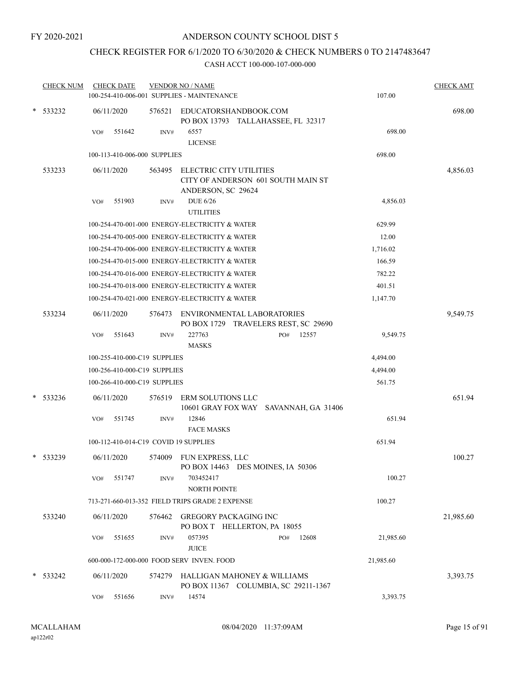# CHECK REGISTER FOR 6/1/2020 TO 6/30/2020 & CHECK NUMBERS 0 TO 2147483647

|   | <b>CHECK NUM</b> | <b>CHECK DATE</b>                     |        | <b>VENDOR NO / NAME</b><br>100-254-410-006-001 SUPPLIES - MAINTENANCE               | 107.00    | <b>CHECK AMT</b> |
|---|------------------|---------------------------------------|--------|-------------------------------------------------------------------------------------|-----------|------------------|
| * | 533232           | 06/11/2020                            | 576521 | EDUCATORSHANDBOOK.COM<br>PO BOX 13793 TALLAHASSEE, FL 32317                         |           | 698.00           |
|   |                  | 551642<br>VO#                         | INV#   | 6557<br><b>LICENSE</b>                                                              | 698.00    |                  |
|   |                  | 100-113-410-006-000 SUPPLIES          |        |                                                                                     | 698.00    |                  |
|   | 533233           | 06/11/2020                            | 563495 | ELECTRIC CITY UTILITIES<br>CITY OF ANDERSON 601 SOUTH MAIN ST<br>ANDERSON, SC 29624 |           | 4,856.03         |
|   |                  | 551903<br>VO#                         | INV#   | <b>DUE 6/26</b><br><b>UTILITIES</b>                                                 | 4,856.03  |                  |
|   |                  |                                       |        | 100-254-470-001-000 ENERGY-ELECTRICITY & WATER                                      | 629.99    |                  |
|   |                  |                                       |        | 100-254-470-005-000 ENERGY-ELECTRICITY & WATER                                      | 12.00     |                  |
|   |                  |                                       |        | 100-254-470-006-000 ENERGY-ELECTRICITY & WATER                                      | 1,716.02  |                  |
|   |                  |                                       |        | 100-254-470-015-000 ENERGY-ELECTRICITY & WATER                                      | 166.59    |                  |
|   |                  |                                       |        | 100-254-470-016-000 ENERGY-ELECTRICITY & WATER                                      | 782.22    |                  |
|   |                  |                                       |        | 100-254-470-018-000 ENERGY-ELECTRICITY & WATER                                      | 401.51    |                  |
|   |                  |                                       |        | 100-254-470-021-000 ENERGY-ELECTRICITY & WATER                                      | 1,147.70  |                  |
|   | 533234           | 06/11/2020                            | 576473 | ENVIRONMENTAL LABORATORIES<br>PO BOX 1729 TRAVELERS REST, SC 29690                  |           | 9,549.75         |
|   |                  | 551643<br>VO#                         | INV#   | 227763<br>PO#<br>12557                                                              | 9,549.75  |                  |
|   |                  |                                       |        | <b>MASKS</b>                                                                        |           |                  |
|   |                  | 100-255-410-000-C19 SUPPLIES          |        |                                                                                     | 4,494.00  |                  |
|   |                  | 100-256-410-000-C19 SUPPLIES          |        |                                                                                     | 4,494.00  |                  |
|   |                  | 100-266-410-000-C19 SUPPLIES          |        |                                                                                     | 561.75    |                  |
| * | 533236           | 06/11/2020                            | 576519 | <b>ERM SOLUTIONS LLC</b><br>10601 GRAY FOX WAY SAVANNAH, GA 31406                   |           | 651.94           |
|   |                  | 551745<br>VO#                         | INV#   | 12846<br><b>FACE MASKS</b>                                                          | 651.94    |                  |
|   |                  | 100-112-410-014-C19 COVID 19 SUPPLIES |        |                                                                                     | 651.94    |                  |
|   | * 533239         | 06/11/2020                            | 574009 | FUN EXPRESS, LLC<br>PO BOX 14463 DES MOINES, IA 50306                               |           | 100.27           |
|   |                  | 551747<br>VO#                         | INV#   | 703452417<br>NORTH POINTE                                                           | 100.27    |                  |
|   |                  |                                       |        | 713-271-660-013-352 FIELD TRIPS GRADE 2 EXPENSE                                     | 100.27    |                  |
|   | 533240           | 06/11/2020                            | 576462 | <b>GREGORY PACKAGING INC</b><br>PO BOX T HELLERTON, PA 18055                        |           | 21,985.60        |
|   |                  | 551655<br>VO#                         | INV#   | 057395<br>12608<br>PO#<br><b>JUICE</b>                                              | 21,985.60 |                  |
|   |                  |                                       |        | 600-000-172-000-000 FOOD SERV INVEN. FOOD                                           | 21,985.60 |                  |
|   | $*$ 533242       | 06/11/2020                            | 574279 | HALLIGAN MAHONEY & WILLIAMS<br>PO BOX 11367 COLUMBIA, SC 29211-1367                 |           | 3,393.75         |
|   |                  | 551656<br>VO#                         | INV#   | 14574                                                                               | 3,393.75  |                  |
|   |                  |                                       |        |                                                                                     |           |                  |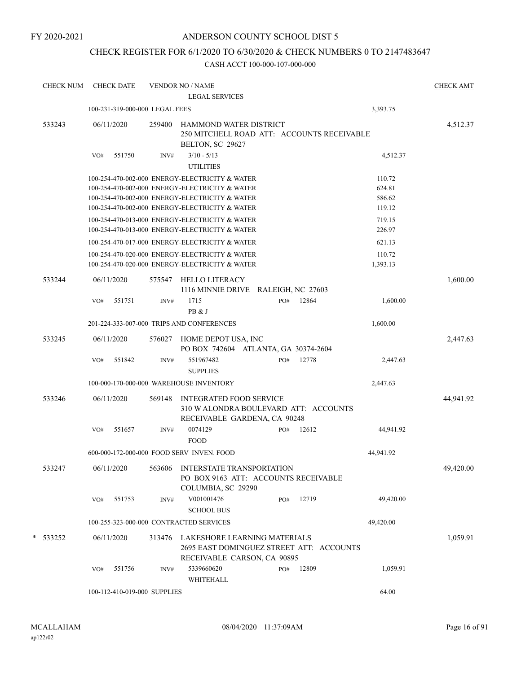## CHECK REGISTER FOR 6/1/2020 TO 6/30/2020 & CHECK NUMBERS 0 TO 2147483647

| <b>CHECK NUM</b> |     | <b>CHECK DATE</b>              |        | <b>VENDOR NO / NAME</b><br><b>LEGAL SERVICES</b>                                                                                                                                                     |     |       |                                      | <b>CHECK AMT</b> |
|------------------|-----|--------------------------------|--------|------------------------------------------------------------------------------------------------------------------------------------------------------------------------------------------------------|-----|-------|--------------------------------------|------------------|
|                  |     | 100-231-319-000-000 LEGAL FEES |        |                                                                                                                                                                                                      |     |       | 3,393.75                             |                  |
| 533243           |     | 06/11/2020                     | 259400 | HAMMOND WATER DISTRICT<br>250 MITCHELL ROAD ATT: ACCOUNTS RECEIVABLE<br>BELTON, SC 29627                                                                                                             |     |       |                                      | 4,512.37         |
|                  | VO# | 551750                         | INV#   | $3/10 - 5/13$<br><b>UTILITIES</b>                                                                                                                                                                    |     |       | 4,512.37                             |                  |
|                  |     |                                |        | 100-254-470-002-000 ENERGY-ELECTRICITY & WATER<br>100-254-470-002-000 ENERGY-ELECTRICITY & WATER<br>100-254-470-002-000 ENERGY-ELECTRICITY & WATER<br>100-254-470-002-000 ENERGY-ELECTRICITY & WATER |     |       | 110.72<br>624.81<br>586.62<br>119.12 |                  |
|                  |     |                                |        | 100-254-470-013-000 ENERGY-ELECTRICITY & WATER<br>100-254-470-013-000 ENERGY-ELECTRICITY & WATER                                                                                                     |     |       | 719.15<br>226.97                     |                  |
|                  |     |                                |        | 100-254-470-017-000 ENERGY-ELECTRICITY & WATER<br>100-254-470-020-000 ENERGY-ELECTRICITY & WATER<br>100-254-470-020-000 ENERGY-ELECTRICITY & WATER                                                   |     |       | 621.13<br>110.72<br>1,393.13         |                  |
| 533244           |     | 06/11/2020                     | 575547 | <b>HELLO LITERACY</b><br>1116 MINNIE DRIVE RALEIGH, NC 27603                                                                                                                                         |     |       |                                      | 1,600.00         |
|                  | VO# | 551751                         | INV#   | 1715<br>PB & J                                                                                                                                                                                       | PO# | 12864 | 1,600.00                             |                  |
|                  |     |                                |        | 201-224-333-007-000 TRIPS AND CONFERENCES                                                                                                                                                            |     |       | 1,600.00                             |                  |
| 533245           |     | 06/11/2020                     | 576027 | HOME DEPOT USA, INC<br>PO BOX 742604 ATLANTA, GA 30374-2604                                                                                                                                          |     |       |                                      | 2,447.63         |
|                  | VO# | 551842                         | INV#   | 551967482<br><b>SUPPLIES</b>                                                                                                                                                                         | PO# | 12778 | 2,447.63                             |                  |
|                  |     |                                |        | 100-000-170-000-000 WAREHOUSE INVENTORY                                                                                                                                                              |     |       | 2,447.63                             |                  |
| 533246           |     | 06/11/2020                     | 569148 | <b>INTEGRATED FOOD SERVICE</b><br>310 W ALONDRA BOULEVARD ATT: ACCOUNTS<br>RECEIVABLE GARDENA, CA 90248                                                                                              |     |       |                                      | 44,941.92        |
|                  | VO# | 551657                         | INV#   | 0074129<br><b>FOOD</b>                                                                                                                                                                               | PO# | 12612 | 44,941.92                            |                  |
|                  |     |                                |        | 600-000-172-000-000 FOOD SERV INVEN. FOOD                                                                                                                                                            |     |       | 44,941.92                            |                  |
| 533247           |     | 06/11/2020                     | 563606 | INTERSTATE TRANSPORTATION<br>PO BOX 9163 ATT: ACCOUNTS RECEIVABLE<br>COLUMBIA, SC 29290                                                                                                              |     |       |                                      | 49,420.00        |
|                  | VO# | 551753                         | INV#   | V001001476<br><b>SCHOOL BUS</b>                                                                                                                                                                      | PO# | 12719 | 49,420.00                            |                  |
|                  |     |                                |        | 100-255-323-000-000 CONTRACTED SERVICES                                                                                                                                                              |     |       | 49,420.00                            |                  |
| * 533252         |     | 06/11/2020                     | 313476 | LAKESHORE LEARNING MATERIALS<br>2695 EAST DOMINGUEZ STREET ATT: ACCOUNTS<br>RECEIVABLE CARSON, CA 90895                                                                                              |     |       |                                      | 1,059.91         |
|                  | VO# | 551756                         | INV#   | 5339660620<br>WHITEHALL                                                                                                                                                                              | PO# | 12809 | 1,059.91                             |                  |
|                  |     | 100-112-410-019-000 SUPPLIES   |        |                                                                                                                                                                                                      |     |       | 64.00                                |                  |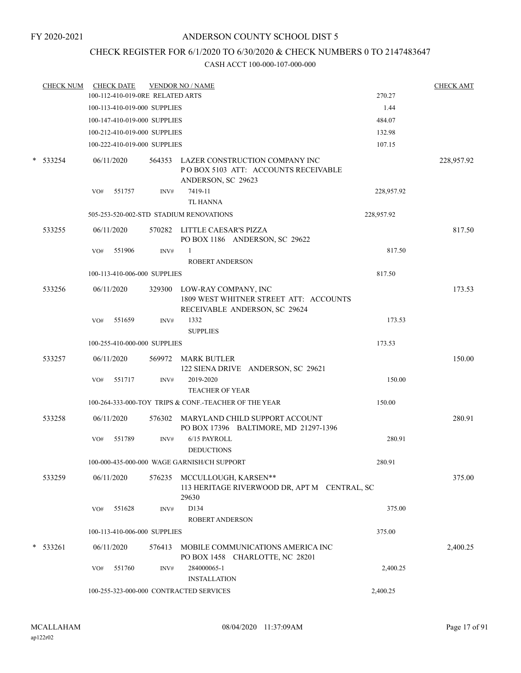# CHECK REGISTER FOR 6/1/2020 TO 6/30/2020 & CHECK NUMBERS 0 TO 2147483647

|        | <b>CHECK NUM</b> |     | <b>CHECK DATE</b> |                                  | <b>VENDOR NO / NAME</b>                                                                                |            | <b>CHECK AMT</b> |
|--------|------------------|-----|-------------------|----------------------------------|--------------------------------------------------------------------------------------------------------|------------|------------------|
|        |                  |     |                   | 100-112-410-019-0RE RELATED ARTS |                                                                                                        | 270.27     |                  |
|        |                  |     |                   | 100-113-410-019-000 SUPPLIES     |                                                                                                        | 1.44       |                  |
|        |                  |     |                   | 100-147-410-019-000 SUPPLIES     |                                                                                                        | 484.07     |                  |
|        |                  |     |                   | 100-212-410-019-000 SUPPLIES     |                                                                                                        | 132.98     |                  |
|        |                  |     |                   | 100-222-410-019-000 SUPPLIES     |                                                                                                        | 107.15     |                  |
| $\ast$ | 533254           |     | 06/11/2020        |                                  | 564353 LAZER CONSTRUCTION COMPANY INC<br>POBOX 5103 ATT: ACCOUNTS RECEIVABLE<br>ANDERSON, SC 29623     |            | 228,957.92       |
|        |                  | VO# | 551757            | INV#                             | 7419-11<br>TL HANNA                                                                                    | 228,957.92 |                  |
|        |                  |     |                   |                                  | 505-253-520-002-STD STADIUM RENOVATIONS                                                                | 228,957.92 |                  |
|        | 533255           |     | 06/11/2020        |                                  | 570282 LITTLE CAESAR'S PIZZA<br>PO BOX 1186 ANDERSON, SC 29622                                         |            | 817.50           |
|        |                  | VO# | 551906            | INV#                             | $\mathbf{1}$                                                                                           | 817.50     |                  |
|        |                  |     |                   |                                  | <b>ROBERT ANDERSON</b>                                                                                 |            |                  |
|        |                  |     |                   | 100-113-410-006-000 SUPPLIES     |                                                                                                        | 817.50     |                  |
|        | 533256           |     | 06/11/2020        |                                  | 329300 LOW-RAY COMPANY, INC<br>1809 WEST WHITNER STREET ATT: ACCOUNTS<br>RECEIVABLE ANDERSON, SC 29624 |            | 173.53           |
|        |                  | VO# | 551659            | INV#                             | 1332<br><b>SUPPLIES</b>                                                                                | 173.53     |                  |
|        |                  |     |                   | 100-255-410-000-000 SUPPLIES     |                                                                                                        | 173.53     |                  |
|        | 533257           |     | 06/11/2020        |                                  | 569972 MARK BUTLER<br>122 SIENA DRIVE ANDERSON, SC 29621                                               |            | 150.00           |
|        |                  | VO# | 551717            | INV#                             | 2019-2020<br><b>TEACHER OF YEAR</b>                                                                    | 150.00     |                  |
|        |                  |     |                   |                                  | 100-264-333-000-TOY TRIPS & CONF.-TEACHER OF THE YEAR                                                  | 150.00     |                  |
|        | 533258           |     | 06/11/2020        |                                  | 576302 MARYLAND CHILD SUPPORT ACCOUNT<br>PO BOX 17396 BALTIMORE, MD 21297-1396                         |            | 280.91           |
|        |                  | VO# | 551789            | INV#                             | 6/15 PAYROLL<br><b>DEDUCTIONS</b>                                                                      | 280.91     |                  |
|        |                  |     |                   |                                  | 100-000-435-000-000 WAGE GARNISH/CH SUPPORT                                                            | 280.91     |                  |
|        | 533259           |     | 06/11/2020        | 576235                           | MCCULLOUGH, KARSEN**<br>113 HERITAGE RIVERWOOD DR, APT M CENTRAL, SC<br>29630                          |            | 375.00           |
|        |                  | VO# | 551628            | INV#                             | D134                                                                                                   | 375.00     |                  |
|        |                  |     |                   |                                  | <b>ROBERT ANDERSON</b>                                                                                 |            |                  |
|        |                  |     |                   | 100-113-410-006-000 SUPPLIES     |                                                                                                        | 375.00     |                  |
| $\ast$ | 533261           |     | 06/11/2020        | 576413                           | MOBILE COMMUNICATIONS AMERICA INC<br>PO BOX 1458 CHARLOTTE, NC 28201                                   |            | 2,400.25         |
|        |                  | VO# | 551760            | INV#                             | 284000065-1<br><b>INSTALLATION</b>                                                                     | 2,400.25   |                  |
|        |                  |     |                   |                                  | 100-255-323-000-000 CONTRACTED SERVICES                                                                | 2,400.25   |                  |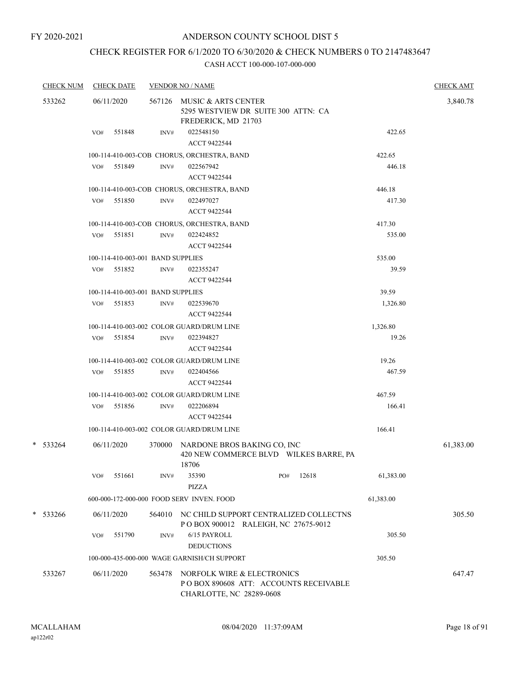# CHECK REGISTER FOR 6/1/2020 TO 6/30/2020 & CHECK NUMBERS 0 TO 2147483647

| <b>CHECK NUM</b> |     | <b>CHECK DATE</b>                           |                | <b>VENDOR NO / NAME</b>                                                                          |                                                                                          |       |           | <b>CHECK AMT</b> |  |  |
|------------------|-----|---------------------------------------------|----------------|--------------------------------------------------------------------------------------------------|------------------------------------------------------------------------------------------|-------|-----------|------------------|--|--|
| 533262           |     | 06/11/2020                                  |                |                                                                                                  | 567126 MUSIC & ARTS CENTER<br>5295 WESTVIEW DR SUITE 300 ATTN: CA<br>FREDERICK, MD 21703 |       |           |                  |  |  |
|                  | VO# | 551848                                      | INV#           | 022548150<br>ACCT 9422544                                                                        |                                                                                          |       | 422.65    |                  |  |  |
|                  |     |                                             |                | 100-114-410-003-COB CHORUS, ORCHESTRA, BAND                                                      |                                                                                          |       | 422.65    |                  |  |  |
|                  |     | VO# 551849                                  | INV#           | 022567942<br>ACCT 9422544                                                                        |                                                                                          |       | 446.18    |                  |  |  |
|                  |     |                                             |                | 100-114-410-003-COB CHORUS, ORCHESTRA, BAND                                                      |                                                                                          |       | 446.18    |                  |  |  |
|                  |     | VO# 551850                                  | INV#           | 022497027<br>ACCT 9422544                                                                        |                                                                                          |       | 417.30    |                  |  |  |
|                  |     |                                             |                | 100-114-410-003-COB CHORUS, ORCHESTRA, BAND                                                      |                                                                                          |       | 417.30    |                  |  |  |
|                  | VO# | 551851                                      | INV#           | 022424852<br>ACCT 9422544                                                                        |                                                                                          |       | 535.00    |                  |  |  |
|                  |     | 100-114-410-003-001 BAND SUPPLIES           |                |                                                                                                  |                                                                                          |       | 535.00    |                  |  |  |
|                  |     | VO# 551852                                  | INV#           | 022355247<br>ACCT 9422544                                                                        |                                                                                          |       | 39.59     |                  |  |  |
|                  |     | 100-114-410-003-001 BAND SUPPLIES           |                |                                                                                                  |                                                                                          |       | 39.59     |                  |  |  |
|                  |     | VO# 551853                                  | $\text{INV}\#$ | 022539670<br>ACCT 9422544                                                                        |                                                                                          |       | 1,326.80  |                  |  |  |
|                  |     |                                             |                | 100-114-410-003-002 COLOR GUARD/DRUM LINE                                                        |                                                                                          |       | 1,326.80  |                  |  |  |
|                  |     | VO# 551854                                  | INV#           | 022394827<br>ACCT 9422544                                                                        |                                                                                          |       | 19.26     |                  |  |  |
|                  |     |                                             |                | 100-114-410-003-002 COLOR GUARD/DRUM LINE                                                        |                                                                                          |       | 19.26     |                  |  |  |
|                  | VO# | 551855                                      | INV#           | 022404566<br>ACCT 9422544                                                                        |                                                                                          |       | 467.59    |                  |  |  |
|                  |     |                                             |                | 100-114-410-003-002 COLOR GUARD/DRUM LINE                                                        |                                                                                          |       | 467.59    |                  |  |  |
|                  |     | VO# 551856                                  | INV#           | 022206894<br>ACCT 9422544                                                                        |                                                                                          |       | 166.41    |                  |  |  |
|                  |     |                                             |                | 100-114-410-003-002 COLOR GUARD/DRUM LINE                                                        |                                                                                          |       | 166.41    |                  |  |  |
| $*$ 533264       |     | 06/11/2020                                  | 370000         | NARDONE BROS BAKING CO, INC<br>420 NEW COMMERCE BLVD WILKES BARRE, PA<br>18706                   |                                                                                          |       |           | 61,383.00        |  |  |
|                  | VO# | 551661                                      | INV#           | 35390<br><b>PIZZA</b>                                                                            | PO#                                                                                      | 12618 | 61,383.00 |                  |  |  |
|                  |     |                                             |                | 600-000-172-000-000 FOOD SERV INVEN. FOOD                                                        |                                                                                          |       | 61,383.00 |                  |  |  |
| * 533266         |     | 06/11/2020                                  | 564010         | NC CHILD SUPPORT CENTRALIZED COLLECTNS<br>PO BOX 900012 RALEIGH, NC 27675-9012                   |                                                                                          |       |           | 305.50           |  |  |
|                  | VO# | 551790                                      | INV#           | 6/15 PAYROLL<br><b>DEDUCTIONS</b>                                                                |                                                                                          |       | 305.50    |                  |  |  |
|                  |     | 100-000-435-000-000 WAGE GARNISH/CH SUPPORT | 305.50         |                                                                                                  |                                                                                          |       |           |                  |  |  |
| 533267           |     | 06/11/2020                                  | 563478         | NORFOLK WIRE & ELECTRONICS<br>PO BOX 890608 ATT: ACCOUNTS RECEIVABLE<br>CHARLOTTE, NC 28289-0608 |                                                                                          |       |           | 647.47           |  |  |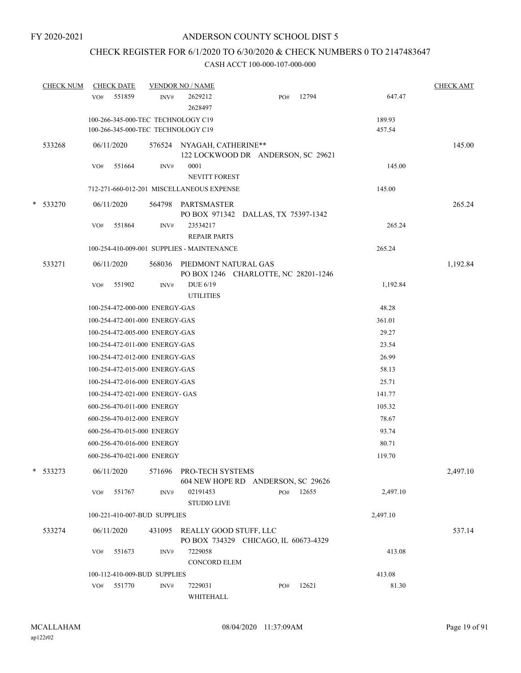# CHECK REGISTER FOR 6/1/2020 TO 6/30/2020 & CHECK NUMBERS 0 TO 2147483647

| <b>CHECK NUM</b> | VO# | <b>CHECK DATE</b><br>551859                                              | INV#   | <b>VENDOR NO / NAME</b><br>2629212<br>2628497                     | PO#                                  | 12794 | 647.47           | <b>CHECK AMT</b> |
|------------------|-----|--------------------------------------------------------------------------|--------|-------------------------------------------------------------------|--------------------------------------|-------|------------------|------------------|
|                  |     | 100-266-345-000-TEC TECHNOLOGY C19<br>100-266-345-000-TEC TECHNOLOGY C19 |        |                                                                   |                                      |       | 189.93<br>457.54 |                  |
| 533268           |     | 06/11/2020                                                               |        | 576524 NYAGAH, CATHERINE**                                        | 122 LOCKWOOD DR ANDERSON, SC 29621   |       |                  | 145.00           |
|                  | VO# | 551664                                                                   | INV#   | 0001                                                              |                                      |       | 145.00           |                  |
|                  |     |                                                                          |        | <b>NEVITT FOREST</b><br>712-271-660-012-201 MISCELLANEOUS EXPENSE |                                      |       | 145.00           |                  |
|                  |     |                                                                          |        |                                                                   |                                      |       |                  |                  |
| * 533270         |     | 06/11/2020                                                               |        | 564798 PARTSMASTER                                                | PO BOX 971342 DALLAS, TX 75397-1342  |       |                  | 265.24           |
|                  | VO# | 551864                                                                   | INV#   | 23534217<br><b>REPAIR PARTS</b>                                   |                                      |       | 265.24           |                  |
|                  |     |                                                                          |        | 100-254-410-009-001 SUPPLIES - MAINTENANCE                        |                                      |       | 265.24           |                  |
| 533271           |     | 06/11/2020                                                               | 568036 | PIEDMONT NATURAL GAS                                              | PO BOX 1246 CHARLOTTE, NC 28201-1246 |       |                  | 1,192.84         |
|                  | VO# | 551902                                                                   | INV#   | DUE 6/19<br><b>UTILITIES</b>                                      |                                      |       | 1,192.84         |                  |
|                  |     | 100-254-472-000-000 ENERGY-GAS                                           |        |                                                                   |                                      |       | 48.28            |                  |
|                  |     | 100-254-472-001-000 ENERGY-GAS                                           |        |                                                                   |                                      |       | 361.01           |                  |
|                  |     | 100-254-472-005-000 ENERGY-GAS                                           |        |                                                                   |                                      |       | 29.27            |                  |
|                  |     | 100-254-472-011-000 ENERGY-GAS                                           |        |                                                                   |                                      |       | 23.54            |                  |
|                  |     | 100-254-472-012-000 ENERGY-GAS                                           |        |                                                                   |                                      |       | 26.99            |                  |
|                  |     | 100-254-472-015-000 ENERGY-GAS                                           |        |                                                                   |                                      |       | 58.13            |                  |
|                  |     | 100-254-472-016-000 ENERGY-GAS                                           |        |                                                                   |                                      |       | 25.71            |                  |
|                  |     | 100-254-472-021-000 ENERGY- GAS                                          |        |                                                                   |                                      |       | 141.77           |                  |
|                  |     | 600-256-470-011-000 ENERGY                                               |        |                                                                   |                                      |       | 105.32           |                  |
|                  |     | 600-256-470-012-000 ENERGY                                               |        |                                                                   |                                      |       | 78.67            |                  |
|                  |     | 600-256-470-015-000 ENERGY                                               |        |                                                                   |                                      |       | 93.74            |                  |
|                  |     | 600-256-470-016-000 ENERGY                                               |        |                                                                   |                                      |       | 80.71            |                  |
|                  |     | 600-256-470-021-000 ENERGY                                               |        |                                                                   |                                      |       | 119.70           |                  |
| * 533273         |     | 06/11/2020                                                               | 571696 | PRO-TECH SYSTEMS                                                  | 604 NEW HOPE RD ANDERSON, SC 29626   |       |                  | 2,497.10         |
|                  | VO# | 551767                                                                   | INV#   | 02191453<br><b>STUDIO LIVE</b>                                    | PO#                                  | 12655 | 2,497.10         |                  |
|                  |     | 100-221-410-007-BUD SUPPLIES                                             |        |                                                                   |                                      |       | 2,497.10         |                  |
| 533274           |     | 06/11/2020                                                               |        | 431095 REALLY GOOD STUFF, LLC                                     | PO BOX 734329 CHICAGO, IL 60673-4329 |       |                  | 537.14           |
|                  | VO# | 551673                                                                   | INV#   | 7229058<br>CONCORD ELEM                                           |                                      |       | 413.08           |                  |
|                  |     | 100-112-410-009-BUD SUPPLIES                                             |        |                                                                   |                                      |       | 413.08           |                  |
|                  | VO# | 551770                                                                   | INV#   | 7229031                                                           | PO#                                  | 12621 | 81.30            |                  |
|                  |     |                                                                          |        | WHITEHALL                                                         |                                      |       |                  |                  |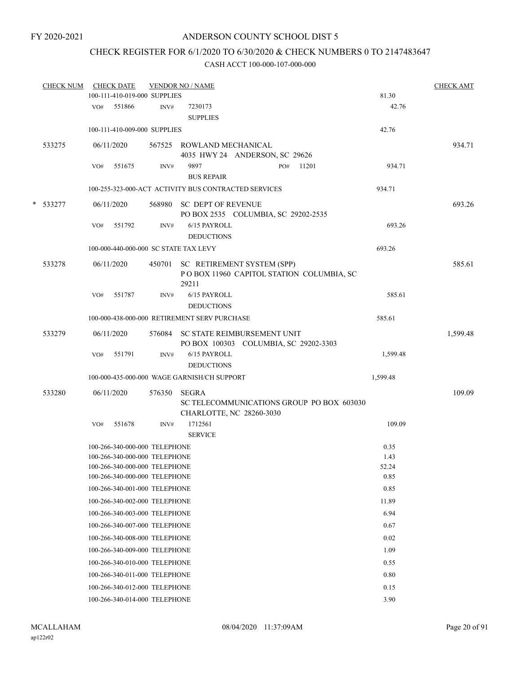# CHECK REGISTER FOR 6/1/2020 TO 6/30/2020 & CHECK NUMBERS 0 TO 2147483647

|   | <b>CHECK NUM</b> |     | <b>CHECK DATE</b>                                                                               |        | <b>VENDOR NO / NAME</b>                                                                |                       | <b>CHECK AMT</b> |
|---|------------------|-----|-------------------------------------------------------------------------------------------------|--------|----------------------------------------------------------------------------------------|-----------------------|------------------|
|   |                  |     | 100-111-410-019-000 SUPPLIES                                                                    |        |                                                                                        | 81.30                 |                  |
|   |                  |     | VO# 551866                                                                                      | INV#   | 7230173<br><b>SUPPLIES</b>                                                             | 42.76                 |                  |
|   |                  |     | 100-111-410-009-000 SUPPLIES                                                                    |        |                                                                                        | 42.76                 |                  |
|   | 533275           |     | 06/11/2020                                                                                      |        | 567525 ROWLAND MECHANICAL<br>4035 HWY 24 ANDERSON, SC 29626                            |                       | 934.71           |
|   |                  | VO# | 551675                                                                                          | INV#   | 9897<br>11201<br>PO#<br><b>BUS REPAIR</b>                                              | 934.71                |                  |
|   |                  |     |                                                                                                 |        | 100-255-323-000-ACT ACTIVITY BUS CONTRACTED SERVICES                                   | 934.71                |                  |
| * | 533277           |     | 06/11/2020                                                                                      |        | 568980 SC DEPT OF REVENUE<br>PO BOX 2535 COLUMBIA, SC 29202-2535                       |                       | 693.26           |
|   |                  | VO# | 551792                                                                                          | INV#   | 6/15 PAYROLL<br><b>DEDUCTIONS</b>                                                      | 693.26                |                  |
|   |                  |     | 100-000-440-000-000 SC STATE TAX LEVY                                                           |        |                                                                                        | 693.26                |                  |
|   | 533278           |     | 06/11/2020                                                                                      |        | 450701 SC RETIREMENT SYSTEM (SPP)<br>POBOX 11960 CAPITOL STATION COLUMBIA, SC<br>29211 |                       | 585.61           |
|   |                  | VO# | 551787                                                                                          | INV#   | 6/15 PAYROLL<br><b>DEDUCTIONS</b>                                                      | 585.61                |                  |
|   |                  |     |                                                                                                 |        | 100-000-438-000-000 RETIREMENT SERV PURCHASE                                           | 585.61                |                  |
|   | 533279           |     | 06/11/2020                                                                                      |        | 576084 SC STATE REIMBURSEMENT UNIT<br>PO BOX 100303 COLUMBIA, SC 29202-3303            |                       | 1,599.48         |
|   |                  | VO# | 551791                                                                                          | INV#   | 6/15 PAYROLL<br><b>DEDUCTIONS</b>                                                      | 1,599.48              |                  |
|   |                  |     |                                                                                                 |        | 100-000-435-000-000 WAGE GARNISH/CH SUPPORT                                            | 1,599.48              |                  |
|   | 533280           |     | 06/11/2020                                                                                      | 576350 | SEGRA<br>SC TELECOMMUNICATIONS GROUP PO BOX 603030                                     |                       | 109.09           |
|   |                  | VO# | 551678                                                                                          | INV#   | CHARLOTTE, NC 28260-3030<br>1712561<br><b>SERVICE</b>                                  | 109.09                |                  |
|   |                  |     | 100-266-340-000-000 TELEPHONE<br>100-266-340-000-000 TELEPHONE<br>100-266-340-000-000 TELEPHONE |        |                                                                                        | 0.35<br>1.43<br>52.24 |                  |
|   |                  |     | 100-266-340-000-000 TELEPHONE                                                                   |        |                                                                                        | 0.85                  |                  |
|   |                  |     | 100-266-340-001-000 TELEPHONE                                                                   |        |                                                                                        | 0.85                  |                  |
|   |                  |     | 100-266-340-002-000 TELEPHONE                                                                   |        |                                                                                        | 11.89                 |                  |
|   |                  |     | 100-266-340-003-000 TELEPHONE                                                                   |        |                                                                                        | 6.94                  |                  |
|   |                  |     | 100-266-340-007-000 TELEPHONE                                                                   |        |                                                                                        | 0.67                  |                  |
|   |                  |     | 100-266-340-008-000 TELEPHONE                                                                   |        |                                                                                        | 0.02                  |                  |
|   |                  |     | 100-266-340-009-000 TELEPHONE<br>100-266-340-010-000 TELEPHONE                                  |        |                                                                                        | 1.09<br>0.55          |                  |
|   |                  |     | 100-266-340-011-000 TELEPHONE                                                                   |        |                                                                                        | 0.80                  |                  |
|   |                  |     | 100-266-340-012-000 TELEPHONE                                                                   |        |                                                                                        | 0.15                  |                  |
|   |                  |     | 100-266-340-014-000 TELEPHONE                                                                   |        |                                                                                        | 3.90                  |                  |
|   |                  |     |                                                                                                 |        |                                                                                        |                       |                  |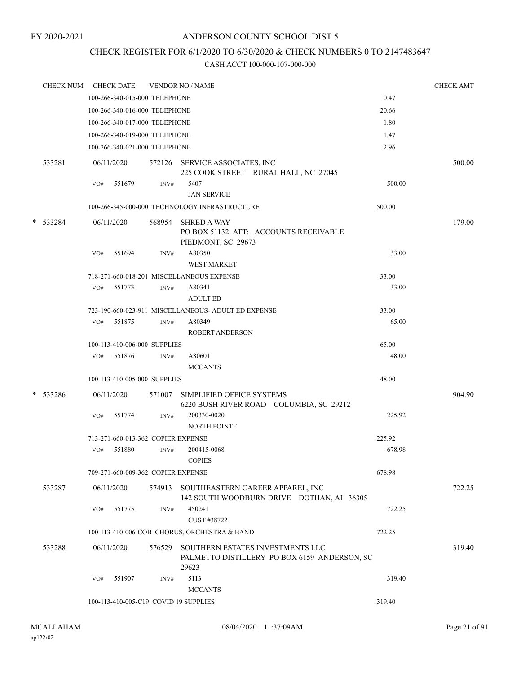# CHECK REGISTER FOR 6/1/2020 TO 6/30/2020 & CHECK NUMBERS 0 TO 2147483647

|  | <b>CHECK NUM</b> |     | <b>CHECK DATE</b>                  |        | <b>VENDOR NO / NAME</b>                                                                   |        | <b>CHECK AMT</b> |
|--|------------------|-----|------------------------------------|--------|-------------------------------------------------------------------------------------------|--------|------------------|
|  |                  |     | 100-266-340-015-000 TELEPHONE      |        |                                                                                           | 0.47   |                  |
|  |                  |     | 100-266-340-016-000 TELEPHONE      |        |                                                                                           | 20.66  |                  |
|  |                  |     | 100-266-340-017-000 TELEPHONE      |        |                                                                                           | 1.80   |                  |
|  |                  |     | 100-266-340-019-000 TELEPHONE      |        |                                                                                           | 1.47   |                  |
|  |                  |     | 100-266-340-021-000 TELEPHONE      |        |                                                                                           | 2.96   |                  |
|  | 533281           |     | 06/11/2020                         |        | 572126 SERVICE ASSOCIATES, INC<br>225 COOK STREET RURAL HALL, NC 27045                    |        | 500.00           |
|  |                  | VO# | 551679                             | INV#   | 5407<br><b>JAN SERVICE</b>                                                                | 500.00 |                  |
|  |                  |     |                                    |        | 100-266-345-000-000 TECHNOLOGY INFRASTRUCTURE                                             | 500.00 |                  |
|  | * 533284         |     | 06/11/2020                         | 568954 | <b>SHRED A WAY</b><br>PO BOX 51132 ATT: ACCOUNTS RECEIVABLE<br>PIEDMONT, SC 29673         |        | 179.00           |
|  |                  | VO# | 551694                             | INV#   | A80350<br><b>WEST MARKET</b>                                                              | 33.00  |                  |
|  |                  |     |                                    |        | 718-271-660-018-201 MISCELLANEOUS EXPENSE                                                 | 33.00  |                  |
|  |                  |     | VO# 551773                         | INV#   | A80341<br><b>ADULT ED</b>                                                                 | 33.00  |                  |
|  |                  |     |                                    |        | 723-190-660-023-911 MISCELLANEOUS- ADULT ED EXPENSE                                       | 33.00  |                  |
|  |                  | VO# | 551875                             | INV#   | A80349<br><b>ROBERT ANDERSON</b>                                                          | 65.00  |                  |
|  |                  |     | 100-113-410-006-000 SUPPLIES       |        |                                                                                           | 65.00  |                  |
|  |                  | VO# | 551876                             | INV#   | A80601<br><b>MCCANTS</b>                                                                  | 48.00  |                  |
|  |                  |     | 100-113-410-005-000 SUPPLIES       |        |                                                                                           | 48.00  |                  |
|  | * 533286         |     | 06/11/2020                         | 571007 | SIMPLIFIED OFFICE SYSTEMS<br>6220 BUSH RIVER ROAD COLUMBIA, SC 29212                      |        | 904.90           |
|  |                  | VO# | 551774                             | INV#   | 200330-0020<br><b>NORTH POINTE</b>                                                        | 225.92 |                  |
|  |                  |     | 713-271-660-013-362 COPIER EXPENSE |        |                                                                                           | 225.92 |                  |
|  |                  | VO# | 551880                             | INV#   | 200415-0068<br><b>COPIES</b>                                                              | 678.98 |                  |
|  |                  |     | 709-271-660-009-362 COPIER EXPENSE |        |                                                                                           | 678.98 |                  |
|  | 533287           |     | 06/11/2020                         |        | 574913 SOUTHEASTERN CAREER APPAREL, INC<br>142 SOUTH WOODBURN DRIVE DOTHAN, AL 36305      |        | 722.25           |
|  |                  | VO# | 551775                             | INV#   | 450241<br>CUST #38722                                                                     | 722.25 |                  |
|  |                  |     |                                    |        | 100-113-410-006-COB CHORUS, ORCHESTRA & BAND                                              | 722.25 |                  |
|  | 533288           |     | 06/11/2020                         | 576529 | SOUTHERN ESTATES INVESTMENTS LLC<br>PALMETTO DISTILLERY PO BOX 6159 ANDERSON, SC<br>29623 |        | 319.40           |
|  |                  | VO# | 551907                             | INV#   | 5113<br><b>MCCANTS</b>                                                                    | 319.40 |                  |
|  |                  |     |                                    |        | 100-113-410-005-C19 COVID 19 SUPPLIES                                                     | 319.40 |                  |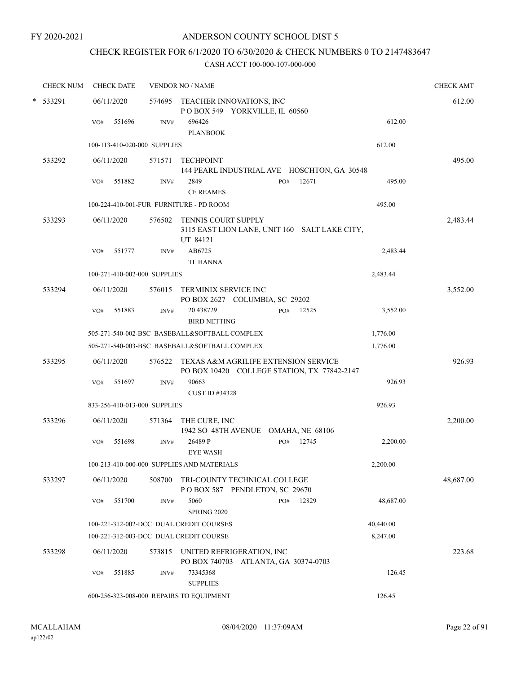# CHECK REGISTER FOR 6/1/2020 TO 6/30/2020 & CHECK NUMBERS 0 TO 2147483647

|  | <b>CHECK NUM</b> | <b>CHECK DATE</b>                      |        | <b>VENDOR NO / NAME</b>                                                                 |              |           | <b>CHECK AMT</b> |
|--|------------------|----------------------------------------|--------|-----------------------------------------------------------------------------------------|--------------|-----------|------------------|
|  | * 533291         | 06/11/2020                             |        | 574695 TEACHER INNOVATIONS, INC<br>POBOX 549 YORKVILLE, IL 60560                        |              |           | 612.00           |
|  |                  | 551696<br>VO#                          | INV#   | 696426<br><b>PLANBOOK</b>                                                               |              | 612.00    |                  |
|  |                  | 100-113-410-020-000 SUPPLIES           |        |                                                                                         |              | 612.00    |                  |
|  | 533292           | 06/11/2020                             | 571571 | <b>TECHPOINT</b><br>144 PEARL INDUSTRIAL AVE HOSCHTON, GA 30548                         |              |           | 495.00           |
|  |                  | 551882<br>VO#                          | INV#   | 2849<br><b>CF REAMES</b>                                                                | 12671<br>PO# | 495.00    |                  |
|  |                  |                                        |        | 100-224-410-001-FUR FURNITURE - PD ROOM                                                 |              | 495.00    |                  |
|  | 533293           | 06/11/2020                             | 576502 | <b>TENNIS COURT SUPPLY</b><br>3115 EAST LION LANE, UNIT 160 SALT LAKE CITY,<br>UT 84121 |              |           | 2,483.44         |
|  |                  | 551777<br>VO#                          | INV#   | AB6725<br><b>TL HANNA</b>                                                               |              | 2,483.44  |                  |
|  |                  | 100-271-410-002-000 SUPPLIES           |        |                                                                                         |              | 2,483.44  |                  |
|  | 533294           | 06/11/2020                             |        | 576015 TERMINIX SERVICE INC<br>PO BOX 2627 COLUMBIA, SC 29202                           |              |           | 3,552.00         |
|  |                  | 551883<br>VO#                          | INV#   | 20 43 8729<br><b>BIRD NETTING</b>                                                       | 12525<br>PO# | 3,552.00  |                  |
|  |                  |                                        |        | 505-271-540-002-BSC BASEBALL&SOFTBALL COMPLEX                                           |              | 1,776.00  |                  |
|  |                  |                                        |        | 505-271-540-003-BSC BASEBALL&SOFTBALL COMPLEX                                           |              | 1,776.00  |                  |
|  | 533295           | 06/11/2020                             | 576522 | TEXAS A&M AGRILIFE EXTENSION SERVICE<br>PO BOX 10420 COLLEGE STATION, TX 77842-2147     |              |           | 926.93           |
|  |                  | 551697<br>VO#                          | INV#   | 90663<br>CUST ID #34328                                                                 |              | 926.93    |                  |
|  |                  | 833-256-410-013-000 SUPPLIES           |        |                                                                                         |              | 926.93    |                  |
|  | 533296           | 06/11/2020                             | 571364 | THE CURE, INC<br>1942 SO 48TH AVENUE OMAHA, NE 68106                                    |              |           | 2,200.00         |
|  |                  | VO#<br>551698                          | INV#   | 26489 P<br><b>EYE WASH</b>                                                              | 12745<br>PO# | 2,200.00  |                  |
|  |                  |                                        |        | 100-213-410-000-000 SUPPLIES AND MATERIALS                                              |              | 2,200.00  |                  |
|  | 533297           | 06/11/2020                             | 508700 | TRI-COUNTY TECHNICAL COLLEGE<br>POBOX 587 PENDLETON, SC 29670                           |              |           | 48,687.00        |
|  |                  | 551700<br>VO#                          | INV#   | 5060<br><b>SPRING 2020</b>                                                              | 12829<br>PO# | 48,687.00 |                  |
|  |                  |                                        |        | 100-221-312-002-DCC DUAL CREDIT COURSES                                                 |              | 40,440.00 |                  |
|  |                  | 100-221-312-003-DCC DUAL CREDIT COURSE |        |                                                                                         |              | 8,247.00  |                  |
|  | 533298           | 06/11/2020                             | 573815 | UNITED REFRIGERATION, INC<br>PO BOX 740703 ATLANTA, GA 30374-0703                       |              |           | 223.68           |
|  |                  | 551885<br>VO#                          | INV#   | 73345368<br><b>SUPPLIES</b>                                                             |              | 126.45    |                  |
|  |                  |                                        |        | 600-256-323-008-000 REPAIRS TO EQUIPMENT                                                |              | 126.45    |                  |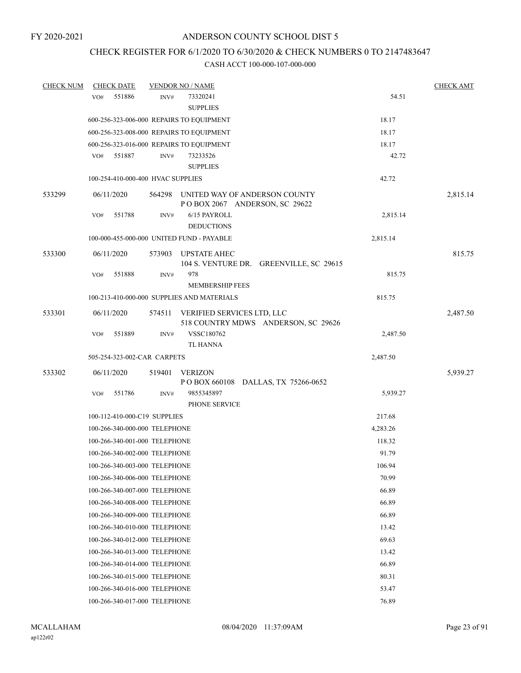# CHECK REGISTER FOR 6/1/2020 TO 6/30/2020 & CHECK NUMBERS 0 TO 2147483647

| <b>CHECK NUM</b> | <b>CHECK DATE</b>                        |        | <b>VENDOR NO / NAME</b>                                           |          | <b>CHECK AMT</b> |
|------------------|------------------------------------------|--------|-------------------------------------------------------------------|----------|------------------|
|                  | 551886<br>VO#                            | INV#   | 73320241<br><b>SUPPLIES</b>                                       | 54.51    |                  |
|                  | 600-256-323-006-000 REPAIRS TO EQUIPMENT |        |                                                                   | 18.17    |                  |
|                  | 600-256-323-008-000 REPAIRS TO EQUIPMENT |        |                                                                   | 18.17    |                  |
|                  | 600-256-323-016-000 REPAIRS TO EQUIPMENT |        |                                                                   | 18.17    |                  |
|                  | VO# 551887                               | INV#   | 73233526<br><b>SUPPLIES</b>                                       | 42.72    |                  |
|                  | 100-254-410-000-400 HVAC SUPPLIES        |        |                                                                   | 42.72    |                  |
| 533299           | 06/11/2020                               | 564298 | UNITED WAY OF ANDERSON COUNTY<br>POBOX 2067 ANDERSON, SC 29622    |          | 2,815.14         |
|                  | VO#<br>551788                            | INV#   | 6/15 PAYROLL<br><b>DEDUCTIONS</b>                                 | 2,815.14 |                  |
|                  |                                          |        | 100-000-455-000-000 UNITED FUND - PAYABLE                         | 2,815.14 |                  |
| 533300           | 06/11/2020                               | 573903 | <b>UPSTATE AHEC</b><br>104 S. VENTURE DR. GREENVILLE, SC 29615    |          | 815.75           |
|                  | 551888<br>VO#                            | INV#   | 978<br><b>MEMBERSHIP FEES</b>                                     | 815.75   |                  |
|                  |                                          |        | 100-213-410-000-000 SUPPLIES AND MATERIALS                        | 815.75   |                  |
| 533301           | 06/11/2020                               | 574511 | VERIFIED SERVICES LTD, LLC<br>518 COUNTRY MDWS ANDERSON, SC 29626 |          | 2,487.50         |
|                  | 551889<br>VO#                            | INV#   | VSSC180762<br><b>TL HANNA</b>                                     | 2,487.50 |                  |
|                  | 505-254-323-002-CAR CARPETS              |        |                                                                   | 2,487.50 |                  |
|                  |                                          |        |                                                                   |          |                  |
| 533302           | 06/11/2020                               | 519401 | <b>VERIZON</b><br>POBOX 660108 DALLAS, TX 75266-0652              |          | 5,939.27         |
|                  | 551786<br>VO#                            | INV#   | 9855345897<br>PHONE SERVICE                                       | 5,939.27 |                  |
|                  | 100-112-410-000-C19 SUPPLIES             |        |                                                                   | 217.68   |                  |
|                  | 100-266-340-000-000 TELEPHONE            |        |                                                                   | 4,283.26 |                  |
|                  | 100-266-340-001-000 TELEPHONE            |        |                                                                   | 118.32   |                  |
|                  | 100-266-340-002-000 TELEPHONE            |        |                                                                   | 91.79    |                  |
|                  | 100-266-340-003-000 TELEPHONE            |        |                                                                   | 106.94   |                  |
|                  | 100-266-340-006-000 TELEPHONE            |        |                                                                   | 70.99    |                  |
|                  | 100-266-340-007-000 TELEPHONE            |        |                                                                   | 66.89    |                  |
|                  | 100-266-340-008-000 TELEPHONE            |        |                                                                   | 66.89    |                  |
|                  | 100-266-340-009-000 TELEPHONE            |        |                                                                   | 66.89    |                  |
|                  | 100-266-340-010-000 TELEPHONE            |        |                                                                   | 13.42    |                  |
|                  | 100-266-340-012-000 TELEPHONE            |        |                                                                   | 69.63    |                  |
|                  | 100-266-340-013-000 TELEPHONE            |        | 13.42                                                             |          |                  |
|                  | 100-266-340-014-000 TELEPHONE            |        | 66.89                                                             |          |                  |
|                  | 100-266-340-015-000 TELEPHONE            |        |                                                                   | 80.31    |                  |
|                  | 100-266-340-016-000 TELEPHONE            |        | 53.47                                                             |          |                  |
|                  | 100-266-340-017-000 TELEPHONE            |        |                                                                   | 76.89    |                  |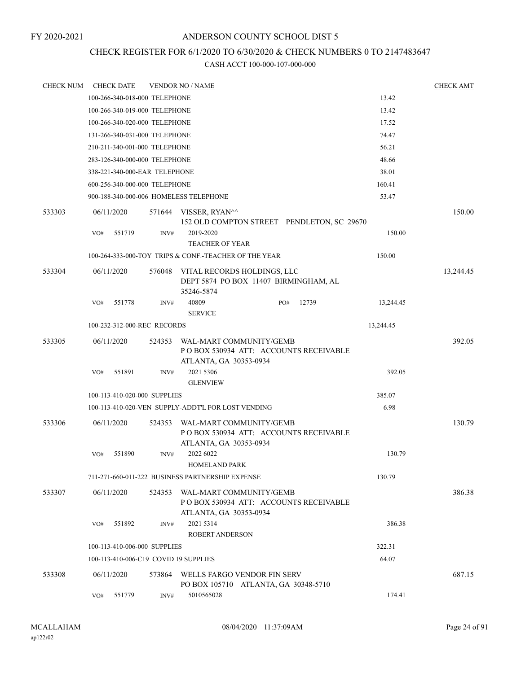#### FY 2020-2021

## ANDERSON COUNTY SCHOOL DIST 5

# CHECK REGISTER FOR 6/1/2020 TO 6/30/2020 & CHECK NUMBERS 0 TO 2147483647

| <b>CHECK NUM</b> |     | <b>CHECK DATE</b> |                               | <b>VENDOR NO / NAME</b>                                                                     |     |       |           | <b>CHECK AMT</b> |
|------------------|-----|-------------------|-------------------------------|---------------------------------------------------------------------------------------------|-----|-------|-----------|------------------|
|                  |     |                   | 100-266-340-018-000 TELEPHONE |                                                                                             |     |       | 13.42     |                  |
|                  |     |                   | 100-266-340-019-000 TELEPHONE |                                                                                             |     |       | 13.42     |                  |
|                  |     |                   | 100-266-340-020-000 TELEPHONE |                                                                                             |     |       | 17.52     |                  |
|                  |     |                   | 131-266-340-031-000 TELEPHONE |                                                                                             |     |       | 74.47     |                  |
|                  |     |                   | 210-211-340-001-000 TELEPHONE |                                                                                             |     |       | 56.21     |                  |
|                  |     |                   | 283-126-340-000-000 TELEPHONE |                                                                                             |     |       | 48.66     |                  |
|                  |     |                   | 338-221-340-000-EAR TELEPHONE |                                                                                             |     |       | 38.01     |                  |
|                  |     |                   | 600-256-340-000-000 TELEPHONE |                                                                                             |     |       | 160.41    |                  |
|                  |     |                   |                               | 900-188-340-000-006 HOMELESS TELEPHONE                                                      |     |       | 53.47     |                  |
| 533303           |     | 06/11/2020        | 571644                        | VISSER, RYAN^^<br>152 OLD COMPTON STREET PENDLETON, SC 29670                                |     |       |           | 150.00           |
|                  | VO# | 551719            | INV#                          | 2019-2020                                                                                   |     |       | 150.00    |                  |
|                  |     |                   |                               | <b>TEACHER OF YEAR</b>                                                                      |     |       |           |                  |
|                  |     |                   |                               | 100-264-333-000-TOY TRIPS & CONF.-TEACHER OF THE YEAR                                       |     |       | 150.00    |                  |
| 533304           |     | 06/11/2020        | 576048                        | VITAL RECORDS HOLDINGS, LLC<br>DEPT 5874 PO BOX 11407 BIRMINGHAM, AL<br>35246-5874          |     |       |           | 13,244.45        |
|                  | VO# | 551778            | INV#                          | 40809<br><b>SERVICE</b>                                                                     | PO# | 12739 | 13,244.45 |                  |
|                  |     |                   | 100-232-312-000-REC RECORDS   |                                                                                             |     |       | 13,244.45 |                  |
| 533305           |     | 06/11/2020        | 524353                        | WAL-MART COMMUNITY/GEMB<br>POBOX 530934 ATT: ACCOUNTS RECEIVABLE<br>ATLANTA, GA 30353-0934  |     |       |           | 392.05           |
|                  | VO# | 551891            | INV#                          | 2021 5306<br><b>GLENVIEW</b>                                                                |     |       | 392.05    |                  |
|                  |     |                   | 100-113-410-020-000 SUPPLIES  |                                                                                             |     |       | 385.07    |                  |
|                  |     |                   |                               | 100-113-410-020-VEN SUPPLY-ADDT'L FOR LOST VENDING                                          |     |       | 6.98      |                  |
| 533306           |     | 06/11/2020        | 524353                        | WAL-MART COMMUNITY/GEMB<br>POBOX 530934 ATT: ACCOUNTS RECEIVABLE<br>ATLANTA, GA 30353-0934  |     |       |           | 130.79           |
|                  | VO# | 551890            | INV#                          | 2022 6022<br><b>HOMELAND PARK</b>                                                           |     |       | 130.79    |                  |
|                  |     |                   |                               | 711-271-660-011-222 BUSINESS PARTNERSHIP EXPENSE                                            |     |       | 130.79    |                  |
| 533307           |     | 06/11/2020        | 524353                        | WAL-MART COMMUNITY/GEMB<br>PO BOX 530934 ATT: ACCOUNTS RECEIVABLE<br>ATLANTA, GA 30353-0934 |     |       |           | 386.38           |
|                  | VO# | 551892            | INV#                          | 2021 5314<br><b>ROBERT ANDERSON</b>                                                         |     |       | 386.38    |                  |
|                  |     |                   | 100-113-410-006-000 SUPPLIES  |                                                                                             |     |       | 322.31    |                  |
|                  |     |                   |                               | 100-113-410-006-C19 COVID 19 SUPPLIES                                                       |     |       | 64.07     |                  |
| 533308           |     | 06/11/2020        | 573864                        | WELLS FARGO VENDOR FIN SERV<br>PO BOX 105710 ATLANTA, GA 30348-5710                         |     |       |           | 687.15           |
|                  | VO# | 551779            | INV#                          | 5010565028                                                                                  |     |       | 174.41    |                  |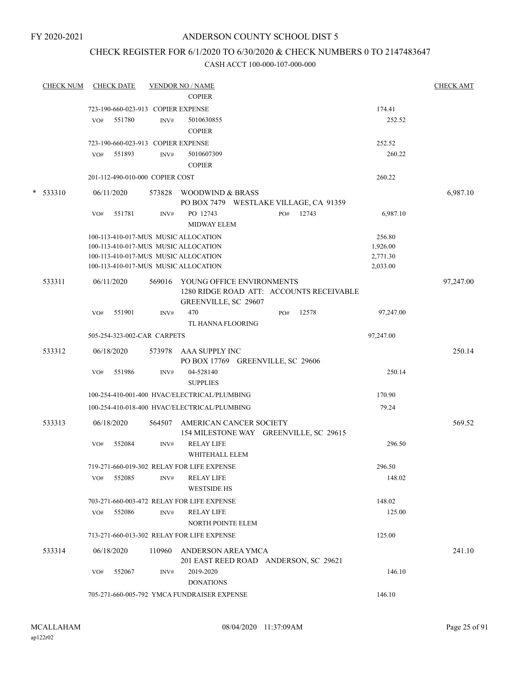## CHECK REGISTER FOR 6/1/2020 TO 6/30/2020 & CHECK NUMBERS 0 TO 2147483647

| <b>CHECK NUM</b> |     | <b>CHECK DATE</b> |                                    | <b>VENDOR NO / NAME</b>                                                                       |     |       |           |        | <b>CHECK AMT</b> |
|------------------|-----|-------------------|------------------------------------|-----------------------------------------------------------------------------------------------|-----|-------|-----------|--------|------------------|
|                  |     |                   |                                    | <b>COPIER</b>                                                                                 |     |       |           |        |                  |
|                  |     |                   | 723-190-660-023-913 COPIER EXPENSE |                                                                                               |     |       | 174.41    |        |                  |
|                  | VO# | 551780            | INV#                               | 5010630855<br><b>COPIER</b>                                                                   |     |       |           | 252.52 |                  |
|                  |     |                   | 723-190-660-023-913 COPIER EXPENSE |                                                                                               |     |       | 252.52    |        |                  |
|                  | VO# | 551893            | INV#                               | 5010607309<br><b>COPIER</b>                                                                   |     |       |           | 260.22 |                  |
|                  |     |                   | 201-112-490-010-000 COPIER COST    |                                                                                               |     |       | 260.22    |        |                  |
| $* 533310$       |     | 06/11/2020        |                                    | 573828 WOODWIND & BRASS<br>PO BOX 7479 WESTLAKE VILLAGE, CA 91359                             |     |       |           |        | 6,987.10         |
|                  | VO# | 551781            | INV#                               | PO 12743<br><b>MIDWAY ELEM</b>                                                                | PO# | 12743 | 6,987.10  |        |                  |
|                  |     |                   |                                    | 100-113-410-017-MUS MUSIC ALLOCATION                                                          |     |       | 256.80    |        |                  |
|                  |     |                   |                                    | 100-113-410-017-MUS MUSIC ALLOCATION                                                          |     |       | 1,926.00  |        |                  |
|                  |     |                   |                                    | 100-113-410-017-MUS MUSIC ALLOCATION                                                          |     |       | 2,771.30  |        |                  |
|                  |     |                   |                                    | 100-113-410-017-MUS MUSIC ALLOCATION                                                          |     |       | 2,033.00  |        |                  |
| 533311           |     | 06/11/2020        | 569016                             | YOUNG OFFICE ENVIRONMENTS<br>1280 RIDGE ROAD ATT: ACCOUNTS RECEIVABLE<br>GREENVILLE, SC 29607 |     |       |           |        | 97,247.00        |
|                  | VO# | 551901            | INV#                               | 470<br>TL HANNA FLOORING                                                                      | PO# | 12578 | 97,247.00 |        |                  |
|                  |     |                   | 505-254-323-002-CAR CARPETS        |                                                                                               |     |       | 97,247.00 |        |                  |
| 533312           |     | 06/18/2020        |                                    | 573978 AAA SUPPLY INC                                                                         |     |       |           |        | 250.14           |
|                  |     |                   |                                    | PO BOX 17769 GREENVILLE, SC 29606                                                             |     |       |           |        |                  |
|                  | VO# | 551986            | INV#                               | 04-528140<br><b>SUPPLIES</b>                                                                  |     |       |           | 250.14 |                  |
|                  |     |                   |                                    | 100-254-410-001-400 HVAC/ELECTRICAL/PLUMBING                                                  |     |       | 170.90    |        |                  |
|                  |     |                   |                                    | 100-254-410-018-400 HVAC/ELECTRICAL/PLUMBING                                                  |     |       | 79.24     |        |                  |
| 533313           |     | 06/18/2020        | 564507                             | AMERICAN CANCER SOCIETY<br>154 MILESTONE WAY GREENVILLE, SC 29615                             |     |       |           |        | 569.52           |
|                  | VO# | 552084            | INV#                               | <b>RELAY LIFE</b><br>WHITEHALL ELEM                                                           |     |       |           | 296.50 |                  |
|                  |     |                   |                                    | 719-271-660-019-302 RELAY FOR LIFE EXPENSE                                                    |     |       | 296.50    |        |                  |
|                  | VO# | 552085            | INV#                               | <b>RELAY LIFE</b><br><b>WESTSIDE HS</b>                                                       |     |       |           | 148.02 |                  |
|                  |     |                   |                                    | 703-271-660-003-472 RELAY FOR LIFE EXPENSE                                                    |     |       | 148.02    |        |                  |
|                  | VO# | 552086            | INV#                               | <b>RELAY LIFE</b>                                                                             |     |       |           | 125.00 |                  |
|                  |     |                   |                                    | <b>NORTH POINTE ELEM</b>                                                                      |     |       |           |        |                  |
|                  |     |                   |                                    | 713-271-660-013-302 RELAY FOR LIFE EXPENSE                                                    |     |       | 125.00    |        |                  |
| 533314           |     | 06/18/2020        | 110960                             | ANDERSON AREA YMCA<br>201 EAST REED ROAD ANDERSON, SC 29621                                   |     |       |           |        | 241.10           |
|                  | VO# | 552067            | INV#                               | 2019-2020<br><b>DONATIONS</b>                                                                 |     |       |           | 146.10 |                  |
|                  |     |                   |                                    | 705-271-660-005-792 YMCA FUNDRAISER EXPENSE                                                   |     |       | 146.10    |        |                  |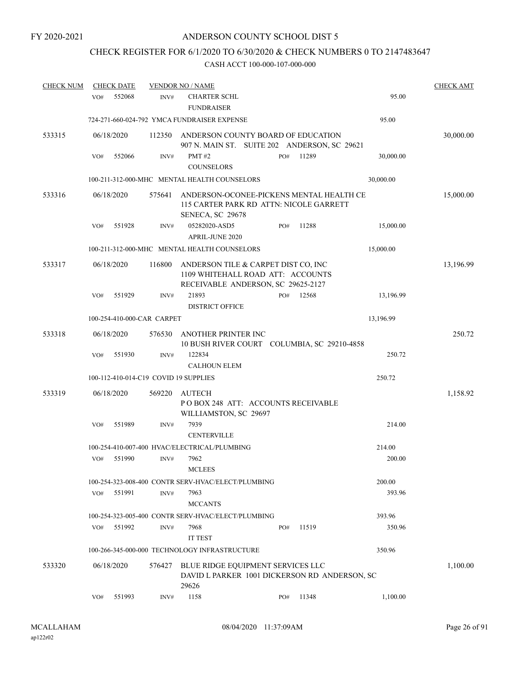# CHECK REGISTER FOR 6/1/2020 TO 6/30/2020 & CHECK NUMBERS 0 TO 2147483647

| <b>CHECK NUM</b> |     | <b>CHECK DATE</b> |                            | <b>VENDOR NO / NAME</b>                                                                                        |     |       |           | <b>CHECK AMT</b> |
|------------------|-----|-------------------|----------------------------|----------------------------------------------------------------------------------------------------------------|-----|-------|-----------|------------------|
|                  | VO# | 552068            | INV#                       | <b>CHARTER SCHL</b><br><b>FUNDRAISER</b>                                                                       |     |       | 95.00     |                  |
|                  |     |                   |                            | 724-271-660-024-792 YMCA FUNDRAISER EXPENSE                                                                    |     |       | 95.00     |                  |
| 533315           |     | 06/18/2020        | 112350                     | ANDERSON COUNTY BOARD OF EDUCATION<br>907 N. MAIN ST. SUITE 202 ANDERSON, SC 29621                             |     |       |           | 30,000.00        |
|                  | VO# | 552066            | INV#                       | <b>PMT#2</b><br><b>COUNSELORS</b>                                                                              | PO# | 11289 | 30,000.00 |                  |
|                  |     |                   |                            | 100-211-312-000-MHC MENTAL HEALTH COUNSELORS                                                                   |     |       | 30,000.00 |                  |
| 533316           |     | 06/18/2020        | 575641                     | ANDERSON-OCONEE-PICKENS MENTAL HEALTH CE<br>115 CARTER PARK RD ATTN: NICOLE GARRETT<br>SENECA, SC 29678        |     |       |           | 15,000.00        |
|                  | VO# | 551928            | INV#                       | 05282020-ASD5<br><b>APRIL-JUNE 2020</b>                                                                        | PO# | 11288 | 15,000.00 |                  |
|                  |     |                   |                            | 100-211-312-000-MHC MENTAL HEALTH COUNSELORS                                                                   |     |       | 15,000.00 |                  |
| 533317           |     | 06/18/2020        | 116800                     | ANDERSON TILE & CARPET DIST CO, INC<br>1109 WHITEHALL ROAD ATT: ACCOUNTS<br>RECEIVABLE ANDERSON, SC 29625-2127 |     |       |           | 13,196.99        |
|                  | VO# | 551929            | INV#                       | 21893<br><b>DISTRICT OFFICE</b>                                                                                | PO# | 12568 | 13,196.99 |                  |
|                  |     |                   | 100-254-410-000-CAR CARPET |                                                                                                                |     |       | 13,196.99 |                  |
| 533318           |     | 06/18/2020        | 576530                     | ANOTHER PRINTER INC<br>10 BUSH RIVER COURT COLUMBIA, SC 29210-4858                                             |     |       |           | 250.72           |
|                  | VO# | 551930            | INV#                       | 122834<br><b>CALHOUN ELEM</b>                                                                                  |     |       | 250.72    |                  |
|                  |     |                   |                            | 100-112-410-014-C19 COVID 19 SUPPLIES                                                                          |     |       | 250.72    |                  |
| 533319           |     | 06/18/2020        | 569220                     | <b>AUTECH</b><br>POBOX 248 ATT: ACCOUNTS RECEIVABLE<br>WILLIAMSTON, SC 29697                                   |     |       |           | 1,158.92         |
|                  | VO# | 551989            | INV#                       | 7939<br><b>CENTERVILLE</b>                                                                                     |     |       | 214.00    |                  |
|                  |     |                   |                            | 100-254-410-007-400 HVAC/ELECTRICAL/PLUMBING                                                                   |     |       | 214.00    |                  |
|                  | VO# | 551990            | INV#                       | 7962<br><b>MCLEES</b>                                                                                          |     |       | 200.00    |                  |
|                  |     |                   |                            | 100-254-323-008-400 CONTR SERV-HVAC/ELECT/PLUMBING                                                             |     |       | 200.00    |                  |
|                  | VO# | 551991            | INV#                       | 7963<br><b>MCCANTS</b>                                                                                         |     |       | 393.96    |                  |
|                  |     |                   |                            | 100-254-323-005-400 CONTR SERV-HVAC/ELECT/PLUMBING                                                             |     |       | 393.96    |                  |
|                  | VO# | 551992            | INV#                       | 7968<br>IT TEST                                                                                                | PO# | 11519 | 350.96    |                  |
|                  |     |                   |                            | 100-266-345-000-000 TECHNOLOGY INFRASTRUCTURE                                                                  |     |       | 350.96    |                  |
| 533320           |     | 06/18/2020        | 576427                     | BLUE RIDGE EQUIPMENT SERVICES LLC<br>DAVID L PARKER 1001 DICKERSON RD ANDERSON, SC<br>29626                    |     |       |           | 1,100.00         |
|                  | VO# | 551993            | INV#                       | 1158                                                                                                           | PO# | 11348 | 1,100.00  |                  |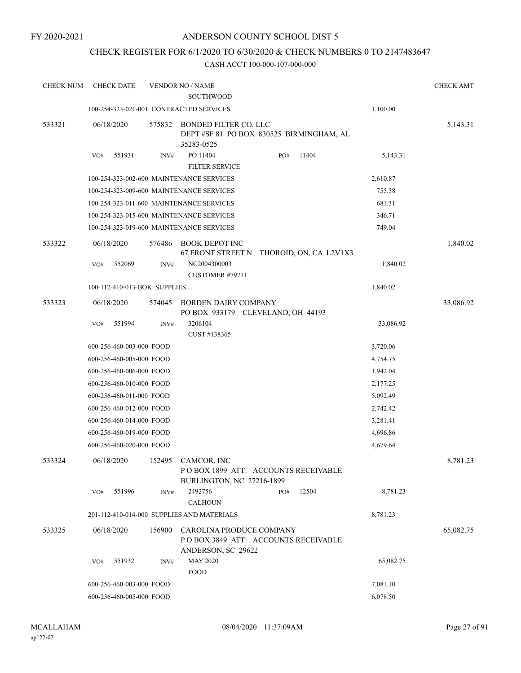## CHECK REGISTER FOR 6/1/2020 TO 6/30/2020 & CHECK NUMBERS 0 TO 2147483647

| <b>CHECK NUM</b> | <b>CHECK DATE</b>        |                              | <b>VENDOR NO / NAME</b>                                                               |     |       |           | <b>CHECK AMT</b> |
|------------------|--------------------------|------------------------------|---------------------------------------------------------------------------------------|-----|-------|-----------|------------------|
|                  |                          |                              | <b>SOUTHWOOD</b>                                                                      |     |       |           |                  |
|                  |                          |                              | 100-254-323-021-001 CONTRACTED SERVICES                                               |     |       | 1,100.00  |                  |
| 533321           | 06/18/2020               | 575832                       | BONDED FILTER CO, LLC<br>DEPT #SF 81 PO BOX 830525 BIRMINGHAM, AL<br>35283-0525       |     |       |           | 5,143.31         |
|                  | 551931<br>VO#            | INV#                         | PO 11404<br><b>FILTER SERVICE</b>                                                     | PO# | 11404 | 5,143.31  |                  |
|                  |                          |                              | 100-254-323-002-600 MAINTENANCE SERVICES                                              |     |       | 2,610.87  |                  |
|                  |                          |                              | 100-254-323-009-600 MAINTENANCE SERVICES                                              |     |       | 755.38    |                  |
|                  |                          |                              | 100-254-323-011-600 MAINTENANCE SERVICES                                              |     |       | 681.31    |                  |
|                  |                          |                              | 100-254-323-015-600 MAINTENANCE SERVICES                                              |     |       | 346.71    |                  |
|                  |                          |                              | 100-254-323-019-600 MAINTENANCE SERVICES                                              |     |       | 749.04    |                  |
| 533322           | 06/18/2020               | 576486                       | <b>BOOK DEPOT INC</b><br>67 FRONT STREET N THOROID, ON, CA L2V1X3                     |     |       |           | 1,840.02         |
|                  | 552069<br>VO#            | INV#                         | NC2004300003<br>CUSTOMER #79711                                                       |     |       | 1,840.02  |                  |
|                  |                          | 100-112-410-013-BOK SUPPLIES |                                                                                       |     |       | 1,840.02  |                  |
| 533323           | 06/18/2020               | 574045                       | <b>BORDEN DAIRY COMPANY</b><br>PO BOX 933179 CLEVELAND, OH 44193                      |     |       |           | 33,086.92        |
|                  | 551994<br>VO#            | INV#                         | 3206104<br>CUST #138365                                                               |     |       | 33,086.92 |                  |
|                  | 600-256-460-003-000 FOOD |                              |                                                                                       |     |       | 3,720.06  |                  |
|                  | 600-256-460-005-000 FOOD |                              |                                                                                       |     |       | 4,754.75  |                  |
|                  | 600-256-460-006-000 FOOD |                              |                                                                                       |     |       | 1,942.04  |                  |
|                  | 600-256-460-010-000 FOOD |                              |                                                                                       |     |       | 2,177.25  |                  |
|                  | 600-256-460-011-000 FOOD |                              |                                                                                       |     |       | 5,092.49  |                  |
|                  | 600-256-460-012-000 FOOD |                              |                                                                                       |     |       | 2,742.42  |                  |
|                  | 600-256-460-014-000 FOOD |                              |                                                                                       |     |       | 3,281.41  |                  |
|                  | 600-256-460-019-000 FOOD |                              |                                                                                       |     |       | 4,696.86  |                  |
|                  | 600-256-460-020-000 FOOD |                              |                                                                                       |     |       | 4,679.64  |                  |
| 533324           | 06/18/2020               | 152495                       | CAMCOR, INC<br>POBOX 1899 ATT: ACCOUNTS RECEIVABLE<br>BURLINGTON, NC 27216-1899       |     |       |           | 8,781.23         |
|                  | 551996<br>VO#            | INV#                         | 2492756<br><b>CALHOUN</b>                                                             | PO# | 12504 | 8,781.23  |                  |
|                  |                          |                              | 201-112-410-014-000 SUPPLIES AND MATERIALS                                            |     |       | 8,781.23  |                  |
| 533325           | 06/18/2020               | 156900                       | CAROLINA PRODUCE COMPANY<br>POBOX 3849 ATT: ACCOUNTS RECEIVABLE<br>ANDERSON, SC 29622 |     |       |           | 65,082.75        |
|                  | 551932<br>VO#            | INV#                         | <b>MAY 2020</b><br><b>FOOD</b>                                                        |     |       | 65,082.75 |                  |
|                  | 600-256-460-003-000 FOOD |                              |                                                                                       |     |       | 7,081.10  |                  |
|                  | 600-256-460-005-000 FOOD |                              |                                                                                       |     |       | 6,078.50  |                  |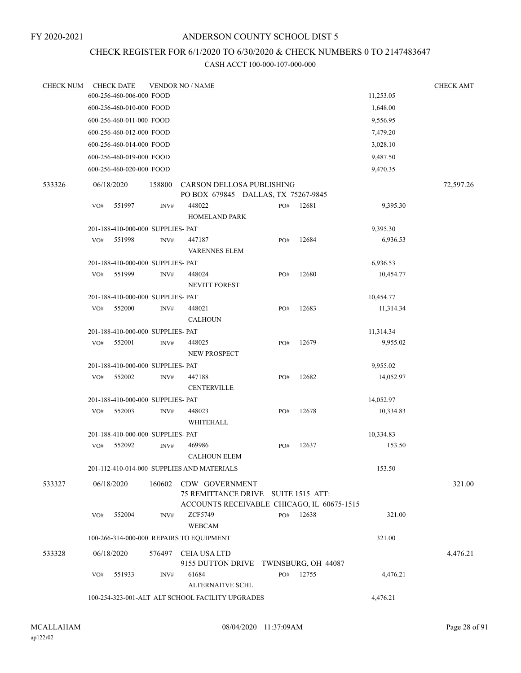# CHECK REGISTER FOR 6/1/2020 TO 6/30/2020 & CHECK NUMBERS 0 TO 2147483647

| <b>CHECK NUM</b> |     | <b>CHECK DATE</b>                 |        | <b>VENDOR NO / NAME</b>                                                                             |     |                     |           | <b>CHECK AMT</b> |
|------------------|-----|-----------------------------------|--------|-----------------------------------------------------------------------------------------------------|-----|---------------------|-----------|------------------|
|                  |     | 600-256-460-006-000 FOOD          |        |                                                                                                     |     |                     | 11,253.05 |                  |
|                  |     | 600-256-460-010-000 FOOD          |        |                                                                                                     |     |                     | 1,648.00  |                  |
|                  |     | 600-256-460-011-000 FOOD          |        |                                                                                                     |     |                     | 9,556.95  |                  |
|                  |     | 600-256-460-012-000 FOOD          |        |                                                                                                     |     |                     | 7,479.20  |                  |
|                  |     | 600-256-460-014-000 FOOD          |        |                                                                                                     |     |                     | 3,028.10  |                  |
|                  |     | 600-256-460-019-000 FOOD          |        |                                                                                                     |     |                     | 9,487.50  |                  |
|                  |     | 600-256-460-020-000 FOOD          |        |                                                                                                     |     |                     | 9,470.35  |                  |
| 533326           |     | 06/18/2020                        | 158800 | CARSON DELLOSA PUBLISHING<br>PO BOX 679845 DALLAS, TX 75267-9845                                    |     |                     |           | 72,597.26        |
|                  | VO# | 551997                            | INV#   | 448022<br>HOMELAND PARK                                                                             | PO# | 12681               | 9,395.30  |                  |
|                  |     | 201-188-410-000-000 SUPPLIES- PAT |        |                                                                                                     |     |                     | 9,395.30  |                  |
|                  | VO# | 551998                            | INV#   | 447187<br><b>VARENNES ELEM</b>                                                                      | PO# | 12684               | 6,936.53  |                  |
|                  |     | 201-188-410-000-000 SUPPLIES- PAT |        |                                                                                                     |     |                     | 6,936.53  |                  |
|                  | VO# | 551999                            | INV#   | 448024<br><b>NEVITT FOREST</b>                                                                      | PO# | 12680               | 10,454.77 |                  |
|                  |     | 201-188-410-000-000 SUPPLIES- PAT |        |                                                                                                     |     |                     | 10,454.77 |                  |
|                  | VO# | 552000                            | INV#   | 448021<br><b>CALHOUN</b>                                                                            | PO# | 12683               | 11,314.34 |                  |
|                  |     | 201-188-410-000-000 SUPPLIES- PAT |        |                                                                                                     |     |                     | 11,314.34 |                  |
|                  | VO# | 552001                            | INV#   | 448025<br>NEW PROSPECT                                                                              | PO# | 12679               | 9,955.02  |                  |
|                  |     | 201-188-410-000-000 SUPPLIES- PAT |        |                                                                                                     |     |                     | 9,955.02  |                  |
|                  | VO# | 552002                            | INV#   | 447188<br><b>CENTERVILLE</b>                                                                        | PO# | 12682               | 14,052.97 |                  |
|                  |     | 201-188-410-000-000 SUPPLIES- PAT |        |                                                                                                     |     |                     | 14,052.97 |                  |
|                  | VO# | 552003                            | INV#   | 448023<br>WHITEHALL                                                                                 | PO# | 12678               | 10,334.83 |                  |
|                  |     | 201-188-410-000-000 SUPPLIES- PAT |        |                                                                                                     |     |                     | 10,334.83 |                  |
|                  | VO# | 552092                            | INV#   | 469986<br><b>CALHOUN ELEM</b>                                                                       | PO# | 12637               | 153.50    |                  |
|                  |     |                                   |        | 201-112-410-014-000 SUPPLIES AND MATERIALS                                                          |     |                     | 153.50    |                  |
| 533327           |     | 06/18/2020                        | 160602 | CDW GOVERNMENT<br>75 REMITTANCE DRIVE SUITE 1515 ATT:<br>ACCOUNTS RECEIVABLE CHICAGO, IL 60675-1515 |     |                     |           | 321.00           |
|                  | VO# | 552004                            | INV#   | <b>ZCF5749</b><br><b>WEBCAM</b>                                                                     | PO# | 12638               | 321.00    |                  |
|                  |     |                                   |        | 100-266-314-000-000 REPAIRS TO EOUIPMENT                                                            |     |                     | 321.00    |                  |
| 533328           |     | 06/18/2020                        |        | 576497 CEIA USA LTD<br>9155 DUTTON DRIVE                                                            |     | TWINSBURG, OH 44087 |           | 4,476.21         |
|                  | VO# | 551933                            | INV#   | 61684<br><b>ALTERNATIVE SCHL</b>                                                                    | PO# | 12755               | 4,476.21  |                  |
|                  |     |                                   |        | 100-254-323-001-ALT ALT SCHOOL FACILITY UPGRADES                                                    |     |                     | 4,476.21  |                  |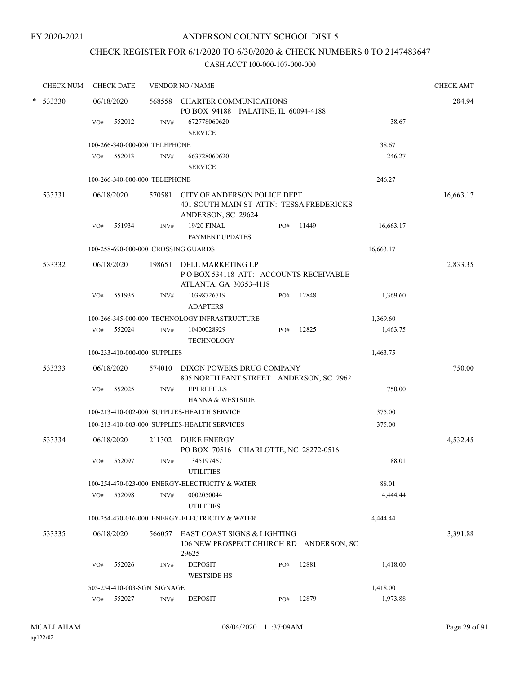# CHECK REGISTER FOR 6/1/2020 TO 6/30/2020 & CHECK NUMBERS 0 TO 2147483647

| <b>CHECK NUM</b> | <b>CHECK DATE</b>                   |        | <b>VENDOR NO / NAME</b>                                                                        |        |       |           | <b>CHECK AMT</b> |
|------------------|-------------------------------------|--------|------------------------------------------------------------------------------------------------|--------|-------|-----------|------------------|
| * 533330         | 06/18/2020                          | 568558 | <b>CHARTER COMMUNICATIONS</b><br>PO BOX 94188 PALATINE, IL 60094-4188                          | 284.94 |       |           |                  |
|                  | 552012<br>VO#                       | INV#   | 672778060620<br><b>SERVICE</b>                                                                 |        |       | 38.67     |                  |
|                  | 100-266-340-000-000 TELEPHONE       |        |                                                                                                |        |       | 38.67     |                  |
|                  | VO# 552013                          | INV#   | 663728060620<br><b>SERVICE</b>                                                                 |        |       | 246.27    |                  |
|                  | 100-266-340-000-000 TELEPHONE       |        |                                                                                                |        |       | 246.27    |                  |
| 533331           | 06/18/2020                          | 570581 | CITY OF ANDERSON POLICE DEPT<br>401 SOUTH MAIN ST ATTN: TESSA FREDERICKS<br>ANDERSON, SC 29624 |        |       |           | 16,663.17        |
|                  | 551934<br>VO#                       | INV#   | 19/20 FINAL<br>PAYMENT UPDATES                                                                 | PO#    | 11449 | 16,663.17 |                  |
|                  | 100-258-690-000-000 CROSSING GUARDS |        |                                                                                                |        |       | 16,663.17 |                  |
| 533332           | 06/18/2020                          | 198651 | DELL MARKETING LP                                                                              |        |       |           | 2,833.35         |
|                  |                                     |        | PO BOX 534118 ATT: ACCOUNTS RECEIVABLE<br>ATLANTA, GA 30353-4118                               |        |       |           |                  |
|                  | 551935<br>VO#                       | INV#   | 10398726719<br><b>ADAPTERS</b>                                                                 | PO#    | 12848 | 1,369.60  |                  |
|                  |                                     |        | 100-266-345-000-000 TECHNOLOGY INFRASTRUCTURE                                                  |        |       | 1,369.60  |                  |
|                  | VO# 552024                          | INV#   | 10400028929<br><b>TECHNOLOGY</b>                                                               | PO#    | 12825 | 1,463.75  |                  |
|                  | 100-233-410-000-000 SUPPLIES        |        |                                                                                                |        |       | 1,463.75  |                  |
| 533333           | 06/18/2020                          | 574010 | DIXON POWERS DRUG COMPANY<br>805 NORTH FANT STREET ANDERSON, SC 29621                          |        |       |           | 750.00           |
|                  | 552025<br>VO#                       | INV#   | <b>EPI REFILLS</b><br>HANNA & WESTSIDE                                                         |        |       | 750.00    |                  |
|                  |                                     |        | 100-213-410-002-000 SUPPLIES-HEALTH SERVICE                                                    |        |       | 375.00    |                  |
|                  |                                     |        | 100-213-410-003-000 SUPPLIES-HEALTH SERVICES                                                   |        |       | 375.00    |                  |
| 533334           | 06/18/2020                          | 211302 | DUKE ENERGY<br>PO BOX 70516 CHARLOTTE, NC 28272-0516                                           |        |       |           | 4,532.45         |
|                  | 552097<br>VO#                       | INV#   | 1345197467<br><b>UTILITIES</b>                                                                 |        |       | 88.01     |                  |
|                  |                                     |        | 100-254-470-023-000 ENERGY-ELECTRICITY & WATER                                                 |        |       | 88.01     |                  |
|                  | 552098<br>VO#                       | INV#   | 0002050044<br><b>UTILITIES</b>                                                                 |        |       | 4,444.44  |                  |
|                  |                                     |        | 100-254-470-016-000 ENERGY-ELECTRICITY & WATER                                                 |        |       | 4,444.44  |                  |
| 533335           | 06/18/2020                          | 566057 | EAST COAST SIGNS & LIGHTING<br>106 NEW PROSPECT CHURCH RD ANDERSON, SC<br>29625                |        |       |           | 3,391.88         |
|                  | 552026<br>VO#                       | INV#   | <b>DEPOSIT</b><br><b>WESTSIDE HS</b>                                                           | PO#    | 12881 | 1,418.00  |                  |
|                  | 505-254-410-003-SGN SIGNAGE         |        |                                                                                                |        |       | 1,418.00  |                  |
|                  | VO# 552027                          | INV#   | <b>DEPOSIT</b>                                                                                 | PO#    | 12879 | 1,973.88  |                  |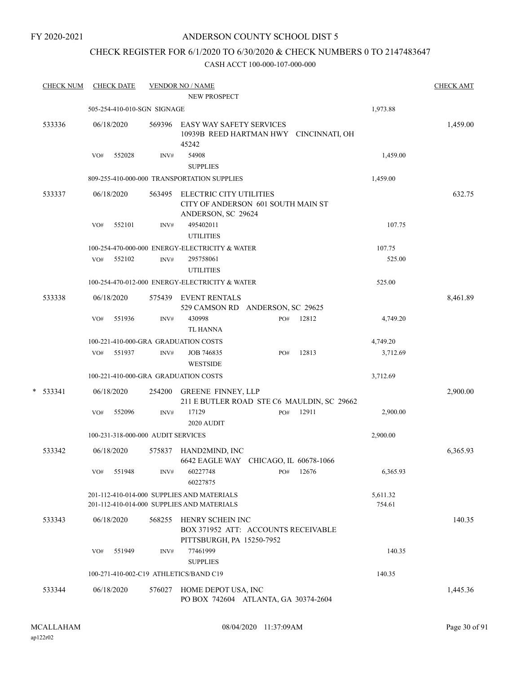#### FY 2020-2021

## ANDERSON COUNTY SCHOOL DIST 5

# CHECK REGISTER FOR 6/1/2020 TO 6/30/2020 & CHECK NUMBERS 0 TO 2147483647

| <b>CHECK NUM</b> |     | <b>CHECK DATE</b> |                                    | <b>VENDOR NO / NAME</b>                                                                  |     |       |                    | <b>CHECK AMT</b> |
|------------------|-----|-------------------|------------------------------------|------------------------------------------------------------------------------------------|-----|-------|--------------------|------------------|
|                  |     |                   |                                    | NEW PROSPECT                                                                             |     |       |                    |                  |
|                  |     |                   | 505-254-410-010-SGN SIGNAGE        |                                                                                          |     |       | 1,973.88           |                  |
| 533336           |     | 06/18/2020        | 569396                             | <b>EASY WAY SAFETY SERVICES</b><br>10939B REED HARTMAN HWY CINCINNATI, OH<br>45242       |     |       |                    | 1,459.00         |
|                  | VO# | 552028            | INV#                               | 54908                                                                                    |     |       | 1,459.00           |                  |
|                  |     |                   |                                    | <b>SUPPLIES</b>                                                                          |     |       |                    |                  |
|                  |     |                   |                                    | 809-255-410-000-000 TRANSPORTATION SUPPLIES                                              |     |       | 1,459.00           |                  |
| 533337           |     | 06/18/2020        | 563495                             | ELECTRIC CITY UTILITIES<br>CITY OF ANDERSON 601 SOUTH MAIN ST<br>ANDERSON, SC 29624      |     |       |                    | 632.75           |
|                  | VO# | 552101            | INV#                               | 495402011<br><b>UTILITIES</b>                                                            |     |       | 107.75             |                  |
|                  |     |                   |                                    | 100-254-470-000-000 ENERGY-ELECTRICITY & WATER                                           |     |       | 107.75             |                  |
|                  | VO# | 552102            | INV#                               | 295758061<br><b>UTILITIES</b>                                                            |     |       | 525.00             |                  |
|                  |     |                   |                                    | 100-254-470-012-000 ENERGY-ELECTRICITY & WATER                                           |     |       | 525.00             |                  |
| 533338           |     | 06/18/2020        | 575439                             | <b>EVENT RENTALS</b><br>529 CAMSON RD ANDERSON, SC 29625                                 |     |       |                    | 8,461.89         |
|                  | VO# | 551936            | INV#                               | 430998<br><b>TL HANNA</b>                                                                | PO# | 12812 | 4,749.20           |                  |
|                  |     |                   |                                    | 100-221-410-000-GRA GRADUATION COSTS                                                     |     |       | 4,749.20           |                  |
|                  | VO# | 551937            | INV#                               | JOB 746835<br><b>WESTSIDE</b>                                                            | PO# | 12813 | 3,712.69           |                  |
|                  |     |                   |                                    | 100-221-410-000-GRA GRADUATION COSTS                                                     |     |       | 3,712.69           |                  |
| $*$ 533341       |     | 06/18/2020        | 254200                             | <b>GREENE FINNEY, LLP</b><br>211 E BUTLER ROAD STE C6 MAULDIN, SC 29662                  |     |       |                    | 2,900.00         |
|                  | VO# | 552096            | INV#                               | 17129<br>2020 AUDIT                                                                      | PO# | 12911 | 2,900.00           |                  |
|                  |     |                   | 100-231-318-000-000 AUDIT SERVICES |                                                                                          |     |       | 2,900.00           |                  |
| 533342           |     | 06/18/2020        | 575837                             | HAND2MIND, INC<br>6642 EAGLE WAY CHICAGO, IL 60678-1066                                  |     |       |                    | 6,365.93         |
|                  | VO# | 551948            | INV#                               | 60227748<br>60227875                                                                     | PO# | 12676 | 6,365.93           |                  |
|                  |     |                   |                                    | 201-112-410-014-000 SUPPLIES AND MATERIALS<br>201-112-410-014-000 SUPPLIES AND MATERIALS |     |       | 5,611.32<br>754.61 |                  |
| 533343           |     | 06/18/2020        | 568255                             | HENRY SCHEIN INC<br>BOX 371952 ATT: ACCOUNTS RECEIVABLE<br>PITTSBURGH, PA 15250-7952     |     |       |                    | 140.35           |
|                  | VO# | 551949            | $\text{INV}\#$                     | 77461999<br><b>SUPPLIES</b>                                                              |     |       | 140.35             |                  |
|                  |     |                   |                                    | 100-271-410-002-C19 ATHLETICS/BAND C19                                                   |     |       | 140.35             |                  |
| 533344           |     | 06/18/2020        | 576027                             | HOME DEPOT USA, INC<br>PO BOX 742604 ATLANTA, GA 30374-2604                              |     |       |                    | 1,445.36         |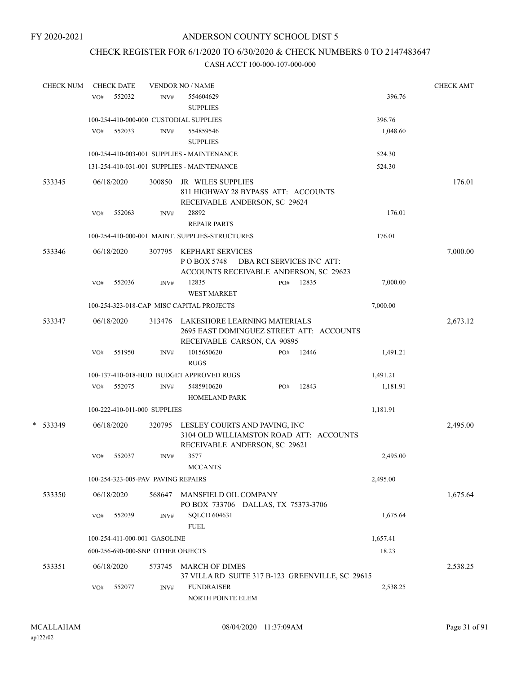# CHECK REGISTER FOR 6/1/2020 TO 6/30/2020 & CHECK NUMBERS 0 TO 2147483647

| <b>CHECK NUM</b> |     | <b>CHECK DATE</b>                  |        | <b>VENDOR NO / NAME</b>                                                                                        |                           |       |          | <b>CHECK AMT</b> |
|------------------|-----|------------------------------------|--------|----------------------------------------------------------------------------------------------------------------|---------------------------|-------|----------|------------------|
|                  | VO# | 552032                             | INV#   | 554604629                                                                                                      |                           |       | 396.76   |                  |
|                  |     |                                    |        | <b>SUPPLIES</b>                                                                                                |                           |       |          |                  |
|                  |     |                                    |        | 100-254-410-000-000 CUSTODIAL SUPPLIES                                                                         |                           |       | 396.76   |                  |
|                  | VO# | 552033                             | INV#   | 554859546<br><b>SUPPLIES</b>                                                                                   |                           |       | 1,048.60 |                  |
|                  |     |                                    |        | 100-254-410-003-001 SUPPLIES - MAINTENANCE                                                                     |                           |       | 524.30   |                  |
|                  |     |                                    |        | 131-254-410-031-001 SUPPLIES - MAINTENANCE                                                                     |                           |       | 524.30   |                  |
| 533345           |     | 06/18/2020                         | 300850 | JR WILES SUPPLIES<br>811 HIGHWAY 28 BYPASS ATT: ACCOUNTS<br>RECEIVABLE ANDERSON, SC 29624                      |                           |       |          | 176.01           |
|                  | VO# | 552063                             | INV#   | 28892<br><b>REPAIR PARTS</b>                                                                                   |                           |       | 176.01   |                  |
|                  |     |                                    |        | 100-254-410-000-001 MAINT. SUPPLIES-STRUCTURES                                                                 |                           |       | 176.01   |                  |
| 533346           |     | 06/18/2020                         | 307795 | <b>KEPHART SERVICES</b><br>P O BOX 5748<br>ACCOUNTS RECEIVABLE ANDERSON, SC 29623                              | DBA RCI SERVICES INC ATT: |       |          | 7,000.00         |
|                  | VO# | 552036                             | INV#   | 12835<br><b>WEST MARKET</b>                                                                                    | PO#                       | 12835 | 7,000.00 |                  |
|                  |     |                                    |        | 100-254-323-018-CAP MISC CAPITAL PROJECTS                                                                      |                           |       | 7,000.00 |                  |
| 533347           |     | 06/18/2020                         |        | 313476 LAKESHORE LEARNING MATERIALS<br>2695 EAST DOMINGUEZ STREET ATT: ACCOUNTS<br>RECEIVABLE CARSON, CA 90895 |                           |       |          | 2,673.12         |
|                  | VO# | 551950                             | INV#   | 1015650620<br><b>RUGS</b>                                                                                      | PO#                       | 12446 | 1,491.21 |                  |
|                  |     |                                    |        | 100-137-410-018-BUD BUDGET APPROVED RUGS                                                                       |                           |       | 1,491.21 |                  |
|                  | VO# | 552075                             | INV#   | 5485910620<br><b>HOMELAND PARK</b>                                                                             | PO#                       | 12843 | 1,181.91 |                  |
|                  |     | 100-222-410-011-000 SUPPLIES       |        |                                                                                                                |                           |       | 1,181.91 |                  |
| * 533349         |     | 06/18/2020                         | 320795 | LESLEY COURTS AND PAVING, INC<br>3104 OLD WILLIAMSTON ROAD ATT: ACCOUNTS<br>RECEIVABLE ANDERSON, SC 29621      |                           |       |          | 2,495.00         |
|                  | VO# | 552037                             | INV#   | 3577<br><b>MCCANTS</b>                                                                                         |                           |       | 2,495.00 |                  |
|                  |     | 100-254-323-005-PAV PAVING REPAIRS |        |                                                                                                                |                           |       | 2,495.00 |                  |
| 533350           |     | 06/18/2020                         | 568647 | MANSFIELD OIL COMPANY<br>PO BOX 733706 DALLAS, TX 75373-3706                                                   |                           |       |          | 1,675.64         |
|                  | VO# | 552039                             | INV#   | <b>SQLCD 604631</b><br><b>FUEL</b>                                                                             |                           |       | 1,675.64 |                  |
|                  |     | 100-254-411-000-001 GASOLINE       |        |                                                                                                                |                           |       | 1,657.41 |                  |
|                  |     | 600-256-690-000-SNP OTHER OBJECTS  |        |                                                                                                                |                           |       | 18.23    |                  |
| 533351           |     | 06/18/2020                         | 573745 | <b>MARCH OF DIMES</b><br>37 VILLA RD SUITE 317 B-123 GREENVILLE, SC 29615                                      |                           |       |          | 2,538.25         |
|                  | VO# | 552077                             | INV#   | <b>FUNDRAISER</b><br>NORTH POINTE ELEM                                                                         |                           |       | 2,538.25 |                  |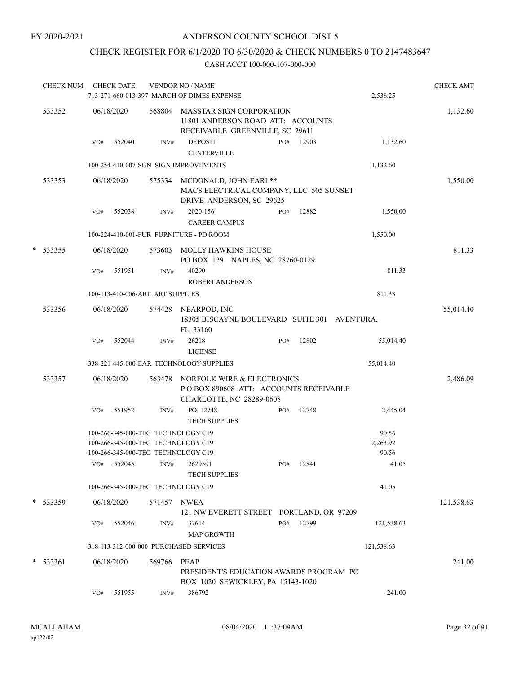# CHECK REGISTER FOR 6/1/2020 TO 6/30/2020 & CHECK NUMBERS 0 TO 2147483647

| <b>CHECK NUM</b> |     | <b>CHECK DATE</b><br>713-271-660-013-397 MARCH OF DIMES EXPENSE                                                | <b>VENDOR NO / NAME</b> | 2,538.25                                                                                                | <b>CHECK AMT</b> |       |                            |            |
|------------------|-----|----------------------------------------------------------------------------------------------------------------|-------------------------|---------------------------------------------------------------------------------------------------------|------------------|-------|----------------------------|------------|
| 533352           |     | 06/18/2020                                                                                                     | 568804                  | <b>MASSTAR SIGN CORPORATION</b><br>11801 ANDERSON ROAD ATT: ACCOUNTS<br>RECEIVABLE GREENVILLE, SC 29611 |                  |       |                            | 1,132.60   |
|                  | VO# | 552040                                                                                                         | INV#                    | <b>DEPOSIT</b><br><b>CENTERVILLE</b>                                                                    | PO#              | 12903 | 1,132.60                   |            |
|                  |     |                                                                                                                |                         | 100-254-410-007-SGN SIGN IMPROVEMENTS                                                                   |                  |       | 1,132.60                   |            |
| 533353           |     | 06/18/2020                                                                                                     | 575334                  | MCDONALD, JOHN EARL**<br>MACS ELECTRICAL COMPANY, LLC 505 SUNSET<br>DRIVE ANDERSON, SC 29625            |                  |       |                            | 1,550.00   |
|                  | VO# | 552038                                                                                                         | INV#                    | 2020-156<br><b>CAREER CAMPUS</b>                                                                        | PO#              | 12882 | 1,550.00                   |            |
|                  |     |                                                                                                                |                         | 100-224-410-001-FUR FURNITURE - PD ROOM                                                                 |                  |       | 1,550.00                   |            |
| * 533355         |     | 06/18/2020                                                                                                     | 573603                  | <b>MOLLY HAWKINS HOUSE</b><br>PO BOX 129 NAPLES, NC 28760-0129                                          |                  |       |                            | 811.33     |
|                  | VO# | 551951                                                                                                         | INV#                    | 40290<br><b>ROBERT ANDERSON</b>                                                                         |                  |       | 811.33                     |            |
|                  |     | 100-113-410-006-ART ART SUPPLIES                                                                               |                         |                                                                                                         |                  |       | 811.33                     |            |
| 533356           |     | 06/18/2020                                                                                                     |                         | 574428 NEARPOD, INC<br>18305 BISCAYNE BOULEVARD SUITE 301 AVENTURA,<br>FL 33160                         |                  |       |                            | 55,014.40  |
|                  | VO# | 552044                                                                                                         | INV#                    | 26218<br><b>LICENSE</b>                                                                                 | PO#              | 12802 | 55,014.40                  |            |
|                  |     |                                                                                                                |                         | 338-221-445-000-EAR TECHNOLOGY SUPPLIES                                                                 |                  |       | 55,014.40                  |            |
| 533357           |     | 06/18/2020                                                                                                     | 563478                  | NORFOLK WIRE & ELECTRONICS<br>PO BOX 890608 ATT: ACCOUNTS RECEIVABLE<br>CHARLOTTE, NC 28289-0608        |                  |       |                            | 2,486.09   |
|                  | VO# | 551952                                                                                                         | INV#                    | PO 12748<br><b>TECH SUPPLIES</b>                                                                        | PO#              | 12748 | 2,445.04                   |            |
|                  |     | 100-266-345-000-TEC TECHNOLOGY C19<br>100-266-345-000-TEC TECHNOLOGY C19<br>100-266-345-000-TEC TECHNOLOGY C19 |                         |                                                                                                         |                  |       | 90.56<br>2,263.92<br>90.56 |            |
|                  | VO# | 552045                                                                                                         | INV#                    | 2629591<br><b>TECH SUPPLIES</b>                                                                         | PO#              | 12841 | 41.05                      |            |
|                  |     | 100-266-345-000-TEC TECHNOLOGY C19                                                                             |                         |                                                                                                         |                  |       | 41.05                      |            |
| * 533359         |     | 06/18/2020                                                                                                     | 571457                  | NWEA<br>121 NW EVERETT STREET PORTLAND, OR 97209                                                        |                  |       |                            | 121,538.63 |
|                  | VO# | 552046                                                                                                         | INV#                    | 37614<br><b>MAP GROWTH</b>                                                                              | PO#              | 12799 | 121,538.63                 |            |
|                  |     |                                                                                                                |                         | 318-113-312-000-000 PURCHASED SERVICES                                                                  |                  |       | 121,538.63                 |            |
| $*$ 533361       |     | 06/18/2020                                                                                                     | 569766                  | PEAP<br>PRESIDENT'S EDUCATION AWARDS PROGRAM PO                                                         |                  |       |                            | 241.00     |
|                  | VO# | 551955                                                                                                         | INV#                    | BOX 1020 SEWICKLEY, PA 15143-1020<br>386792                                                             |                  |       | 241.00                     |            |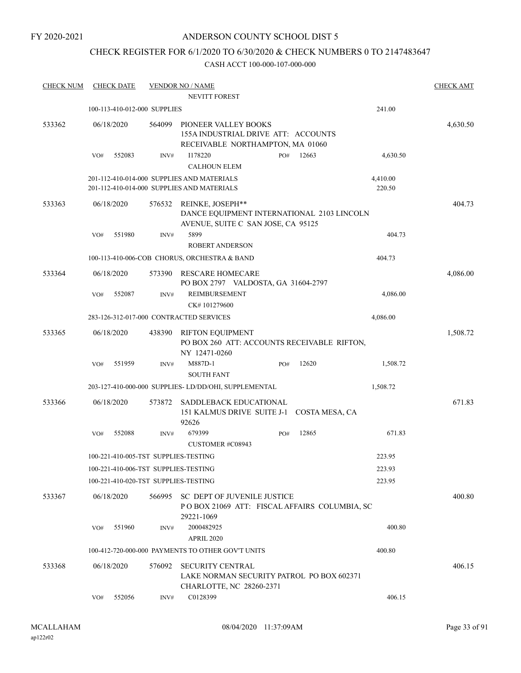FY 2020-2021

## ANDERSON COUNTY SCHOOL DIST 5

# CHECK REGISTER FOR 6/1/2020 TO 6/30/2020 & CHECK NUMBERS 0 TO 2147483647

| <b>CHECK NUM</b> | <b>CHECK DATE</b>                       |        | <b>VENDOR NO / NAME</b><br><b>NEVITT FOREST</b>                                                      |     |       |                    | <b>CHECK AMT</b> |
|------------------|-----------------------------------------|--------|------------------------------------------------------------------------------------------------------|-----|-------|--------------------|------------------|
|                  | 100-113-410-012-000 SUPPLIES            |        |                                                                                                      |     |       | 241.00             |                  |
| 533362           | 06/18/2020                              | 564099 | PIONEER VALLEY BOOKS<br>155A INDUSTRIAL DRIVE ATT: ACCOUNTS<br>RECEIVABLE NORTHAMPTON, MA 01060      |     |       |                    | 4,630.50         |
|                  | VO#<br>552083                           | INV#   | I178220<br><b>CALHOUN ELEM</b>                                                                       | PO# | 12663 | 4,630.50           |                  |
|                  |                                         |        | 201-112-410-014-000 SUPPLIES AND MATERIALS<br>201-112-410-014-000 SUPPLIES AND MATERIALS             |     |       | 4,410.00<br>220.50 |                  |
| 533363           | 06/18/2020                              | 576532 | REINKE, JOSEPH**<br>DANCE EQUIPMENT INTERNATIONAL 2103 LINCOLN<br>AVENUE, SUITE C SAN JOSE, CA 95125 |     |       |                    | 404.73           |
|                  | VO#<br>551980                           | INV#   | 5899                                                                                                 |     |       | 404.73             |                  |
|                  |                                         |        | <b>ROBERT ANDERSON</b>                                                                               |     |       |                    |                  |
|                  |                                         |        | 100-113-410-006-COB CHORUS, ORCHESTRA & BAND                                                         |     |       | 404.73             |                  |
| 533364           | 06/18/2020                              | 573390 | <b>RESCARE HOMECARE</b><br>PO BOX 2797 VALDOSTA, GA 31604-2797                                       |     |       |                    | 4,086.00         |
|                  | 552087<br>VO#                           | INV#   | REIMBURSEMENT<br>CK#101279600                                                                        |     |       | 4,086.00           |                  |
|                  | 283-126-312-017-000 CONTRACTED SERVICES |        |                                                                                                      |     |       | 4,086.00           |                  |
| 533365           | 06/18/2020                              | 438390 | <b>RIFTON EQUIPMENT</b><br>PO BOX 260 ATT: ACCOUNTS RECEIVABLE RIFTON,<br>NY 12471-0260              |     |       |                    | 1,508.72         |
|                  | VO#<br>551959                           | INV#   | M887D-1<br><b>SOUTH FANT</b>                                                                         | PO# | 12620 | 1,508.72           |                  |
|                  |                                         |        | 203-127-410-000-000 SUPPLIES- LD/DD/OHI, SUPPLEMENTAL                                                |     |       | 1,508.72           |                  |
| 533366           | 06/18/2020                              | 573872 | SADDLEBACK EDUCATIONAL<br>151 KALMUS DRIVE SUITE J-1 COSTA MESA, CA<br>92626                         |     |       |                    | 671.83           |
|                  | 552088<br>VO#                           | INV#   | 679399<br><b>CUSTOMER #C08943</b>                                                                    | PO# | 12865 | 671.83             |                  |
|                  | 100-221-410-005-TST SUPPLIES-TESTING    |        |                                                                                                      |     |       | 223.95             |                  |
|                  | 100-221-410-006-TST SUPPLIES-TESTING    |        |                                                                                                      |     |       | 223.93             |                  |
|                  | 100-221-410-020-TST SUPPLIES-TESTING    |        |                                                                                                      |     |       | 223.95             |                  |
| 533367           | 06/18/2020                              | 566995 | SC DEPT OF JUVENILE JUSTICE<br>POBOX 21069 ATT: FISCAL AFFAIRS COLUMBIA, SC<br>29221-1069            |     |       |                    | 400.80           |
|                  | 551960<br>VO#                           | INV#   | 2000482925<br><b>APRIL 2020</b>                                                                      |     |       | 400.80             |                  |
|                  |                                         |        | 100-412-720-000-000 PAYMENTS TO OTHER GOV'T UNITS                                                    |     |       | 400.80             |                  |
| 533368           | 06/18/2020                              | 576092 | <b>SECURITY CENTRAL</b><br>LAKE NORMAN SECURITY PATROL PO BOX 602371<br>CHARLOTTE, NC 28260-2371     |     |       |                    | 406.15           |
|                  | 552056<br>VO#                           | INV#   | C0128399                                                                                             |     |       | 406.15             |                  |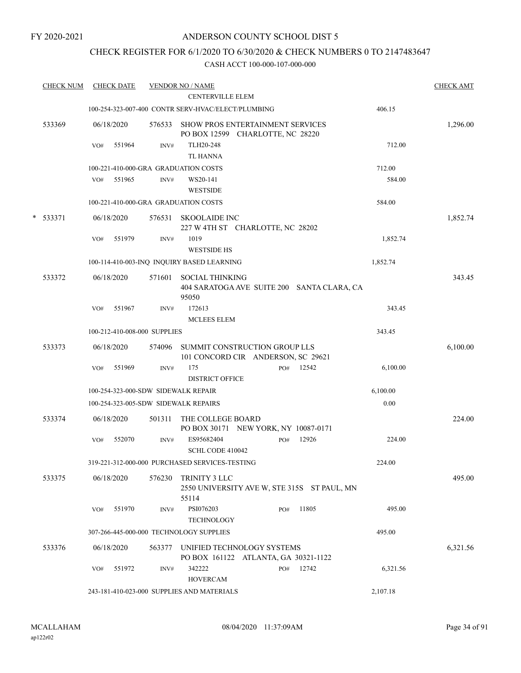#### FY 2020-2021

## ANDERSON COUNTY SCHOOL DIST 5

# CHECK REGISTER FOR 6/1/2020 TO 6/30/2020 & CHECK NUMBERS 0 TO 2147483647

|   | <b>CHECK NUM</b> |     | <b>CHECK DATE</b> |                              | <b>VENDOR NO / NAME</b>                                                     |     |       |          | <b>CHECK AMT</b> |
|---|------------------|-----|-------------------|------------------------------|-----------------------------------------------------------------------------|-----|-------|----------|------------------|
|   |                  |     |                   |                              | <b>CENTERVILLE ELEM</b>                                                     |     |       |          |                  |
|   |                  |     |                   |                              | 100-254-323-007-400 CONTR SERV-HVAC/ELECT/PLUMBING                          |     |       | 406.15   |                  |
|   | 533369           |     | 06/18/2020        | 576533                       | <b>SHOW PROS ENTERTAINMENT SERVICES</b><br>PO BOX 12599 CHARLOTTE, NC 28220 |     |       |          | 1,296.00         |
|   |                  | VO# | 551964            | INV#                         | TLH20-248<br><b>TL HANNA</b>                                                |     |       | 712.00   |                  |
|   |                  |     |                   |                              |                                                                             |     |       |          |                  |
|   |                  |     |                   |                              | 100-221-410-000-GRA GRADUATION COSTS                                        |     |       | 712.00   |                  |
|   |                  | VO# | 551965            | INV#                         | WS20-141<br><b>WESTSIDE</b>                                                 |     |       | 584.00   |                  |
|   |                  |     |                   |                              | 100-221-410-000-GRA GRADUATION COSTS                                        |     |       | 584.00   |                  |
| * | 533371           |     | 06/18/2020        | 576531                       | <b>SKOOLAIDE INC</b><br>227 W 4TH ST CHARLOTTE, NC 28202                    |     |       |          | 1,852.74         |
|   |                  | VO# | 551979            | INV#                         | 1019<br><b>WESTSIDE HS</b>                                                  |     |       | 1,852.74 |                  |
|   |                  |     |                   |                              | 100-114-410-003-INQ INQUIRY BASED LEARNING                                  |     |       | 1,852.74 |                  |
|   | 533372           |     | 06/18/2020        | 571601                       | <b>SOCIAL THINKING</b><br>404 SARATOGA AVE SUITE 200 SANTA CLARA, CA        |     |       |          | 343.45           |
|   |                  | VO# | 551967            | INV#                         | 95050<br>172613                                                             |     |       | 343.45   |                  |
|   |                  |     |                   |                              | <b>MCLEES ELEM</b>                                                          |     |       | 343.45   |                  |
|   |                  |     |                   | 100-212-410-008-000 SUPPLIES |                                                                             |     |       |          |                  |
|   | 533373           |     | 06/18/2020        | 574096                       | SUMMIT CONSTRUCTION GROUP LLS<br>101 CONCORD CIR ANDERSON, SC 29621         |     |       |          | 6,100.00         |
|   |                  | VO# | 551969            | INV#                         | 175                                                                         | PO# | 12542 | 6,100.00 |                  |
|   |                  |     |                   |                              | <b>DISTRICT OFFICE</b>                                                      |     |       |          |                  |
|   |                  |     |                   |                              | 100-254-323-000-SDW SIDEWALK REPAIR                                         |     |       | 6,100.00 |                  |
|   |                  |     |                   |                              | 100-254-323-005-SDW SIDEWALK REPAIRS                                        |     |       | $0.00\,$ |                  |
|   | 533374           |     | 06/18/2020        | 501311                       | THE COLLEGE BOARD<br>PO BOX 30171 NEW YORK, NY 10087-0171                   |     |       |          | 224.00           |
|   |                  | VO# | 552070            | INV#                         | ES95682404<br>SCHL CODE 410042                                              | PO# | 12926 | 224.00   |                  |
|   |                  |     |                   |                              | 319-221-312-000-000 PURCHASED SERVICES-TESTING                              |     |       | 224.00   |                  |
|   | 533375           |     | 06/18/2020        | 576230                       | TRINITY 3 LLC                                                               |     |       |          | 495.00           |
|   |                  |     |                   |                              | 2550 UNIVERSITY AVE W, STE 315S ST PAUL, MN<br>55114                        |     |       |          |                  |
|   |                  | VO# | 551970            | INV#                         | PSI076203<br>TECHNOLOGY                                                     | PO# | 11805 | 495.00   |                  |
|   |                  |     |                   |                              | 307-266-445-000-000 TECHNOLOGY SUPPLIES                                     |     |       | 495.00   |                  |
|   | 533376           |     | 06/18/2020        | 563377                       | UNIFIED TECHNOLOGY SYSTEMS                                                  |     |       |          | 6,321.56         |
|   |                  | VO# | 551972            | INV#                         | PO BOX 161122 ATLANTA, GA 30321-1122<br>342222                              | PO# | 12742 | 6,321.56 |                  |
|   |                  |     |                   |                              | <b>HOVERCAM</b><br>243-181-410-023-000 SUPPLIES AND MATERIALS               |     |       | 2,107.18 |                  |
|   |                  |     |                   |                              |                                                                             |     |       |          |                  |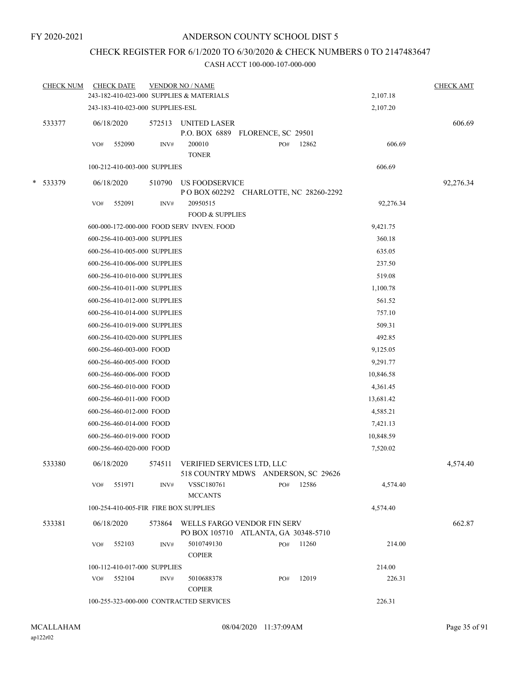# CHECK REGISTER FOR 6/1/2020 TO 6/30/2020 & CHECK NUMBERS 0 TO 2147483647

| 2,107.18<br>2,107.20 |
|----------------------|
|                      |
|                      |
| 606.69               |
| 606.69               |
| 606.69               |
| 92,276.34            |
|                      |
| 92,276.34            |
| 9,421.75             |
| 360.18               |
| 635.05               |
| 237.50               |
| 519.08               |
| 1,100.78             |
| 561.52               |
| 757.10               |
| 509.31               |
| 492.85               |
| 9,125.05             |
| 9,291.77             |
| 10,846.58            |
| 4,361.45             |
| 13,681.42            |
| 4,585.21             |
| 7,421.13             |
| 10,848.59            |
| 7,520.02             |
| 4,574.40             |
| 4,574.40             |
| 4,574.40             |
|                      |
| 662.87               |
| 214.00               |
| 214.00               |
| 226.31               |
| 226.31               |
|                      |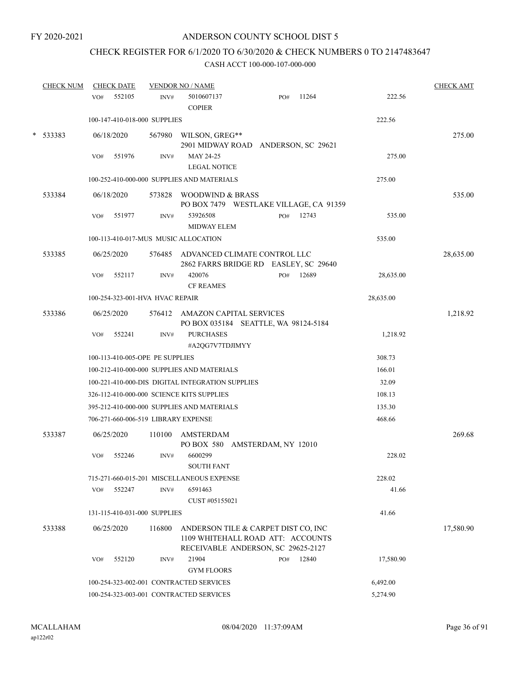# CHECK REGISTER FOR 6/1/2020 TO 6/30/2020 & CHECK NUMBERS 0 TO 2147483647

|   | <b>CHECK NUM</b> |     | <b>CHECK DATE</b> |                                 | <b>VENDOR NO / NAME</b>                                                                                        |     |       |           | <b>CHECK AMT</b> |
|---|------------------|-----|-------------------|---------------------------------|----------------------------------------------------------------------------------------------------------------|-----|-------|-----------|------------------|
|   |                  | VO# | 552105            | INV#                            | 5010607137<br><b>COPIER</b>                                                                                    | PO# | 11264 | 222.56    |                  |
|   |                  |     |                   | 100-147-410-018-000 SUPPLIES    |                                                                                                                |     |       | 222.56    |                  |
| * | 533383           |     | 06/18/2020        | 567980                          | WILSON, GREG**<br>2901 MIDWAY ROAD ANDERSON, SC 29621                                                          |     |       |           | 275.00           |
|   |                  | VO# | 551976            | INV#                            | MAY 24-25                                                                                                      |     |       | 275.00    |                  |
|   |                  |     |                   |                                 | <b>LEGAL NOTICE</b>                                                                                            |     |       |           |                  |
|   |                  |     |                   |                                 | 100-252-410-000-000 SUPPLIES AND MATERIALS                                                                     |     |       | 275.00    |                  |
|   | 533384           |     | 06/18/2020        | 573828                          | WOODWIND & BRASS<br>PO BOX 7479 WESTLAKE VILLAGE, CA 91359                                                     |     |       |           | 535.00           |
|   |                  | VO# | 551977            | INV#                            | 53926508<br><b>MIDWAY ELEM</b>                                                                                 | PO# | 12743 | 535.00    |                  |
|   |                  |     |                   |                                 | 100-113-410-017-MUS MUSIC ALLOCATION                                                                           |     |       | 535.00    |                  |
|   | 533385           |     | 06/25/2020        |                                 | 576485 ADVANCED CLIMATE CONTROL LLC<br>2862 FARRS BRIDGE RD EASLEY, SC 29640                                   |     |       |           | 28,635.00        |
|   |                  | VO# | 552117            | INV#                            | 420076<br><b>CF REAMES</b>                                                                                     | PO# | 12689 | 28,635.00 |                  |
|   |                  |     |                   | 100-254-323-001-HVA HVAC REPAIR |                                                                                                                |     |       | 28,635.00 |                  |
|   | 533386           |     | 06/25/2020        |                                 | 576412 AMAZON CAPITAL SERVICES<br>PO BOX 035184 SEATTLE, WA 98124-5184                                         |     |       |           | 1,218.92         |
|   |                  | VO# | 552241            | INV#                            | <b>PURCHASES</b><br>#A2QG7V7TDJIMYY                                                                            |     |       | 1,218.92  |                  |
|   |                  |     |                   | 100-113-410-005-OPE PE SUPPLIES |                                                                                                                |     |       | 308.73    |                  |
|   |                  |     |                   |                                 | 100-212-410-000-000 SUPPLIES AND MATERIALS                                                                     |     |       | 166.01    |                  |
|   |                  |     |                   |                                 | 100-221-410-000-DIS DIGITAL INTEGRATION SUPPLIES                                                               |     |       | 32.09     |                  |
|   |                  |     |                   |                                 | 326-112-410-000-000 SCIENCE KITS SUPPLIES                                                                      |     |       | 108.13    |                  |
|   |                  |     |                   |                                 | 395-212-410-000-000 SUPPLIES AND MATERIALS                                                                     |     |       | 135.30    |                  |
|   |                  |     |                   |                                 | 706-271-660-006-519 LIBRARY EXPENSE                                                                            |     |       | 468.66    |                  |
|   | 533387           |     | 06/25/2020        | 110100                          | AMSTERDAM<br>PO BOX 580 AMSTERDAM, NY 12010                                                                    |     |       |           | 269.68           |
|   |                  | VO# | 552246            | INV#                            | 6600299<br><b>SOUTH FANT</b>                                                                                   |     |       | 228.02    |                  |
|   |                  |     |                   |                                 | 715-271-660-015-201 MISCELLANEOUS EXPENSE                                                                      |     |       | 228.02    |                  |
|   |                  | VO# | 552247            | INV#                            | 6591463<br>CUST #05155021                                                                                      |     |       | 41.66     |                  |
|   |                  |     |                   | 131-115-410-031-000 SUPPLIES    |                                                                                                                |     |       | 41.66     |                  |
|   | 533388           |     | 06/25/2020        | 116800                          | ANDERSON TILE & CARPET DIST CO, INC<br>1109 WHITEHALL ROAD ATT: ACCOUNTS<br>RECEIVABLE ANDERSON, SC 29625-2127 |     |       |           | 17,580.90        |
|   |                  | VO# | 552120            | INV#                            | 21904<br><b>GYM FLOORS</b>                                                                                     | PO# | 12840 | 17,580.90 |                  |
|   |                  |     |                   |                                 | 100-254-323-002-001 CONTRACTED SERVICES                                                                        |     |       | 6,492.00  |                  |
|   |                  |     |                   |                                 | 100-254-323-003-001 CONTRACTED SERVICES                                                                        |     |       | 5,274.90  |                  |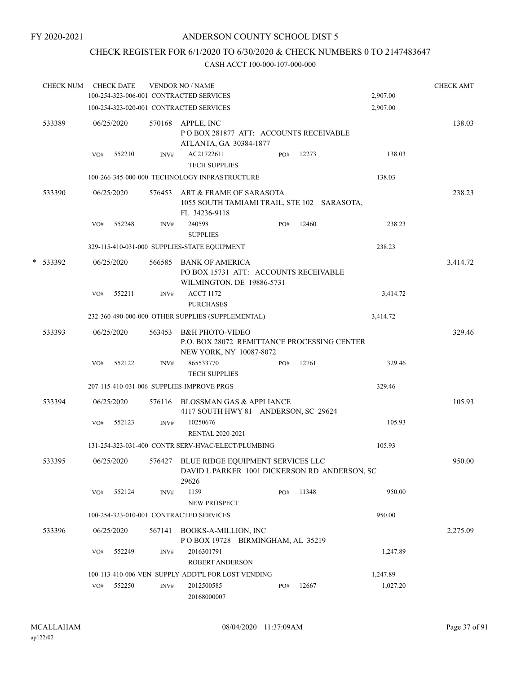## CHECK REGISTER FOR 6/1/2020 TO 6/30/2020 & CHECK NUMBERS 0 TO 2147483647

| <b>CHECK NUM</b> |     | <b>CHECK DATE</b> |        | <b>VENDOR NO / NAME</b><br>100-254-323-006-001 CONTRACTED SERVICES                                   |     |       | 2,907.00 | <b>CHECK AMT</b> |
|------------------|-----|-------------------|--------|------------------------------------------------------------------------------------------------------|-----|-------|----------|------------------|
|                  |     |                   |        | 100-254-323-020-001 CONTRACTED SERVICES                                                              |     |       | 2,907.00 |                  |
|                  |     |                   |        |                                                                                                      |     |       |          |                  |
| 533389           |     | 06/25/2020        |        | 570168 APPLE, INC<br>PO BOX 281877 ATT: ACCOUNTS RECEIVABLE<br>ATLANTA, GA 30384-1877                |     |       |          | 138.03           |
|                  | VO# | 552210            | INV#   | AC21722611<br><b>TECH SUPPLIES</b>                                                                   | PO# | 12273 | 138.03   |                  |
|                  |     |                   |        | 100-266-345-000-000 TECHNOLOGY INFRASTRUCTURE                                                        |     |       | 138.03   |                  |
| 533390           |     | 06/25/2020        |        | 576453 ART & FRAME OF SARASOTA<br>1055 SOUTH TAMIAMI TRAIL, STE 102 SARASOTA,<br>FL 34236-9118       |     |       |          | 238.23           |
|                  | VO# | 552248            | INV#   | 240598<br><b>SUPPLIES</b>                                                                            | PO# | 12460 | 238.23   |                  |
|                  |     |                   |        | 329-115-410-031-000 SUPPLIES-STATE EQUIPMENT                                                         |     |       | 238.23   |                  |
| * 533392         |     | 06/25/2020        |        | 566585 BANK OF AMERICA<br>PO BOX 15731 ATT: ACCOUNTS RECEIVABLE<br>WILMINGTON, DE 19886-5731         |     |       |          | 3,414.72         |
|                  | VO# | 552211            | INV#   | <b>ACCT 1172</b><br><b>PURCHASES</b>                                                                 |     |       | 3,414.72 |                  |
|                  |     |                   |        | 232-360-490-000-000 OTHER SUPPLIES (SUPPLEMENTAL)                                                    |     |       | 3,414.72 |                  |
| 533393           |     | 06/25/2020        | 563453 | <b>B&amp;H PHOTO-VIDEO</b><br>P.O. BOX 28072 REMITTANCE PROCESSING CENTER<br>NEW YORK, NY 10087-8072 |     |       |          | 329.46           |
|                  | VO# | 552122            | INV#   | 865533770<br><b>TECH SUPPLIES</b>                                                                    | PO# | 12761 | 329.46   |                  |
|                  |     |                   |        | 207-115-410-031-006 SUPPLIES-IMPROVE PRGS                                                            |     |       | 329.46   |                  |
| 533394           |     | 06/25/2020        |        | 576116 BLOSSMAN GAS & APPLIANCE<br>4117 SOUTH HWY 81 ANDERSON, SC 29624                              |     |       |          | 105.93           |
|                  | VO# | 552123            | INV#   | 10250676<br><b>RENTAL 2020-2021</b>                                                                  |     |       | 105.93   |                  |
|                  |     |                   |        | 131-254-323-031-400 CONTR SERV-HVAC/ELECT/PLUMBING                                                   |     |       | 105.93   |                  |
| 533395           |     | 06/25/2020        |        | 576427 BLUE RIDGE EQUIPMENT SERVICES LLC<br>DAVID L PARKER 1001 DICKERSON RD ANDERSON, SC<br>29626   |     |       |          | 950.00           |
|                  | VO# | 552124            | INV#   | 1159<br><b>NEW PROSPECT</b>                                                                          | PO# | 11348 | 950.00   |                  |
|                  |     |                   |        | 100-254-323-010-001 CONTRACTED SERVICES                                                              |     |       | 950.00   |                  |
| 533396           |     | 06/25/2020        | 567141 | <b>BOOKS-A-MILLION, INC</b><br>POBOX 19728 BIRMINGHAM, AL 35219                                      |     |       |          | 2,275.09         |
|                  | VO# | 552249            | INV#   | 2016301791<br><b>ROBERT ANDERSON</b>                                                                 |     |       | 1,247.89 |                  |
|                  |     |                   |        | 100-113-410-006-VEN SUPPLY-ADDT'L FOR LOST VENDING                                                   |     |       | 1,247.89 |                  |
|                  | VO# | 552250            | INV#   | 2012500585<br>20168000007                                                                            | PO# | 12667 | 1,027.20 |                  |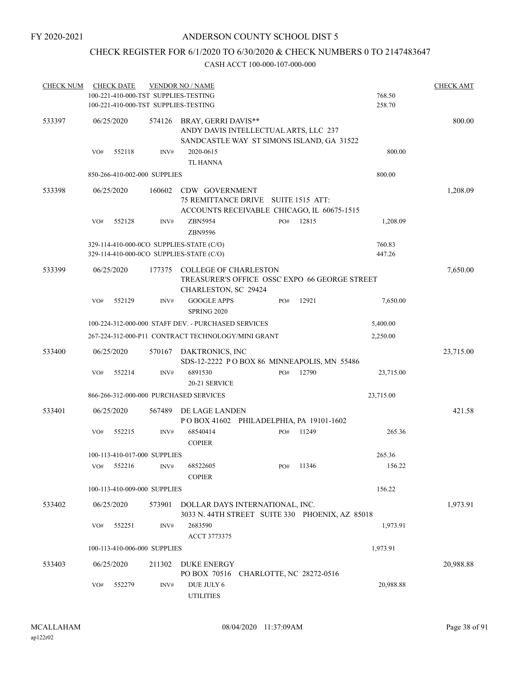## CHECK REGISTER FOR 6/1/2020 TO 6/30/2020 & CHECK NUMBERS 0 TO 2147483647

| <b>CHECK NUM</b> | <b>CHECK DATE</b> |                                                                              | <b>VENDOR NO / NAME</b>                                                                                          |     |       |                  | <b>CHECK AMT</b> |
|------------------|-------------------|------------------------------------------------------------------------------|------------------------------------------------------------------------------------------------------------------|-----|-------|------------------|------------------|
|                  |                   | 100-221-410-000-TST SUPPLIES-TESTING<br>100-221-410-000-TST SUPPLIES-TESTING |                                                                                                                  |     |       | 768.50<br>258.70 |                  |
| 533397           | 06/25/2020        |                                                                              | 574126 BRAY, GERRI DAVIS**<br>ANDY DAVIS INTELLECTUAL ARTS, LLC 237<br>SANDCASTLE WAY ST SIMONS ISLAND, GA 31522 |     |       |                  | 800.00           |
|                  | 552118<br>VO#     | INV#                                                                         | 2020-0615<br><b>TL HANNA</b>                                                                                     |     |       | 800.00           |                  |
|                  |                   | 850-266-410-002-000 SUPPLIES                                                 |                                                                                                                  |     |       | 800.00           |                  |
| 533398           | 06/25/2020        | 160602                                                                       | CDW GOVERNMENT<br>75 REMITTANCE DRIVE SUITE 1515 ATT:<br>ACCOUNTS RECEIVABLE CHICAGO, IL 60675-1515              |     |       |                  | 1,208.09         |
|                  | VO#<br>552128     | INV#                                                                         | ZBN5954<br>ZBN9596                                                                                               | PO# | 12815 | 1,208.09         |                  |
|                  |                   |                                                                              | 329-114-410-000-0CO SUPPLIES-STATE (C/O)<br>329-114-410-000-0CO SUPPLIES-STATE (C/O)                             |     |       | 760.83<br>447.26 |                  |
| 533399           | 06/25/2020        | 177375                                                                       | <b>COLLEGE OF CHARLESTON</b><br>TREASURER'S OFFICE OSSC EXPO 66 GEORGE STREET<br>CHARLESTON, SC 29424            |     |       |                  | 7,650.00         |
|                  | 552129<br>VO#     | INV#                                                                         | <b>GOOGLE APPS</b><br><b>SPRING 2020</b>                                                                         | PO# | 12921 | 7,650.00         |                  |
|                  |                   |                                                                              | 100-224-312-000-000 STAFF DEV. - PURCHASED SERVICES                                                              |     |       | 5,400.00         |                  |
|                  |                   |                                                                              | 267-224-312-000-P11 CONTRACT TECHNOLOGY/MINI GRANT                                                               |     |       | 2,250.00         |                  |
| 533400           | 06/25/2020        | 570167                                                                       | DAKTRONICS, INC<br>SDS-12-2222 POBOX 86 MINNEAPOLIS, MN 55486                                                    |     |       |                  | 23,715.00        |
|                  | 552214<br>VO#     | INV#                                                                         | 6891530                                                                                                          | PO# | 12790 | 23,715.00        |                  |
|                  |                   |                                                                              | 20-21 SERVICE                                                                                                    |     |       |                  |                  |
|                  |                   |                                                                              | 866-266-312-000-000 PURCHASED SERVICES                                                                           |     |       | 23,715.00        |                  |
| 533401           | 06/25/2020        | 567489                                                                       | DE LAGE LANDEN<br>POBOX 41602 PHILADELPHIA, PA 19101-1602                                                        |     |       |                  | 421.58           |
|                  | 552215<br>VO#     | INV#                                                                         | 68540414<br><b>COPIER</b>                                                                                        | PO# | 11249 | 265.36           |                  |
|                  |                   | 100-113-410-017-000 SUPPLIES                                                 |                                                                                                                  |     |       | 265.36           |                  |
|                  | 552216<br>VO#     | INV#                                                                         | 68522605<br><b>COPIER</b>                                                                                        | PO# | 11346 | 156.22           |                  |
|                  |                   | 100-113-410-009-000 SUPPLIES                                                 |                                                                                                                  |     |       | 156.22           |                  |
| 533402           | 06/25/2020        | 573901                                                                       | DOLLAR DAYS INTERNATIONAL, INC.<br>3033 N. 44TH STREET SUITE 330 PHOENIX, AZ 85018                               |     |       |                  | 1,973.91         |
|                  | 552251<br>VO#     | INV#                                                                         | 2683590<br>ACCT 3773375                                                                                          |     |       | 1,973.91         |                  |
|                  |                   | 100-113-410-006-000 SUPPLIES                                                 |                                                                                                                  |     |       | 1,973.91         |                  |
| 533403           | 06/25/2020        | 211302                                                                       | <b>DUKE ENERGY</b><br>PO BOX 70516 CHARLOTTE, NC 28272-0516                                                      |     |       |                  | 20,988.88        |
|                  | 552279<br>VO#     | INV#                                                                         | DUE JULY 6<br><b>UTILITIES</b>                                                                                   |     |       | 20,988.88        |                  |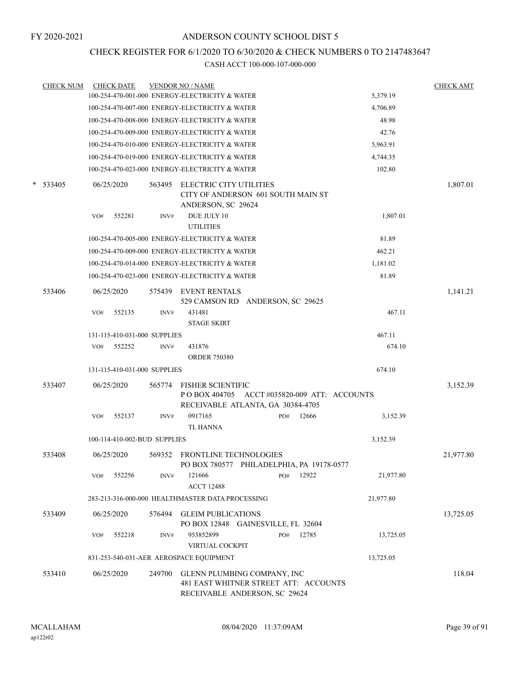## CHECK REGISTER FOR 6/1/2020 TO 6/30/2020 & CHECK NUMBERS 0 TO 2147483647

|   | <b>CHECK NUM</b> |     | <b>CHECK DATE</b>            |        | <b>VENDOR NO / NAME</b>                                                                                        |     |       |           | <b>CHECK AMT</b> |
|---|------------------|-----|------------------------------|--------|----------------------------------------------------------------------------------------------------------------|-----|-------|-----------|------------------|
|   |                  |     |                              |        | 100-254-470-001-000 ENERGY-ELECTRICITY & WATER                                                                 |     |       | 5,379.19  |                  |
|   |                  |     |                              |        | 100-254-470-007-000 ENERGY-ELECTRICITY & WATER                                                                 |     |       | 4,706.89  |                  |
|   |                  |     |                              |        | 100-254-470-008-000 ENERGY-ELECTRICITY & WATER                                                                 |     |       | 48.98     |                  |
|   |                  |     |                              |        | 100-254-470-009-000 ENERGY-ELECTRICITY & WATER                                                                 |     |       | 42.76     |                  |
|   |                  |     |                              |        | 100-254-470-010-000 ENERGY-ELECTRICITY & WATER                                                                 |     |       | 5,963.91  |                  |
|   |                  |     |                              |        | 100-254-470-019-000 ENERGY-ELECTRICITY & WATER                                                                 |     |       | 4,744.35  |                  |
|   |                  |     |                              |        | 100-254-470-023-000 ENERGY-ELECTRICITY & WATER                                                                 |     |       | 102.80    |                  |
| * | 533405           |     | 06/25/2020                   | 563495 | ELECTRIC CITY UTILITIES<br>CITY OF ANDERSON 601 SOUTH MAIN ST<br>ANDERSON, SC 29624                            |     |       |           | 1,807.01         |
|   |                  | VO# | 552281                       | INV#   | DUE JULY 10<br><b>UTILITIES</b>                                                                                |     |       | 1,807.01  |                  |
|   |                  |     |                              |        | 100-254-470-005-000 ENERGY-ELECTRICITY & WATER                                                                 |     |       | 81.89     |                  |
|   |                  |     |                              |        | 100-254-470-009-000 ENERGY-ELECTRICITY & WATER                                                                 |     |       | 462.21    |                  |
|   |                  |     |                              |        | 100-254-470-014-000 ENERGY-ELECTRICITY & WATER                                                                 |     |       | 1,181.02  |                  |
|   |                  |     |                              |        | 100-254-470-023-000 ENERGY-ELECTRICITY & WATER                                                                 |     |       | 81.89     |                  |
|   | 533406           |     | 06/25/2020                   | 575439 | <b>EVENT RENTALS</b><br>529 CAMSON RD ANDERSON, SC 29625                                                       |     |       |           | 1,141.21         |
|   |                  | VO# | 552135                       | INV#   | 431481<br><b>STAGE SKIRT</b>                                                                                   |     |       | 467.11    |                  |
|   |                  |     | 131-115-410-031-000 SUPPLIES |        |                                                                                                                |     |       | 467.11    |                  |
|   |                  | VO# | 552252                       | INV#   | 431876<br><b>ORDER 750380</b>                                                                                  |     |       | 674.10    |                  |
|   |                  |     | 131-115-410-031-000 SUPPLIES |        |                                                                                                                |     |       | 674.10    |                  |
|   | 533407           |     | 06/25/2020                   | 565774 | <b>FISHER SCIENTIFIC</b><br>P O BOX 404705 ACCT #035820-009 ATT: ACCOUNTS<br>RECEIVABLE ATLANTA, GA 30384-4705 |     |       |           | 3,152.39         |
|   |                  | VO# | 552137                       | INV#   | 0917165                                                                                                        | PO# | 12666 | 3,152.39  |                  |
|   |                  |     |                              |        | <b>TL HANNA</b>                                                                                                |     |       |           |                  |
|   |                  |     | 100-114-410-002-BUD SUPPLIES |        |                                                                                                                |     |       | 3,152.39  |                  |
|   | 533408           |     | 06/25/2020                   |        | 569352 FRONTLINE TECHNOLOGIES<br>PO BOX 780577 PHILADELPHIA, PA 19178-0577                                     |     |       |           | 21,977.80        |
|   |                  | VO# | 552256                       | INV#   | 121666<br><b>ACCT 12488</b>                                                                                    | PO# | 12922 | 21,977.80 |                  |
|   |                  |     |                              |        | 283-213-316-000-000 HEALTHMASTER DATA PROCESSING                                                               |     |       | 21,977.80 |                  |
|   | 533409           |     | 06/25/2020                   | 576494 | <b>GLEIM PUBLICATIONS</b><br>PO BOX 12848 GAINESVILLE, FL 32604                                                |     |       |           | 13,725.05        |
|   |                  | VO# | 552218                       | INV#   | 953852899                                                                                                      | PO# | 12785 | 13,725.05 |                  |
|   |                  |     |                              |        | VIRTUAL COCKPIT                                                                                                |     |       |           |                  |
|   |                  |     |                              |        | 831-253-540-031-AER AEROSPACE EQUIPMENT                                                                        |     |       | 13,725.05 |                  |
|   | 533410           |     | 06/25/2020                   | 249700 | GLENN PLUMBING COMPANY, INC<br>481 EAST WHITNER STREET ATT: ACCOUNTS<br>RECEIVABLE ANDERSON, SC 29624          |     |       |           | 118.04           |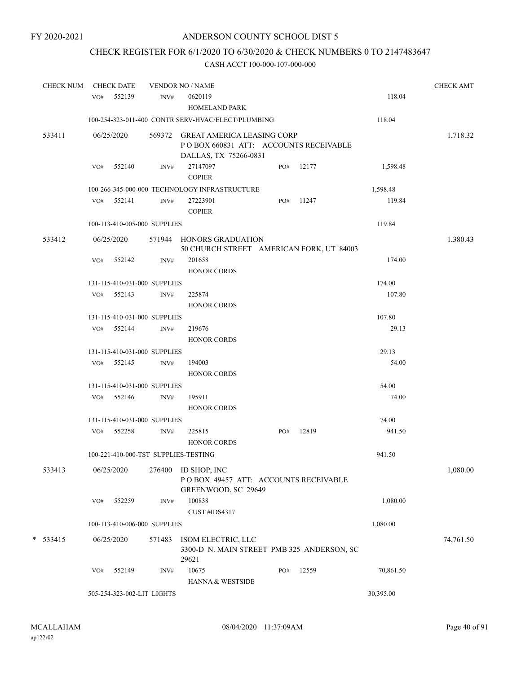## CHECK REGISTER FOR 6/1/2020 TO 6/30/2020 & CHECK NUMBERS 0 TO 2147483647

| <b>CHECK NUM</b> |     | <b>CHECK DATE</b>            |        | <b>VENDOR NO / NAME</b>                                                                              |     |       |           | <b>CHECK AMT</b> |
|------------------|-----|------------------------------|--------|------------------------------------------------------------------------------------------------------|-----|-------|-----------|------------------|
|                  |     | VO# 552139                   | INV#   | 0620119<br>HOMELAND PARK                                                                             |     |       | 118.04    |                  |
|                  |     |                              |        | 100-254-323-011-400 CONTR SERV-HVAC/ELECT/PLUMBING                                                   |     |       | 118.04    |                  |
| 533411           |     | 06/25/2020                   |        | 569372 GREAT AMERICA LEASING CORP<br>PO BOX 660831 ATT: ACCOUNTS RECEIVABLE<br>DALLAS, TX 75266-0831 |     |       |           | 1,718.32         |
|                  | VO# | 552140                       | INV#   | 27147097<br><b>COPIER</b>                                                                            | PO# | 12177 | 1,598.48  |                  |
|                  |     |                              |        | 100-266-345-000-000 TECHNOLOGY INFRASTRUCTURE                                                        |     |       | 1,598.48  |                  |
|                  |     | VO# 552141                   | INV#   | 27223901<br><b>COPIER</b>                                                                            | PO# | 11247 | 119.84    |                  |
|                  |     | 100-113-410-005-000 SUPPLIES |        |                                                                                                      |     |       | 119.84    |                  |
| 533412           |     | 06/25/2020                   |        | 571944 HONORS GRADUATION<br>50 CHURCH STREET AMERICAN FORK, UT 84003                                 |     |       |           | 1,380.43         |
|                  | VO# | 552142                       | INV#   | 201658<br><b>HONOR CORDS</b>                                                                         |     |       | 174.00    |                  |
|                  |     | 131-115-410-031-000 SUPPLIES |        |                                                                                                      |     |       | 174.00    |                  |
|                  |     | VO# 552143                   | INV#   | 225874<br><b>HONOR CORDS</b>                                                                         |     |       | 107.80    |                  |
|                  |     | 131-115-410-031-000 SUPPLIES |        |                                                                                                      |     |       | 107.80    |                  |
|                  |     | VO# 552144                   | INV#   | 219676<br><b>HONOR CORDS</b>                                                                         |     |       | 29.13     |                  |
|                  |     | 131-115-410-031-000 SUPPLIES |        |                                                                                                      |     |       | 29.13     |                  |
|                  |     | VO# 552145                   | INV#   | 194003<br>HONOR CORDS                                                                                |     |       | 54.00     |                  |
|                  |     | 131-115-410-031-000 SUPPLIES |        |                                                                                                      |     |       | 54.00     |                  |
|                  |     | VO# 552146                   | INV#   | 195911<br><b>HONOR CORDS</b>                                                                         |     |       | 74.00     |                  |
|                  |     | 131-115-410-031-000 SUPPLIES |        |                                                                                                      |     |       | 74.00     |                  |
|                  |     | VO# 552258                   | INV#   | 225815<br><b>HONOR CORDS</b>                                                                         | PO# | 12819 | 941.50    |                  |
|                  |     |                              |        | 100-221-410-000-TST SUPPLIES-TESTING                                                                 |     |       | 941.50    |                  |
| 533413           |     | 06/25/2020                   | 276400 | ID SHOP, INC<br>POBOX 49457 ATT: ACCOUNTS RECEIVABLE<br>GREENWOOD, SC 29649                          |     |       |           | 1,080.00         |
|                  | VO# | 552259                       | INV#   | 100838<br>CUST #IDS4317                                                                              |     |       | 1,080.00  |                  |
|                  |     | 100-113-410-006-000 SUPPLIES |        |                                                                                                      |     |       | 1,080.00  |                  |
| $*$ 533415       |     | 06/25/2020                   | 571483 | ISOM ELECTRIC, LLC<br>3300-D N. MAIN STREET PMB 325 ANDERSON, SC<br>29621                            |     |       |           | 74,761.50        |
|                  | VO# | 552149                       | INV#   | 10675<br>HANNA & WESTSIDE                                                                            | PO# | 12559 | 70,861.50 |                  |
|                  |     | 505-254-323-002-LIT LIGHTS   |        |                                                                                                      |     |       | 30,395.00 |                  |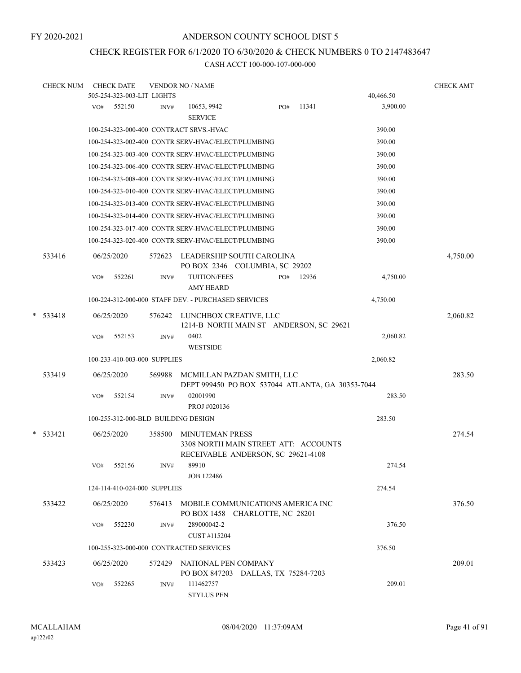## CHECK REGISTER FOR 6/1/2020 TO 6/30/2020 & CHECK NUMBERS 0 TO 2147483647

|   | <b>CHECK NUM</b> |     | <b>CHECK DATE</b>                   |        | <b>VENDOR NO / NAME</b>                                                        |     |       |           | <b>CHECK AMT</b> |
|---|------------------|-----|-------------------------------------|--------|--------------------------------------------------------------------------------|-----|-------|-----------|------------------|
|   |                  |     | 505-254-323-003-LIT LIGHTS          |        |                                                                                |     |       | 40,466.50 |                  |
|   |                  |     | VO# 552150                          | INV#   | 10653, 9942<br><b>SERVICE</b>                                                  | PO# | 11341 | 3,900.00  |                  |
|   |                  |     |                                     |        | 100-254-323-000-400 CONTRACT SRVS.-HVAC                                        |     |       | 390.00    |                  |
|   |                  |     |                                     |        | 100-254-323-002-400 CONTR SERV-HVAC/ELECT/PLUMBING                             |     |       | 390.00    |                  |
|   |                  |     |                                     |        | 100-254-323-003-400 CONTR SERV-HVAC/ELECT/PLUMBING                             |     |       | 390.00    |                  |
|   |                  |     |                                     |        | 100-254-323-006-400 CONTR SERV-HVAC/ELECT/PLUMBING                             |     |       | 390.00    |                  |
|   |                  |     |                                     |        | 100-254-323-008-400 CONTR SERV-HVAC/ELECT/PLUMBING                             |     |       | 390.00    |                  |
|   |                  |     |                                     |        | 100-254-323-010-400 CONTR SERV-HVAC/ELECT/PLUMBING                             |     |       | 390.00    |                  |
|   |                  |     |                                     |        | 100-254-323-013-400 CONTR SERV-HVAC/ELECT/PLUMBING                             |     |       | 390.00    |                  |
|   |                  |     |                                     |        | 100-254-323-014-400 CONTR SERV-HVAC/ELECT/PLUMBING                             |     |       | 390.00    |                  |
|   |                  |     |                                     |        | 100-254-323-017-400 CONTR SERV-HVAC/ELECT/PLUMBING                             |     |       | 390.00    |                  |
|   |                  |     |                                     |        | 100-254-323-020-400 CONTR SERV-HVAC/ELECT/PLUMBING                             |     |       | 390.00    |                  |
|   | 533416           |     | 06/25/2020                          | 572623 | LEADERSHIP SOUTH CAROLINA<br>PO BOX 2346 COLUMBIA, SC 29202                    |     |       |           | 4,750.00         |
|   |                  | VO# | 552261                              | INV#   | <b>TUITION/FEES</b><br><b>AMY HEARD</b>                                        | PO# | 12936 | 4,750.00  |                  |
|   |                  |     |                                     |        | 100-224-312-000-000 STAFF DEV. - PURCHASED SERVICES                            |     |       | 4,750.00  |                  |
| * | 533418           |     | 06/25/2020                          |        | 576242 LUNCHBOX CREATIVE, LLC<br>1214-B NORTH MAIN ST ANDERSON, SC 29621       |     |       |           | 2,060.82         |
|   |                  | VO# | 552153                              | INV#   | 0402<br><b>WESTSIDE</b>                                                        |     |       | 2,060.82  |                  |
|   |                  |     | 100-233-410-003-000 SUPPLIES        |        |                                                                                |     |       | 2,060.82  |                  |
|   | 533419           |     | 06/25/2020                          | 569988 | MCMILLAN PAZDAN SMITH, LLC<br>DEPT 999450 PO BOX 537044 ATLANTA, GA 30353-7044 |     |       |           | 283.50           |
|   |                  | VO# | 552154                              | INV#   | 02001990                                                                       |     |       | 283.50    |                  |
|   |                  |     |                                     |        | PROJ #020136                                                                   |     |       |           |                  |
|   |                  |     | 100-255-312-000-BLD BUILDING DESIGN |        |                                                                                |     |       | 283.50    |                  |
|   | $* 533421$       |     | 06/25/2020                          | 358500 | MINUTEMAN PRESS                                                                |     |       |           | 274.54           |
|   |                  |     |                                     |        | 3308 NORTH MAIN STREET ATT: ACCOUNTS<br>RECEIVABLE ANDERSON, SC 29621-4108     |     |       |           |                  |
|   |                  | VO# | 552156                              | INV#   | 89910<br>JOB 122486                                                            |     |       | 274.54    |                  |
|   |                  |     | 124-114-410-024-000 SUPPLIES        |        |                                                                                |     |       | 274.54    |                  |
|   | 533422           |     | 06/25/2020                          | 576413 | MOBILE COMMUNICATIONS AMERICA INC<br>PO BOX 1458 CHARLOTTE, NC 28201           |     |       |           | 376.50           |
|   |                  | VO# | 552230                              | INV#   | 289000042-2<br>CUST #115204                                                    |     |       | 376.50    |                  |
|   |                  |     |                                     |        | 100-255-323-000-000 CONTRACTED SERVICES                                        |     |       | 376.50    |                  |
|   | 533423           |     | 06/25/2020                          | 572429 | NATIONAL PEN COMPANY<br>PO BOX 847203 DALLAS, TX 75284-7203                    |     |       |           | 209.01           |
|   |                  | VO# | 552265                              | INV#   | 111462757<br><b>STYLUS PEN</b>                                                 |     |       | 209.01    |                  |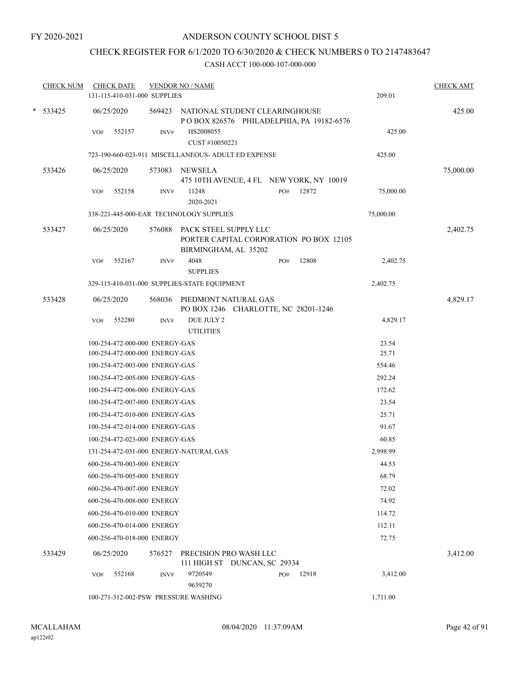## CHECK REGISTER FOR 6/1/2020 TO 6/30/2020 & CHECK NUMBERS 0 TO 2147483647

| <b>CHECK NUM</b> | <b>CHECK DATE</b><br>131-115-410-031-000 SUPPLIES |        | <b>VENDOR NO / NAME</b>                                                                         |     |       | 209.01    | <b>CHECK AMT</b> |
|------------------|---------------------------------------------------|--------|-------------------------------------------------------------------------------------------------|-----|-------|-----------|------------------|
| $*$ 533425       | 06/25/2020                                        |        | 569423 NATIONAL STUDENT CLEARINGHOUSE<br>POBOX 826576 PHILADELPHIA, PA 19182-6576               |     |       |           | 425.00           |
|                  | 552157<br>VO#                                     | INV#   | HS2008055<br>CUST #10050221                                                                     |     |       | 425.00    |                  |
|                  |                                                   |        | 723-190-660-023-911 MISCELLANEOUS- ADULT ED EXPENSE                                             |     |       | 425.00    |                  |
| 533426           | 06/25/2020                                        | 573083 | NEWSELA<br>475 10TH AVENUE, 4 FL NEW YORK, NY 10019                                             |     |       |           | 75,000.00        |
|                  | 552158<br>VO#                                     | INV#   | 11248<br>2020-2021                                                                              | PO# | 12872 | 75,000.00 |                  |
|                  | 338-221-445-000-EAR TECHNOLOGY SUPPLIES           |        |                                                                                                 |     |       | 75,000.00 |                  |
| 533427           | 06/25/2020                                        |        | 576088 PACK STEEL SUPPLY LLC<br>PORTER CAPITAL CORPORATION PO BOX 12105<br>BIRMINGHAM, AL 35202 |     |       |           | 2,402.75         |
|                  | 552167<br>VO#                                     | INV#   | 4048<br><b>SUPPLIES</b>                                                                         | PO# | 12808 | 2,402.75  |                  |
|                  |                                                   |        | 329-115-410-031-000 SUPPLIES-STATE EQUIPMENT                                                    |     |       | 2,402.75  |                  |
| 533428           | 06/25/2020                                        |        | 568036 PIEDMONT NATURAL GAS<br>PO BOX 1246 CHARLOTTE, NC 28201-1246                             |     |       |           | 4,829.17         |
|                  | 552280<br>VO#                                     | INV#   | DUE JULY 2<br><b>UTILITIES</b>                                                                  |     |       | 4,829.17  |                  |
|                  | 100-254-472-000-000 ENERGY-GAS                    |        |                                                                                                 |     |       | 23.54     |                  |
|                  | 100-254-472-000-000 ENERGY-GAS                    |        |                                                                                                 |     |       | 25.71     |                  |
|                  | 100-254-472-003-000 ENERGY-GAS                    |        |                                                                                                 |     |       | 554.46    |                  |
|                  | 100-254-472-005-000 ENERGY-GAS                    |        |                                                                                                 |     |       | 292.24    |                  |
|                  | 100-254-472-006-000 ENERGY-GAS                    |        |                                                                                                 |     |       | 172.62    |                  |
|                  | 100-254-472-007-000 ENERGY-GAS                    |        |                                                                                                 |     |       | 23.54     |                  |
|                  | 100-254-472-010-000 ENERGY-GAS                    |        |                                                                                                 |     |       | 25.71     |                  |
|                  | 100-254-472-014-000 ENERGY-GAS                    |        |                                                                                                 |     |       | 91.67     |                  |
|                  | 100-254-472-023-000 ENERGY-GAS                    |        |                                                                                                 |     |       | 60.85     |                  |
|                  | 131-254-472-031-000 ENERGY-NATURAL GAS            |        |                                                                                                 |     |       | 2,998.99  |                  |
|                  | 600-256-470-003-000 ENERGY                        |        |                                                                                                 |     |       | 44.53     |                  |
|                  | 600-256-470-005-000 ENERGY                        |        |                                                                                                 |     |       | 68.79     |                  |
|                  | 600-256-470-007-000 ENERGY                        |        |                                                                                                 |     |       | 72.02     |                  |
|                  | 600-256-470-008-000 ENERGY                        |        |                                                                                                 |     |       | 74.92     |                  |
|                  | 600-256-470-010-000 ENERGY                        |        |                                                                                                 |     |       | 114.72    |                  |
|                  | 600-256-470-014-000 ENERGY                        |        |                                                                                                 |     |       | 112.11    |                  |
|                  | 600-256-470-018-000 ENERGY                        |        |                                                                                                 |     |       | 72.75     |                  |
| 533429           | 06/25/2020                                        | 576527 | PRECISION PRO WASH LLC<br>111 HIGH ST DUNCAN, SC 29334                                          |     |       |           | 3,412.00         |
|                  | 552168<br>VO#                                     | INV#   | 9720549<br>9639270                                                                              | PO# | 12918 | 3,412.00  |                  |
|                  | 100-271-312-002-PSW PRESSURE WASHING              |        |                                                                                                 |     |       | 1,711.00  |                  |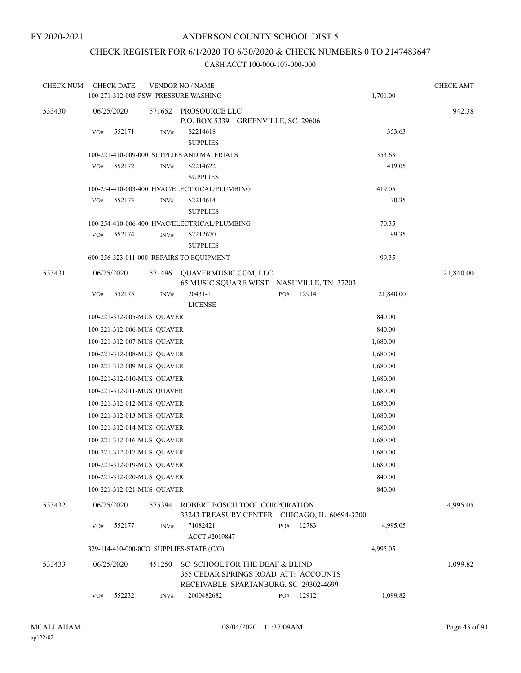## CHECK REGISTER FOR 6/1/2020 TO 6/30/2020 & CHECK NUMBERS 0 TO 2147483647

| <b>CHECK NUM</b> |     | <b>CHECK DATE</b> |                            | <b>VENDOR NO / NAME</b>                                                                                         |     |       |           | <b>CHECK AMT</b> |
|------------------|-----|-------------------|----------------------------|-----------------------------------------------------------------------------------------------------------------|-----|-------|-----------|------------------|
|                  |     |                   |                            | 100-271-312-003-PSW PRESSURE WASHING                                                                            |     |       | 1,701.00  |                  |
| 533430           |     | 06/25/2020        | 571652                     | PROSOURCE LLC<br>P.O. BOX 5339 GREENVILLE, SC 29606                                                             |     |       |           | 942.38           |
|                  | VO# | 552171            | INV#                       | S2214618<br><b>SUPPLIES</b>                                                                                     |     |       | 353.63    |                  |
|                  |     |                   |                            | 100-221-410-009-000 SUPPLIES AND MATERIALS                                                                      |     |       | 353.63    |                  |
|                  | VO# | 552172            | INV#                       | S2214622<br><b>SUPPLIES</b>                                                                                     |     |       | 419.05    |                  |
|                  |     |                   |                            | 100-254-410-003-400 HVAC/ELECTRICAL/PLUMBING                                                                    |     |       | 419.05    |                  |
|                  | VO# | 552173            | $\text{INV}\#$             | S2214614<br><b>SUPPLIES</b>                                                                                     |     |       | 70.35     |                  |
|                  |     |                   |                            | 100-254-410-006-400 HVAC/ELECTRICAL/PLUMBING                                                                    |     |       | 70.35     |                  |
|                  | VO# | 552174            | INV#                       | S2212670<br><b>SUPPLIES</b>                                                                                     |     |       | 99.35     |                  |
|                  |     |                   |                            | 600-256-323-011-000 REPAIRS TO EQUIPMENT                                                                        |     |       | 99.35     |                  |
| 533431           |     | 06/25/2020        | 571496                     | QUAVERMUSIC.COM, LLC<br>65 MUSIC SQUARE WEST NASHVILLE, TN 37203                                                |     |       |           | 21,840.00        |
|                  | VO# | 552175            | INV#                       | 20431-1<br><b>LICENSE</b>                                                                                       | PO# | 12914 | 21,840.00 |                  |
|                  |     |                   | 100-221-312-005-MUS QUAVER |                                                                                                                 |     |       | 840.00    |                  |
|                  |     |                   | 100-221-312-006-MUS QUAVER |                                                                                                                 |     |       | 840.00    |                  |
|                  |     |                   | 100-221-312-007-MUS QUAVER |                                                                                                                 |     |       | 1,680.00  |                  |
|                  |     |                   | 100-221-312-008-MUS QUAVER |                                                                                                                 |     |       | 1,680.00  |                  |
|                  |     |                   | 100-221-312-009-MUS QUAVER |                                                                                                                 |     |       | 1,680.00  |                  |
|                  |     |                   | 100-221-312-010-MUS QUAVER |                                                                                                                 |     |       | 1,680.00  |                  |
|                  |     |                   | 100-221-312-011-MUS QUAVER |                                                                                                                 |     |       | 1,680.00  |                  |
|                  |     |                   | 100-221-312-012-MUS QUAVER |                                                                                                                 |     |       | 1,680.00  |                  |
|                  |     |                   | 100-221-312-013-MUS QUAVER |                                                                                                                 |     |       | 1,680.00  |                  |
|                  |     |                   | 100-221-312-014-MUS QUAVER |                                                                                                                 |     |       | 1,680.00  |                  |
|                  |     |                   | 100-221-312-016-MUS QUAVER |                                                                                                                 |     |       | 1,680.00  |                  |
|                  |     |                   | 100-221-312-017-MUS QUAVER |                                                                                                                 |     |       | 1,680.00  |                  |
|                  |     |                   | 100-221-312-019-MUS QUAVER |                                                                                                                 |     |       | 1,680.00  |                  |
|                  |     |                   | 100-221-312-020-MUS OUAVER |                                                                                                                 |     |       | 840.00    |                  |
|                  |     |                   | 100-221-312-021-MUS QUAVER |                                                                                                                 |     |       | 840.00    |                  |
| 533432           |     | 06/25/2020        | 575394                     | ROBERT BOSCH TOOL CORPORATION<br>33243 TREASURY CENTER CHICAGO, IL 60694-3200                                   |     |       |           | 4,995.05         |
|                  | VO# | 552177            | INV#                       | 71082421<br>ACCT #2019847                                                                                       | PO# | 12783 | 4,995.05  |                  |
|                  |     |                   |                            | 329-114-410-000-0CO SUPPLIES-STATE (C/O)                                                                        |     |       | 4,995.05  |                  |
| 533433           |     | 06/25/2020        | 451250                     | SC SCHOOL FOR THE DEAF & BLIND<br>355 CEDAR SPRINGS ROAD ATT: ACCOUNTS<br>RECEIVABLE SPARTANBURG, SC 29302-4699 |     |       |           | 1,099.82         |
|                  | VO# | 552232            | INV#                       | 2000482682                                                                                                      | PO# | 12912 | 1,099.82  |                  |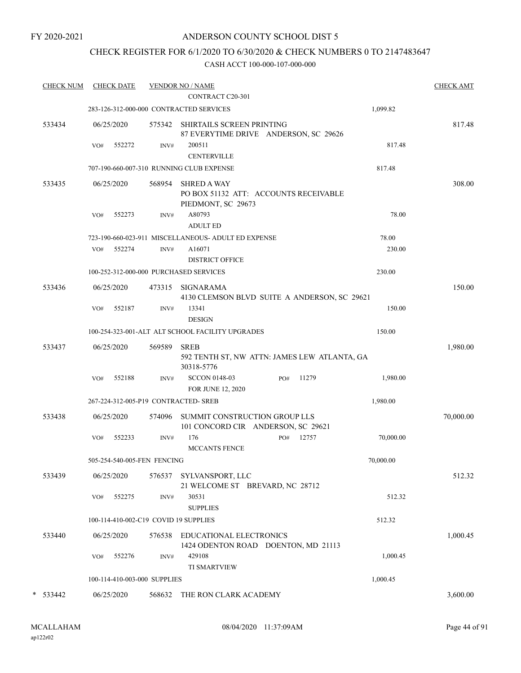## CHECK REGISTER FOR 6/1/2020 TO 6/30/2020 & CHECK NUMBERS 0 TO 2147483647

| <b>CHECK NUM</b> |     | <b>CHECK DATE</b>            |        | <b>VENDOR NO / NAME</b><br>CONTRACT C20-301                                       |           | <b>CHECK AMT</b> |
|------------------|-----|------------------------------|--------|-----------------------------------------------------------------------------------|-----------|------------------|
|                  |     |                              |        | 283-126-312-000-000 CONTRACTED SERVICES                                           | 1,099.82  |                  |
|                  |     |                              |        |                                                                                   |           |                  |
| 533434           |     | 06/25/2020                   | 575342 | SHIRTAILS SCREEN PRINTING<br>87 EVERYTIME DRIVE ANDERSON, SC 29626                |           | 817.48           |
|                  | VO# | 552272                       | INV#   | 200511                                                                            | 817.48    |                  |
|                  |     |                              |        | <b>CENTERVILLE</b>                                                                |           |                  |
|                  |     |                              |        | 707-190-660-007-310 RUNNING CLUB EXPENSE                                          | 817.48    |                  |
| 533435           |     | 06/25/2020                   | 568954 | <b>SHRED A WAY</b><br>PO BOX 51132 ATT: ACCOUNTS RECEIVABLE<br>PIEDMONT, SC 29673 |           | 308.00           |
|                  | VO# | 552273                       | INV#   | A80793<br><b>ADULT ED</b>                                                         | 78.00     |                  |
|                  |     |                              |        | 723-190-660-023-911 MISCELLANEOUS- ADULT ED EXPENSE                               | 78.00     |                  |
|                  | VO# | 552274                       | INV#   | A16071<br><b>DISTRICT OFFICE</b>                                                  | 230.00    |                  |
|                  |     |                              |        | 100-252-312-000-000 PURCHASED SERVICES                                            | 230.00    |                  |
| 533436           |     | 06/25/2020                   | 473315 | <b>SIGNARAMA</b><br>4130 CLEMSON BLVD SUITE A ANDERSON, SC 29621                  |           | 150.00           |
|                  | VO# | 552187                       | INV#   | 13341<br><b>DESIGN</b>                                                            | 150.00    |                  |
|                  |     |                              |        | 100-254-323-001-ALT ALT SCHOOL FACILITY UPGRADES                                  | 150.00    |                  |
| 533437           |     | 06/25/2020                   | 569589 | <b>SREB</b><br>592 TENTH ST, NW ATTN: JAMES LEW ATLANTA, GA                       |           | 1,980.00         |
|                  |     |                              |        | 30318-5776                                                                        |           |                  |
|                  | VO# | 552188                       | INV#   | <b>SCCON 0148-03</b><br>11279<br>PO#<br>FOR JUNE 12, 2020                         | 1,980.00  |                  |
|                  |     |                              |        | 267-224-312-005-P19 CONTRACTED- SREB                                              | 1,980.00  |                  |
| 533438           |     | 06/25/2020                   | 574096 | SUMMIT CONSTRUCTION GROUP LLS<br>101 CONCORD CIR ANDERSON, SC 29621               |           | 70,000.00        |
|                  | VO# | 552233                       | INV#   | 176<br>12757<br>PO#<br><b>MCCANTS FENCE</b>                                       | 70,000.00 |                  |
|                  |     | 505-254-540-005-FEN FENCING  |        |                                                                                   | 70,000.00 |                  |
| 533439           |     | 06/25/2020                   |        | 576537 SYLVANSPORT, LLC                                                           |           | 512.32           |
|                  | VO# | 552275                       | INV#   | 21 WELCOME ST BREVARD, NC 28712<br>30531<br><b>SUPPLIES</b>                       | 512.32    |                  |
|                  |     |                              |        | 100-114-410-002-C19 COVID 19 SUPPLIES                                             | 512.32    |                  |
| 533440           |     | 06/25/2020                   | 576538 | EDUCATIONAL ELECTRONICS<br>1424 ODENTON ROAD DOENTON, MD 21113                    |           | 1,000.45         |
|                  | VO# | 552276                       | INV#   | 429108<br><b>TI SMARTVIEW</b>                                                     | 1,000.45  |                  |
|                  |     | 100-114-410-003-000 SUPPLIES |        |                                                                                   | 1,000.45  |                  |
| $*$ 533442       |     | 06/25/2020                   | 568632 | THE RON CLARK ACADEMY                                                             |           | 3,600.00         |
|                  |     |                              |        |                                                                                   |           |                  |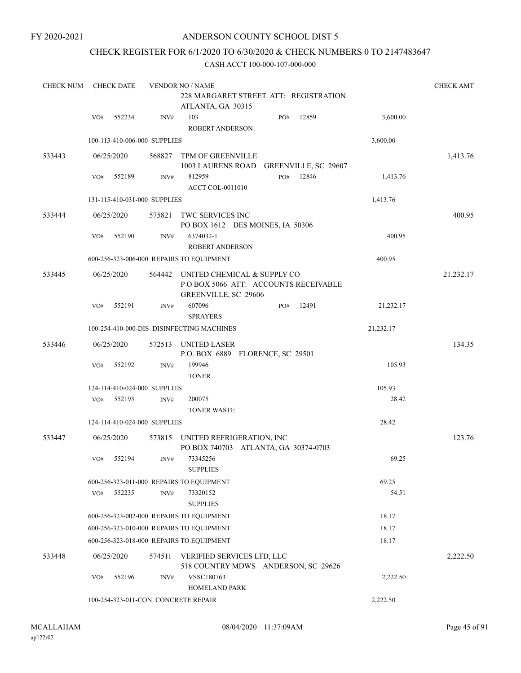## CHECK REGISTER FOR 6/1/2020 TO 6/30/2020 & CHECK NUMBERS 0 TO 2147483647

| <b>CHECK NUM</b> |     | <b>CHECK DATE</b>            |                | <b>VENDOR NO / NAME</b>                                                                    |     |                      |           | <b>CHECK AMT</b> |
|------------------|-----|------------------------------|----------------|--------------------------------------------------------------------------------------------|-----|----------------------|-----------|------------------|
|                  |     |                              |                | 228 MARGARET STREET ATT: REGISTRATION<br>ATLANTA, GA 30315                                 |     |                      |           |                  |
|                  | VO# | 552234                       | INV#           | 103<br><b>ROBERT ANDERSON</b>                                                              | PO# | 12859                | 3,600.00  |                  |
|                  |     | 100-113-410-006-000 SUPPLIES |                |                                                                                            |     |                      | 3,600.00  |                  |
| 533443           |     | 06/25/2020                   | 568827         | TPM OF GREENVILLE<br>1003 LAURENS ROAD                                                     |     | GREENVILLE, SC 29607 |           | 1,413.76         |
|                  | VO# | 552189                       | INV#           | 812959<br><b>ACCT COL-0011010</b>                                                          | PO# | 12846                | 1,413.76  |                  |
|                  |     | 131-115-410-031-000 SUPPLIES |                |                                                                                            |     |                      | 1,413.76  |                  |
| 533444           |     | 06/25/2020                   | 575821         | TWC SERVICES INC<br>PO BOX 1612 DES MOINES, IA 50306                                       |     |                      |           | 400.95           |
|                  | VO# | 552190                       | INV#           | 6374032-1<br>ROBERT ANDERSON                                                               |     |                      | 400.95    |                  |
|                  |     |                              |                | 600-256-323-006-000 REPAIRS TO EQUIPMENT                                                   |     |                      | 400.95    |                  |
| 533445           |     | 06/25/2020                   | 564442         | UNITED CHEMICAL & SUPPLY CO<br>POBOX 5066 ATT: ACCOUNTS RECEIVABLE<br>GREENVILLE, SC 29606 |     |                      |           | 21,232.17        |
|                  | VO# | 552191                       | INV#           | 607096<br><b>SPRAYERS</b>                                                                  | PO# | 12491                | 21,232.17 |                  |
|                  |     |                              |                | 100-254-410-000-DIS DISINFECTING MACHINES                                                  |     |                      | 21,232.17 |                  |
| 533446           |     | 06/25/2020                   | 572513         | UNITED LASER<br>P.O. BOX 6889 FLORENCE, SC 29501                                           |     |                      |           | 134.35           |
|                  | VO# | 552192                       | INV#           | 199946<br><b>TONER</b>                                                                     |     |                      | 105.93    |                  |
|                  |     | 124-114-410-024-000 SUPPLIES |                |                                                                                            |     |                      | 105.93    |                  |
|                  | VO# | 552193                       | $\text{INV}\#$ | 200075<br><b>TONER WASTE</b>                                                               |     |                      | 28.42     |                  |
|                  |     | 124-114-410-024-000 SUPPLIES |                |                                                                                            |     |                      | 28.42     |                  |
| 533447           |     | 06/25/2020                   | 573815         | UNITED REFRIGERATION, INC<br>PO BOX 740703 ATLANTA, GA 30374-0703                          |     |                      |           | 123.76           |
|                  | VO# | 552194                       | INV#           | 73345256<br><b>SUPPLIES</b>                                                                |     |                      | 69.25     |                  |
|                  |     |                              |                | 600-256-323-011-000 REPAIRS TO EQUIPMENT                                                   |     |                      | 69.25     |                  |
|                  | VO# | 552235                       | INV#           | 73320152<br><b>SUPPLIES</b>                                                                |     |                      | 54.51     |                  |
|                  |     |                              |                | 600-256-323-002-000 REPAIRS TO EQUIPMENT                                                   |     |                      | 18.17     |                  |
|                  |     |                              |                | 600-256-323-010-000 REPAIRS TO EQUIPMENT                                                   |     |                      | 18.17     |                  |
|                  |     |                              |                | 600-256-323-018-000 REPAIRS TO EQUIPMENT                                                   |     |                      | 18.17     |                  |
| 533448           |     | 06/25/2020                   | 574511         | VERIFIED SERVICES LTD, LLC<br>518 COUNTRY MDWS ANDERSON, SC 29626                          |     |                      |           | 2,222.50         |
|                  | VO# | 552196                       | INV#           | VSSC180763<br><b>HOMELAND PARK</b>                                                         |     |                      | 2,222.50  |                  |
|                  |     |                              |                | 100-254-323-011-CON CONCRETE REPAIR                                                        |     |                      | 2,222.50  |                  |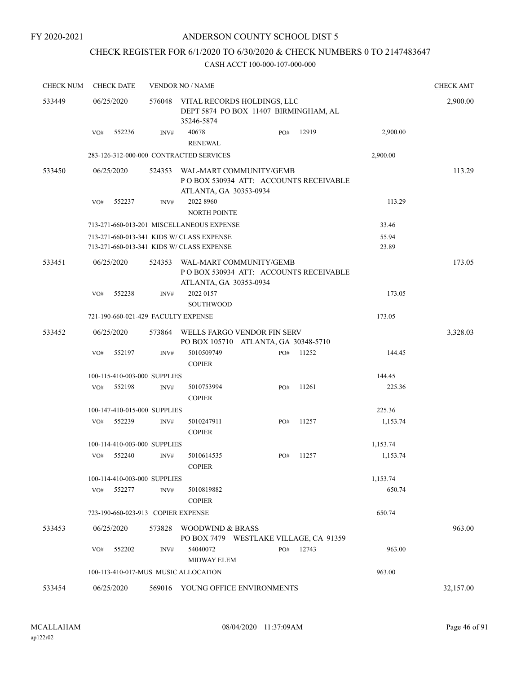## CHECK REGISTER FOR 6/1/2020 TO 6/30/2020 & CHECK NUMBERS 0 TO 2147483647

| <b>CHECK NUM</b> | <b>CHECK DATE</b> |        |                                      | <b>VENDOR NO / NAME</b>                                                                |                                        |       |                | <b>CHECK AMT</b> |
|------------------|-------------------|--------|--------------------------------------|----------------------------------------------------------------------------------------|----------------------------------------|-------|----------------|------------------|
| 533449           | 06/25/2020        |        |                                      | 576048 VITAL RECORDS HOLDINGS, LLC<br>35246-5874                                       | DEPT 5874 PO BOX 11407 BIRMINGHAM, AL  |       |                | 2,900.00         |
|                  | VO#               | 552236 | INV#                                 | 40678<br><b>RENEWAL</b>                                                                | PO#                                    | 12919 | 2,900.00       |                  |
|                  |                   |        |                                      | 283-126-312-000-000 CONTRACTED SERVICES                                                |                                        |       | 2,900.00       |                  |
| 533450           | 06/25/2020        |        | 524353                               | WAL-MART COMMUNITY/GEMB<br>ATLANTA, GA 30353-0934                                      | PO BOX 530934 ATT: ACCOUNTS RECEIVABLE |       |                | 113.29           |
|                  | VO#               | 552237 | INV#                                 | 2022 8960<br><b>NORTH POINTE</b>                                                       |                                        |       | 113.29         |                  |
|                  |                   |        |                                      | 713-271-660-013-201 MISCELLANEOUS EXPENSE                                              |                                        |       | 33.46          |                  |
|                  |                   |        |                                      | 713-271-660-013-341 KIDS W/ CLASS EXPENSE<br>713-271-660-013-341 KIDS W/ CLASS EXPENSE |                                        |       | 55.94<br>23.89 |                  |
| 533451           | 06/25/2020        |        | 524353                               | WAL-MART COMMUNITY/GEMB<br>ATLANTA, GA 30353-0934                                      | POBOX 530934 ATT: ACCOUNTS RECEIVABLE  |       |                | 173.05           |
|                  | VO#               | 552238 | INV#                                 | 2022 0157<br><b>SOUTHWOOD</b>                                                          |                                        |       | 173.05         |                  |
|                  |                   |        |                                      | 721-190-660-021-429 FACULTY EXPENSE                                                    |                                        |       | 173.05         |                  |
| 533452           | 06/25/2020        |        | 573864                               | WELLS FARGO VENDOR FIN SERV                                                            | PO BOX 105710 ATLANTA, GA 30348-5710   |       |                | 3,328.03         |
|                  | VO#               | 552197 | INV#                                 | 5010509749<br><b>COPIER</b>                                                            | PO#                                    | 11252 | 144.45         |                  |
|                  |                   |        | 100-115-410-003-000 SUPPLIES         |                                                                                        |                                        |       | 144.45         |                  |
|                  | VO#               | 552198 | INV#                                 | 5010753994<br><b>COPIER</b>                                                            | PO#                                    | 11261 | 225.36         |                  |
|                  |                   |        | 100-147-410-015-000 SUPPLIES         |                                                                                        |                                        |       | 225.36         |                  |
|                  | VO#               | 552239 | INV#                                 | 5010247911<br><b>COPIER</b>                                                            | PO#                                    | 11257 | 1,153.74       |                  |
|                  |                   |        | 100-114-410-003-000 SUPPLIES         |                                                                                        |                                        |       | 1,153.74       |                  |
|                  | VO#               | 552240 | INV#                                 | 5010614535<br><b>COPIER</b>                                                            | PO#                                    | 11257 | 1,153.74       |                  |
|                  |                   |        | 100-114-410-003-000 SUPPLIES         |                                                                                        |                                        |       | 1,153.74       |                  |
|                  | VO#               | 552277 | INV#                                 | 5010819882<br><b>COPIER</b>                                                            |                                        |       | 650.74         |                  |
|                  |                   |        |                                      | 723-190-660-023-913 COPIER EXPENSE                                                     |                                        |       | 650.74         |                  |
| 533453           | 06/25/2020        |        | 573828                               | WOODWIND & BRASS                                                                       | PO BOX 7479 WESTLAKE VILLAGE, CA 91359 |       |                | 963.00           |
|                  | VO#               | 552202 | INV#                                 | 54040072<br><b>MIDWAY ELEM</b>                                                         | PO#                                    | 12743 | 963.00         |                  |
|                  |                   |        | 100-113-410-017-MUS MUSIC ALLOCATION |                                                                                        |                                        |       | 963.00         |                  |
| 533454           | 06/25/2020        |        |                                      | 569016 YOUNG OFFICE ENVIRONMENTS                                                       |                                        |       |                | 32,157.00        |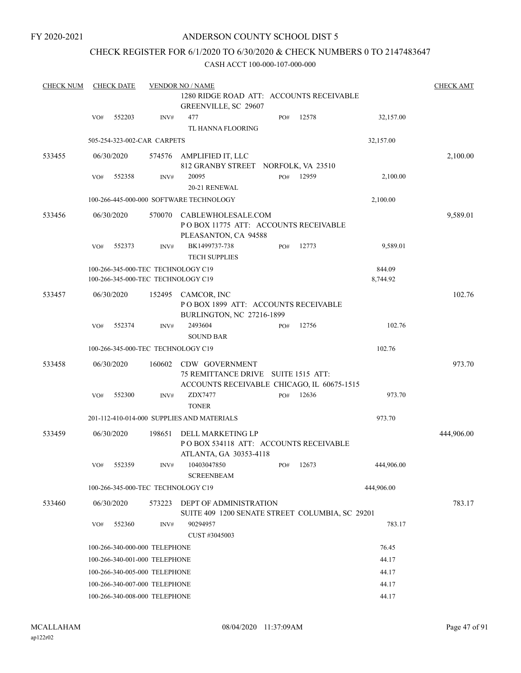FY 2020-2021

## ANDERSON COUNTY SCHOOL DIST 5

## CHECK REGISTER FOR 6/1/2020 TO 6/30/2020 & CHECK NUMBERS 0 TO 2147483647

| <b>CHECK NUM</b> |     | <b>CHECK DATE</b>             |        | <b>VENDOR NO / NAME</b>                                                                    |     |                        |                    |            |  |  |
|------------------|-----|-------------------------------|--------|--------------------------------------------------------------------------------------------|-----|------------------------|--------------------|------------|--|--|
|                  |     |                               |        | 1280 RIDGE ROAD ATT: ACCOUNTS RECEIVABLE<br>GREENVILLE, SC 29607                           |     |                        |                    |            |  |  |
|                  | VO# | 552203                        | INV#   | 477<br>TL HANNA FLOORING                                                                   | PO# | 12578                  | 32,157.00          |            |  |  |
|                  |     | 505-254-323-002-CAR CARPETS   |        |                                                                                            |     |                        | 32,157.00          |            |  |  |
| 533455           |     | 06/30/2020                    | 574576 | AMPLIFIED IT, LLC<br>812 GRANBY STREET NORFOLK, VA 23510                                   |     |                        |                    | 2,100.00   |  |  |
|                  | VO# | 552358                        | INV#   | 20095<br>20-21 RENEWAL                                                                     | PO# | 12959                  | 2,100.00           |            |  |  |
|                  |     |                               |        | 100-266-445-000-000 SOFTWARE TECHNOLOGY                                                    |     |                        | 2,100.00           |            |  |  |
| 533456           |     | 06/30/2020                    | 570070 | CABLEWHOLESALE.COM<br>POBOX 11775 ATT: ACCOUNTS RECEIVABLE<br>PLEASANTON, CA 94588         |     |                        |                    | 9,589.01   |  |  |
|                  | VO# | 552373                        | INV#   | BK1499737-738<br><b>TECH SUPPLIES</b>                                                      | PO# | 12773                  | 9,589.01           |            |  |  |
|                  |     |                               |        | 100-266-345-000-TEC TECHNOLOGY C19<br>100-266-345-000-TEC TECHNOLOGY C19                   |     |                        | 844.09<br>8,744.92 |            |  |  |
| 533457           |     | 06/30/2020                    | 152495 | CAMCOR, INC<br>POBOX 1899 ATT: ACCOUNTS RECEIVABLE<br>BURLINGTON, NC 27216-1899            |     |                        |                    | 102.76     |  |  |
|                  | VO# | 552374                        | INV#   | 2493604<br><b>SOUND BAR</b>                                                                | PO# | 12756                  | 102.76             |            |  |  |
|                  |     |                               |        | 100-266-345-000-TEC TECHNOLOGY C19                                                         |     |                        | 102.76             |            |  |  |
| 533458           |     | 06/30/2020                    | 160602 | <b>CDW GOVERNMENT</b><br>75 REMITTANCE DRIVE<br>ACCOUNTS RECEIVABLE CHICAGO, IL 60675-1515 |     | <b>SUITE 1515 ATT:</b> |                    | 973.70     |  |  |
|                  | VO# | 552300                        | INV#   | ZDX7477<br><b>TONER</b>                                                                    | PO# | 12636                  | 973.70             |            |  |  |
|                  |     |                               |        | 201-112-410-014-000 SUPPLIES AND MATERIALS                                                 |     |                        | 973.70             |            |  |  |
| 533459           |     | 06/30/2020                    | 198651 | DELL MARKETING LP<br>POBOX 534118 ATT: ACCOUNTS RECEIVABLE<br>ATLANTA, GA 30353-4118       |     |                        |                    | 444,906.00 |  |  |
|                  | VO# | 552359                        | INV#   | 10403047850<br><b>SCREENBEAM</b>                                                           | PO# | 12673                  | 444,906.00         |            |  |  |
|                  |     |                               |        | 100-266-345-000-TEC TECHNOLOGY C19                                                         |     |                        | 444,906.00         |            |  |  |
| 533460           |     | 06/30/2020                    | 573223 | DEPT OF ADMINISTRATION<br>SUITE 409 1200 SENATE STREET COLUMBIA, SC 29201                  |     |                        |                    | 783.17     |  |  |
|                  | VO# | 552360                        | INV#   | 90294957<br>CUST #3045003                                                                  |     |                        | 783.17             |            |  |  |
|                  |     | 100-266-340-000-000 TELEPHONE |        |                                                                                            |     |                        | 76.45              |            |  |  |
|                  |     | 100-266-340-001-000 TELEPHONE |        |                                                                                            |     |                        | 44.17              |            |  |  |
|                  |     | 100-266-340-005-000 TELEPHONE |        |                                                                                            |     |                        | 44.17              |            |  |  |
|                  |     | 100-266-340-007-000 TELEPHONE |        |                                                                                            |     |                        | 44.17              |            |  |  |
|                  |     | 100-266-340-008-000 TELEPHONE |        |                                                                                            |     |                        | 44.17              |            |  |  |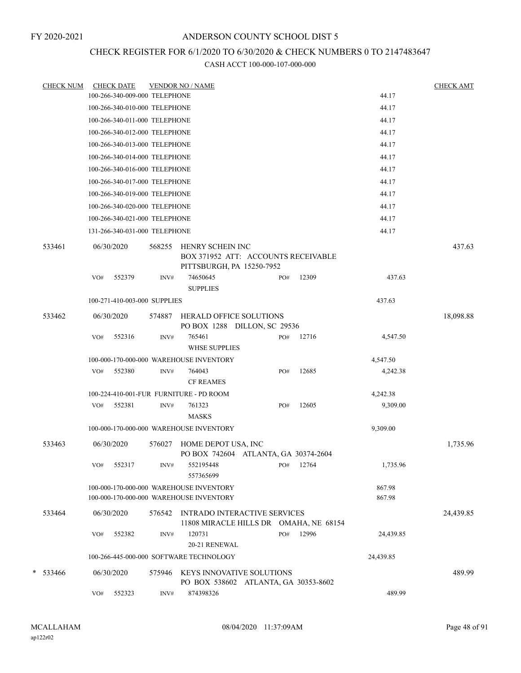## CHECK REGISTER FOR 6/1/2020 TO 6/30/2020 & CHECK NUMBERS 0 TO 2147483647

| CHECK NUM |     | <b>CHECK DATE</b>             |        | <b>VENDOR NO / NAME</b>                                                            |     |       |                  | <b>CHECK AMT</b> |
|-----------|-----|-------------------------------|--------|------------------------------------------------------------------------------------|-----|-------|------------------|------------------|
|           |     | 100-266-340-009-000 TELEPHONE |        |                                                                                    |     |       | 44.17            |                  |
|           |     | 100-266-340-010-000 TELEPHONE |        |                                                                                    |     |       | 44.17            |                  |
|           |     | 100-266-340-011-000 TELEPHONE |        |                                                                                    |     |       | 44.17            |                  |
|           |     | 100-266-340-012-000 TELEPHONE |        |                                                                                    |     |       | 44.17            |                  |
|           |     | 100-266-340-013-000 TELEPHONE |        |                                                                                    |     |       | 44.17            |                  |
|           |     | 100-266-340-014-000 TELEPHONE |        |                                                                                    |     |       | 44.17            |                  |
|           |     | 100-266-340-016-000 TELEPHONE |        |                                                                                    |     |       | 44.17            |                  |
|           |     | 100-266-340-017-000 TELEPHONE |        |                                                                                    |     |       | 44.17            |                  |
|           |     | 100-266-340-019-000 TELEPHONE |        |                                                                                    |     |       | 44.17            |                  |
|           |     | 100-266-340-020-000 TELEPHONE |        |                                                                                    |     |       | 44.17            |                  |
|           |     | 100-266-340-021-000 TELEPHONE |        |                                                                                    |     |       | 44.17            |                  |
|           |     | 131-266-340-031-000 TELEPHONE |        |                                                                                    |     |       | 44.17            |                  |
| 533461    |     | 06/30/2020                    | 568255 | HENRY SCHEIN INC<br>BOX 371952 ATT: ACCOUNTS RECEIVABLE                            |     |       |                  | 437.63           |
|           |     |                               |        | PITTSBURGH, PA 15250-7952                                                          |     |       |                  |                  |
|           | VO# | 552379                        | INV#   | 74650645<br><b>SUPPLIES</b>                                                        | PO# | 12309 | 437.63           |                  |
|           |     | 100-271-410-003-000 SUPPLIES  |        |                                                                                    |     |       | 437.63           |                  |
| 533462    |     | 06/30/2020                    | 574887 | <b>HERALD OFFICE SOLUTIONS</b><br>PO BOX 1288 DILLON, SC 29536                     |     |       |                  | 18,098.88        |
|           | VO# | 552316                        | INV#   | 765461                                                                             | PO# | 12716 | 4,547.50         |                  |
|           |     |                               |        | <b>WHSE SUPPLIES</b>                                                               |     |       |                  |                  |
|           |     |                               |        | 100-000-170-000-000 WAREHOUSE INVENTORY                                            |     |       | 4,547.50         |                  |
|           | VO# | 552380                        | INV#   | 764043                                                                             | PO# | 12685 | 4,242.38         |                  |
|           |     |                               |        | <b>CF REAMES</b>                                                                   |     |       |                  |                  |
|           |     |                               |        | 100-224-410-001-FUR FURNITURE - PD ROOM                                            |     |       | 4,242.38         |                  |
|           | VO# | 552381                        | INV#   | 761323                                                                             | PO# | 12605 | 9,309.00         |                  |
|           |     |                               |        | <b>MASKS</b>                                                                       |     |       |                  |                  |
|           |     |                               |        | 100-000-170-000-000 WAREHOUSE INVENTORY                                            |     |       | 9,309.00         |                  |
| 533463    |     | 06/30/2020                    | 576027 | HOME DEPOT USA, INC<br>PO BOX 742604 ATLANTA, GA 30374-2604                        |     |       |                  | 1,735.96         |
|           | VO# | 552317                        | INV#   | 552195448<br>557365699                                                             | PO# | 12764 | 1,735.96         |                  |
|           |     |                               |        | 100-000-170-000-000 WAREHOUSE INVENTORY<br>100-000-170-000-000 WAREHOUSE INVENTORY |     |       | 867.98<br>867.98 |                  |
| 533464    |     | 06/30/2020                    | 576542 | INTRADO INTERACTIVE SERVICES<br>11808 MIRACLE HILLS DR OMAHA, NE 68154             |     |       |                  | 24,439.85        |
|           | VO# | 552382                        | INV#   | 120731<br>20-21 RENEWAL                                                            | PO# | 12996 | 24,439.85        |                  |
|           |     |                               |        | 100-266-445-000-000 SOFTWARE TECHNOLOGY                                            |     |       | 24,439.85        |                  |
| * 533466  |     | 06/30/2020                    | 575946 | KEYS INNOVATIVE SOLUTIONS<br>PO BOX 538602 ATLANTA, GA 30353-8602                  |     |       |                  | 489.99           |
|           | VO# | 552323                        | INV#   | 874398326                                                                          |     |       | 489.99           |                  |
|           |     |                               |        |                                                                                    |     |       |                  |                  |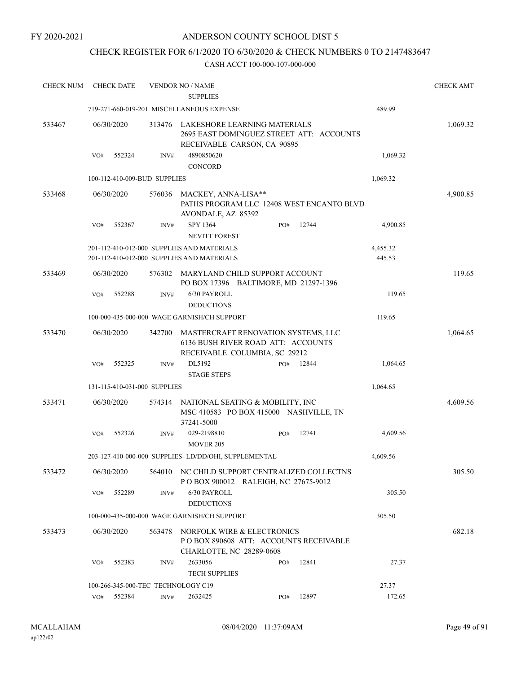## CHECK REGISTER FOR 6/1/2020 TO 6/30/2020 & CHECK NUMBERS 0 TO 2147483647

| <b>CHECK NUM</b> | <b>CHECK DATE</b>                  |        | <b>VENDOR NO / NAME</b>                                                                                    |     |       |                    | <b>CHECK AMT</b> |
|------------------|------------------------------------|--------|------------------------------------------------------------------------------------------------------------|-----|-------|--------------------|------------------|
|                  |                                    |        | <b>SUPPLIES</b>                                                                                            |     |       |                    |                  |
|                  |                                    |        | 719-271-660-019-201 MISCELLANEOUS EXPENSE                                                                  |     |       | 489.99             |                  |
| 533467           | 06/30/2020                         | 313476 | LAKESHORE LEARNING MATERIALS<br>2695 EAST DOMINGUEZ STREET ATT: ACCOUNTS<br>RECEIVABLE CARSON, CA 90895    |     |       |                    | 1,069.32         |
|                  | VO#<br>552324                      | INV#   | 4890850620<br><b>CONCORD</b>                                                                               |     |       | 1,069.32           |                  |
|                  | 100-112-410-009-BUD SUPPLIES       |        |                                                                                                            |     |       | 1,069.32           |                  |
| 533468           | 06/30/2020                         | 576036 | MACKEY, ANNA-LISA**<br>PATHS PROGRAM LLC 12408 WEST ENCANTO BLVD<br>AVONDALE, AZ 85392                     |     |       |                    | 4,900.85         |
|                  | 552367<br>VO#                      | INV#   | SPY 1364<br>NEVITT FOREST                                                                                  | PO# | 12744 | 4,900.85           |                  |
|                  |                                    |        | 201-112-410-012-000 SUPPLIES AND MATERIALS<br>201-112-410-012-000 SUPPLIES AND MATERIALS                   |     |       | 4,455.32<br>445.53 |                  |
| 533469           | 06/30/2020                         | 576302 | MARYLAND CHILD SUPPORT ACCOUNT<br>PO BOX 17396 BALTIMORE, MD 21297-1396                                    |     |       |                    | 119.65           |
|                  | 552288<br>VO#                      | INV#   | 6/30 PAYROLL<br><b>DEDUCTIONS</b>                                                                          |     |       | 119.65             |                  |
|                  |                                    |        | 100-000-435-000-000 WAGE GARNISH/CH SUPPORT                                                                |     |       | 119.65             |                  |
| 533470           | 06/30/2020                         | 342700 | MASTERCRAFT RENOVATION SYSTEMS, LLC<br>6136 BUSH RIVER ROAD ATT: ACCOUNTS<br>RECEIVABLE COLUMBIA, SC 29212 |     |       |                    | 1,064.65         |
|                  | VO#<br>552325                      | INV#   | DL5192                                                                                                     | PO# | 12844 | 1,064.65           |                  |
|                  |                                    |        | <b>STAGE STEPS</b>                                                                                         |     |       |                    |                  |
|                  | 131-115-410-031-000 SUPPLIES       |        |                                                                                                            |     |       | 1,064.65           |                  |
| 533471           | 06/30/2020                         | 574314 | NATIONAL SEATING & MOBILITY, INC<br>MSC 410583 PO BOX 415000 NASHVILLE, TN<br>37241-5000                   |     |       |                    | 4,609.56         |
|                  | 552326<br>VO#                      | INV#   | 029-2198810<br><b>MOVER 205</b>                                                                            | PO# | 12741 | 4,609.56           |                  |
|                  |                                    |        | 203-127-410-000-000 SUPPLIES- LD/DD/OHI, SUPPLEMENTAL                                                      |     |       | 4,609.56           |                  |
| 533472           | 06/30/2020                         |        | 564010 NC CHILD SUPPORT CENTRALIZED COLLECTNS<br>POBOX 900012 RALEIGH, NC 27675-9012                       |     |       |                    | 305.50           |
|                  | 552289<br>VO#                      | INV#   | 6/30 PAYROLL<br><b>DEDUCTIONS</b>                                                                          |     |       | 305.50             |                  |
|                  |                                    |        | 100-000-435-000-000 WAGE GARNISH/CH SUPPORT                                                                |     |       | 305.50             |                  |
| 533473           | 06/30/2020                         | 563478 | NORFOLK WIRE & ELECTRONICS<br>PO BOX 890608 ATT: ACCOUNTS RECEIVABLE<br>CHARLOTTE, NC 28289-0608           |     |       |                    | 682.18           |
|                  | VO#<br>552383                      | INV#   | 2633056<br><b>TECH SUPPLIES</b>                                                                            | PO# | 12841 | 27.37              |                  |
|                  | 100-266-345-000-TEC TECHNOLOGY C19 |        |                                                                                                            |     |       | 27.37              |                  |
|                  | 552384<br>VO#                      | INV#   | 2632425                                                                                                    | PO# | 12897 | 172.65             |                  |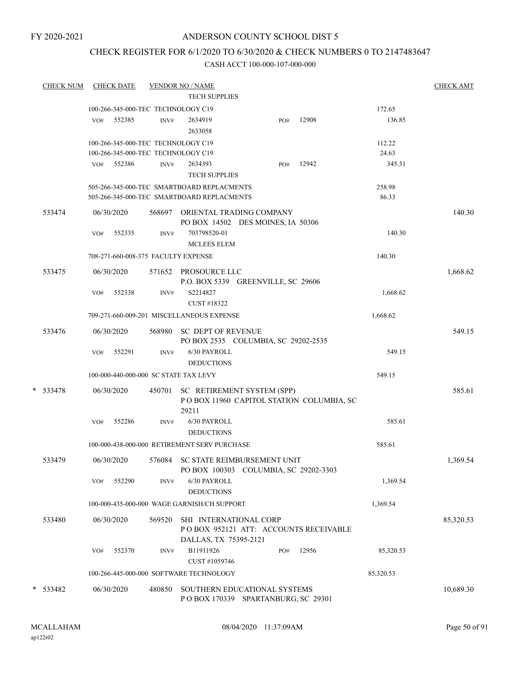## CHECK REGISTER FOR 6/1/2020 TO 6/30/2020 & CHECK NUMBERS 0 TO 2147483647

| <b>CHECK NUM</b> |     | <b>CHECK DATE</b> |        | <b>VENDOR NO / NAME</b>                                                                  |     |                                          |                 | <b>CHECK AMT</b> |
|------------------|-----|-------------------|--------|------------------------------------------------------------------------------------------|-----|------------------------------------------|-----------------|------------------|
|                  |     |                   |        | <b>TECH SUPPLIES</b>                                                                     |     |                                          |                 |                  |
|                  |     |                   |        | 100-266-345-000-TEC TECHNOLOGY C19                                                       |     |                                          | 172.65          |                  |
|                  | VO# | 552385            | INV#   | 2634919<br>2633058                                                                       | PO# | 12908                                    | 136.85          |                  |
|                  |     |                   |        | 100-266-345-000-TEC TECHNOLOGY C19                                                       |     |                                          | 112.22          |                  |
|                  |     |                   |        | 100-266-345-000-TEC TECHNOLOGY C19                                                       |     |                                          | 24.63           |                  |
|                  | VO# | 552386            | INV#   | 2634393<br><b>TECH SUPPLIES</b>                                                          | PO# | 12942                                    | 345.31          |                  |
|                  |     |                   |        | 505-266-345-000-TEC SMARTBOARD REPLACMENTS<br>505-266-345-000-TEC SMARTBOARD REPLACMENTS |     |                                          | 258.98<br>86.33 |                  |
| 533474           |     | 06/30/2020        |        | 568697 ORIENTAL TRADING COMPANY<br>PO BOX 14502 DES MOINES, IA 50306                     |     |                                          |                 | 140.30           |
|                  | VO# | 552335            | INV#   | 703798520-01<br><b>MCLEES ELEM</b>                                                       |     |                                          | 140.30          |                  |
|                  |     |                   |        | 708-271-660-008-375 FACULTY EXPENSE                                                      |     |                                          | 140.30          |                  |
| 533475           |     | 06/30/2020        |        | 571652 PROSOURCE LLC<br>P.O. BOX 5339 GREENVILLE, SC 29606                               |     |                                          |                 | 1,668.62         |
|                  | VO# | 552338            | INV#   | S2214827<br>CUST #18322                                                                  |     |                                          | 1,668.62        |                  |
|                  |     |                   |        | 709-271-660-009-201 MISCELLANEOUS EXPENSE                                                |     |                                          | 1,668.62        |                  |
| 533476           |     | 06/30/2020        | 568980 | <b>SC DEPT OF REVENUE</b><br>PO BOX 2535 COLUMBIA, SC 29202-2535                         |     |                                          |                 | 549.15           |
|                  | VO# | 552291            | INV#   | 6/30 PAYROLL<br><b>DEDUCTIONS</b>                                                        |     |                                          | 549.15          |                  |
|                  |     |                   |        | 100-000-440-000-000 SC STATE TAX LEVY                                                    |     |                                          | 549.15          |                  |
| * 533478         |     | 06/30/2020        | 450701 | SC RETIREMENT SYSTEM (SPP)<br>29211                                                      |     | POBOX 11960 CAPITOL STATION COLUMBIA, SC |                 | 585.61           |
|                  | VO# | 552286            | INV#   | 6/30 PAYROLL<br><b>DEDUCTIONS</b>                                                        |     |                                          | 585.61          |                  |
|                  |     |                   |        | 100-000-438-000-000 RETIREMENT SERV PURCHASE                                             |     |                                          | 585.61          |                  |
| 533479           |     | 06/30/2020        |        | 576084 SC STATE REIMBURSEMENT UNIT<br>PO BOX 100303 COLUMBIA, SC 29202-3303              |     |                                          |                 | 1,369.54         |
|                  | VO# | 552290            | INV#   | 6/30 PAYROLL<br><b>DEDUCTIONS</b>                                                        |     |                                          | 1,369.54        |                  |
|                  |     |                   |        | 100-000-435-000-000 WAGE GARNISH/CH SUPPORT                                              |     |                                          | 1,369.54        |                  |
| 533480           |     | 06/30/2020        | 569520 | SHI INTERNATIONAL CORP<br>DALLAS, TX 75395-2121                                          |     | POBOX 952121 ATT: ACCOUNTS RECEIVABLE    |                 | 85,320.53        |
|                  | VO# | 552370            | INV#   | B11911926<br>CUST #1059746                                                               | PO# | 12956                                    | 85,320.53       |                  |
|                  |     |                   |        | 100-266-445-000-000 SOFTWARE TECHNOLOGY                                                  |     |                                          | 85,320.53       |                  |
| * 533482         |     | 06/30/2020        | 480850 | SOUTHERN EDUCATIONAL SYSTEMS<br>POBOX 170339 SPARTANBURG, SC 29301                       |     |                                          |                 | 10,689.30        |
|                  |     |                   |        |                                                                                          |     |                                          |                 |                  |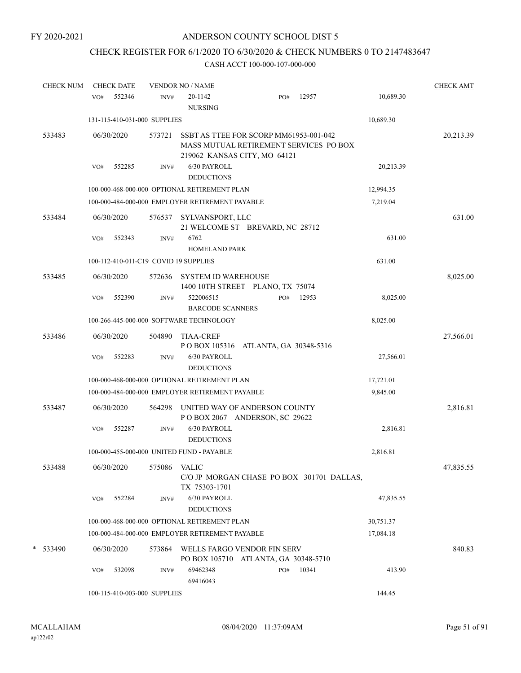# CHECK REGISTER FOR 6/1/2020 TO 6/30/2020 & CHECK NUMBERS 0 TO 2147483647

| <b>CHECK NUM</b> | <b>CHECK DATE</b>                     |        | <b>VENDOR NO / NAME</b>                                                                                          |                        |     |       |           | <b>CHECK AMT</b> |
|------------------|---------------------------------------|--------|------------------------------------------------------------------------------------------------------------------|------------------------|-----|-------|-----------|------------------|
|                  | 552346<br>VO#                         | INV#   | 20-1142<br><b>NURSING</b>                                                                                        |                        | PO# | 12957 | 10,689.30 |                  |
|                  | 131-115-410-031-000 SUPPLIES          |        |                                                                                                                  |                        |     |       | 10,689.30 |                  |
| 533483           | 06/30/2020                            | 573721 | SSBT AS TTEE FOR SCORP MM61953-001-042<br>MASS MUTUAL RETIREMENT SERVICES PO BOX<br>219062 KANSAS CITY, MO 64121 |                        |     |       |           | 20,213.39        |
|                  | 552285<br>VO#                         | INV#   | 6/30 PAYROLL<br><b>DEDUCTIONS</b>                                                                                |                        |     |       | 20,213.39 |                  |
|                  |                                       |        | 100-000-468-000-000 OPTIONAL RETIREMENT PLAN                                                                     |                        |     |       | 12,994.35 |                  |
|                  |                                       |        | 100-000-484-000-000 EMPLOYER RETIREMENT PAYABLE                                                                  |                        |     |       | 7,219.04  |                  |
| 533484           | 06/30/2020                            | 576537 | SYLVANSPORT, LLC<br>21 WELCOME ST BREVARD, NC 28712                                                              |                        |     |       |           | 631.00           |
|                  | 552343<br>VO#                         | INV#   | 6762<br><b>HOMELAND PARK</b>                                                                                     |                        |     |       | 631.00    |                  |
|                  | 100-112-410-011-C19 COVID 19 SUPPLIES |        |                                                                                                                  |                        |     |       | 631.00    |                  |
| 533485           | 06/30/2020                            | 572636 | <b>SYSTEM ID WAREHOUSE</b><br>1400 10TH STREET PLANO, TX 75074                                                   |                        |     |       |           | 8,025.00         |
|                  | VO#<br>552390                         | INV#   | 522006515<br><b>BARCODE SCANNERS</b>                                                                             |                        | PO# | 12953 | 8,025.00  |                  |
|                  |                                       |        | 100-266-445-000-000 SOFTWARE TECHNOLOGY                                                                          |                        |     |       | 8,025.00  |                  |
| 533486           | 06/30/2020                            | 504890 | <b>TIAA-CREF</b><br>P O BOX 105316                                                                               | ATLANTA, GA 30348-5316 |     |       |           | 27,566.01        |
|                  | 552283<br>VO#                         | INV#   | 6/30 PAYROLL<br><b>DEDUCTIONS</b>                                                                                |                        |     |       | 27,566.01 |                  |
|                  |                                       |        | 100-000-468-000-000 OPTIONAL RETIREMENT PLAN                                                                     |                        |     |       | 17,721.01 |                  |
|                  |                                       |        | 100-000-484-000-000 EMPLOYER RETIREMENT PAYABLE                                                                  |                        |     |       | 9,845.00  |                  |
| 533487           | 06/30/2020                            | 564298 | UNITED WAY OF ANDERSON COUNTY<br>POBOX 2067 ANDERSON, SC 29622                                                   |                        |     |       |           | 2,816.81         |
|                  | 552287<br>VO#                         | INV#   | 6/30 PAYROLL<br><b>DEDUCTIONS</b>                                                                                |                        |     |       | 2,816.81  |                  |
|                  |                                       |        | 100-000-455-000-000 UNITED FUND - PAYABLE                                                                        |                        |     |       | 2,816.81  |                  |
| 533488           | 06/30/2020                            | 575086 | <b>VALIC</b><br>C/O JP MORGAN CHASE PO BOX 301701 DALLAS,<br>TX 75303-1701                                       |                        |     |       |           | 47,835.55        |
|                  | 552284<br>VO#                         | INV#   | 6/30 PAYROLL<br><b>DEDUCTIONS</b>                                                                                |                        |     |       | 47,835.55 |                  |
|                  |                                       |        | 100-000-468-000-000 OPTIONAL RETIREMENT PLAN                                                                     |                        |     |       | 30,751.37 |                  |
|                  |                                       |        | 100-000-484-000-000 EMPLOYER RETIREMENT PAYABLE                                                                  |                        |     |       | 17,084.18 |                  |
| *<br>533490      | 06/30/2020                            | 573864 | WELLS FARGO VENDOR FIN SERV<br>PO BOX 105710 ATLANTA, GA 30348-5710                                              |                        |     |       |           | 840.83           |
|                  | 532098<br>VO#                         | INV#   | 69462348<br>69416043                                                                                             |                        | PO# | 10341 | 413.90    |                  |
|                  | 100-115-410-003-000 SUPPLIES          |        |                                                                                                                  |                        |     |       | 144.45    |                  |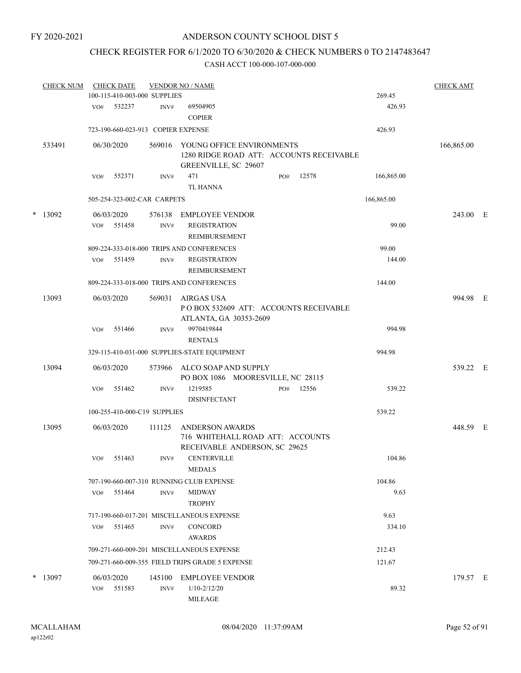## CHECK REGISTER FOR 6/1/2020 TO 6/30/2020 & CHECK NUMBERS 0 TO 2147483647

|        | <b>CHECK NUM</b> |     | <b>CHECK DATE</b><br>100-115-410-003-000 SUPPLIES |                | <b>VENDOR NO / NAME</b>                                                                       |     |       | 269.45     | <b>CHECK AMT</b> |  |
|--------|------------------|-----|---------------------------------------------------|----------------|-----------------------------------------------------------------------------------------------|-----|-------|------------|------------------|--|
|        |                  |     |                                                   |                |                                                                                               |     |       |            |                  |  |
|        |                  | VO# | 532237                                            | INV#           | 69504905<br><b>COPIER</b>                                                                     |     |       | 426.93     |                  |  |
|        |                  |     | 723-190-660-023-913 COPIER EXPENSE                |                |                                                                                               |     |       | 426.93     |                  |  |
|        | 533491           |     | 06/30/2020                                        | 569016         | YOUNG OFFICE ENVIRONMENTS<br>1280 RIDGE ROAD ATT: ACCOUNTS RECEIVABLE<br>GREENVILLE, SC 29607 |     |       |            | 166,865.00       |  |
|        |                  | VO# | 552371                                            | INV#           | 471<br><b>TL HANNA</b>                                                                        | PO# | 12578 | 166,865.00 |                  |  |
|        |                  |     | 505-254-323-002-CAR CARPETS                       |                |                                                                                               |     |       | 166,865.00 |                  |  |
| $\ast$ | 13092            |     | 06/03/2020                                        | 576138         | <b>EMPLOYEE VENDOR</b>                                                                        |     |       |            | 243.00 E         |  |
|        |                  | VO# | 551458                                            | INV#           | <b>REGISTRATION</b><br>REIMBURSEMENT                                                          |     |       | 99.00      |                  |  |
|        |                  |     |                                                   |                | 809-224-333-018-000 TRIPS AND CONFERENCES                                                     |     |       | 99.00      |                  |  |
|        |                  | VO# | 551459                                            | INV#           | <b>REGISTRATION</b><br><b>REIMBURSEMENT</b>                                                   |     |       | 144.00     |                  |  |
|        |                  |     |                                                   |                | 809-224-333-018-000 TRIPS AND CONFERENCES                                                     |     |       | 144.00     |                  |  |
|        | 13093            |     | 06/03/2020                                        | 569031         | <b>AIRGAS USA</b><br>POBOX 532609 ATT: ACCOUNTS RECEIVABLE<br>ATLANTA, GA 30353-2609          |     |       |            | 994.98 E         |  |
|        |                  | VO# | 551466                                            | INV#           | 9970419844<br><b>RENTALS</b>                                                                  |     |       | 994.98     |                  |  |
|        |                  |     |                                                   |                | 329-115-410-031-000 SUPPLIES-STATE EQUIPMENT                                                  |     |       | 994.98     |                  |  |
|        | 13094            |     | 06/03/2020                                        | 573966         | ALCO SOAP AND SUPPLY<br>PO BOX 1086 MOORESVILLE, NC 28115                                     |     |       |            | 539.22 E         |  |
|        |                  | VO# | 551462                                            | INV#           | 1219585<br><b>DISINFECTANT</b>                                                                | PO# | 12556 | 539.22     |                  |  |
|        |                  |     | 100-255-410-000-C19 SUPPLIES                      |                |                                                                                               |     |       | 539.22     |                  |  |
|        | 13095            |     | 06/03/2020                                        | 111125         | <b>ANDERSON AWARDS</b><br>716 WHITEHALL ROAD ATT: ACCOUNTS<br>RECEIVABLE ANDERSON, SC 29625   |     |       |            | 448.59 E         |  |
|        |                  | VO# | 551463                                            | INV#           | <b>CENTERVILLE</b><br><b>MEDALS</b>                                                           |     |       | 104.86     |                  |  |
|        |                  |     |                                                   |                | 707-190-660-007-310 RUNNING CLUB EXPENSE                                                      |     |       | 104.86     |                  |  |
|        |                  | VO# | 551464                                            | INV#           | <b>MIDWAY</b><br><b>TROPHY</b>                                                                |     |       | 9.63       |                  |  |
|        |                  |     |                                                   |                | 717-190-660-017-201 MISCELLANEOUS EXPENSE                                                     |     |       | 9.63       |                  |  |
|        |                  | VO# | 551465                                            | INV#           | <b>CONCORD</b><br><b>AWARDS</b>                                                               |     |       | 334.10     |                  |  |
|        |                  |     |                                                   |                | 709-271-660-009-201 MISCELLANEOUS EXPENSE                                                     |     |       | 212.43     |                  |  |
|        |                  |     |                                                   |                | 709-271-660-009-355 FIELD TRIPS GRADE 5 EXPENSE                                               |     |       | 121.67     |                  |  |
| *      | 13097            | VO# | 06/03/2020<br>551583                              | 145100<br>INV# | <b>EMPLOYEE VENDOR</b><br>$1/10 - 2/12/20$                                                    |     |       | 89.32      | 179.57 E         |  |
|        |                  |     |                                                   |                | MILEAGE                                                                                       |     |       |            |                  |  |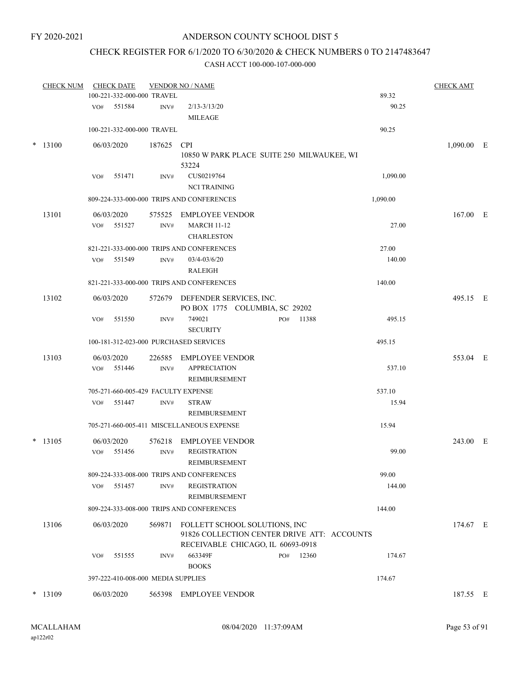## CHECK REGISTER FOR 6/1/2020 TO 6/30/2020 & CHECK NUMBERS 0 TO 2147483647

| <b>CHECK NUM</b> |     | <b>CHECK DATE</b> |                                    | <b>VENDOR NO / NAME</b>                                                                                           |     |       |          | <b>CHECK AMT</b> |  |
|------------------|-----|-------------------|------------------------------------|-------------------------------------------------------------------------------------------------------------------|-----|-------|----------|------------------|--|
|                  |     |                   | 100-221-332-000-000 TRAVEL         |                                                                                                                   |     |       | 89.32    |                  |  |
|                  | VO# | 551584            | INV#                               | $2/13 - 3/13/20$<br><b>MILEAGE</b>                                                                                |     |       | 90.25    |                  |  |
|                  |     |                   | 100-221-332-000-000 TRAVEL         |                                                                                                                   |     |       | 90.25    |                  |  |
| $*$ 13100        |     | 06/03/2020        | 187625                             | <b>CPI</b><br>10850 W PARK PLACE SUITE 250 MILWAUKEE, WI<br>53224                                                 |     |       |          | $1,090.00$ E     |  |
|                  | VO# | 551471            | INV#                               | CUS0219764<br><b>NCI TRAINING</b>                                                                                 |     |       | 1,090.00 |                  |  |
|                  |     |                   |                                    | 809-224-333-000-000 TRIPS AND CONFERENCES                                                                         |     |       | 1,090.00 |                  |  |
| 13101            |     | 06/03/2020        | 575525                             | <b>EMPLOYEE VENDOR</b>                                                                                            |     |       |          | 167.00 E         |  |
|                  | VO# | 551527            | INV#                               | <b>MARCH 11-12</b><br><b>CHARLESTON</b>                                                                           |     |       | 27.00    |                  |  |
|                  |     |                   |                                    | 821-221-333-000-000 TRIPS AND CONFERENCES                                                                         |     |       | 27.00    |                  |  |
|                  | VO# | 551549            | INV#                               | $03/4 - 03/6/20$<br><b>RALEIGH</b>                                                                                |     |       | 140.00   |                  |  |
|                  |     |                   |                                    | 821-221-333-000-000 TRIPS AND CONFERENCES                                                                         |     |       | 140.00   |                  |  |
| 13102            |     | 06/03/2020        | 572679                             | DEFENDER SERVICES, INC.<br>PO BOX 1775 COLUMBIA, SC 29202                                                         |     |       |          | 495.15 E         |  |
|                  | VO# | 551550            | INV#                               | 749021<br><b>SECURITY</b>                                                                                         | PO# | 11388 | 495.15   |                  |  |
|                  |     |                   |                                    | 100-181-312-023-000 PURCHASED SERVICES                                                                            |     |       | 495.15   |                  |  |
| 13103            |     | 06/03/2020        | 226585                             | <b>EMPLOYEE VENDOR</b>                                                                                            |     |       |          | 553.04 E         |  |
|                  | VO# | 551446            | INV#                               | <b>APPRECIATION</b><br>REIMBURSEMENT                                                                              |     |       | 537.10   |                  |  |
|                  |     |                   |                                    | 705-271-660-005-429 FACULTY EXPENSE                                                                               |     |       | 537.10   |                  |  |
|                  | VO# | 551447            | INV#                               | <b>STRAW</b><br>REIMBURSEMENT                                                                                     |     |       | 15.94    |                  |  |
|                  |     |                   |                                    | 705-271-660-005-411 MISCELLANEOUS EXPENSE                                                                         |     |       | 15.94    |                  |  |
| $*$ 13105        |     | 06/03/2020        | 576218                             | <b>EMPLOYEE VENDOR</b>                                                                                            |     |       |          | 243.00 E         |  |
|                  |     | VO# 551456        | INV#                               | <b>REGISTRATION</b><br>REIMBURSEMENT                                                                              |     |       | 99.00    |                  |  |
|                  |     |                   |                                    | 809-224-333-008-000 TRIPS AND CONFERENCES                                                                         |     |       | 99.00    |                  |  |
|                  | VO# | 551457            | INV#                               | <b>REGISTRATION</b><br>REIMBURSEMENT                                                                              |     |       | 144.00   |                  |  |
|                  |     |                   |                                    | 809-224-333-008-000 TRIPS AND CONFERENCES                                                                         |     |       | 144.00   |                  |  |
| 13106            |     | 06/03/2020        | 569871                             | FOLLETT SCHOOL SOLUTIONS, INC<br>91826 COLLECTION CENTER DRIVE ATT: ACCOUNTS<br>RECEIVABLE CHICAGO, IL 60693-0918 |     |       |          | 174.67 E         |  |
|                  | VO# | 551555            | INV#                               | 663349F<br><b>BOOKS</b>                                                                                           | PO# | 12360 | 174.67   |                  |  |
|                  |     |                   | 397-222-410-008-000 MEDIA SUPPLIES |                                                                                                                   |     |       | 174.67   |                  |  |
| $*$ 13109        |     | 06/03/2020        |                                    | 565398 EMPLOYEE VENDOR                                                                                            |     |       |          | 187.55 E         |  |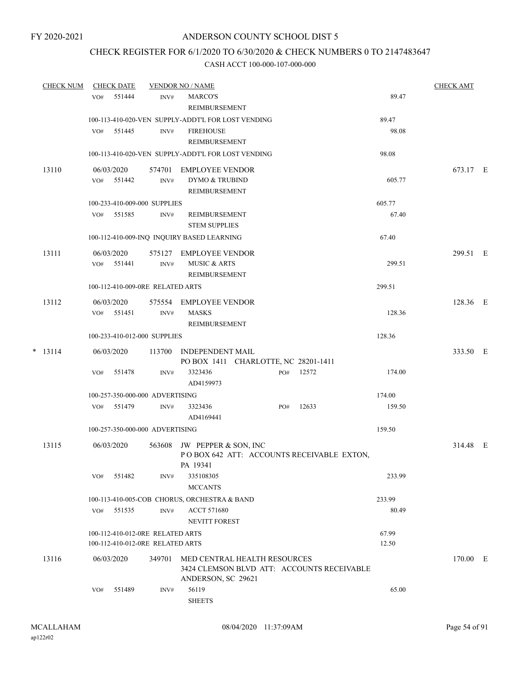## CHECK REGISTER FOR 6/1/2020 TO 6/30/2020 & CHECK NUMBERS 0 TO 2147483647

|  | <b>CHECK NUM</b> |     | <b>CHECK DATE</b> |                                                                      | <b>VENDOR NO / NAME</b>                                                                          |     |       |                | <b>CHECK AMT</b> |  |
|--|------------------|-----|-------------------|----------------------------------------------------------------------|--------------------------------------------------------------------------------------------------|-----|-------|----------------|------------------|--|
|  |                  | VO# | 551444            | INV#                                                                 | <b>MARCO'S</b><br><b>REIMBURSEMENT</b>                                                           |     |       | 89.47          |                  |  |
|  |                  |     |                   |                                                                      | 100-113-410-020-VEN SUPPLY-ADDT'L FOR LOST VENDING                                               |     |       | 89.47          |                  |  |
|  |                  | VO# | 551445            | INV#                                                                 | <b>FIREHOUSE</b><br><b>REIMBURSEMENT</b>                                                         |     |       | 98.08          |                  |  |
|  |                  |     |                   |                                                                      | 100-113-410-020-VEN SUPPLY-ADDT'L FOR LOST VENDING                                               |     |       | 98.08          |                  |  |
|  | 13110            |     | 06/03/2020        | 574701                                                               | EMPLOYEE VENDOR                                                                                  |     |       |                | 673.17 E         |  |
|  |                  |     | VO# 551442        | INV#                                                                 | DYMO & TRUBIND<br>REIMBURSEMENT                                                                  |     |       | 605.77         |                  |  |
|  |                  |     |                   | 100-233-410-009-000 SUPPLIES                                         |                                                                                                  |     |       | 605.77         |                  |  |
|  |                  | VO# | 551585            | INV#                                                                 | REIMBURSEMENT<br><b>STEM SUPPLIES</b>                                                            |     |       | 67.40          |                  |  |
|  |                  |     |                   |                                                                      | 100-112-410-009-INQ INQUIRY BASED LEARNING                                                       |     |       | 67.40          |                  |  |
|  | 13111            |     | 06/03/2020        | 575127                                                               | EMPLOYEE VENDOR                                                                                  |     |       |                | 299.51 E         |  |
|  |                  |     | VO# 551441        | INV#                                                                 | <b>MUSIC &amp; ARTS</b><br>REIMBURSEMENT                                                         |     |       | 299.51         |                  |  |
|  |                  |     |                   | 100-112-410-009-0RE RELATED ARTS                                     |                                                                                                  |     |       | 299.51         |                  |  |
|  | 13112            |     | 06/03/2020        |                                                                      | 575554 EMPLOYEE VENDOR                                                                           |     |       |                | 128.36 E         |  |
|  |                  |     | VO# 551451        | INV#                                                                 | <b>MASKS</b><br>REIMBURSEMENT                                                                    |     |       | 128.36         |                  |  |
|  |                  |     |                   | 100-233-410-012-000 SUPPLIES                                         |                                                                                                  |     |       | 128.36         |                  |  |
|  | $* 13114$        |     | 06/03/2020        |                                                                      | 113700 INDEPENDENT MAIL<br>PO BOX 1411 CHARLOTTE, NC 28201-1411                                  |     |       |                | 333.50 E         |  |
|  |                  | VO# | 551478            | INV#                                                                 | 3323436<br>AD4159973                                                                             | PO# | 12572 | 174.00         |                  |  |
|  |                  |     |                   | 100-257-350-000-000 ADVERTISING                                      |                                                                                                  |     |       | 174.00         |                  |  |
|  |                  | VO# | 551479            | INV#                                                                 | 3323436<br>AD4169441                                                                             | PO# | 12633 | 159.50         |                  |  |
|  |                  |     |                   | 100-257-350-000-000 ADVERTISING                                      |                                                                                                  |     |       | 159.50         |                  |  |
|  | 13115            |     | 06/03/2020        | 563608                                                               | JW PEPPER & SON, INC<br>POBOX 642 ATT: ACCOUNTS RECEIVABLE EXTON,<br>PA 19341                    |     |       |                | 314.48 E         |  |
|  |                  | VO# | 551482            | INV#                                                                 | 335108305<br><b>MCCANTS</b>                                                                      |     |       | 233.99         |                  |  |
|  |                  |     |                   |                                                                      | 100-113-410-005-COB CHORUS, ORCHESTRA & BAND                                                     |     |       | 233.99         |                  |  |
|  |                  | VO# | 551535            | INV#                                                                 | <b>ACCT 571680</b><br><b>NEVITT FOREST</b>                                                       |     |       | 80.49          |                  |  |
|  |                  |     |                   | 100-112-410-012-0RE RELATED ARTS<br>100-112-410-012-0RE RELATED ARTS |                                                                                                  |     |       | 67.99<br>12.50 |                  |  |
|  | 13116            |     | 06/03/2020        | 349701                                                               | MED CENTRAL HEALTH RESOURCES<br>3424 CLEMSON BLVD ATT: ACCOUNTS RECEIVABLE<br>ANDERSON, SC 29621 |     |       |                | 170.00 E         |  |
|  |                  | VO# | 551489            | INV#                                                                 | 56119<br><b>SHEETS</b>                                                                           |     |       | 65.00          |                  |  |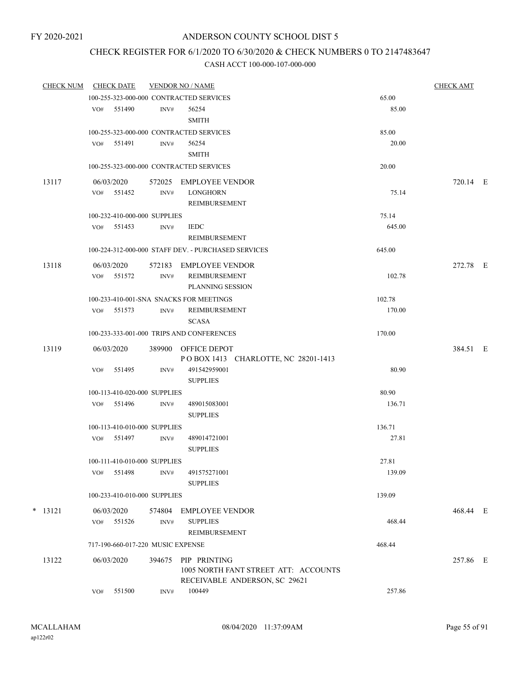## CHECK REGISTER FOR 6/1/2020 TO 6/30/2020 & CHECK NUMBERS 0 TO 2147483647

| <b>CHECK NUM</b> |            | <b>CHECK DATE</b> |                                   | <b>VENDOR NO / NAME</b>                                                               |        | <b>CHECK AMT</b> |  |
|------------------|------------|-------------------|-----------------------------------|---------------------------------------------------------------------------------------|--------|------------------|--|
|                  |            |                   |                                   | 100-255-323-000-000 CONTRACTED SERVICES                                               | 65.00  |                  |  |
|                  |            | VO# 551490        | INV#                              | 56254<br><b>SMITH</b>                                                                 | 85.00  |                  |  |
|                  |            |                   |                                   | 100-255-323-000-000 CONTRACTED SERVICES                                               | 85.00  |                  |  |
|                  |            | VO# 551491        | INV#                              | 56254<br><b>SMITH</b>                                                                 | 20.00  |                  |  |
|                  |            |                   |                                   | 100-255-323-000-000 CONTRACTED SERVICES                                               | 20.00  |                  |  |
| 13117            | 06/03/2020 |                   | 572025                            | EMPLOYEE VENDOR                                                                       |        | 720.14 E         |  |
|                  | VO#        | 551452            | INV#                              | <b>LONGHORN</b><br>REIMBURSEMENT                                                      | 75.14  |                  |  |
|                  |            |                   | 100-232-410-000-000 SUPPLIES      |                                                                                       | 75.14  |                  |  |
|                  |            | VO# 551453        | INV#                              | <b>IEDC</b><br>REIMBURSEMENT                                                          | 645.00 |                  |  |
|                  |            |                   |                                   | 100-224-312-000-000 STAFF DEV. - PURCHASED SERVICES                                   | 645.00 |                  |  |
| 13118            | 06/03/2020 |                   |                                   | 572183 EMPLOYEE VENDOR                                                                |        | 272.78 E         |  |
|                  |            | VO# 551572        | INV#                              | REIMBURSEMENT<br><b>PLANNING SESSION</b>                                              | 102.78 |                  |  |
|                  |            |                   |                                   | 100-233-410-001-SNA SNACKS FOR MEETINGS                                               | 102.78 |                  |  |
|                  |            | VO# 551573        | INV#                              | <b>REIMBURSEMENT</b><br><b>SCASA</b>                                                  | 170.00 |                  |  |
|                  |            |                   |                                   | 100-233-333-001-000 TRIPS AND CONFERENCES                                             | 170.00 |                  |  |
| 13119            | 06/03/2020 |                   |                                   | 389900 OFFICE DEPOT<br>POBOX 1413 CHARLOTTE, NC 28201-1413                            |        | 384.51 E         |  |
|                  | VO#        | 551495            | INV#                              | 491542959001<br><b>SUPPLIES</b>                                                       | 80.90  |                  |  |
|                  |            |                   | 100-113-410-020-000 SUPPLIES      |                                                                                       | 80.90  |                  |  |
|                  |            | VO# 551496        | INV#                              | 489015083001<br><b>SUPPLIES</b>                                                       | 136.71 |                  |  |
|                  |            |                   | 100-113-410-010-000 SUPPLIES      |                                                                                       | 136.71 |                  |  |
|                  |            | VO# 551497        | INV#                              | 489014721001<br><b>SUPPLIES</b>                                                       | 27.81  |                  |  |
|                  |            |                   | 100-111-410-010-000 SUPPLIES      |                                                                                       | 27.81  |                  |  |
|                  | VO#        | 551498            | INV#                              | 491575271001<br><b>SUPPLIES</b>                                                       | 139.09 |                  |  |
|                  |            |                   | 100-233-410-010-000 SUPPLIES      |                                                                                       | 139.09 |                  |  |
| $*$ 13121        | 06/03/2020 |                   | 574804                            | EMPLOYEE VENDOR                                                                       |        | 468.44 E         |  |
|                  |            | VO# 551526        | INV#                              | <b>SUPPLIES</b><br>REIMBURSEMENT                                                      | 468.44 |                  |  |
|                  |            |                   | 717-190-660-017-220 MUSIC EXPENSE |                                                                                       | 468.44 |                  |  |
| 13122            | 06/03/2020 |                   | 394675                            | PIP PRINTING<br>1005 NORTH FANT STREET ATT: ACCOUNTS<br>RECEIVABLE ANDERSON, SC 29621 |        | 257.86 E         |  |
|                  | VO#        | 551500            | INV#                              | 100449                                                                                | 257.86 |                  |  |
|                  |            |                   |                                   |                                                                                       |        |                  |  |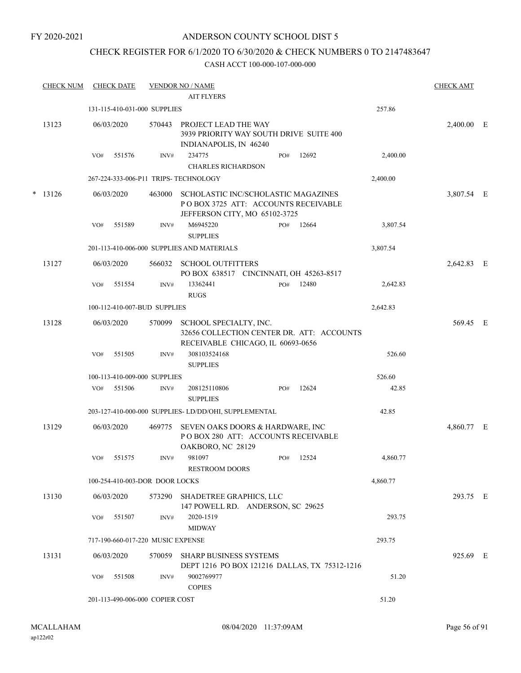#### FY 2020-2021

## ANDERSON COUNTY SCHOOL DIST 5

## CHECK REGISTER FOR 6/1/2020 TO 6/30/2020 & CHECK NUMBERS 0 TO 2147483647

| <b>CHECK NUM</b> |     | <b>CHECK DATE</b> |                                   | <b>VENDOR NO / NAME</b><br><b>AIT FLYERS</b>                                                                |     |       |          | <b>CHECK AMT</b> |  |
|------------------|-----|-------------------|-----------------------------------|-------------------------------------------------------------------------------------------------------------|-----|-------|----------|------------------|--|
|                  |     |                   | 131-115-410-031-000 SUPPLIES      |                                                                                                             |     |       | 257.86   |                  |  |
| 13123            |     | 06/03/2020        | 570443                            | PROJECT LEAD THE WAY<br>3939 PRIORITY WAY SOUTH DRIVE SUITE 400<br>INDIANAPOLIS, IN 46240                   |     |       |          | 2,400.00 E       |  |
|                  | VO# | 551576            | INV#                              | 234775<br><b>CHARLES RICHARDSON</b>                                                                         | PO# | 12692 | 2,400.00 |                  |  |
|                  |     |                   |                                   | 267-224-333-006-P11 TRIPS- TECHNOLOGY                                                                       |     |       | 2,400.00 |                  |  |
| $* 13126$        |     | 06/03/2020        | 463000                            | SCHOLASTIC INC/SCHOLASTIC MAGAZINES<br>POBOX 3725 ATT: ACCOUNTS RECEIVABLE<br>JEFFERSON CITY, MO 65102-3725 |     |       |          | 3,807.54 E       |  |
|                  | VO# | 551589            | INV#                              | M6945220<br><b>SUPPLIES</b>                                                                                 | PO# | 12664 | 3,807.54 |                  |  |
|                  |     |                   |                                   | 201-113-410-006-000 SUPPLIES AND MATERIALS                                                                  |     |       | 3,807.54 |                  |  |
| 13127            |     | 06/03/2020        | 566032                            | <b>SCHOOL OUTFITTERS</b><br>PO BOX 638517 CINCINNATI, OH 45263-8517                                         |     |       |          | 2,642.83 E       |  |
|                  | VO# | 551554            | INV#                              | 13362441<br><b>RUGS</b>                                                                                     | PO# | 12480 | 2,642.83 |                  |  |
|                  |     |                   | 100-112-410-007-BUD SUPPLIES      |                                                                                                             |     |       | 2,642.83 |                  |  |
| 13128            |     | 06/03/2020        | 570099                            | SCHOOL SPECIALTY, INC.<br>32656 COLLECTION CENTER DR. ATT: ACCOUNTS<br>RECEIVABLE CHICAGO, IL 60693-0656    |     |       |          | 569.45 E         |  |
|                  | VO# | 551505            | INV#                              | 308103524168<br><b>SUPPLIES</b>                                                                             |     |       | 526.60   |                  |  |
|                  |     |                   | 100-113-410-009-000 SUPPLIES      |                                                                                                             |     |       | 526.60   |                  |  |
|                  | VO# | 551506            | INV#                              | 208125110806<br><b>SUPPLIES</b>                                                                             | PO# | 12624 | 42.85    |                  |  |
|                  |     |                   |                                   | 203-127-410-000-000 SUPPLIES-LD/DD/OHI, SUPPLEMENTAL                                                        |     |       | 42.85    |                  |  |
| 13129            |     | 06/03/2020        | 469775                            | SEVEN OAKS DOORS & HARDWARE, INC<br>PO BOX 280 ATT: ACCOUNTS RECEIVABLE<br>OAKBORO, NC 28129                |     |       |          | 4,860.77 E       |  |
|                  | VO# | 551575            | INV#                              | 981097<br><b>RESTROOM DOORS</b>                                                                             | PO# | 12524 | 4.860.77 |                  |  |
|                  |     |                   | 100-254-410-003-DOR DOOR LOCKS    |                                                                                                             |     |       | 4,860.77 |                  |  |
| 13130            |     | 06/03/2020        | 573290                            | SHADETREE GRAPHICS, LLC<br>147 POWELL RD. ANDERSON, SC 29625                                                |     |       |          | 293.75 E         |  |
|                  | VO# | 551507            | INV#                              | 2020-1519<br><b>MIDWAY</b>                                                                                  |     |       | 293.75   |                  |  |
|                  |     |                   | 717-190-660-017-220 MUSIC EXPENSE |                                                                                                             |     |       | 293.75   |                  |  |
| 13131            |     | 06/03/2020        | 570059                            | <b>SHARP BUSINESS SYSTEMS</b><br>DEPT 1216 PO BOX 121216 DALLAS, TX 75312-1216                              |     |       |          | 925.69 E         |  |
|                  | VO# | 551508            | INV#                              | 9002769977<br><b>COPIES</b>                                                                                 |     |       | 51.20    |                  |  |
|                  |     |                   | 201-113-490-006-000 COPIER COST   |                                                                                                             |     |       | 51.20    |                  |  |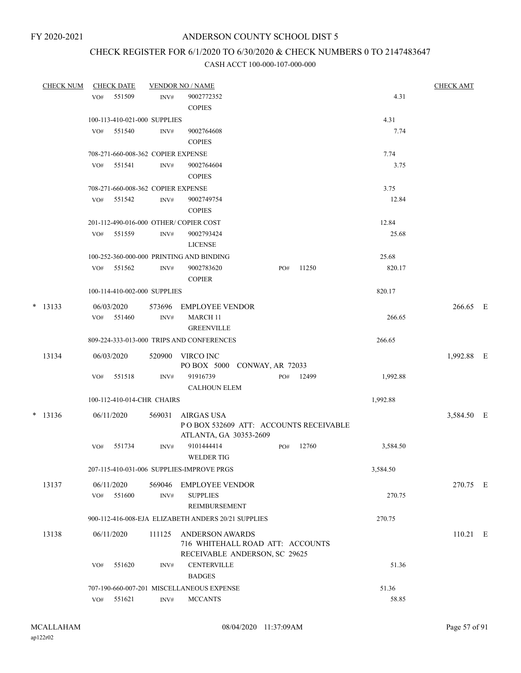# CHECK REGISTER FOR 6/1/2020 TO 6/30/2020 & CHECK NUMBERS 0 TO 2147483647

| <b>CHECK NUM</b> |     | <b>CHECK DATE</b>                  |                | <b>VENDOR NO / NAME</b>                                                                     |     |       |          | <b>CHECK AMT</b> |  |
|------------------|-----|------------------------------------|----------------|---------------------------------------------------------------------------------------------|-----|-------|----------|------------------|--|
|                  | VO# | 551509                             | INV#           | 9002772352<br><b>COPIES</b>                                                                 |     |       | 4.31     |                  |  |
|                  |     | 100-113-410-021-000 SUPPLIES       |                |                                                                                             |     |       | 4.31     |                  |  |
|                  | VO# | 551540                             | INV#           | 9002764608<br><b>COPIES</b>                                                                 |     |       | 7.74     |                  |  |
|                  |     | 708-271-660-008-362 COPIER EXPENSE |                |                                                                                             |     |       | 7.74     |                  |  |
|                  | VO# | 551541                             | INV#           | 9002764604<br><b>COPIES</b>                                                                 |     |       | 3.75     |                  |  |
|                  |     | 708-271-660-008-362 COPIER EXPENSE |                |                                                                                             |     |       | 3.75     |                  |  |
|                  |     | VO# 551542                         | INV#           | 9002749754<br><b>COPIES</b>                                                                 |     |       | 12.84    |                  |  |
|                  |     |                                    |                | 201-112-490-016-000 OTHER/COPIER COST                                                       |     |       | 12.84    |                  |  |
|                  |     | VO# 551559                         | INV#           | 9002793424<br><b>LICENSE</b>                                                                |     |       | 25.68    |                  |  |
|                  |     |                                    |                | 100-252-360-000-000 PRINTING AND BINDING                                                    |     |       | 25.68    |                  |  |
|                  |     | VO# 551562                         | INV#           | 9002783620<br><b>COPIER</b>                                                                 | PO# | 11250 | 820.17   |                  |  |
|                  |     | 100-114-410-002-000 SUPPLIES       |                |                                                                                             |     |       | 820.17   |                  |  |
| $*$ 13133        | VO# | 06/03/2020<br>551460               | 573696<br>INV# | EMPLOYEE VENDOR<br>MARCH 11                                                                 |     |       | 266.65   | 266.65 E         |  |
|                  |     |                                    |                | <b>GREENVILLE</b>                                                                           |     |       |          |                  |  |
|                  |     |                                    |                | 809-224-333-013-000 TRIPS AND CONFERENCES                                                   |     |       | 266.65   |                  |  |
| 13134            |     | 06/03/2020                         |                | 520900 VIRCO INC<br>PO BOX 5000 CONWAY, AR 72033                                            |     |       |          | 1,992.88 E       |  |
|                  | VO# | 551518                             | INV#           | 91916739<br><b>CALHOUN ELEM</b>                                                             | PO# | 12499 | 1,992.88 |                  |  |
|                  |     | 100-112-410-014-CHR CHAIRS         |                |                                                                                             |     |       | 1,992.88 |                  |  |
| $*$ 13136        |     | 06/11/2020                         | 569031         | AIRGAS USA<br>POBOX 532609 ATT: ACCOUNTS RECEIVABLE                                         |     |       |          | 3,584.50 E       |  |
|                  |     |                                    |                | ATLANTA, GA 30353-2609                                                                      |     |       |          |                  |  |
|                  | VO# | 551734                             | INV#           | 9101444414<br><b>WELDER TIG</b>                                                             | PO# | 12760 | 3,584.50 |                  |  |
|                  |     |                                    |                | 207-115-410-031-006 SUPPLIES-IMPROVE PRGS                                                   |     |       | 3,584.50 |                  |  |
| 13137            | VO# | 06/11/2020<br>551600               | 569046<br>INV# | <b>EMPLOYEE VENDOR</b><br><b>SUPPLIES</b><br>REIMBURSEMENT                                  |     |       | 270.75   | 270.75 E         |  |
|                  |     |                                    |                | 900-112-416-008-EJA ELIZABETH ANDERS 20/21 SUPPLIES                                         |     |       | 270.75   |                  |  |
| 13138            |     | 06/11/2020                         | 111125         | <b>ANDERSON AWARDS</b><br>716 WHITEHALL ROAD ATT: ACCOUNTS<br>RECEIVABLE ANDERSON, SC 29625 |     |       |          | $110.21$ E       |  |
|                  | VO# | 551620                             | INV#           | <b>CENTERVILLE</b><br><b>BADGES</b>                                                         |     |       | 51.36    |                  |  |
|                  |     |                                    |                | 707-190-660-007-201 MISCELLANEOUS EXPENSE                                                   |     |       | 51.36    |                  |  |
|                  | VO# | 551621                             | INV#           | <b>MCCANTS</b>                                                                              |     |       | 58.85    |                  |  |
|                  |     |                                    |                |                                                                                             |     |       |          |                  |  |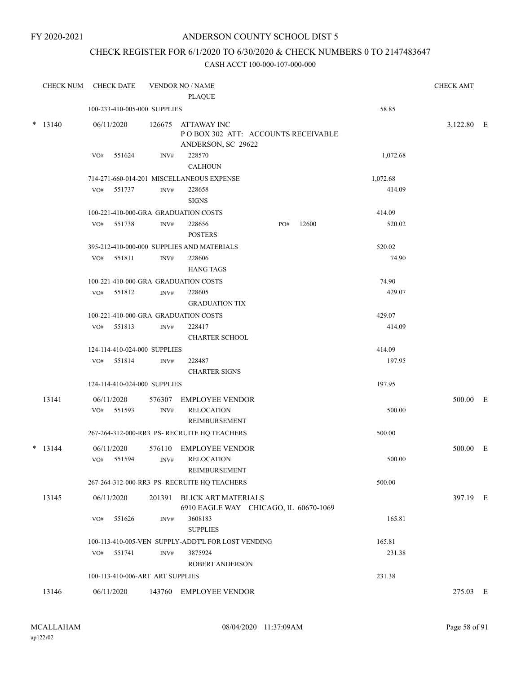FY 2020-2021

## ANDERSON COUNTY SCHOOL DIST 5

## CHECK REGISTER FOR 6/1/2020 TO 6/30/2020 & CHECK NUMBERS 0 TO 2147483647

| <b>CHECK NUM</b> | <b>CHECK DATE</b>                    |        | <b>VENDOR NO / NAME</b>                                                  |     |       |          | <b>CHECK AMT</b> |  |
|------------------|--------------------------------------|--------|--------------------------------------------------------------------------|-----|-------|----------|------------------|--|
|                  |                                      |        | <b>PLAQUE</b>                                                            |     |       |          |                  |  |
|                  | 100-233-410-005-000 SUPPLIES         |        |                                                                          |     |       | 58.85    |                  |  |
| $*$ 13140        | 06/11/2020                           | 126675 | ATTAWAY INC<br>PO BOX 302 ATT: ACCOUNTS RECEIVABLE<br>ANDERSON, SC 29622 |     |       |          | 3,122.80 E       |  |
|                  | VO#<br>551624                        | INV#   | 228570                                                                   |     |       | 1,072.68 |                  |  |
|                  |                                      |        | <b>CALHOUN</b>                                                           |     |       |          |                  |  |
|                  |                                      |        | 714-271-660-014-201 MISCELLANEOUS EXPENSE                                |     |       | 1,072.68 |                  |  |
|                  | 551737<br>VO#                        | INV#   | 228658                                                                   |     |       | 414.09   |                  |  |
|                  |                                      |        | <b>SIGNS</b>                                                             |     |       |          |                  |  |
|                  | 100-221-410-000-GRA GRADUATION COSTS |        |                                                                          |     |       | 414.09   |                  |  |
|                  | 551738<br>VO#                        | INV#   | 228656<br><b>POSTERS</b>                                                 | PO# | 12600 | 520.02   |                  |  |
|                  |                                      |        | 395-212-410-000-000 SUPPLIES AND MATERIALS                               |     |       | 520.02   |                  |  |
|                  | 551811<br>VO#                        | INV#   | 228606                                                                   |     |       | 74.90    |                  |  |
|                  |                                      |        | <b>HANG TAGS</b>                                                         |     |       |          |                  |  |
|                  | 100-221-410-000-GRA GRADUATION COSTS |        |                                                                          |     |       | 74.90    |                  |  |
|                  | 551812<br>VO#                        | INV#   | 228605                                                                   |     |       | 429.07   |                  |  |
|                  |                                      |        | <b>GRADUATION TIX</b>                                                    |     |       |          |                  |  |
|                  | 100-221-410-000-GRA GRADUATION COSTS |        |                                                                          |     |       | 429.07   |                  |  |
|                  | 551813<br>VO#                        | INV#   | 228417<br><b>CHARTER SCHOOL</b>                                          |     |       | 414.09   |                  |  |
|                  | 124-114-410-024-000 SUPPLIES         |        |                                                                          |     |       | 414.09   |                  |  |
|                  | VO# 551814                           | INV#   | 228487<br><b>CHARTER SIGNS</b>                                           |     |       | 197.95   |                  |  |
|                  | 124-114-410-024-000 SUPPLIES         |        |                                                                          |     |       | 197.95   |                  |  |
| 13141            | 06/11/2020                           | 576307 | <b>EMPLOYEE VENDOR</b>                                                   |     |       |          | 500.00 E         |  |
|                  | 551593<br>VO#                        | INV#   | <b>RELOCATION</b><br>REIMBURSEMENT                                       |     |       | 500.00   |                  |  |
|                  |                                      |        | 267-264-312-000-RR3 PS- RECRUITE HQ TEACHERS                             |     |       | 500.00   |                  |  |
| $*$ 13144        | 06/11/2020                           | 576110 | <b>EMPLOYEE VENDOR</b>                                                   |     |       |          | 500.00 E         |  |
|                  | 551594<br>VO#                        | INV#   | <b>RELOCATION</b>                                                        |     |       | 500.00   |                  |  |
|                  |                                      |        | <b>REIMBURSEMENT</b>                                                     |     |       |          |                  |  |
|                  |                                      |        | 267-264-312-000-RR3 PS- RECRUITE HQ TEACHERS                             |     |       | 500.00   |                  |  |
| 13145            | 06/11/2020                           |        | 201391 BLICK ART MATERIALS<br>6910 EAGLE WAY CHICAGO, IL 60670-1069      |     |       |          | 397.19 E         |  |
|                  | VO#<br>551626                        | INV#   | 3608183<br><b>SUPPLIES</b>                                               |     |       | 165.81   |                  |  |
|                  |                                      |        | 100-113-410-005-VEN SUPPLY-ADDT'L FOR LOST VENDING                       |     |       | 165.81   |                  |  |
|                  | 551741<br>VO#                        | INV#   | 3875924                                                                  |     |       | 231.38   |                  |  |
|                  |                                      |        | <b>ROBERT ANDERSON</b>                                                   |     |       |          |                  |  |
|                  | 100-113-410-006-ART ART SUPPLIES     |        |                                                                          |     |       | 231.38   |                  |  |
| 13146            | 06/11/2020                           |        | 143760 EMPLOYEE VENDOR                                                   |     |       |          | 275.03 E         |  |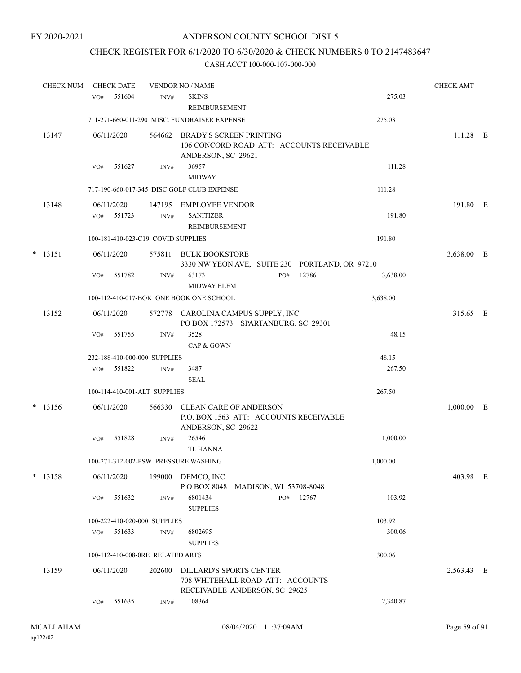## CHECK REGISTER FOR 6/1/2020 TO 6/30/2020 & CHECK NUMBERS 0 TO 2147483647

| <b>CHECK NUM</b> | <b>CHECK DATE</b>                    |                | <b>VENDOR NO / NAME</b>                                                                       |                        |       |          | <b>CHECK AMT</b> |   |
|------------------|--------------------------------------|----------------|-----------------------------------------------------------------------------------------------|------------------------|-------|----------|------------------|---|
|                  | 551604<br>VO#                        | INV#           | <b>SKINS</b><br>REIMBURSEMENT                                                                 |                        |       | 275.03   |                  |   |
|                  |                                      |                | 711-271-660-011-290 MISC. FUNDRAISER EXPENSE                                                  |                        |       | 275.03   |                  |   |
| 13147            | 06/11/2020                           | 564662         | BRADY'S SCREEN PRINTING<br>106 CONCORD ROAD ATT: ACCOUNTS RECEIVABLE<br>ANDERSON, SC 29621    |                        |       |          | 111.28 E         |   |
|                  | 551627<br>VO#                        | INV#           | 36957<br><b>MIDWAY</b>                                                                        |                        |       | 111.28   |                  |   |
|                  |                                      |                | 717-190-660-017-345 DISC GOLF CLUB EXPENSE                                                    |                        |       | 111.28   |                  |   |
| 13148            | 06/11/2020<br>551723<br>VO#          | 147195<br>INV# | EMPLOYEE VENDOR<br><b>SANITIZER</b><br>REIMBURSEMENT                                          |                        |       | 191.80   | 191.80 E         |   |
|                  | 100-181-410-023-C19 COVID SUPPLIES   |                |                                                                                               |                        |       | 191.80   |                  |   |
| $*$ 13151        | 06/11/2020                           | 575811         | BULK BOOKSTORE<br>3330 NW YEON AVE, SUITE 230 PORTLAND, OR 97210                              |                        |       |          | 3,638.00 E       |   |
|                  | 551782<br>VO#                        | INV#           | 63173<br><b>MIDWAY ELEM</b>                                                                   | PO#                    | 12786 | 3,638.00 |                  |   |
|                  |                                      |                | 100-112-410-017-BOK ONE BOOK ONE SCHOOL                                                       |                        |       | 3,638.00 |                  |   |
| 13152            | 06/11/2020                           |                | 572778 CAROLINA CAMPUS SUPPLY, INC<br>PO BOX 172573 SPARTANBURG, SC 29301                     |                        |       |          | 315.65 E         |   |
|                  | VO#<br>551755                        | INV#           | 3528<br>CAP & GOWN                                                                            |                        |       | 48.15    |                  |   |
|                  | 232-188-410-000-000 SUPPLIES         |                |                                                                                               |                        |       | 48.15    |                  |   |
|                  | 551822<br>VO#                        | INV#           | 3487<br><b>SEAL</b>                                                                           |                        |       | 267.50   |                  |   |
|                  | 100-114-410-001-ALT SUPPLIES         |                |                                                                                               |                        |       | 267.50   |                  |   |
| $*$ 13156        | 06/11/2020                           | 566330         | <b>CLEAN CARE OF ANDERSON</b><br>P.O. BOX 1563 ATT: ACCOUNTS RECEIVABLE<br>ANDERSON, SC 29622 |                        |       |          | 1,000.00         | E |
|                  | 551828<br>VO#                        | INV#           | 26546<br><b>TL HANNA</b>                                                                      |                        |       | 1,000.00 |                  |   |
|                  | 100-271-312-002-PSW PRESSURE WASHING |                |                                                                                               |                        |       | 1,000.00 |                  |   |
| $*$ 13158        | 06/11/2020                           | 199000         | DEMCO, INC<br>PO BOX 8048                                                                     | MADISON, WI 53708-8048 |       |          | 403.98 E         |   |
|                  | VO#<br>551632                        | INV#           | 6801434<br><b>SUPPLIES</b>                                                                    | PO#                    | 12767 | 103.92   |                  |   |
|                  | 100-222-410-020-000 SUPPLIES         |                |                                                                                               |                        |       | 103.92   |                  |   |
|                  | 551633<br>VO#                        | INV#           | 6802695<br><b>SUPPLIES</b>                                                                    |                        |       | 300.06   |                  |   |
|                  | 100-112-410-008-0RE RELATED ARTS     |                |                                                                                               |                        |       | 300.06   |                  |   |
| 13159            | 06/11/2020                           | 202600         | DILLARD'S SPORTS CENTER<br>708 WHITEHALL ROAD ATT: ACCOUNTS<br>RECEIVABLE ANDERSON, SC 29625  |                        |       |          | 2,563.43 E       |   |
|                  | 551635<br>VO#                        | INV#           | 108364                                                                                        |                        |       | 2,340.87 |                  |   |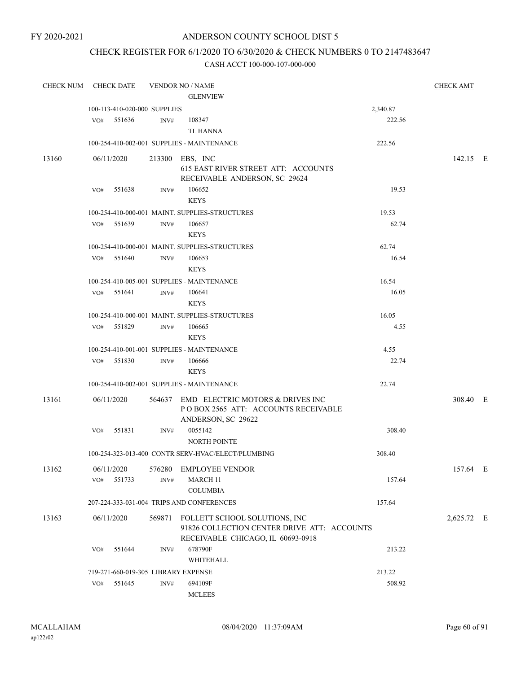#### FY 2020-2021

## ANDERSON COUNTY SCHOOL DIST 5

## CHECK REGISTER FOR 6/1/2020 TO 6/30/2020 & CHECK NUMBERS 0 TO 2147483647

| <b>CHECK NUM</b> | <b>CHECK DATE</b>                   |        | <b>VENDOR NO / NAME</b>                            |          | <b>CHECK AMT</b> |  |
|------------------|-------------------------------------|--------|----------------------------------------------------|----------|------------------|--|
|                  |                                     |        | <b>GLENVIEW</b>                                    |          |                  |  |
|                  | 100-113-410-020-000 SUPPLIES        |        |                                                    | 2,340.87 |                  |  |
|                  | 551636<br>VO#                       | INV#   | 108347                                             | 222.56   |                  |  |
|                  |                                     |        | <b>TL HANNA</b>                                    |          |                  |  |
|                  |                                     |        | 100-254-410-002-001 SUPPLIES - MAINTENANCE         | 222.56   |                  |  |
| 13160            | 06/11/2020                          |        | 213300 EBS, INC                                    |          | 142.15 E         |  |
|                  |                                     |        | 615 EAST RIVER STREET ATT: ACCOUNTS                |          |                  |  |
|                  |                                     |        | RECEIVABLE ANDERSON, SC 29624                      |          |                  |  |
|                  | 551638<br>VO#                       | INV#   | 106652                                             | 19.53    |                  |  |
|                  |                                     |        | <b>KEYS</b>                                        |          |                  |  |
|                  |                                     |        | 100-254-410-000-001 MAINT. SUPPLIES-STRUCTURES     | 19.53    |                  |  |
|                  | VO#<br>551639                       | INV#   | 106657                                             | 62.74    |                  |  |
|                  |                                     |        | <b>KEYS</b>                                        |          |                  |  |
|                  |                                     |        | 100-254-410-000-001 MAINT. SUPPLIES-STRUCTURES     | 62.74    |                  |  |
|                  | 551640<br>VO#                       | INV#   | 106653                                             | 16.54    |                  |  |
|                  |                                     |        | <b>KEYS</b>                                        |          |                  |  |
|                  |                                     |        | 100-254-410-005-001 SUPPLIES - MAINTENANCE         | 16.54    |                  |  |
|                  | VO# 551641                          | INV#   | 106641                                             | 16.05    |                  |  |
|                  |                                     |        | <b>KEYS</b>                                        |          |                  |  |
|                  |                                     |        | 100-254-410-000-001 MAINT, SUPPLIES-STRUCTURES     | 16.05    |                  |  |
|                  | 551829<br>VO#                       | INV#   | 106665                                             | 4.55     |                  |  |
|                  |                                     |        | <b>KEYS</b>                                        |          |                  |  |
|                  |                                     |        | 100-254-410-001-001 SUPPLIES - MAINTENANCE         | 4.55     |                  |  |
|                  | VO# 551830                          | INV#   | 106666                                             | 22.74    |                  |  |
|                  |                                     |        | <b>KEYS</b>                                        |          |                  |  |
|                  |                                     |        | 100-254-410-002-001 SUPPLIES - MAINTENANCE         | 22.74    |                  |  |
| 13161            | 06/11/2020                          |        | 564637 EMD ELECTRIC MOTORS & DRIVES INC            |          | 308.40 E         |  |
|                  |                                     |        | POBOX 2565 ATT: ACCOUNTS RECEIVABLE                |          |                  |  |
|                  |                                     |        | ANDERSON, SC 29622                                 |          |                  |  |
|                  | 551831<br>VO#                       | INV#   | 0055142                                            | 308.40   |                  |  |
|                  |                                     |        | <b>NORTH POINTE</b>                                |          |                  |  |
|                  |                                     |        | 100-254-323-013-400 CONTR SERV-HVAC/ELECT/PLUMBING | 308.40   |                  |  |
| 13162            | 06/11/2020                          | 576280 | <b>EMPLOYEE VENDOR</b>                             |          | 157.64 E         |  |
|                  | 551733<br>VO#                       | INV#   | <b>MARCH 11</b>                                    | 157.64   |                  |  |
|                  |                                     |        | <b>COLUMBIA</b>                                    |          |                  |  |
|                  |                                     |        | 207-224-333-031-004 TRIPS AND CONFERENCES          | 157.64   |                  |  |
| 13163            | 06/11/2020                          |        | 569871 FOLLETT SCHOOL SOLUTIONS, INC               |          | 2,625.72 E       |  |
|                  |                                     |        | 91826 COLLECTION CENTER DRIVE ATT: ACCOUNTS        |          |                  |  |
|                  |                                     |        | RECEIVABLE CHICAGO, IL 60693-0918                  |          |                  |  |
|                  | 551644<br>VO#                       | INV#   | 678790F                                            | 213.22   |                  |  |
|                  |                                     |        | WHITEHALL                                          |          |                  |  |
|                  | 719-271-660-019-305 LIBRARY EXPENSE |        |                                                    | 213.22   |                  |  |
|                  | 551645<br>VO#                       | INV#   | 694109F                                            | 508.92   |                  |  |
|                  |                                     |        | <b>MCLEES</b>                                      |          |                  |  |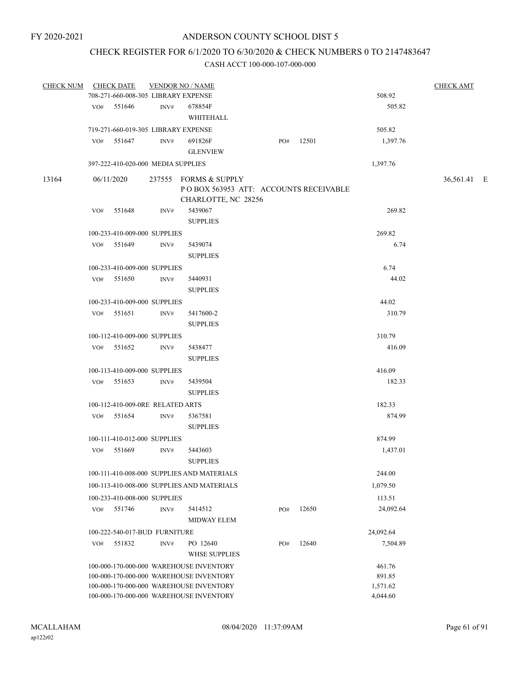## CHECK REGISTER FOR 6/1/2020 TO 6/30/2020 & CHECK NUMBERS 0 TO 2147483647

| <b>CHECK NUM</b> |     | <b>CHECK DATE</b>                   | <b>VENDOR NO / NAME</b> |                                            |     |     |       |           | <b>CHECK AMT</b> |  |
|------------------|-----|-------------------------------------|-------------------------|--------------------------------------------|-----|-----|-------|-----------|------------------|--|
|                  |     | 708-271-660-008-305 LIBRARY EXPENSE |                         |                                            |     |     |       | 508.92    |                  |  |
|                  |     | VO# 551646                          | INV#                    | 678854F                                    |     |     |       | 505.82    |                  |  |
|                  |     |                                     |                         | WHITEHALL                                  |     |     |       |           |                  |  |
|                  |     | 719-271-660-019-305 LIBRARY EXPENSE |                         |                                            |     |     |       | 505.82    |                  |  |
|                  | VO# | 551647                              | INV#                    | 691826F                                    |     | PO# | 12501 | 1,397.76  |                  |  |
|                  |     |                                     |                         | <b>GLENVIEW</b>                            |     |     |       |           |                  |  |
|                  |     | 397-222-410-020-000 MEDIA SUPPLIES  |                         |                                            |     |     |       | 1,397.76  |                  |  |
| 13164            |     | 06/11/2020                          |                         | 237555 FORMS & SUPPLY                      |     |     |       |           | 36,561.41 E      |  |
|                  |     |                                     |                         | PO BOX 563953 ATT: ACCOUNTS RECEIVABLE     |     |     |       |           |                  |  |
|                  |     |                                     |                         | CHARLOTTE, NC 28256                        |     |     |       |           |                  |  |
|                  |     | VO# 551648                          | INV#                    | 5439067                                    |     |     |       | 269.82    |                  |  |
|                  |     |                                     |                         | <b>SUPPLIES</b>                            |     |     |       |           |                  |  |
|                  |     | 100-233-410-009-000 SUPPLIES        |                         |                                            |     |     |       | 269.82    |                  |  |
|                  |     | VO# 551649                          | INV#                    | 5439074                                    |     |     |       | 6.74      |                  |  |
|                  |     |                                     |                         | <b>SUPPLIES</b>                            |     |     |       |           |                  |  |
|                  |     | 100-233-410-009-000 SUPPLIES        |                         |                                            |     |     |       | 6.74      |                  |  |
|                  |     | VO# 551650                          | INV#                    | 5440931                                    |     |     |       | 44.02     |                  |  |
|                  |     |                                     |                         | <b>SUPPLIES</b>                            |     |     |       |           |                  |  |
|                  |     | 100-233-410-009-000 SUPPLIES        |                         |                                            |     |     |       | 44.02     |                  |  |
|                  |     | VO# 551651                          | INV#                    | 5417600-2                                  |     |     |       | 310.79    |                  |  |
|                  |     |                                     |                         | <b>SUPPLIES</b>                            |     |     |       |           |                  |  |
|                  |     | 100-112-410-009-000 SUPPLIES        |                         |                                            |     |     |       | 310.79    |                  |  |
|                  |     |                                     |                         |                                            |     |     |       |           |                  |  |
|                  |     | VO# 551652                          | INV#                    | 5438477                                    |     |     |       | 416.09    |                  |  |
|                  |     |                                     |                         | <b>SUPPLIES</b>                            |     |     |       |           |                  |  |
|                  |     | 100-113-410-009-000 SUPPLIES        |                         |                                            |     |     |       | 416.09    |                  |  |
|                  |     | VO# 551653                          | INV#                    | 5439504                                    |     |     |       | 182.33    |                  |  |
|                  |     |                                     |                         | <b>SUPPLIES</b>                            |     |     |       |           |                  |  |
|                  |     | 100-112-410-009-0RE RELATED ARTS    |                         |                                            |     |     |       | 182.33    |                  |  |
|                  |     | VO# 551654                          | INV#                    | 5367581                                    |     |     |       | 874.99    |                  |  |
|                  |     |                                     |                         | <b>SUPPLIES</b>                            |     |     |       |           |                  |  |
|                  |     | 100-111-410-012-000 SUPPLIES        |                         |                                            |     |     |       | 874.99    |                  |  |
|                  |     | VO# 551669                          | INV#                    | 5443603                                    |     |     |       | 1,437.01  |                  |  |
|                  |     |                                     |                         | <b>SUPPLIES</b>                            |     |     |       |           |                  |  |
|                  |     |                                     |                         | 100-111-410-008-000 SUPPLIES AND MATERIALS |     |     |       | 244.00    |                  |  |
|                  |     |                                     |                         | 100-113-410-008-000 SUPPLIES AND MATERIALS |     |     |       | 1,079.50  |                  |  |
|                  |     | 100-233-410-008-000 SUPPLIES        |                         |                                            |     |     |       | 113.51    |                  |  |
|                  | VO# | 551746                              | INV#                    | 5414512                                    | PO# |     | 12650 | 24,092.64 |                  |  |
|                  |     |                                     |                         | <b>MIDWAY ELEM</b>                         |     |     |       |           |                  |  |
|                  |     | 100-222-540-017-BUD FURNITURE       |                         |                                            |     |     |       | 24,092.64 |                  |  |
|                  | VO# | 551832                              | INV#                    | PO 12640                                   | PO# |     | 12640 | 7,504.89  |                  |  |
|                  |     |                                     |                         | <b>WHSE SUPPLIES</b>                       |     |     |       |           |                  |  |
|                  |     |                                     |                         | 100-000-170-000-000 WAREHOUSE INVENTORY    |     |     |       | 461.76    |                  |  |
|                  |     |                                     |                         | 100-000-170-000-000 WAREHOUSE INVENTORY    |     |     |       | 891.85    |                  |  |
|                  |     |                                     |                         | 100-000-170-000-000 WAREHOUSE INVENTORY    |     |     |       | 1,571.62  |                  |  |
|                  |     |                                     |                         | 100-000-170-000-000 WAREHOUSE INVENTORY    |     |     |       | 4,044.60  |                  |  |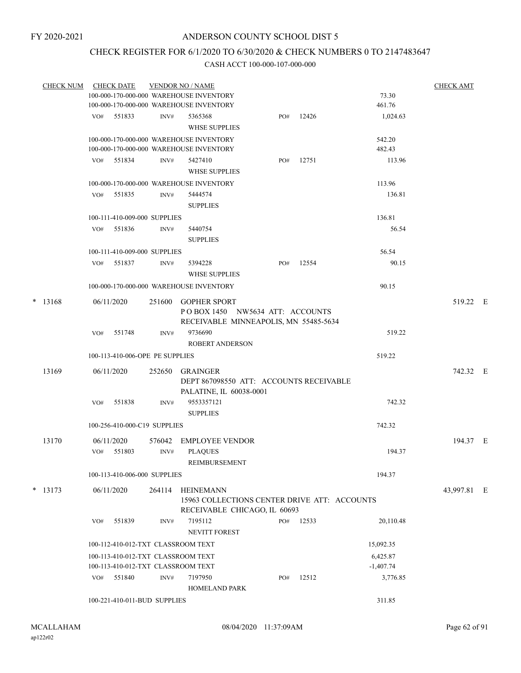## CHECK REGISTER FOR 6/1/2020 TO 6/30/2020 & CHECK NUMBERS 0 TO 2147483647

| <b>CHECK NUM</b> |     | <b>CHECK DATE</b>                                |        | <b>VENDOR NO / NAME</b>                            |     |       |                         | <b>CHECK AMT</b> |  |
|------------------|-----|--------------------------------------------------|--------|----------------------------------------------------|-----|-------|-------------------------|------------------|--|
|                  |     |                                                  |        | 100-000-170-000-000 WAREHOUSE INVENTORY            |     |       | 73.30                   |                  |  |
|                  |     |                                                  |        | 100-000-170-000-000 WAREHOUSE INVENTORY            |     |       | 461.76                  |                  |  |
|                  |     | VO# 551833                                       | INV#   | 5365368                                            | PO# | 12426 | 1,024.63                |                  |  |
|                  |     |                                                  |        | <b>WHSE SUPPLIES</b>                               |     |       |                         |                  |  |
|                  |     |                                                  |        | 100-000-170-000-000 WAREHOUSE INVENTORY            |     |       | 542.20                  |                  |  |
|                  |     |                                                  |        | 100-000-170-000-000 WAREHOUSE INVENTORY            |     |       | 482.43                  |                  |  |
|                  |     | VO# 551834                                       | INV#   | 5427410<br><b>WHSE SUPPLIES</b>                    | PO# | 12751 | 113.96                  |                  |  |
|                  |     |                                                  |        |                                                    |     |       | 113.96                  |                  |  |
|                  |     | VO# 551835                                       | INV#   | 100-000-170-000-000 WAREHOUSE INVENTORY<br>5444574 |     |       | 136.81                  |                  |  |
|                  |     |                                                  |        | <b>SUPPLIES</b>                                    |     |       |                         |                  |  |
|                  |     | 100-111-410-009-000 SUPPLIES                     |        |                                                    |     |       | 136.81                  |                  |  |
|                  |     | VO# 551836                                       | INV#   | 5440754                                            |     |       | 56.54                   |                  |  |
|                  |     |                                                  |        | <b>SUPPLIES</b>                                    |     |       |                         |                  |  |
|                  |     | 100-111-410-009-000 SUPPLIES                     |        |                                                    |     |       | 56.54                   |                  |  |
|                  | VO# | 551837                                           | INV#   | 5394228                                            | PO# | 12554 | 90.15                   |                  |  |
|                  |     |                                                  |        | <b>WHSE SUPPLIES</b>                               |     |       |                         |                  |  |
|                  |     |                                                  |        | 100-000-170-000-000 WAREHOUSE INVENTORY            |     |       | 90.15                   |                  |  |
| $*$ 13168        |     | 06/11/2020                                       |        | 251600 GOPHER SPORT                                |     |       |                         | 519.22 E         |  |
|                  |     |                                                  |        | POBOX 1450 NW5634 ATT: ACCOUNTS                    |     |       |                         |                  |  |
|                  |     |                                                  |        | RECEIVABLE MINNEAPOLIS, MN 55485-5634              |     |       |                         |                  |  |
|                  | VO# | 551748                                           | INV#   | 9736690                                            |     |       | 519.22                  |                  |  |
|                  |     |                                                  |        | <b>ROBERT ANDERSON</b>                             |     |       |                         |                  |  |
|                  |     | 100-113-410-006-OPE PE SUPPLIES                  |        |                                                    |     |       | 519.22                  |                  |  |
| 13169            |     | 06/11/2020                                       |        | 252650 GRAINGER                                    |     |       |                         | 742.32 E         |  |
|                  |     |                                                  |        | DEPT 867098550 ATT: ACCOUNTS RECEIVABLE            |     |       |                         |                  |  |
|                  |     |                                                  |        | PALATINE, IL 60038-0001                            |     |       |                         |                  |  |
|                  | VO# | 551838                                           | INV#   | 9553357121                                         |     |       | 742.32                  |                  |  |
|                  |     |                                                  |        | <b>SUPPLIES</b>                                    |     |       |                         |                  |  |
|                  |     | 100-256-410-000-C19 SUPPLIES                     |        |                                                    |     |       | 742.32                  |                  |  |
| 13170            |     | 06/11/2020                                       | 576042 | EMPLOYEE VENDOR                                    |     |       |                         | 194.37 E         |  |
|                  |     | VO# 551803                                       | INV#   | <b>PLAQUES</b>                                     |     |       | 194.37                  |                  |  |
|                  |     |                                                  |        | <b>REIMBURSEMENT</b>                               |     |       |                         |                  |  |
|                  |     | 100-113-410-006-000 SUPPLIES                     |        |                                                    |     |       | 194.37                  |                  |  |
| $*$ 13173        |     | 06/11/2020                                       | 264114 | <b>HEINEMANN</b>                                   |     |       |                         | 43,997.81 E      |  |
|                  |     |                                                  |        | 15963 COLLECTIONS CENTER DRIVE ATT: ACCOUNTS       |     |       |                         |                  |  |
|                  |     |                                                  |        | RECEIVABLE CHICAGO, IL 60693                       |     |       |                         |                  |  |
|                  | VO# | 551839                                           | INV#   | 7195112                                            | PO# | 12533 | 20,110.48               |                  |  |
|                  |     |                                                  |        | <b>NEVITT FOREST</b>                               |     |       |                         |                  |  |
|                  |     |                                                  |        | 100-112-410-012-TXT CLASSROOM TEXT                 |     |       | 15,092.35               |                  |  |
|                  |     | 100-113-410-012-TXT CLASSROOM TEXT               |        |                                                    |     |       | 6,425.87                |                  |  |
|                  |     | 100-113-410-012-TXT CLASSROOM TEXT<br>VO# 551840 | INV#   | 7197950                                            | PO# | 12512 | $-1,407.74$<br>3,776.85 |                  |  |
|                  |     |                                                  |        | <b>HOMELAND PARK</b>                               |     |       |                         |                  |  |
|                  |     | 100-221-410-011-BUD SUPPLIES                     |        |                                                    |     |       | 311.85                  |                  |  |
|                  |     |                                                  |        |                                                    |     |       |                         |                  |  |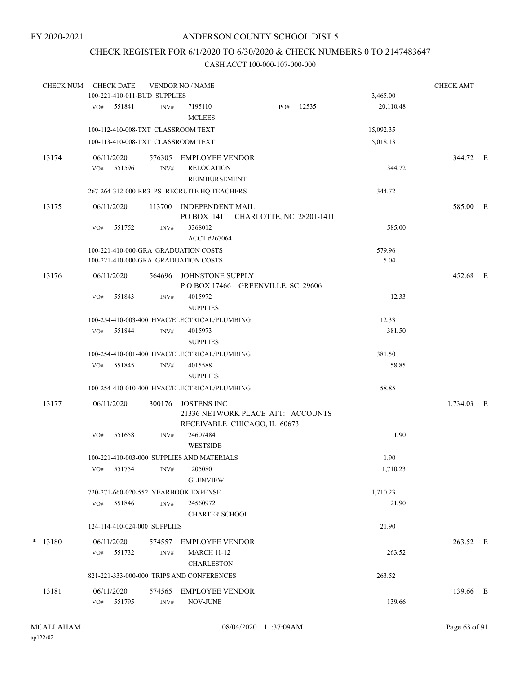## CHECK REGISTER FOR 6/1/2020 TO 6/30/2020 & CHECK NUMBERS 0 TO 2147483647

| <b>CHECK NUM</b> |     | <b>CHECK DATE</b>    | 100-221-410-011-BUD SUPPLIES | <b>VENDOR NO / NAME</b>                                                                 |     |       | 3,465.00  | <b>CHECK AMT</b> |  |
|------------------|-----|----------------------|------------------------------|-----------------------------------------------------------------------------------------|-----|-------|-----------|------------------|--|
|                  |     |                      |                              |                                                                                         |     |       |           |                  |  |
|                  | VO# | 551841               | INV#                         | 7195110<br><b>MCLEES</b>                                                                | PO# | 12535 | 20,110.48 |                  |  |
|                  |     |                      |                              | 100-112-410-008-TXT CLASSROOM TEXT                                                      |     |       | 15,092.35 |                  |  |
|                  |     |                      |                              | 100-113-410-008-TXT CLASSROOM TEXT                                                      |     |       | 5,018.13  |                  |  |
| 13174            | VO# | 06/11/2020<br>551596 | INV#                         | 576305 EMPLOYEE VENDOR<br><b>RELOCATION</b>                                             |     |       | 344.72    | 344.72 E         |  |
|                  |     |                      |                              | REIMBURSEMENT<br>267-264-312-000-RR3 PS- RECRUITE HQ TEACHERS                           |     |       | 344.72    |                  |  |
|                  |     |                      |                              |                                                                                         |     |       |           |                  |  |
| 13175            |     | 06/11/2020           | 113700                       | <b>INDEPENDENT MAIL</b><br>PO BOX 1411 CHARLOTTE, NC 28201-1411                         |     |       |           | 585.00 E         |  |
|                  | VO# | 551752               | INV#                         | 3368012<br>ACCT #267064                                                                 |     |       | 585.00    |                  |  |
|                  |     |                      |                              | 100-221-410-000-GRA GRADUATION COSTS                                                    |     |       | 579.96    |                  |  |
|                  |     |                      |                              | 100-221-410-000-GRA GRADUATION COSTS                                                    |     |       | 5.04      |                  |  |
| 13176            |     | 06/11/2020           | 564696                       | JOHNSTONE SUPPLY<br>POBOX 17466 GREENVILLE, SC 29606                                    |     |       |           | 452.68 E         |  |
|                  | VO# | 551843               | INV#                         | 4015972<br><b>SUPPLIES</b>                                                              |     |       | 12.33     |                  |  |
|                  |     |                      |                              | 100-254-410-003-400 HVAC/ELECTRICAL/PLUMBING                                            |     |       | 12.33     |                  |  |
|                  | VO# | 551844               | INV#                         | 4015973<br><b>SUPPLIES</b>                                                              |     |       | 381.50    |                  |  |
|                  |     |                      |                              | 100-254-410-001-400 HVAC/ELECTRICAL/PLUMBING                                            |     |       | 381.50    |                  |  |
|                  | VO# | 551845               | INV#                         | 4015588<br><b>SUPPLIES</b>                                                              |     |       | 58.85     |                  |  |
|                  |     |                      |                              | 100-254-410-010-400 HVAC/ELECTRICAL/PLUMBING                                            |     |       | 58.85     |                  |  |
|                  |     |                      |                              |                                                                                         |     |       |           |                  |  |
| 13177            |     | 06/11/2020           | 300176                       | <b>JOSTENS INC</b><br>21336 NETWORK PLACE ATT: ACCOUNTS<br>RECEIVABLE CHICAGO, IL 60673 |     |       |           | 1,734.03 E       |  |
|                  | VO# | 551658               | INV#                         | 24607484                                                                                |     |       | 1.90      |                  |  |
|                  |     |                      |                              | <b>WESTSIDE</b>                                                                         |     |       |           |                  |  |
|                  |     |                      |                              | 100-221-410-003-000 SUPPLIES AND MATERIALS                                              |     |       | 1.90      |                  |  |
|                  | VO# | 551754               | INV#                         | 1205080<br><b>GLENVIEW</b>                                                              |     |       | 1,710.23  |                  |  |
|                  |     |                      |                              | 720-271-660-020-552 YEARBOOK EXPENSE                                                    |     |       | 1,710.23  |                  |  |
|                  | VO# | 551846               | INV#                         | 24560972<br><b>CHARTER SCHOOL</b>                                                       |     |       | 21.90     |                  |  |
|                  |     |                      | 124-114-410-024-000 SUPPLIES |                                                                                         |     |       | 21.90     |                  |  |
| $*$ 13180        |     | 06/11/2020           | 574557                       | <b>EMPLOYEE VENDOR</b>                                                                  |     |       |           | 263.52 E         |  |
|                  |     | VO# 551732           | INV#                         | <b>MARCH 11-12</b><br><b>CHARLESTON</b>                                                 |     |       | 263.52    |                  |  |
|                  |     |                      |                              | 821-221-333-000-000 TRIPS AND CONFERENCES                                               |     |       | 263.52    |                  |  |
| 13181            |     | 06/11/2020           | 574565                       | EMPLOYEE VENDOR                                                                         |     |       |           | 139.66 E         |  |
|                  | VO# | 551795               | INV#                         | NOV-JUNE                                                                                |     |       | 139.66    |                  |  |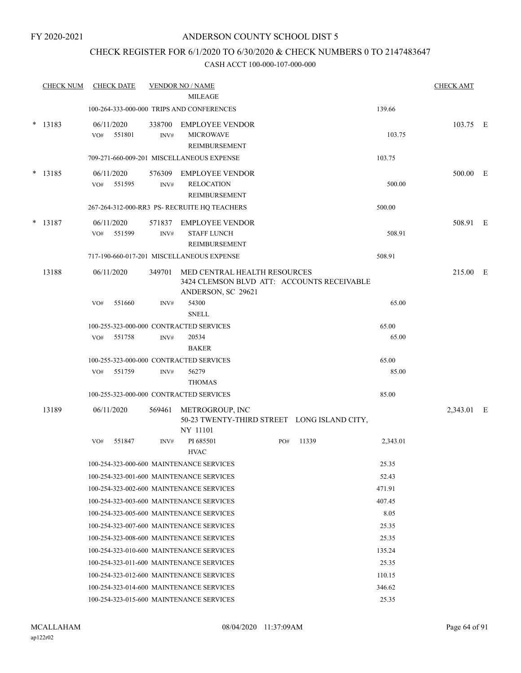## CHECK REGISTER FOR 6/1/2020 TO 6/30/2020 & CHECK NUMBERS 0 TO 2147483647

|        | <b>CHECK NUM</b> | <b>CHECK DATE</b>                                        |                | <b>VENDOR NO / NAME</b><br><b>MILEAGE</b>                                  |     |       |                | <b>CHECK AMT</b> |  |
|--------|------------------|----------------------------------------------------------|----------------|----------------------------------------------------------------------------|-----|-------|----------------|------------------|--|
|        |                  |                                                          |                | 100-264-333-000-000 TRIPS AND CONFERENCES                                  |     |       | 139.66         |                  |  |
| *      |                  |                                                          |                |                                                                            |     |       |                |                  |  |
|        | 13183            | 06/11/2020<br>551801<br>VO#                              | 338700<br>INV# | <b>EMPLOYEE VENDOR</b><br><b>MICROWAVE</b>                                 |     |       | 103.75         | 103.75 E         |  |
|        |                  |                                                          |                | REIMBURSEMENT                                                              |     |       |                |                  |  |
|        |                  |                                                          |                | 709-271-660-009-201 MISCELLANEOUS EXPENSE                                  |     |       | 103.75         |                  |  |
|        | $*$ 13185        | 06/11/2020                                               | 576309         | <b>EMPLOYEE VENDOR</b>                                                     |     |       |                | 500.00 E         |  |
|        |                  | 551595<br>VO#                                            | INV#           | <b>RELOCATION</b>                                                          |     |       | 500.00         |                  |  |
|        |                  |                                                          |                | REIMBURSEMENT                                                              |     |       |                |                  |  |
|        |                  |                                                          |                | 267-264-312-000-RR3 PS-RECRUITE HQ TEACHERS                                |     |       | 500.00         |                  |  |
| $\ast$ | 13187            | 06/11/2020                                               | 571837         | EMPLOYEE VENDOR                                                            |     |       |                | 508.91 E         |  |
|        |                  | 551599<br>VO#                                            | INV#           | <b>STAFF LUNCH</b>                                                         |     |       | 508.91         |                  |  |
|        |                  |                                                          |                | REIMBURSEMENT                                                              |     |       |                |                  |  |
|        |                  |                                                          |                | 717-190-660-017-201 MISCELLANEOUS EXPENSE                                  |     |       | 508.91         |                  |  |
|        | 13188            | 06/11/2020                                               | 349701         | MED CENTRAL HEALTH RESOURCES<br>3424 CLEMSON BLVD ATT: ACCOUNTS RECEIVABLE |     |       |                | 215.00 E         |  |
|        |                  |                                                          |                | ANDERSON, SC 29621                                                         |     |       |                |                  |  |
|        |                  | 551660<br>VO#                                            | INV#           | 54300                                                                      |     |       | 65.00          |                  |  |
|        |                  |                                                          |                | <b>SNELL</b>                                                               |     |       |                |                  |  |
|        |                  | 100-255-323-000-000 CONTRACTED SERVICES                  |                |                                                                            |     |       | 65.00          |                  |  |
|        |                  | 551758<br>VO#                                            | INV#           | 20534                                                                      |     |       | 65.00          |                  |  |
|        |                  |                                                          |                | <b>BAKER</b>                                                               |     |       |                |                  |  |
|        |                  | 100-255-323-000-000 CONTRACTED SERVICES<br>551759<br>VO# | INV#           | 56279                                                                      |     |       | 65.00<br>85.00 |                  |  |
|        |                  |                                                          |                | <b>THOMAS</b>                                                              |     |       |                |                  |  |
|        |                  | 100-255-323-000-000 CONTRACTED SERVICES                  |                |                                                                            |     |       | 85.00          |                  |  |
|        | 13189            | 06/11/2020                                               | 569461         | METROGROUP, INC                                                            |     |       |                | 2,343.01 E       |  |
|        |                  |                                                          |                | 50-23 TWENTY-THIRD STREET LONG ISLAND CITY,                                |     |       |                |                  |  |
|        |                  |                                                          |                | NY 11101                                                                   |     |       |                |                  |  |
|        |                  | 551847<br>VO#                                            | INV#           | PI 685501                                                                  | PO# | 11339 | 2,343.01       |                  |  |
|        |                  | 100-254-323-000-600 MAINTENANCE SERVICES                 |                | <b>HVAC</b>                                                                |     |       | 25.35          |                  |  |
|        |                  | 100-254-323-001-600 MAINTENANCE SERVICES                 |                |                                                                            |     |       | 52.43          |                  |  |
|        |                  | 100-254-323-002-600 MAINTENANCE SERVICES                 |                |                                                                            |     |       | 471.91         |                  |  |
|        |                  | 100-254-323-003-600 MAINTENANCE SERVICES                 |                |                                                                            |     |       | 407.45         |                  |  |
|        |                  | 100-254-323-005-600 MAINTENANCE SERVICES                 |                |                                                                            |     |       | 8.05           |                  |  |
|        |                  | 100-254-323-007-600 MAINTENANCE SERVICES                 |                |                                                                            |     |       | 25.35          |                  |  |
|        |                  | 100-254-323-008-600 MAINTENANCE SERVICES                 |                |                                                                            |     |       | 25.35          |                  |  |
|        |                  | 100-254-323-010-600 MAINTENANCE SERVICES                 |                |                                                                            |     |       | 135.24         |                  |  |
|        |                  | 100-254-323-011-600 MAINTENANCE SERVICES                 |                |                                                                            |     |       | 25.35          |                  |  |
|        |                  | 100-254-323-012-600 MAINTENANCE SERVICES                 |                |                                                                            |     |       | 110.15         |                  |  |
|        |                  | 100-254-323-014-600 MAINTENANCE SERVICES                 |                |                                                                            |     |       | 346.62         |                  |  |
|        |                  | 100-254-323-015-600 MAINTENANCE SERVICES                 |                |                                                                            |     |       | 25.35          |                  |  |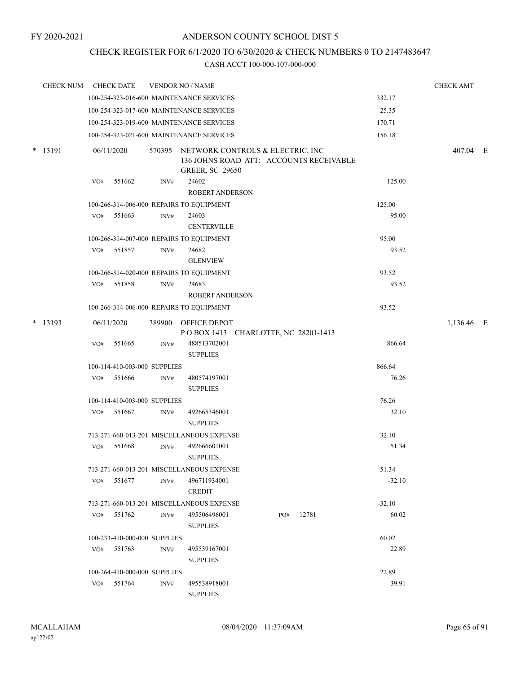## CHECK REGISTER FOR 6/1/2020 TO 6/30/2020 & CHECK NUMBERS 0 TO 2147483647

| <b>CHECK NUM</b> |     | <b>CHECK DATE</b>            |      | <b>VENDOR NO / NAME</b>                                                                                      |     |       |          | <b>CHECK AMT</b> |  |
|------------------|-----|------------------------------|------|--------------------------------------------------------------------------------------------------------------|-----|-------|----------|------------------|--|
|                  |     |                              |      | 100-254-323-016-600 MAINTENANCE SERVICES                                                                     |     |       | 332.17   |                  |  |
|                  |     |                              |      | 100-254-323-017-600 MAINTENANCE SERVICES                                                                     |     |       | 25.35    |                  |  |
|                  |     |                              |      | 100-254-323-019-600 MAINTENANCE SERVICES                                                                     |     |       | 170.71   |                  |  |
|                  |     |                              |      | 100-254-323-021-600 MAINTENANCE SERVICES                                                                     |     |       | 156.18   |                  |  |
| $*$ 13191        |     | 06/11/2020                   |      | 570395 NETWORK CONTROLS & ELECTRIC, INC<br>136 JOHNS ROAD ATT: ACCOUNTS RECEIVABLE<br><b>GREER, SC 29650</b> |     |       |          | 407.04 E         |  |
|                  | VO# | 551662                       | INV# | 24602<br><b>ROBERT ANDERSON</b>                                                                              |     |       | 125.00   |                  |  |
|                  |     |                              |      | 100-266-314-006-000 REPAIRS TO EQUIPMENT                                                                     |     |       | 125.00   |                  |  |
|                  | VO# | 551663                       | INV# | 24603<br><b>CENTERVILLE</b>                                                                                  |     |       | 95.00    |                  |  |
|                  |     |                              |      | 100-266-314-007-000 REPAIRS TO EQUIPMENT                                                                     |     |       | 95.00    |                  |  |
|                  |     | VO# 551857                   | INV# | 24682<br><b>GLENVIEW</b>                                                                                     |     |       | 93.52    |                  |  |
|                  |     |                              |      | 100-266-314-020-000 REPAIRS TO EQUIPMENT                                                                     |     |       | 93.52    |                  |  |
|                  | VO# | 551858                       | INV# | 24683<br>ROBERT ANDERSON                                                                                     |     |       | 93.52    |                  |  |
|                  |     |                              |      | 100-266-314-006-000 REPAIRS TO EQUIPMENT                                                                     |     |       | 93.52    |                  |  |
| $*$ 13193        |     | 06/11/2020                   |      | 389900 OFFICE DEPOT<br>POBOX 1413 CHARLOTTE, NC 28201-1413                                                   |     |       |          | 1,136.46 E       |  |
|                  | VO# | 551665                       | INV# | 488513702001<br><b>SUPPLIES</b>                                                                              |     |       | 866.64   |                  |  |
|                  |     | 100-114-410-003-000 SUPPLIES |      |                                                                                                              |     |       | 866.64   |                  |  |
|                  | VO# | 551666                       | INV# | 480574197001<br><b>SUPPLIES</b>                                                                              |     |       | 76.26    |                  |  |
|                  |     | 100-114-410-003-000 SUPPLIES |      |                                                                                                              |     |       | 76.26    |                  |  |
|                  | VO# | 551667                       | INV# | 492665346001<br><b>SUPPLIES</b>                                                                              |     |       | 32.10    |                  |  |
|                  |     |                              |      | 713-271-660-013-201 MISCELLANEOUS EXPENSE                                                                    |     |       | 32.10    |                  |  |
|                  | VO# | 551668                       | INV# | 492666601001<br><b>SUPPLIES</b>                                                                              |     |       | 51.34    |                  |  |
|                  |     |                              |      | 713-271-660-013-201 MISCELLANEOUS EXPENSE                                                                    |     |       | 51.34    |                  |  |
|                  | VO# | 551677                       | INV# | 496711934001<br><b>CREDIT</b>                                                                                |     |       | $-32.10$ |                  |  |
|                  |     |                              |      | 713-271-660-013-201 MISCELLANEOUS EXPENSE                                                                    |     |       | $-32.10$ |                  |  |
|                  | VO# | 551762                       | INV# | 495506496001<br><b>SUPPLIES</b>                                                                              | PO# | 12781 | 60.02    |                  |  |
|                  |     | 100-233-410-000-000 SUPPLIES |      |                                                                                                              |     |       | 60.02    |                  |  |
|                  |     | VO# 551763                   | INV# | 495539167001<br><b>SUPPLIES</b>                                                                              |     |       | 22.89    |                  |  |
|                  |     | 100-264-410-000-000 SUPPLIES |      |                                                                                                              |     |       | 22.89    |                  |  |
|                  |     | VO# 551764                   | INV# | 495538918001<br><b>SUPPLIES</b>                                                                              |     |       | 39.91    |                  |  |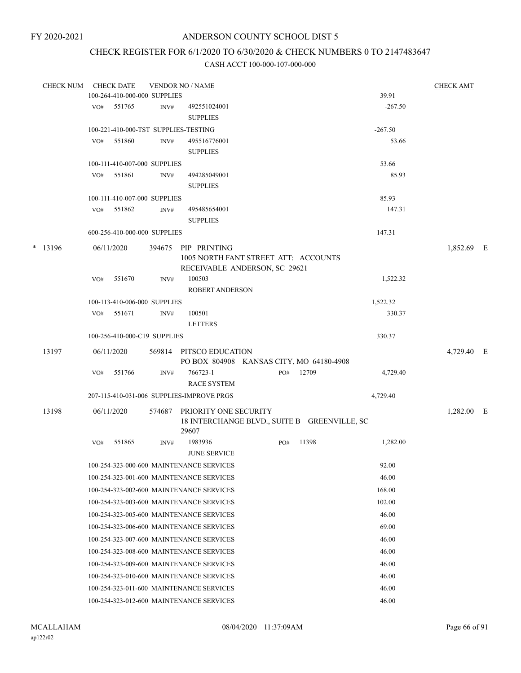## CHECK REGISTER FOR 6/1/2020 TO 6/30/2020 & CHECK NUMBERS 0 TO 2147483647

| <b>CHECK NUM</b> |     | <b>CHECK DATE</b>                    |        | <b>VENDOR NO / NAME</b>                                               |     |       |           | <b>CHECK AMT</b> |  |
|------------------|-----|--------------------------------------|--------|-----------------------------------------------------------------------|-----|-------|-----------|------------------|--|
|                  |     | 100-264-410-000-000 SUPPLIES         |        |                                                                       |     |       | 39.91     |                  |  |
|                  | VO# | 551765                               | INV#   | 492551024001<br><b>SUPPLIES</b>                                       |     |       | $-267.50$ |                  |  |
|                  |     | 100-221-410-000-TST SUPPLIES-TESTING |        |                                                                       |     |       | $-267.50$ |                  |  |
|                  | VO# | 551860                               | INV#   | 495516776001                                                          |     |       | 53.66     |                  |  |
|                  |     |                                      |        | <b>SUPPLIES</b>                                                       |     |       |           |                  |  |
|                  |     | 100-111-410-007-000 SUPPLIES         |        |                                                                       |     |       | 53.66     |                  |  |
|                  | VO# | 551861                               | INV#   | 494285049001                                                          |     |       | 85.93     |                  |  |
|                  |     |                                      |        | <b>SUPPLIES</b>                                                       |     |       |           |                  |  |
|                  |     | 100-111-410-007-000 SUPPLIES         |        |                                                                       |     |       | 85.93     |                  |  |
|                  | VO# | 551862                               | INV#   | 495485654001                                                          |     |       | 147.31    |                  |  |
|                  |     |                                      |        | <b>SUPPLIES</b>                                                       |     |       |           |                  |  |
|                  |     | 600-256-410-000-000 SUPPLIES         |        |                                                                       |     |       | 147.31    |                  |  |
| $*$ 13196        |     | 06/11/2020                           | 394675 | PIP PRINTING                                                          |     |       |           | 1,852.69 E       |  |
|                  |     |                                      |        | 1005 NORTH FANT STREET ATT: ACCOUNTS                                  |     |       |           |                  |  |
|                  |     |                                      |        | RECEIVABLE ANDERSON, SC 29621                                         |     |       |           |                  |  |
|                  | VO# | 551670                               | INV#   | 100503                                                                |     |       | 1,522.32  |                  |  |
|                  |     |                                      |        | <b>ROBERT ANDERSON</b>                                                |     |       |           |                  |  |
|                  |     | 100-113-410-006-000 SUPPLIES         |        |                                                                       |     |       | 1,522.32  |                  |  |
|                  | VO# | 551671                               | INV#   | 100501                                                                |     |       | 330.37    |                  |  |
|                  |     |                                      |        | <b>LETTERS</b>                                                        |     |       |           |                  |  |
|                  |     | 100-256-410-000-C19 SUPPLIES         |        |                                                                       |     |       | 330.37    |                  |  |
| 13197            |     | 06/11/2020                           |        | 569814 PITSCO EDUCATION                                               |     |       |           | 4,729.40 E       |  |
|                  |     |                                      |        | PO BOX 804908 KANSAS CITY, MO 64180-4908                              |     |       |           |                  |  |
|                  | VO# | 551766                               | INV#   | 766723-1<br><b>RACE SYSTEM</b>                                        | PO# | 12709 | 4,729.40  |                  |  |
|                  |     |                                      |        | 207-115-410-031-006 SUPPLIES-IMPROVE PRGS                             |     |       | 4,729.40  |                  |  |
|                  |     |                                      |        |                                                                       |     |       |           |                  |  |
| 13198            |     | 06/11/2020                           | 574687 | PRIORITY ONE SECURITY<br>18 INTERCHANGE BLVD., SUITE B GREENVILLE, SC |     |       |           | $1,282.00$ E     |  |
|                  |     |                                      |        | 29607                                                                 |     |       |           |                  |  |
|                  | VO# | 551865                               | INV#   | 1983936<br><b>JUNE SERVICE</b>                                        | PO# | 11398 | 1,282.00  |                  |  |
|                  |     |                                      |        | 100-254-323-000-600 MAINTENANCE SERVICES                              |     |       | 92.00     |                  |  |
|                  |     |                                      |        | 100-254-323-001-600 MAINTENANCE SERVICES                              |     |       | 46.00     |                  |  |
|                  |     |                                      |        | 100-254-323-002-600 MAINTENANCE SERVICES                              |     |       | 168.00    |                  |  |
|                  |     |                                      |        | 100-254-323-003-600 MAINTENANCE SERVICES                              |     |       | 102.00    |                  |  |
|                  |     |                                      |        | 100-254-323-005-600 MAINTENANCE SERVICES                              |     |       | 46.00     |                  |  |
|                  |     |                                      |        | 100-254-323-006-600 MAINTENANCE SERVICES                              |     |       | 69.00     |                  |  |
|                  |     |                                      |        | 100-254-323-007-600 MAINTENANCE SERVICES                              |     |       | 46.00     |                  |  |
|                  |     |                                      |        | 100-254-323-008-600 MAINTENANCE SERVICES                              |     |       | 46.00     |                  |  |
|                  |     |                                      |        | 100-254-323-009-600 MAINTENANCE SERVICES                              |     |       | 46.00     |                  |  |
|                  |     |                                      |        | 100-254-323-010-600 MAINTENANCE SERVICES                              |     |       | 46.00     |                  |  |
|                  |     |                                      |        | 100-254-323-011-600 MAINTENANCE SERVICES                              |     |       | 46.00     |                  |  |
|                  |     |                                      |        | 100-254-323-012-600 MAINTENANCE SERVICES                              |     |       | 46.00     |                  |  |
|                  |     |                                      |        |                                                                       |     |       |           |                  |  |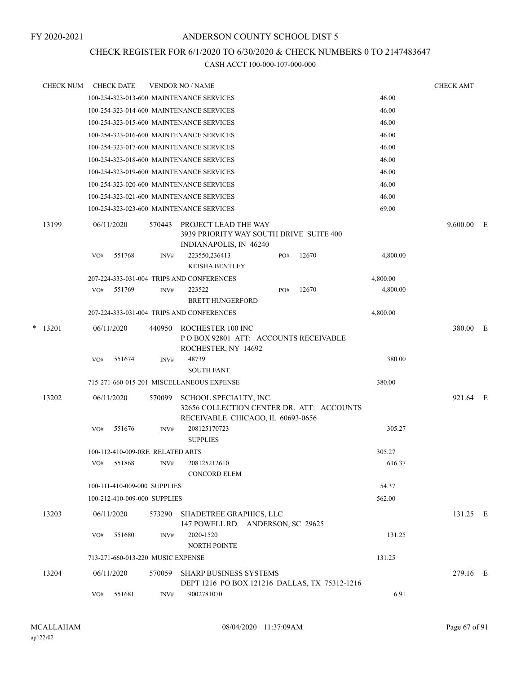## CHECK REGISTER FOR 6/1/2020 TO 6/30/2020 & CHECK NUMBERS 0 TO 2147483647

|   | <b>CHECK NUM</b> | <b>CHECK DATE</b> |                                   |        | <b>VENDOR NO / NAME</b>                                                                                  |     |       |          | <b>CHECK AMT</b> |   |
|---|------------------|-------------------|-----------------------------------|--------|----------------------------------------------------------------------------------------------------------|-----|-------|----------|------------------|---|
|   |                  |                   |                                   |        | 100-254-323-013-600 MAINTENANCE SERVICES                                                                 |     |       | 46.00    |                  |   |
|   |                  |                   |                                   |        | 100-254-323-014-600 MAINTENANCE SERVICES                                                                 |     |       | 46.00    |                  |   |
|   |                  |                   |                                   |        | 100-254-323-015-600 MAINTENANCE SERVICES                                                                 |     |       | 46.00    |                  |   |
|   |                  |                   |                                   |        | 100-254-323-016-600 MAINTENANCE SERVICES                                                                 |     |       | 46.00    |                  |   |
|   |                  |                   |                                   |        | 100-254-323-017-600 MAINTENANCE SERVICES                                                                 |     |       | 46.00    |                  |   |
|   |                  |                   |                                   |        | 100-254-323-018-600 MAINTENANCE SERVICES                                                                 |     |       | 46.00    |                  |   |
|   |                  |                   |                                   |        | 100-254-323-019-600 MAINTENANCE SERVICES                                                                 |     |       | 46.00    |                  |   |
|   |                  |                   |                                   |        | 100-254-323-020-600 MAINTENANCE SERVICES                                                                 |     |       | 46.00    |                  |   |
|   |                  |                   |                                   |        | 100-254-323-021-600 MAINTENANCE SERVICES                                                                 |     |       | 46.00    |                  |   |
|   |                  |                   |                                   |        | 100-254-323-023-600 MAINTENANCE SERVICES                                                                 |     |       | 69.00    |                  |   |
|   | 13199            | 06/11/2020        |                                   | 570443 | PROJECT LEAD THE WAY<br>3939 PRIORITY WAY SOUTH DRIVE SUITE 400<br>INDIANAPOLIS, IN 46240                |     |       |          | 9,600.00         | E |
|   |                  | VO#               | 551768                            | INV#   | 223550,236413<br><b>KEISHA BENTLEY</b>                                                                   | PO# | 12670 | 4,800.00 |                  |   |
|   |                  |                   |                                   |        | 207-224-333-031-004 TRIPS AND CONFERENCES                                                                |     |       | 4,800.00 |                  |   |
|   |                  | VO#               | 551769                            | INV#   | 223522                                                                                                   | PO# | 12670 | 4,800.00 |                  |   |
|   |                  |                   |                                   |        | <b>BRETT HUNGERFORD</b>                                                                                  |     |       |          |                  |   |
|   |                  |                   |                                   |        | 207-224-333-031-004 TRIPS AND CONFERENCES                                                                |     |       | 4,800.00 |                  |   |
| * | 13201            | 06/11/2020        |                                   | 440950 | ROCHESTER 100 INC<br>POBOX 92801 ATT: ACCOUNTS RECEIVABLE<br>ROCHESTER, NY 14692                         |     |       |          | 380.00 E         |   |
|   |                  | VO#               | 551674                            | INV#   | 48739<br><b>SOUTH FANT</b>                                                                               |     |       | 380.00   |                  |   |
|   |                  |                   |                                   |        | 715-271-660-015-201 MISCELLANEOUS EXPENSE                                                                |     |       | 380.00   |                  |   |
|   | 13202            | 06/11/2020        |                                   | 570099 | SCHOOL SPECIALTY, INC.<br>32656 COLLECTION CENTER DR. ATT: ACCOUNTS<br>RECEIVABLE CHICAGO, IL 60693-0656 |     |       |          | 921.64 E         |   |
|   |                  | VO#               | 551676                            | INV#   | 208125170723<br><b>SUPPLIES</b>                                                                          |     |       | 305.27   |                  |   |
|   |                  |                   | 100-112-410-009-0RE RELATED ARTS  |        |                                                                                                          |     |       | 305.27   |                  |   |
|   |                  | VO#               | 551868                            | INV#   | 208125212610<br><b>CONCORD ELEM</b>                                                                      |     |       | 616.37   |                  |   |
|   |                  |                   | 100-111-410-009-000 SUPPLIES      |        |                                                                                                          |     |       | 54.37    |                  |   |
|   |                  |                   | 100-212-410-009-000 SUPPLIES      |        |                                                                                                          |     |       | 562.00   |                  |   |
|   | 13203            | 06/11/2020        |                                   | 573290 | SHADETREE GRAPHICS, LLC<br>147 POWELL RD. ANDERSON, SC 29625                                             |     |       |          | 131.25 E         |   |
|   |                  | VO#               | 551680                            | INV#   | 2020-1520<br><b>NORTH POINTE</b>                                                                         |     |       | 131.25   |                  |   |
|   |                  |                   | 713-271-660-013-220 MUSIC EXPENSE |        |                                                                                                          |     |       | 131.25   |                  |   |
|   | 13204            | 06/11/2020        |                                   | 570059 | <b>SHARP BUSINESS SYSTEMS</b><br>DEPT 1216 PO BOX 121216 DALLAS, TX 75312-1216                           |     |       |          | 279.16 E         |   |
|   |                  | VO#               | 551681                            | INV#   | 9002781070                                                                                               |     |       | 6.91     |                  |   |
|   |                  |                   |                                   |        |                                                                                                          |     |       |          |                  |   |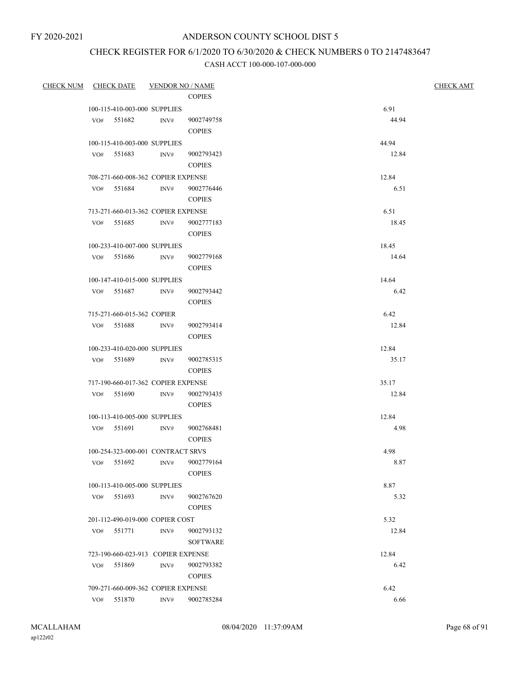## CHECK REGISTER FOR 6/1/2020 TO 6/30/2020 & CHECK NUMBERS 0 TO 2147483647

| <b>CHECK NUM</b> | CHECK DATE VENDOR NO / NAME        |      | <b>COPIES</b>                    | <b>CHECK AMT</b> |
|------------------|------------------------------------|------|----------------------------------|------------------|
|                  | 100-115-410-003-000 SUPPLIES       |      |                                  | 6.91             |
|                  | VO# 551682                         | INV# | 9002749758<br><b>COPIES</b>      | 44.94            |
|                  | 100-115-410-003-000 SUPPLIES       |      |                                  | 44.94            |
|                  | VO# 551683                         | INV# | 9002793423<br><b>COPIES</b>      | 12.84            |
|                  | 708-271-660-008-362 COPIER EXPENSE |      |                                  | 12.84            |
|                  | VO# 551684                         | INV# | 9002776446<br><b>COPIES</b>      | 6.51             |
|                  | 713-271-660-013-362 COPIER EXPENSE |      |                                  | 6.51             |
|                  | VO# 551685                         | INV# | 9002777183<br><b>COPIES</b>      | 18.45            |
|                  | 100-233-410-007-000 SUPPLIES       |      |                                  | 18.45            |
|                  | VO# 551686 INV#                    |      | 9002779168<br><b>COPIES</b>      | 14.64            |
|                  | 100-147-410-015-000 SUPPLIES       |      |                                  | 14.64            |
|                  | VO# 551687                         | INV# | 9002793442<br><b>COPIES</b>      | 6.42             |
|                  | 715-271-660-015-362 COPIER         |      |                                  | 6.42             |
|                  | VO# 551688                         | INV# | 9002793414<br><b>COPIES</b>      | 12.84            |
|                  | 100-233-410-020-000 SUPPLIES       |      |                                  | 12.84            |
|                  | VO# 551689 INV#                    |      | 9002785315<br><b>COPIES</b>      | 35.17            |
|                  | 717-190-660-017-362 COPIER EXPENSE |      |                                  | 35.17            |
|                  | VO# 551690                         | INV# | 9002793435<br><b>COPIES</b>      | 12.84            |
|                  | 100-113-410-005-000 SUPPLIES       |      |                                  | 12.84            |
|                  | VO# 551691                         | INV# | 9002768481<br><b>COPIES</b>      | 4.98             |
|                  | 100-254-323-000-001 CONTRACT SRVS  |      |                                  | 4.98             |
|                  | VO# 551692                         |      | INV# 9002779164<br><b>COPIES</b> | 8.87             |
|                  | 100-113-410-005-000 SUPPLIES       |      |                                  | 8.87             |
|                  | VO# 551693                         | INV# | 9002767620<br><b>COPIES</b>      | 5.32             |
|                  | 201-112-490-019-000 COPIER COST    |      |                                  | 5.32             |
|                  | 551771<br>VO#                      | INV# | 9002793132<br><b>SOFTWARE</b>    | 12.84            |
|                  | 723-190-660-023-913 COPIER EXPENSE |      |                                  | 12.84            |
|                  | 551869<br>VO#                      | INV# | 9002793382<br><b>COPIES</b>      | 6.42             |
|                  | 709-271-660-009-362 COPIER EXPENSE |      |                                  | 6.42             |
|                  | 551870<br>VO#                      | INV# | 9002785284                       | 6.66             |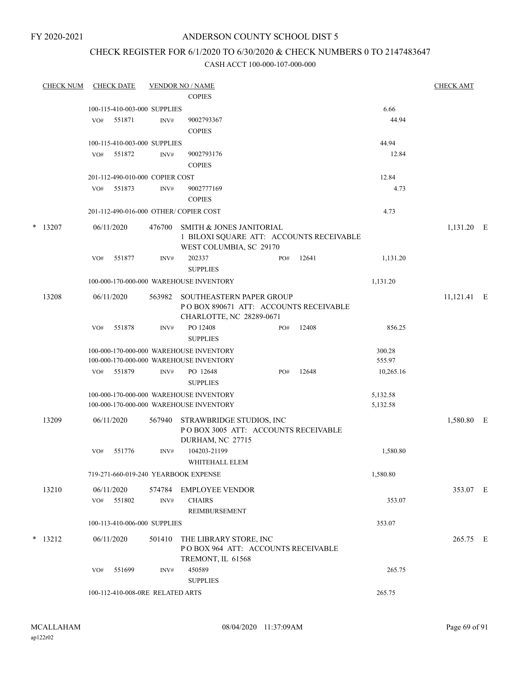FY 2020-2021

## ANDERSON COUNTY SCHOOL DIST 5

## CHECK REGISTER FOR 6/1/2020 TO 6/30/2020 & CHECK NUMBERS 0 TO 2147483647

|   | <b>CHECK NUM</b> |     | <b>CHECK DATE</b> |                                  | <b>VENDOR NO / NAME</b>                                                                         |     |       |                      | <b>CHECK AMT</b> |  |
|---|------------------|-----|-------------------|----------------------------------|-------------------------------------------------------------------------------------------------|-----|-------|----------------------|------------------|--|
|   |                  |     |                   |                                  | <b>COPIES</b>                                                                                   |     |       |                      |                  |  |
|   |                  |     |                   | 100-115-410-003-000 SUPPLIES     |                                                                                                 |     |       | 6.66                 |                  |  |
|   |                  | VO# | 551871            | INV#                             | 9002793367                                                                                      |     |       | 44.94                |                  |  |
|   |                  |     |                   |                                  | <b>COPIES</b>                                                                                   |     |       |                      |                  |  |
|   |                  |     |                   | 100-115-410-003-000 SUPPLIES     |                                                                                                 |     |       | 44.94                |                  |  |
|   |                  | VO# | 551872            | INV#                             | 9002793176                                                                                      |     |       | 12.84                |                  |  |
|   |                  |     |                   |                                  | <b>COPIES</b>                                                                                   |     |       |                      |                  |  |
|   |                  |     |                   | 201-112-490-010-000 COPIER COST  |                                                                                                 |     |       | 12.84                |                  |  |
|   |                  | VO# | 551873            | INV#                             | 9002777169                                                                                      |     |       | 4.73                 |                  |  |
|   |                  |     |                   |                                  | <b>COPIES</b>                                                                                   |     |       |                      |                  |  |
|   |                  |     |                   |                                  | 201-112-490-016-000 OTHER/COPIER COST                                                           |     |       | 4.73                 |                  |  |
| * | 13207            |     | 06/11/2020        | 476700                           | SMITH & JONES JANITORIAL<br>1 BILOXI SQUARE ATT: ACCOUNTS RECEIVABLE<br>WEST COLUMBIA, SC 29170 |     |       |                      | 1,131.20 E       |  |
|   |                  | VO# | 551877            | INV#                             | 202337<br><b>SUPPLIES</b>                                                                       | PO# | 12641 | 1,131.20             |                  |  |
|   |                  |     |                   |                                  | 100-000-170-000-000 WAREHOUSE INVENTORY                                                         |     |       | 1,131.20             |                  |  |
|   | 13208            |     | 06/11/2020        | 563982                           | SOUTHEASTERN PAPER GROUP<br>PO BOX 890671 ATT: ACCOUNTS RECEIVABLE<br>CHARLOTTE, NC 28289-0671  |     |       |                      | 11,121.41 E      |  |
|   |                  | VO# | 551878            | INV#                             | PO 12408<br><b>SUPPLIES</b>                                                                     | PO# | 12408 | 856.25               |                  |  |
|   |                  |     |                   |                                  | 100-000-170-000-000 WAREHOUSE INVENTORY<br>100-000-170-000-000 WAREHOUSE INVENTORY              |     |       | 300.28<br>555.97     |                  |  |
|   |                  | VO# | 551879            | INV#                             | PO 12648<br><b>SUPPLIES</b>                                                                     | PO# | 12648 | 10,265.16            |                  |  |
|   |                  |     |                   |                                  | 100-000-170-000-000 WAREHOUSE INVENTORY<br>100-000-170-000-000 WAREHOUSE INVENTORY              |     |       | 5,132.58<br>5,132.58 |                  |  |
|   | 13209            |     | 06/11/2020        | 567940                           | STRAWBRIDGE STUDIOS, INC.<br>POBOX 3005 ATT: ACCOUNTS RECEIVABLE<br>DURHAM, NC 27715            |     |       |                      | 1,580.80 E       |  |
|   |                  | VO# | 551776            | INV#                             | 104203-21199<br>WHITEHALL ELEM                                                                  |     |       | 1,580.80             |                  |  |
|   |                  |     |                   |                                  | 719-271-660-019-240 YEARBOOK EXPENSE                                                            |     |       | 1,580.80             |                  |  |
|   | 13210            |     | 06/11/2020        | 574784                           | EMPLOYEE VENDOR                                                                                 |     |       |                      | 353.07 E         |  |
|   |                  |     | VO# 551802        | $\text{INV}\#$                   | <b>CHAIRS</b><br>REIMBURSEMENT                                                                  |     |       | 353.07               |                  |  |
|   |                  |     |                   | 100-113-410-006-000 SUPPLIES     |                                                                                                 |     |       | 353.07               |                  |  |
|   | $*$ 13212        |     | 06/11/2020        | 501410                           | THE LIBRARY STORE, INC<br>POBOX 964 ATT: ACCOUNTS RECEIVABLE<br>TREMONT, IL 61568               |     |       |                      | 265.75 E         |  |
|   |                  | VO# | 551699            | INV#                             | 450589<br><b>SUPPLIES</b>                                                                       |     |       | 265.75               |                  |  |
|   |                  |     |                   | 100-112-410-008-0RE RELATED ARTS |                                                                                                 |     |       | 265.75               |                  |  |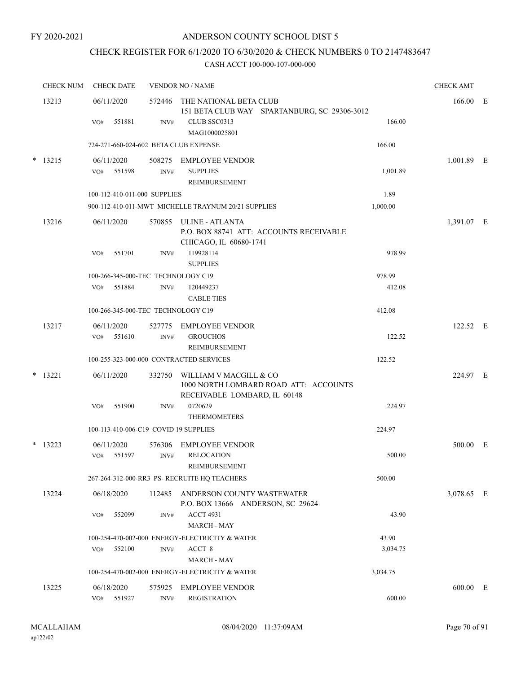## CHECK REGISTER FOR 6/1/2020 TO 6/30/2020 & CHECK NUMBERS 0 TO 2147483647

| <b>CHECK NUM</b> | <b>CHECK DATE</b> |                                       | <b>VENDOR NO / NAME</b>                                                                         |          | <b>CHECK AMT</b> |  |
|------------------|-------------------|---------------------------------------|-------------------------------------------------------------------------------------------------|----------|------------------|--|
| 13213            | 06/11/2020        |                                       | 572446 THE NATIONAL BETA CLUB<br>151 BETA CLUB WAY SPARTANBURG, SC 29306-3012                   |          | 166.00 E         |  |
|                  | VO#               | 551881<br>INV#                        | CLUB SSC0313<br>MAG1000025801                                                                   | 166.00   |                  |  |
|                  |                   | 724-271-660-024-602 BETA CLUB EXPENSE |                                                                                                 | 166.00   |                  |  |
| $*$ 13215        | 06/11/2020        |                                       | 508275 EMPLOYEE VENDOR                                                                          |          | $1,001.89$ E     |  |
|                  | VO#               | 551598<br>INV#                        | <b>SUPPLIES</b><br>REIMBURSEMENT                                                                | 1,001.89 |                  |  |
|                  |                   | 100-112-410-011-000 SUPPLIES          |                                                                                                 | 1.89     |                  |  |
|                  |                   |                                       | 900-112-410-011-MWT MICHELLE TRAYNUM 20/21 SUPPLIES                                             | 1,000.00 |                  |  |
| 13216            | 06/11/2020        |                                       | 570855 ULINE - ATLANTA<br>P.O. BOX 88741 ATT: ACCOUNTS RECEIVABLE<br>CHICAGO, IL 60680-1741     |          | 1,391.07 E       |  |
|                  | VO#               | 551701<br>INV#                        | 119928114<br><b>SUPPLIES</b>                                                                    | 978.99   |                  |  |
|                  |                   | 100-266-345-000-TEC TECHNOLOGY C19    |                                                                                                 | 978.99   |                  |  |
|                  | VO#               | 551884<br>INV#                        | 120449237<br><b>CABLE TIES</b>                                                                  | 412.08   |                  |  |
|                  |                   | 100-266-345-000-TEC TECHNOLOGY C19    |                                                                                                 | 412.08   |                  |  |
| 13217            | 06/11/2020        | 527775                                | <b>EMPLOYEE VENDOR</b>                                                                          |          | 122.52 E         |  |
|                  | VO#               | 551610<br>INV#                        | <b>GROUCHOS</b><br><b>REIMBURSEMENT</b>                                                         | 122.52   |                  |  |
|                  |                   |                                       | 100-255-323-000-000 CONTRACTED SERVICES                                                         | 122.52   |                  |  |
| $*$ 13221        | 06/11/2020        | 332750                                | WILLIAM V MACGILL & CO<br>1000 NORTH LOMBARD ROAD ATT: ACCOUNTS<br>RECEIVABLE LOMBARD, IL 60148 |          | 224.97 E         |  |
|                  | VO#               | 551900<br>INV#                        | 0720629<br><b>THERMOMETERS</b>                                                                  | 224.97   |                  |  |
|                  |                   | 100-113-410-006-C19 COVID 19 SUPPLIES |                                                                                                 | 224.97   |                  |  |
| $*$ 13223        | 06/11/2020        | 576306                                | <b>EMPLOYEE VENDOR</b>                                                                          |          | 500.00 E         |  |
|                  | VO#               | 551597<br>INV#                        | <b>RELOCATION</b><br>REIMBURSEMENT                                                              | 500.00   |                  |  |
|                  |                   |                                       | 267-264-312-000-RR3 PS-RECRUITE HO TEACHERS                                                     | 500.00   |                  |  |
| 13224            | 06/18/2020        | 112485                                | ANDERSON COUNTY WASTEWATER<br>P.O. BOX 13666 ANDERSON, SC 29624                                 |          | 3,078.65 E       |  |
|                  | VO#               | 552099<br>INV#                        | <b>ACCT 4931</b><br><b>MARCH - MAY</b>                                                          | 43.90    |                  |  |
|                  |                   |                                       | 100-254-470-002-000 ENERGY-ELECTRICITY & WATER                                                  | 43.90    |                  |  |
|                  | VO#               | 552100<br>INV#                        | ACCT 8<br><b>MARCH - MAY</b>                                                                    | 3,034.75 |                  |  |
|                  |                   |                                       | 100-254-470-002-000 ENERGY-ELECTRICITY & WATER                                                  | 3,034.75 |                  |  |
| 13225            | 06/18/2020        | 575925                                | <b>EMPLOYEE VENDOR</b>                                                                          |          | 600.00 E         |  |
|                  | VO#               | 551927<br>INV#                        | <b>REGISTRATION</b>                                                                             | 600.00   |                  |  |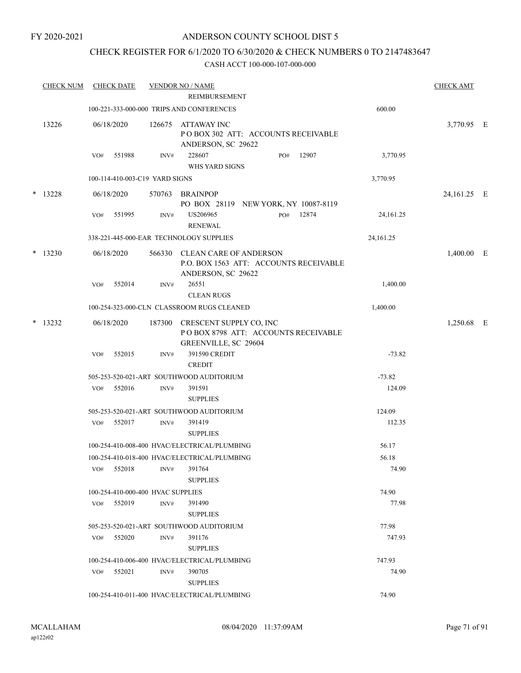#### FY 2020-2021

## ANDERSON COUNTY SCHOOL DIST 5

## CHECK REGISTER FOR 6/1/2020 TO 6/30/2020 & CHECK NUMBERS 0 TO 2147483647

|        | <b>CHECK NUM</b> |     | <b>CHECK DATE</b> |                                   | <b>VENDOR NO / NAME</b><br>REIMBURSEMENT                                                      |     |       |           | <b>CHECK AMT</b> |  |
|--------|------------------|-----|-------------------|-----------------------------------|-----------------------------------------------------------------------------------------------|-----|-------|-----------|------------------|--|
|        |                  |     |                   |                                   | 100-221-333-000-000 TRIPS AND CONFERENCES                                                     |     |       | 600.00    |                  |  |
|        | 13226            |     | 06/18/2020        |                                   | 126675 ATTAWAY INC<br>POBOX 302 ATT: ACCOUNTS RECEIVABLE<br>ANDERSON, SC 29622                |     |       |           | 3,770.95 E       |  |
|        |                  | VO# | 551988            | INV#                              | 228607<br>WHS YARD SIGNS                                                                      | PO# | 12907 | 3,770.95  |                  |  |
|        |                  |     |                   | 100-114-410-003-C19 YARD SIGNS    |                                                                                               |     |       | 3,770.95  |                  |  |
|        | $* 13228$        |     | 06/18/2020        |                                   | 570763 BRAINPOP<br>PO BOX 28119 NEW YORK, NY 10087-8119                                       |     |       |           | 24,161.25 E      |  |
|        |                  | VO# | 551995            | INV#                              | US206965<br><b>RENEWAL</b>                                                                    | PO# | 12874 | 24,161.25 |                  |  |
|        |                  |     |                   |                                   | 338-221-445-000-EAR TECHNOLOGY SUPPLIES                                                       |     |       | 24,161.25 |                  |  |
| $\ast$ | 13230            |     | 06/18/2020        |                                   | 566330 CLEAN CARE OF ANDERSON<br>P.O. BOX 1563 ATT: ACCOUNTS RECEIVABLE<br>ANDERSON, SC 29622 |     |       |           | $1,400.00$ E     |  |
|        |                  | VO# | 552014            | INV#                              | 26551<br><b>CLEAN RUGS</b>                                                                    |     |       | 1,400.00  |                  |  |
|        |                  |     |                   |                                   | 100-254-323-000-CLN CLASSROOM RUGS CLEANED                                                    |     |       | 1,400.00  |                  |  |
|        | $* 13232$        |     | 06/18/2020        |                                   | 187300 CRESCENT SUPPLY CO, INC<br>POBOX 8798 ATT: ACCOUNTS RECEIVABLE<br>GREENVILLE, SC 29604 |     |       |           | 1,250.68 E       |  |
|        |                  | VO# | 552015            | INV#                              | 391590 CREDIT<br><b>CREDIT</b>                                                                |     |       | $-73.82$  |                  |  |
|        |                  |     |                   |                                   | 505-253-520-021-ART SOUTHWOOD AUDITORIUM                                                      |     |       | $-73.82$  |                  |  |
|        |                  | VO# | 552016            | INV#                              | 391591<br><b>SUPPLIES</b>                                                                     |     |       | 124.09    |                  |  |
|        |                  |     |                   |                                   | 505-253-520-021-ART SOUTHWOOD AUDITORIUM                                                      |     |       | 124.09    |                  |  |
|        |                  | VO# | 552017            | INV#                              | 391419<br><b>SUPPLIES</b>                                                                     |     |       | 112.35    |                  |  |
|        |                  |     |                   |                                   | 100-254-410-008-400 HVAC/ELECTRICAL/PLUMBING                                                  |     |       | 56.17     |                  |  |
|        |                  |     |                   |                                   | 100-254-410-018-400 HVAC/ELECTRICAL/PLUMBING                                                  |     |       | 56.18     |                  |  |
|        |                  | VO# | 552018            | INV#                              | 391764<br><b>SUPPLIES</b>                                                                     |     |       | 74.90     |                  |  |
|        |                  |     |                   | 100-254-410-000-400 HVAC SUPPLIES |                                                                                               |     |       | 74.90     |                  |  |
|        |                  | VO# | 552019            | INV#                              | 391490<br><b>SUPPLIES</b>                                                                     |     |       | 77.98     |                  |  |
|        |                  |     |                   |                                   | 505-253-520-021-ART SOUTHWOOD AUDITORIUM                                                      |     |       | 77.98     |                  |  |
|        |                  |     | $VO#$ 552020      | INV#                              | 391176<br><b>SUPPLIES</b>                                                                     |     |       | 747.93    |                  |  |
|        |                  |     |                   |                                   | 100-254-410-006-400 HVAC/ELECTRICAL/PLUMBING                                                  |     |       | 747.93    |                  |  |
|        |                  | VO# | 552021            | INV#                              | 390705<br><b>SUPPLIES</b>                                                                     |     |       | 74.90     |                  |  |
|        |                  |     |                   |                                   | 100-254-410-011-400 HVAC/ELECTRICAL/PLUMBING                                                  |     |       | 74.90     |                  |  |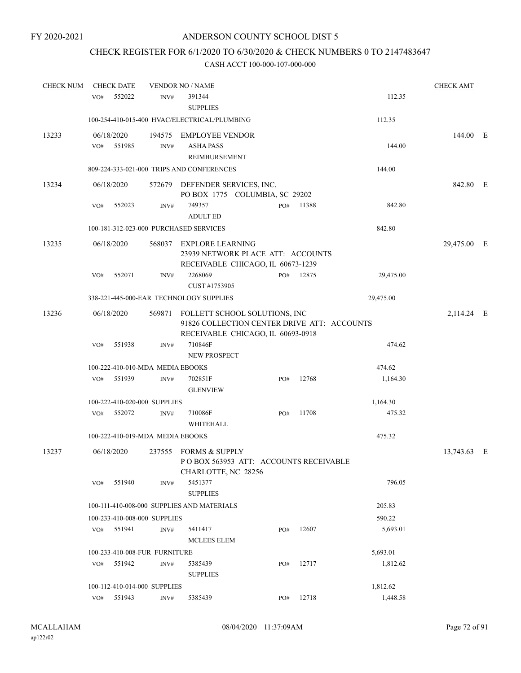## CHECK REGISTER FOR 6/1/2020 TO 6/30/2020 & CHECK NUMBERS 0 TO 2147483647

| <b>CHECK NUM</b> |                   | <b>CHECK DATE</b> |                                  | <b>VENDOR NO / NAME</b>                                                                                                  |     |       |           | <b>CHECK AMT</b> |  |
|------------------|-------------------|-------------------|----------------------------------|--------------------------------------------------------------------------------------------------------------------------|-----|-------|-----------|------------------|--|
|                  | VO#               | 552022            | INV#                             | 391344<br><b>SUPPLIES</b>                                                                                                |     |       | 112.35    |                  |  |
|                  |                   |                   |                                  | 100-254-410-015-400 HVAC/ELECTRICAL/PLUMBING                                                                             |     |       | 112.35    |                  |  |
| 13233            | 06/18/2020<br>VO# | 551985            | INV#                             | 194575 EMPLOYEE VENDOR<br><b>ASHA PASS</b><br><b>REIMBURSEMENT</b>                                                       |     |       | 144.00    | 144.00 E         |  |
|                  |                   |                   |                                  | 809-224-333-021-000 TRIPS AND CONFERENCES                                                                                |     |       | 144.00    |                  |  |
| 13234            | 06/18/2020        |                   |                                  | 572679 DEFENDER SERVICES, INC.<br>PO BOX 1775 COLUMBIA, SC 29202                                                         |     |       |           | 842.80 E         |  |
|                  | VO#               | 552023            | INV#                             | 749357<br><b>ADULT ED</b>                                                                                                | PO# | 11388 | 842.80    |                  |  |
|                  |                   |                   |                                  | 100-181-312-023-000 PURCHASED SERVICES                                                                                   |     |       | 842.80    |                  |  |
| 13235            | 06/18/2020        |                   |                                  | 568037 EXPLORE LEARNING<br>23939 NETWORK PLACE ATT: ACCOUNTS<br>RECEIVABLE CHICAGO, IL 60673-1239                        |     |       |           | 29,475.00 E      |  |
|                  | VO#               | 552071            | INV#                             | 2268069                                                                                                                  | PO# | 12875 | 29,475.00 |                  |  |
|                  |                   |                   |                                  | CUST #1753905<br>338-221-445-000-EAR TECHNOLOGY SUPPLIES                                                                 |     |       | 29,475.00 |                  |  |
|                  |                   |                   |                                  |                                                                                                                          |     |       |           |                  |  |
| 13236            | 06/18/2020        |                   |                                  | 569871 FOLLETT SCHOOL SOLUTIONS, INC<br>91826 COLLECTION CENTER DRIVE ATT: ACCOUNTS<br>RECEIVABLE CHICAGO, IL 60693-0918 |     |       |           | 2,114.24 E       |  |
|                  | VO#               | 551938            | INV#                             | 710846F<br><b>NEW PROSPECT</b>                                                                                           |     |       | 474.62    |                  |  |
|                  |                   |                   | 100-222-410-010-MDA MEDIA EBOOKS |                                                                                                                          |     |       | 474.62    |                  |  |
|                  | VO#               | 551939            | INV#                             | 702851F<br><b>GLENVIEW</b>                                                                                               | PO# | 12768 | 1,164.30  |                  |  |
|                  |                   |                   | 100-222-410-020-000 SUPPLIES     |                                                                                                                          |     |       | 1,164.30  |                  |  |
|                  | VO#               | 552072            | INV#                             | 710086F<br>WHITEHALL                                                                                                     | PO# | 11708 | 475.32    |                  |  |
|                  |                   |                   | 100-222-410-019-MDA MEDIA EBOOKS |                                                                                                                          |     |       | 475.32    |                  |  |
| 13237            | 06/18/2020        |                   |                                  | 237555 FORMS & SUPPLY<br>POBOX 563953 ATT: ACCOUNTS RECEIVABLE<br>CHARLOTTE, NC 28256                                    |     |       |           | 13,743.63 E      |  |
|                  | VO#               | 551940            | INV#                             | 5451377<br><b>SUPPLIES</b>                                                                                               |     |       | 796.05    |                  |  |
|                  |                   |                   |                                  | 100-111-410-008-000 SUPPLIES AND MATERIALS                                                                               |     |       | 205.83    |                  |  |
|                  |                   |                   | 100-233-410-008-000 SUPPLIES     |                                                                                                                          |     |       | 590.22    |                  |  |
|                  | VO# 551941        |                   | INV#                             | 5411417<br>MCLEES ELEM                                                                                                   | PO# | 12607 | 5,693.01  |                  |  |
|                  |                   |                   | 100-233-410-008-FUR FURNITURE    |                                                                                                                          |     |       | 5,693.01  |                  |  |
|                  | VO#               | 551942            | INV#                             | 5385439<br><b>SUPPLIES</b>                                                                                               | PO# | 12717 | 1,812.62  |                  |  |
|                  |                   |                   | 100-112-410-014-000 SUPPLIES     |                                                                                                                          |     |       | 1,812.62  |                  |  |
|                  | VO#               | 551943            | INV#                             | 5385439                                                                                                                  | PO# | 12718 | 1,448.58  |                  |  |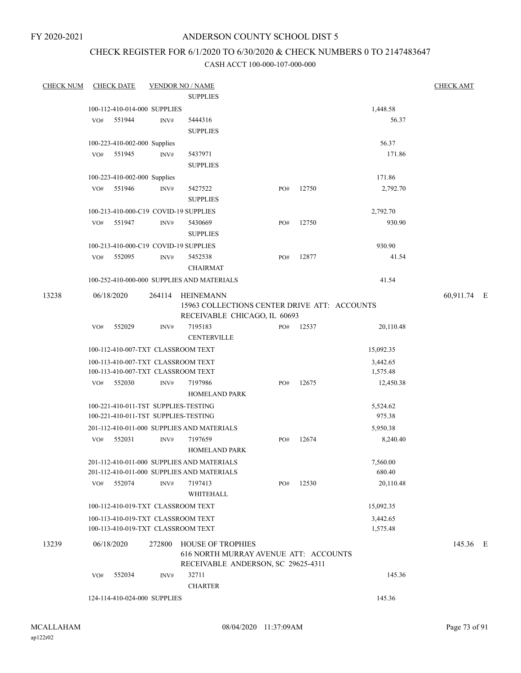## ANDERSON COUNTY SCHOOL DIST 5

# CHECK REGISTER FOR 6/1/2020 TO 6/30/2020 & CHECK NUMBERS 0 TO 2147483647

| <b>CHECK NUM</b> | <b>CHECK DATE</b>            |        |        | <b>VENDOR NO / NAME</b>                                                                                 |     |       |                      | <b>CHECK AMT</b> |  |
|------------------|------------------------------|--------|--------|---------------------------------------------------------------------------------------------------------|-----|-------|----------------------|------------------|--|
|                  |                              |        |        | <b>SUPPLIES</b>                                                                                         |     |       |                      |                  |  |
|                  | 100-112-410-014-000 SUPPLIES |        |        |                                                                                                         |     |       | 1,448.58             |                  |  |
|                  | VO#                          | 551944 | INV#   | 5444316                                                                                                 |     |       | 56.37                |                  |  |
|                  |                              |        |        | <b>SUPPLIES</b>                                                                                         |     |       |                      |                  |  |
|                  | 100-223-410-002-000 Supplies |        |        |                                                                                                         |     |       | 56.37                |                  |  |
|                  | VO#                          | 551945 | INV#   | 5437971                                                                                                 |     |       | 171.86               |                  |  |
|                  |                              |        |        | <b>SUPPLIES</b>                                                                                         |     |       |                      |                  |  |
|                  | 100-223-410-002-000 Supplies |        |        |                                                                                                         |     |       | 171.86               |                  |  |
|                  | VO#                          | 551946 | INV#   | 5427522                                                                                                 | PO# | 12750 | 2,792.70             |                  |  |
|                  |                              |        |        | <b>SUPPLIES</b>                                                                                         |     |       |                      |                  |  |
|                  |                              |        |        | 100-213-410-000-C19 COVID-19 SUPPLIES                                                                   |     |       | 2,792.70             |                  |  |
|                  | VO#                          | 551947 | INV#   | 5430669<br><b>SUPPLIES</b>                                                                              | PO# | 12750 | 930.90               |                  |  |
|                  |                              |        |        | 100-213-410-000-C19 COVID-19 SUPPLIES                                                                   |     |       | 930.90               |                  |  |
|                  | VO#                          | 552095 | INV#   | 5452538                                                                                                 | PO# | 12877 | 41.54                |                  |  |
|                  |                              |        |        | <b>CHAIRMAT</b>                                                                                         |     |       |                      |                  |  |
|                  |                              |        |        | 100-252-410-000-000 SUPPLIES AND MATERIALS                                                              |     |       | 41.54                |                  |  |
| 13238            | 06/18/2020                   |        | 264114 | HEINEMANN                                                                                               |     |       |                      | 60,911.74 E      |  |
|                  |                              |        |        | 15963 COLLECTIONS CENTER DRIVE ATT: ACCOUNTS                                                            |     |       |                      |                  |  |
|                  |                              |        |        | RECEIVABLE CHICAGO, IL 60693                                                                            |     |       |                      |                  |  |
|                  | VO#                          | 552029 | INV#   | 7195183                                                                                                 | PO# | 12537 | 20,110.48            |                  |  |
|                  |                              |        |        | <b>CENTERVILLE</b>                                                                                      |     |       |                      |                  |  |
|                  |                              |        |        | 100-112-410-007-TXT CLASSROOM TEXT                                                                      |     |       | 15,092.35            |                  |  |
|                  |                              |        |        | 100-113-410-007-TXT CLASSROOM TEXT<br>100-113-410-007-TXT CLASSROOM TEXT                                |     |       | 3,442.65<br>1,575.48 |                  |  |
|                  | VO#                          | 552030 | INV#   | 7197986                                                                                                 | PO# | 12675 | 12,450.38            |                  |  |
|                  |                              |        |        | <b>HOMELAND PARK</b>                                                                                    |     |       |                      |                  |  |
|                  |                              |        |        | 100-221-410-011-TST SUPPLIES-TESTING<br>100-221-410-011-TST SUPPLIES-TESTING                            |     |       | 5,524.62<br>975.38   |                  |  |
|                  |                              |        |        | 201-112-410-011-000 SUPPLIES AND MATERIALS                                                              |     |       | 5,950.38             |                  |  |
|                  | VO#                          | 552031 | INV#   | 7197659                                                                                                 | PO# | 12674 | 8,240.40             |                  |  |
|                  |                              |        |        | <b>HOMELAND PARK</b>                                                                                    |     |       |                      |                  |  |
|                  |                              |        |        | 201-112-410-011-000 SUPPLIES AND MATERIALS<br>201-112-410-011-000 SUPPLIES AND MATERIALS                |     |       | 7,560.00<br>680.40   |                  |  |
|                  | VO#                          | 552074 | INV#   | 7197413<br>WHITEHALL                                                                                    | PO# | 12530 | 20,110.48            |                  |  |
|                  |                              |        |        | 100-112-410-019-TXT CLASSROOM TEXT                                                                      |     |       | 15,092.35            |                  |  |
|                  |                              |        |        | 100-113-410-019-TXT CLASSROOM TEXT                                                                      |     |       | 3,442.65             |                  |  |
|                  |                              |        |        | 100-113-410-019-TXT CLASSROOM TEXT                                                                      |     |       | 1,575.48             |                  |  |
| 13239            | 06/18/2020                   |        | 272800 | <b>HOUSE OF TROPHIES</b><br>616 NORTH MURRAY AVENUE ATT: ACCOUNTS<br>RECEIVABLE ANDERSON, SC 29625-4311 |     |       |                      | 145.36 E         |  |
|                  | VO#                          | 552034 | INV#   | 32711                                                                                                   |     |       | 145.36               |                  |  |
|                  |                              |        |        | <b>CHARTER</b>                                                                                          |     |       |                      |                  |  |
|                  | 124-114-410-024-000 SUPPLIES |        |        |                                                                                                         |     |       | 145.36               |                  |  |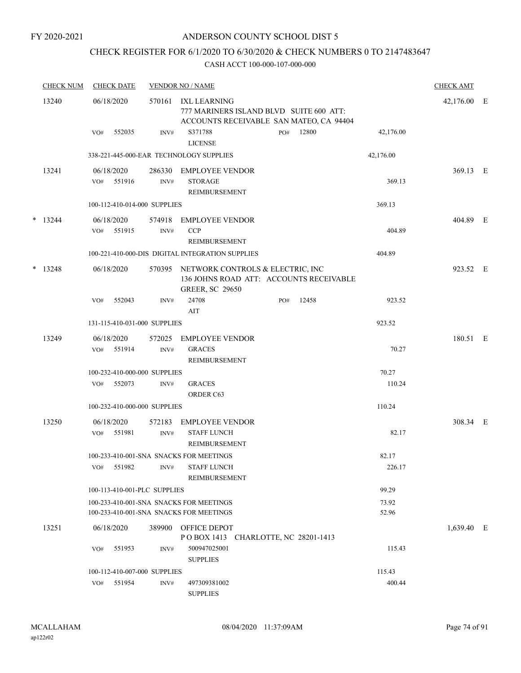## CHECK REGISTER FOR 6/1/2020 TO 6/30/2020 & CHECK NUMBERS 0 TO 2147483647

|   | <b>CHECK NUM</b> | <b>CHECK DATE</b>                                                                  |                | <b>VENDOR NO / NAME</b>                                                                               |     |       |                 | <b>CHECK AMT</b> |     |
|---|------------------|------------------------------------------------------------------------------------|----------------|-------------------------------------------------------------------------------------------------------|-----|-------|-----------------|------------------|-----|
|   | 13240            | 06/18/2020                                                                         | 570161         | IXL LEARNING<br>777 MARINERS ISLAND BLVD SUITE 600 ATT:<br>ACCOUNTS RECEIVABLE SAN MATEO, CA 94404    |     |       |                 | 42,176.00        | - E |
|   |                  | 552035<br>VO#                                                                      | INV#           | S371788<br><b>LICENSE</b>                                                                             | PO# | 12800 | 42,176.00       |                  |     |
|   |                  |                                                                                    |                | 338-221-445-000-EAR TECHNOLOGY SUPPLIES                                                               |     |       | 42,176.00       |                  |     |
|   | 13241            | 06/18/2020<br>551916<br>VO#                                                        | 286330<br>INV# | EMPLOYEE VENDOR<br><b>STORAGE</b><br>REIMBURSEMENT                                                    |     |       | 369.13          | 369.13 E         |     |
|   |                  | 100-112-410-014-000 SUPPLIES                                                       |                |                                                                                                       |     |       | 369.13          |                  |     |
| * | 13244            | 06/18/2020<br>551915<br>VO#                                                        | 574918<br>INV# | <b>EMPLOYEE VENDOR</b><br><b>CCP</b><br>REIMBURSEMENT                                                 |     |       | 404.89          | 404.89 E         |     |
|   |                  |                                                                                    |                | 100-221-410-000-DIS DIGITAL INTEGRATION SUPPLIES                                                      |     |       | 404.89          |                  |     |
| * | 13248            | 06/18/2020                                                                         | 570395         | NETWORK CONTROLS & ELECTRIC, INC<br>136 JOHNS ROAD ATT: ACCOUNTS RECEIVABLE<br><b>GREER, SC 29650</b> |     |       |                 | 923.52 E         |     |
|   |                  | 552043<br>VO#                                                                      | INV#           | 24708<br>AIT                                                                                          | PO# | 12458 | 923.52          |                  |     |
|   |                  | 131-115-410-031-000 SUPPLIES                                                       |                |                                                                                                       |     |       | 923.52          |                  |     |
|   | 13249            | 06/18/2020<br>551914<br>VO#                                                        | 572025<br>INV# | <b>EMPLOYEE VENDOR</b><br><b>GRACES</b><br>REIMBURSEMENT                                              |     |       | 70.27           | 180.51 E         |     |
|   |                  | 100-232-410-000-000 SUPPLIES                                                       |                |                                                                                                       |     |       | 70.27           |                  |     |
|   |                  | 552073<br>VO#                                                                      | INV#           | <b>GRACES</b><br>ORDER C63                                                                            |     |       | 110.24          |                  |     |
|   |                  | 100-232-410-000-000 SUPPLIES                                                       |                |                                                                                                       |     |       | 110.24          |                  |     |
|   | 13250            | 06/18/2020<br>551981<br>VO#                                                        | 572183<br>INV# | <b>EMPLOYEE VENDOR</b><br><b>STAFF LUNCH</b><br>REIMBURSEMENT                                         |     |       | 82.17           | 308.34 E         |     |
|   |                  | 100-233-410-001-SNA SNACKS FOR MEETINGS<br>551982<br>VO#                           | INV#           | <b>STAFF LUNCH</b><br>REIMBURSEMENT                                                                   |     |       | 82.17<br>226.17 |                  |     |
|   |                  | 100-113-410-001-PLC SUPPLIES                                                       |                |                                                                                                       |     |       | 99.29           |                  |     |
|   |                  | 100-233-410-001-SNA SNACKS FOR MEETINGS<br>100-233-410-001-SNA SNACKS FOR MEETINGS |                |                                                                                                       |     |       | 73.92<br>52.96  |                  |     |
|   | 13251            | 06/18/2020                                                                         | 389900         | OFFICE DEPOT<br>POBOX 1413 CHARLOTTE, NC 28201-1413                                                   |     |       |                 | 1,639.40 E       |     |
|   |                  | 551953<br>VO#                                                                      | INV#           | 500947025001<br><b>SUPPLIES</b>                                                                       |     |       | 115.43          |                  |     |
|   |                  | 100-112-410-007-000 SUPPLIES                                                       |                |                                                                                                       |     |       | 115.43          |                  |     |
|   |                  | 551954<br>VO#                                                                      | INV#           | 497309381002<br><b>SUPPLIES</b>                                                                       |     |       | 400.44          |                  |     |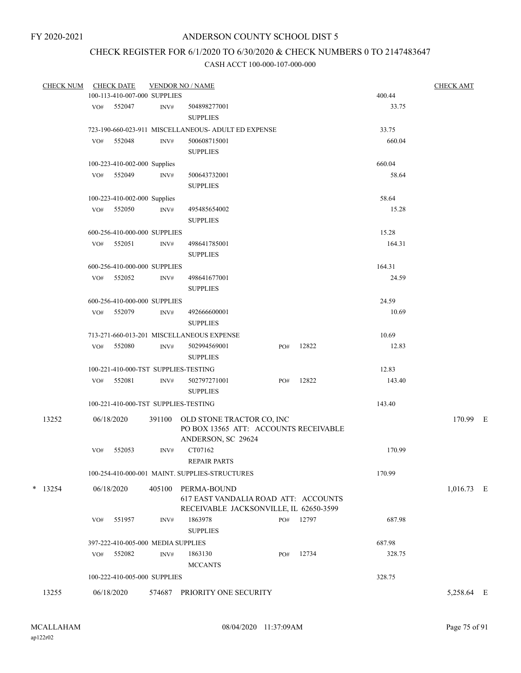# CHECK REGISTER FOR 6/1/2020 TO 6/30/2020 & CHECK NUMBERS 0 TO 2147483647

| <b>CHECK NUM</b> |     | <b>CHECK DATE</b>                  |        | <b>VENDOR NO / NAME</b>                             |     |           |        | <b>CHECK AMT</b> |  |
|------------------|-----|------------------------------------|--------|-----------------------------------------------------|-----|-----------|--------|------------------|--|
|                  |     | 100-113-410-007-000 SUPPLIES       |        |                                                     |     |           | 400.44 |                  |  |
|                  |     | VO# 552047                         | INV#   | 504898277001                                        |     |           | 33.75  |                  |  |
|                  |     |                                    |        | <b>SUPPLIES</b>                                     |     |           |        |                  |  |
|                  |     |                                    |        | 723-190-660-023-911 MISCELLANEOUS- ADULT ED EXPENSE |     |           | 33.75  |                  |  |
|                  | VO# | 552048                             | INV#   | 500608715001                                        |     |           | 660.04 |                  |  |
|                  |     |                                    |        | <b>SUPPLIES</b>                                     |     |           |        |                  |  |
|                  |     |                                    |        |                                                     |     |           |        |                  |  |
|                  |     | 100-223-410-002-000 Supplies       |        |                                                     |     |           | 660.04 |                  |  |
|                  |     | VO# 552049                         | INV#   | 500643732001                                        |     |           | 58.64  |                  |  |
|                  |     |                                    |        | <b>SUPPLIES</b>                                     |     |           |        |                  |  |
|                  |     | 100-223-410-002-000 Supplies       |        |                                                     |     |           | 58.64  |                  |  |
|                  |     | VO# 552050                         | INV#   | 495485654002                                        |     |           | 15.28  |                  |  |
|                  |     |                                    |        | <b>SUPPLIES</b>                                     |     |           |        |                  |  |
|                  |     | 600-256-410-000-000 SUPPLIES       |        |                                                     |     |           | 15.28  |                  |  |
|                  | VO# | 552051                             | INV#   | 498641785001                                        |     |           | 164.31 |                  |  |
|                  |     |                                    |        | <b>SUPPLIES</b>                                     |     |           |        |                  |  |
|                  |     | 600-256-410-000-000 SUPPLIES       |        |                                                     |     |           | 164.31 |                  |  |
|                  |     | VO# 552052                         | INV#   | 498641677001                                        |     |           | 24.59  |                  |  |
|                  |     |                                    |        |                                                     |     |           |        |                  |  |
|                  |     |                                    |        | <b>SUPPLIES</b>                                     |     |           |        |                  |  |
|                  |     | 600-256-410-000-000 SUPPLIES       |        |                                                     |     |           | 24.59  |                  |  |
|                  |     | VO# 552079                         | INV#   | 492666600001                                        |     |           | 10.69  |                  |  |
|                  |     |                                    |        | <b>SUPPLIES</b>                                     |     |           |        |                  |  |
|                  |     |                                    |        | 713-271-660-013-201 MISCELLANEOUS EXPENSE           |     |           | 10.69  |                  |  |
|                  | VO# | 552080                             | INV#   | 502994569001                                        | PO# | 12822     | 12.83  |                  |  |
|                  |     |                                    |        | <b>SUPPLIES</b>                                     |     |           |        |                  |  |
|                  |     |                                    |        | 100-221-410-000-TST SUPPLIES-TESTING                |     |           | 12.83  |                  |  |
|                  |     | VO# 552081                         | INV#   | 502797271001                                        | PO# | 12822     | 143.40 |                  |  |
|                  |     |                                    |        | <b>SUPPLIES</b>                                     |     |           |        |                  |  |
|                  |     |                                    |        | 100-221-410-000-TST SUPPLIES-TESTING                |     |           | 143.40 |                  |  |
|                  |     |                                    |        |                                                     |     |           |        |                  |  |
| 13252            |     | 06/18/2020                         | 391100 | OLD STONE TRACTOR CO, INC                           |     |           |        | 170.99 E         |  |
|                  |     |                                    |        | PO BOX 13565 ATT: ACCOUNTS RECEIVABLE               |     |           |        |                  |  |
|                  |     |                                    |        | ANDERSON, SC 29624                                  |     |           |        |                  |  |
|                  | VO# | 552053                             | INV#   | CT07162                                             |     |           | 170.99 |                  |  |
|                  |     |                                    |        | <b>REPAIR PARTS</b>                                 |     |           |        |                  |  |
|                  |     |                                    |        | 100-254-410-000-001 MAINT. SUPPLIES-STRUCTURES      |     |           | 170.99 |                  |  |
| $*$ 13254        |     | 06/18/2020                         |        | 405100 PERMA-BOUND                                  |     |           |        | $1,016.73$ E     |  |
|                  |     |                                    |        | 617 EAST VANDALIA ROAD ATT: ACCOUNTS                |     |           |        |                  |  |
|                  |     |                                    |        | RECEIVABLE JACKSONVILLE, IL 62650-3599              |     |           |        |                  |  |
|                  | VO# | 551957                             | INV#   | 1863978                                             |     | PO# 12797 | 687.98 |                  |  |
|                  |     |                                    |        | <b>SUPPLIES</b>                                     |     |           |        |                  |  |
|                  |     |                                    |        |                                                     |     |           |        |                  |  |
|                  |     | 397-222-410-005-000 MEDIA SUPPLIES |        |                                                     |     |           | 687.98 |                  |  |
|                  | VO# | 552082                             | INV#   | 1863130                                             | PO# | 12734     | 328.75 |                  |  |
|                  |     |                                    |        | <b>MCCANTS</b>                                      |     |           |        |                  |  |
|                  |     | 100-222-410-005-000 SUPPLIES       |        |                                                     |     |           | 328.75 |                  |  |
| 13255            |     | 06/18/2020                         |        | 574687 PRIORITY ONE SECURITY                        |     |           |        | 5,258.64 E       |  |
|                  |     |                                    |        |                                                     |     |           |        |                  |  |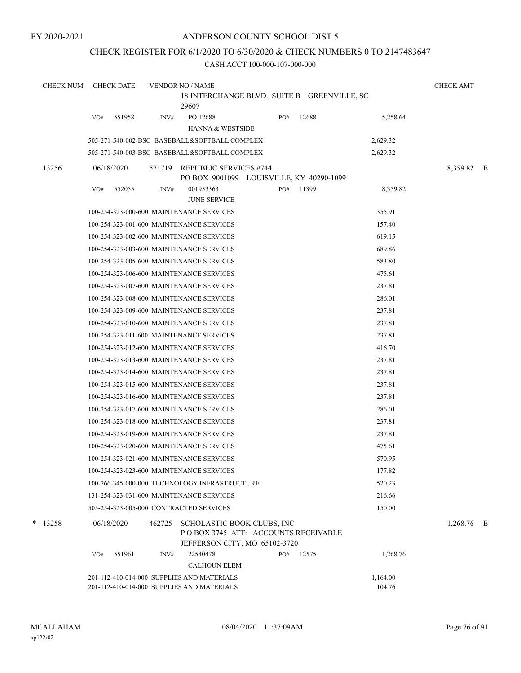## CHECK REGISTER FOR 6/1/2020 TO 6/30/2020 & CHECK NUMBERS 0 TO 2147483647

CASH ACCT 100-000-107-000-000

| <b>CHECK NUM</b> | <b>CHECK DATE</b> |        | <b>VENDOR NO / NAME</b>                                                                            |     |       |          | <b>CHECK AMT</b> |  |
|------------------|-------------------|--------|----------------------------------------------------------------------------------------------------|-----|-------|----------|------------------|--|
|                  |                   |        | 18 INTERCHANGE BLVD., SUITE B GREENVILLE, SC<br>29607                                              |     |       |          |                  |  |
|                  | 551958<br>VO#     | INV#   | PO 12688<br><b>HANNA &amp; WESTSIDE</b>                                                            | PO# | 12688 | 5,258.64 |                  |  |
|                  |                   |        | 505-271-540-002-BSC BASEBALL&SOFTBALL COMPLEX                                                      |     |       | 2,629.32 |                  |  |
|                  |                   |        | 505-271-540-003-BSC BASEBALL&SOFTBALL COMPLEX                                                      |     |       | 2,629.32 |                  |  |
| 13256            | 06/18/2020        |        | 571719 REPUBLIC SERVICES #744<br>PO BOX 9001099 LOUISVILLE, KY 40290-1099                          |     |       |          | 8,359.82 E       |  |
|                  | 552055<br>VO#     | INV#   | 001953363<br><b>JUNE SERVICE</b>                                                                   | PO# | 11399 | 8,359.82 |                  |  |
|                  |                   |        | 100-254-323-000-600 MAINTENANCE SERVICES                                                           |     |       | 355.91   |                  |  |
|                  |                   |        | 100-254-323-001-600 MAINTENANCE SERVICES                                                           |     |       | 157.40   |                  |  |
|                  |                   |        | 100-254-323-002-600 MAINTENANCE SERVICES                                                           |     |       | 619.15   |                  |  |
|                  |                   |        | 100-254-323-003-600 MAINTENANCE SERVICES                                                           |     |       | 689.86   |                  |  |
|                  |                   |        | 100-254-323-005-600 MAINTENANCE SERVICES                                                           |     |       | 583.80   |                  |  |
|                  |                   |        | 100-254-323-006-600 MAINTENANCE SERVICES                                                           |     |       | 475.61   |                  |  |
|                  |                   |        | 100-254-323-007-600 MAINTENANCE SERVICES                                                           |     |       | 237.81   |                  |  |
|                  |                   |        | 100-254-323-008-600 MAINTENANCE SERVICES                                                           |     |       | 286.01   |                  |  |
|                  |                   |        | 100-254-323-009-600 MAINTENANCE SERVICES                                                           |     |       | 237.81   |                  |  |
|                  |                   |        | 100-254-323-010-600 MAINTENANCE SERVICES                                                           |     |       | 237.81   |                  |  |
|                  |                   |        | 100-254-323-011-600 MAINTENANCE SERVICES                                                           |     |       | 237.81   |                  |  |
|                  |                   |        | 100-254-323-012-600 MAINTENANCE SERVICES                                                           |     |       | 416.70   |                  |  |
|                  |                   |        | 100-254-323-013-600 MAINTENANCE SERVICES                                                           |     |       | 237.81   |                  |  |
|                  |                   |        | 100-254-323-014-600 MAINTENANCE SERVICES                                                           |     |       | 237.81   |                  |  |
|                  |                   |        | 100-254-323-015-600 MAINTENANCE SERVICES                                                           |     |       | 237.81   |                  |  |
|                  |                   |        | 100-254-323-016-600 MAINTENANCE SERVICES                                                           |     |       | 237.81   |                  |  |
|                  |                   |        | 100-254-323-017-600 MAINTENANCE SERVICES                                                           |     |       | 286.01   |                  |  |
|                  |                   |        | 100-254-323-018-600 MAINTENANCE SERVICES                                                           |     |       | 237.81   |                  |  |
|                  |                   |        | 100-254-323-019-600 MAINTENANCE SERVICES                                                           |     |       | 237.81   |                  |  |
|                  |                   |        | 100-254-323-020-600 MAINTENANCE SERVICES                                                           |     |       | 475.61   |                  |  |
|                  |                   |        | 100-254-323-021-600 MAINTENANCE SERVICES                                                           |     |       | 570.95   |                  |  |
|                  |                   |        | 100-254-323-023-600 MAINTENANCE SERVICES                                                           |     |       | 177.82   |                  |  |
|                  |                   |        | 100-266-345-000-000 TECHNOLOGY INFRASTRUCTURE                                                      |     |       | 520.23   |                  |  |
|                  |                   |        | 131-254-323-031-600 MAINTENANCE SERVICES                                                           |     |       | 216.66   |                  |  |
|                  |                   |        | 505-254-323-005-000 CONTRACTED SERVICES                                                            |     |       | 150.00   |                  |  |
| $*$ 13258        | 06/18/2020        | 462725 | SCHOLASTIC BOOK CLUBS, INC<br>POBOX 3745 ATT: ACCOUNTS RECEIVABLE<br>JEFFERSON CITY, MO 65102-3720 |     |       |          | 1,268.76 E       |  |
|                  | 551961<br>VO#     | INV#   | 22540478<br><b>CALHOUN ELEM</b>                                                                    | PO# | 12575 | 1,268.76 |                  |  |
|                  |                   |        | 201-112-410-014-000 SUPPLIES AND MATERIALS                                                         |     |       | 1,164.00 |                  |  |

201-112-410-014-000 SUPPLIES AND MATERIALS 104.76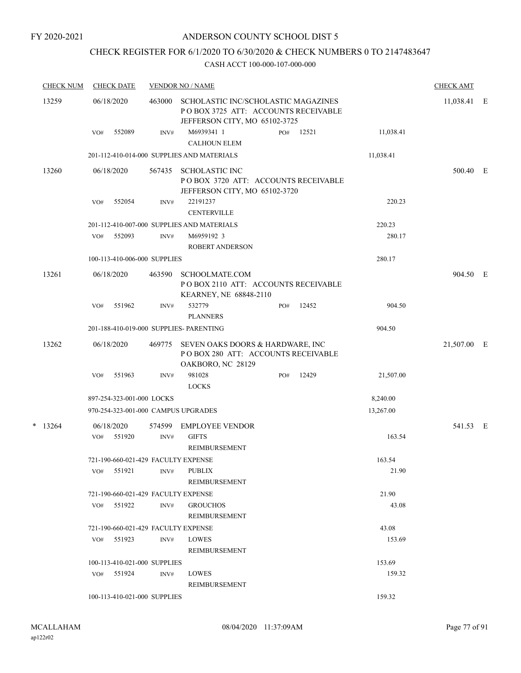## CHECK REGISTER FOR 6/1/2020 TO 6/30/2020 & CHECK NUMBERS 0 TO 2147483647

| <b>CHECK NUM</b> |     | <b>CHECK DATE</b>         |                              | <b>VENDOR NO / NAME</b>                                                                                     |     |               |                 | <b>CHECK AMT</b> |  |
|------------------|-----|---------------------------|------------------------------|-------------------------------------------------------------------------------------------------------------|-----|---------------|-----------------|------------------|--|
| 13259            |     | 06/18/2020                | 463000                       | SCHOLASTIC INC/SCHOLASTIC MAGAZINES<br>POBOX 3725 ATT: ACCOUNTS RECEIVABLE<br>JEFFERSON CITY, MO 65102-3725 |     | $11,038.41$ E |                 |                  |  |
|                  | VO# | 552089                    | INV#                         | M6939341 1<br><b>CALHOUN ELEM</b>                                                                           | PO# | 12521         | 11,038.41       |                  |  |
|                  |     |                           |                              | 201-112-410-014-000 SUPPLIES AND MATERIALS                                                                  |     |               | 11,038.41       |                  |  |
| 13260            |     | 06/18/2020                | 567435                       | <b>SCHOLASTIC INC</b><br>POBOX 3720 ATT: ACCOUNTS RECEIVABLE<br>JEFFERSON CITY, MO 65102-3720               |     |               |                 | 500.40 E         |  |
|                  | VO# | 552054                    | INV#                         | 22191237<br><b>CENTERVILLE</b>                                                                              |     |               | 220.23          |                  |  |
|                  |     |                           |                              | 201-112-410-007-000 SUPPLIES AND MATERIALS                                                                  |     |               | 220.23          |                  |  |
|                  | VO# | 552093                    | INV#                         | M6959192 3<br><b>ROBERT ANDERSON</b>                                                                        |     |               | 280.17          |                  |  |
|                  |     |                           | 100-113-410-006-000 SUPPLIES |                                                                                                             |     |               | 280.17          |                  |  |
| 13261            |     | 06/18/2020                | 463590                       | <b>SCHOOLMATE.COM</b><br>PO BOX 2110 ATT: ACCOUNTS RECEIVABLE<br>KEARNEY, NE 68848-2110                     |     |               |                 | 904.50 E         |  |
|                  | VO# | 551962                    | INV#                         | 532779<br><b>PLANNERS</b>                                                                                   | PO# | 12452         | 904.50          |                  |  |
|                  |     |                           |                              | 201-188-410-019-000 SUPPLIES- PARENTING                                                                     |     |               | 904.50          |                  |  |
| 13262            |     | 06/18/2020                | 469775                       | SEVEN OAKS DOORS & HARDWARE, INC<br>POBOX 280 ATT: ACCOUNTS RECEIVABLE<br>OAKBORO, NC 28129                 |     |               |                 | 21,507.00 E      |  |
|                  | VO# | 551963                    | INV#                         | 981028<br><b>LOCKS</b>                                                                                      | PO# | 12429         | 21,507.00       |                  |  |
|                  |     | 897-254-323-001-000 LOCKS |                              |                                                                                                             |     |               | 8,240.00        |                  |  |
|                  |     |                           |                              | 970-254-323-001-000 CAMPUS UPGRADES                                                                         |     |               | 13,267.00       |                  |  |
| $*$ 13264        | VO# | 06/18/2020<br>551920      | 574599<br>INV#               | <b>EMPLOYEE VENDOR</b><br><b>GIFTS</b><br><b>REIMBURSEMENT</b>                                              |     |               | 163.54          | 541.53 E         |  |
|                  | VO# | 551921                    | INV#                         | 721-190-660-021-429 FACULTY EXPENSE<br><b>PUBLIX</b><br>REIMBURSEMENT                                       |     |               | 163.54<br>21.90 |                  |  |
|                  |     |                           |                              | 721-190-660-021-429 FACULTY EXPENSE                                                                         |     |               | 21.90           |                  |  |
|                  | VO# | 551922                    | INV#                         | <b>GROUCHOS</b><br>REIMBURSEMENT                                                                            |     |               | 43.08           |                  |  |
|                  |     |                           |                              | 721-190-660-021-429 FACULTY EXPENSE                                                                         |     |               | 43.08           |                  |  |
|                  |     | $VO#$ 551923              | INV#                         | <b>LOWES</b><br><b>REIMBURSEMENT</b>                                                                        |     |               | 153.69          |                  |  |
|                  |     |                           | 100-113-410-021-000 SUPPLIES |                                                                                                             |     |               | 153.69          |                  |  |
|                  |     | VO# 551924                | INV#                         | <b>LOWES</b><br>REIMBURSEMENT                                                                               |     |               | 159.32          |                  |  |
|                  |     |                           | 100-113-410-021-000 SUPPLIES |                                                                                                             |     |               | 159.32          |                  |  |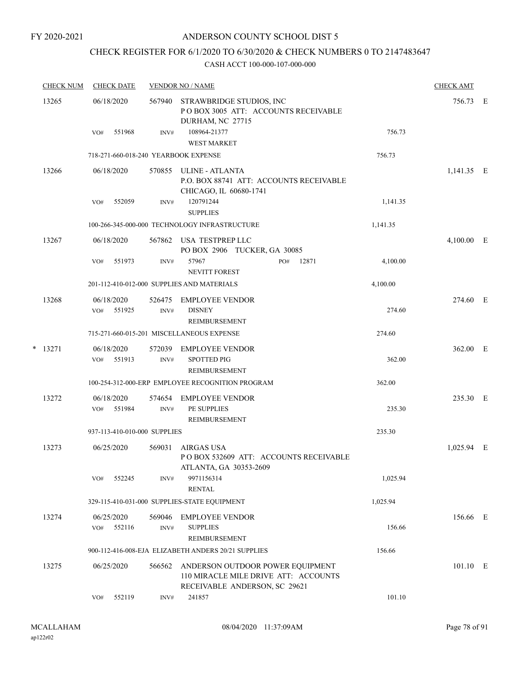## ANDERSON COUNTY SCHOOL DIST 5

# CHECK REGISTER FOR 6/1/2020 TO 6/30/2020 & CHECK NUMBERS 0 TO 2147483647

|   | <b>CHECK NUM</b> | <b>CHECK DATE</b>                    |                | <b>VENDOR NO / NAME</b>                                                                                   |          | <b>CHECK AMT</b> |  |
|---|------------------|--------------------------------------|----------------|-----------------------------------------------------------------------------------------------------------|----------|------------------|--|
|   | 13265            | 06/18/2020                           | 567940         | STRAWBRIDGE STUDIOS, INC<br>POBOX 3005 ATT: ACCOUNTS RECEIVABLE<br>DURHAM, NC 27715                       |          | 756.73 E         |  |
|   |                  | 551968<br>VO#                        | INV#           | 108964-21377<br><b>WEST MARKET</b>                                                                        | 756.73   |                  |  |
|   |                  | 718-271-660-018-240 YEARBOOK EXPENSE |                |                                                                                                           | 756.73   |                  |  |
|   | 13266            | 06/18/2020                           | 570855         | ULINE - ATLANTA<br>P.O. BOX 88741 ATT: ACCOUNTS RECEIVABLE<br>CHICAGO, IL 60680-1741                      |          | $1,141.35$ E     |  |
|   |                  | 552059<br>VO#                        | INV#           | 120791244                                                                                                 | 1,141.35 |                  |  |
|   |                  |                                      |                | <b>SUPPLIES</b>                                                                                           |          |                  |  |
|   |                  |                                      |                | 100-266-345-000-000 TECHNOLOGY INFRASTRUCTURE                                                             | 1,141.35 |                  |  |
|   | 13267            | 06/18/2020                           | 567862         | USA TESTPREP LLC<br>PO BOX 2906 TUCKER, GA 30085                                                          |          | $4,100.00$ E     |  |
|   |                  | VO#<br>551973                        | INV#           | 57967<br>PO#<br>12871<br><b>NEVITT FOREST</b>                                                             | 4,100.00 |                  |  |
|   |                  |                                      |                | 201-112-410-012-000 SUPPLIES AND MATERIALS                                                                | 4,100.00 |                  |  |
|   | 13268            | 06/18/2020<br>VO# 551925             | 526475<br>INV# | <b>EMPLOYEE VENDOR</b><br><b>DISNEY</b><br><b>REIMBURSEMENT</b>                                           | 274.60   | 274.60 E         |  |
|   |                  |                                      |                | 715-271-660-015-201 MISCELLANEOUS EXPENSE                                                                 | 274.60   |                  |  |
| * | 13271            | 06/18/2020<br>551913<br>VO#          | 572039<br>INV# | EMPLOYEE VENDOR<br><b>SPOTTED PIG</b>                                                                     | 362.00   | 362.00 E         |  |
|   |                  |                                      |                | <b>REIMBURSEMENT</b>                                                                                      |          |                  |  |
|   |                  |                                      |                | 100-254-312-000-ERP EMPLOYEE RECOGNITION PROGRAM                                                          | 362.00   |                  |  |
|   | 13272            | 06/18/2020<br>551984<br>VO#          | 574654<br>INV# | <b>EMPLOYEE VENDOR</b><br>PE SUPPLIES<br>REIMBURSEMENT                                                    | 235.30   | 235.30 E         |  |
|   |                  | 937-113-410-010-000 SUPPLIES         |                |                                                                                                           | 235.30   |                  |  |
|   | 13273            | 06/25/2020                           | 569031         | AIRGAS USA<br>POBOX 532609 ATT: ACCOUNTS RECEIVABLE<br>ATLANTA, GA 30353-2609                             |          | 1,025.94 E       |  |
|   |                  | 552245<br>VO#                        | INV#           | 9971156314<br><b>RENTAL</b>                                                                               | 1,025.94 |                  |  |
|   |                  |                                      |                | 329-115-410-031-000 SUPPLIES-STATE EQUIPMENT                                                              | 1,025.94 |                  |  |
|   | 13274            | 06/25/2020                           | 569046         | <b>EMPLOYEE VENDOR</b>                                                                                    |          | 156.66 E         |  |
|   |                  | 552116<br>VO#                        | INV#           | <b>SUPPLIES</b><br>REIMBURSEMENT                                                                          | 156.66   |                  |  |
|   |                  |                                      |                | 900-112-416-008-EJA ELIZABETH ANDERS 20/21 SUPPLIES                                                       | 156.66   |                  |  |
|   | 13275            | 06/25/2020                           | 566562         | ANDERSON OUTDOOR POWER EQUIPMENT<br>110 MIRACLE MILE DRIVE ATT: ACCOUNTS<br>RECEIVABLE ANDERSON, SC 29621 |          | 101.10 E         |  |
|   |                  | 552119<br>VO#                        | INV#           | 241857                                                                                                    | 101.10   |                  |  |
|   |                  |                                      |                |                                                                                                           |          |                  |  |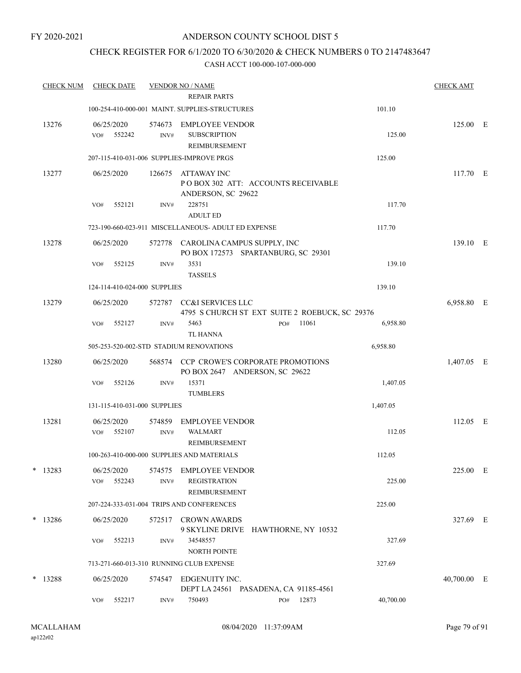## CHECK REGISTER FOR 6/1/2020 TO 6/30/2020 & CHECK NUMBERS 0 TO 2147483647

| <b>CHECK NUM</b> |     |        |                                                                                                                                                        |                           |                                                                                         |                                                                                                                                                                                                                                                                                                                                                                                                                                                                                                                                                                                                           |                                                     |                                                                                                                                                                                                                                                                                | <b>CHECK AMT</b>                                         |                                                                                                                   |
|------------------|-----|--------|--------------------------------------------------------------------------------------------------------------------------------------------------------|---------------------------|-----------------------------------------------------------------------------------------|-----------------------------------------------------------------------------------------------------------------------------------------------------------------------------------------------------------------------------------------------------------------------------------------------------------------------------------------------------------------------------------------------------------------------------------------------------------------------------------------------------------------------------------------------------------------------------------------------------------|-----------------------------------------------------|--------------------------------------------------------------------------------------------------------------------------------------------------------------------------------------------------------------------------------------------------------------------------------|----------------------------------------------------------|-------------------------------------------------------------------------------------------------------------------|
|                  |     |        |                                                                                                                                                        |                           |                                                                                         |                                                                                                                                                                                                                                                                                                                                                                                                                                                                                                                                                                                                           |                                                     | 101.10                                                                                                                                                                                                                                                                         |                                                          |                                                                                                                   |
| 13276            | VO# | 552242 | 574673<br>INV#                                                                                                                                         |                           |                                                                                         |                                                                                                                                                                                                                                                                                                                                                                                                                                                                                                                                                                                                           |                                                     | 125.00                                                                                                                                                                                                                                                                         |                                                          |                                                                                                                   |
|                  |     |        |                                                                                                                                                        |                           |                                                                                         |                                                                                                                                                                                                                                                                                                                                                                                                                                                                                                                                                                                                           |                                                     | 125.00                                                                                                                                                                                                                                                                         |                                                          |                                                                                                                   |
| 13277            |     |        | 126675                                                                                                                                                 | ATTAWAY INC               |                                                                                         |                                                                                                                                                                                                                                                                                                                                                                                                                                                                                                                                                                                                           |                                                     |                                                                                                                                                                                                                                                                                |                                                          |                                                                                                                   |
|                  | VO# | 552121 | INV#                                                                                                                                                   | 228751<br><b>ADULT ED</b> |                                                                                         |                                                                                                                                                                                                                                                                                                                                                                                                                                                                                                                                                                                                           |                                                     | 117.70                                                                                                                                                                                                                                                                         |                                                          |                                                                                                                   |
|                  |     |        |                                                                                                                                                        |                           |                                                                                         |                                                                                                                                                                                                                                                                                                                                                                                                                                                                                                                                                                                                           |                                                     | 117.70                                                                                                                                                                                                                                                                         |                                                          |                                                                                                                   |
| 13278            |     |        | 572778                                                                                                                                                 |                           |                                                                                         |                                                                                                                                                                                                                                                                                                                                                                                                                                                                                                                                                                                                           |                                                     |                                                                                                                                                                                                                                                                                |                                                          |                                                                                                                   |
|                  | VO# | 552125 | INV#                                                                                                                                                   | 3531<br><b>TASSELS</b>    |                                                                                         |                                                                                                                                                                                                                                                                                                                                                                                                                                                                                                                                                                                                           |                                                     | 139.10                                                                                                                                                                                                                                                                         |                                                          |                                                                                                                   |
|                  |     |        |                                                                                                                                                        |                           |                                                                                         |                                                                                                                                                                                                                                                                                                                                                                                                                                                                                                                                                                                                           |                                                     | 139.10                                                                                                                                                                                                                                                                         |                                                          |                                                                                                                   |
| 13279            |     |        | 572787                                                                                                                                                 |                           |                                                                                         |                                                                                                                                                                                                                                                                                                                                                                                                                                                                                                                                                                                                           |                                                     |                                                                                                                                                                                                                                                                                |                                                          |                                                                                                                   |
|                  | VO# | 552127 | INV#                                                                                                                                                   | 5463<br><b>TL HANNA</b>   |                                                                                         | PO#                                                                                                                                                                                                                                                                                                                                                                                                                                                                                                                                                                                                       | 11061                                               | 6,958.80                                                                                                                                                                                                                                                                       |                                                          |                                                                                                                   |
|                  |     |        |                                                                                                                                                        |                           |                                                                                         |                                                                                                                                                                                                                                                                                                                                                                                                                                                                                                                                                                                                           |                                                     | 6,958.80                                                                                                                                                                                                                                                                       |                                                          |                                                                                                                   |
| 13280            |     |        | 568574                                                                                                                                                 |                           |                                                                                         |                                                                                                                                                                                                                                                                                                                                                                                                                                                                                                                                                                                                           |                                                     |                                                                                                                                                                                                                                                                                |                                                          |                                                                                                                   |
|                  | VO# | 552126 | INV#                                                                                                                                                   | 15371<br><b>TUMBLERS</b>  |                                                                                         |                                                                                                                                                                                                                                                                                                                                                                                                                                                                                                                                                                                                           |                                                     | 1,407.05                                                                                                                                                                                                                                                                       |                                                          |                                                                                                                   |
|                  |     |        |                                                                                                                                                        |                           |                                                                                         |                                                                                                                                                                                                                                                                                                                                                                                                                                                                                                                                                                                                           |                                                     | 1,407.05                                                                                                                                                                                                                                                                       |                                                          |                                                                                                                   |
| 13281            | VO# | 552107 | 574859<br>INV#                                                                                                                                         | <b>WALMART</b>            |                                                                                         |                                                                                                                                                                                                                                                                                                                                                                                                                                                                                                                                                                                                           |                                                     | 112.05                                                                                                                                                                                                                                                                         |                                                          |                                                                                                                   |
|                  |     |        |                                                                                                                                                        |                           |                                                                                         |                                                                                                                                                                                                                                                                                                                                                                                                                                                                                                                                                                                                           |                                                     | 112.05                                                                                                                                                                                                                                                                         |                                                          |                                                                                                                   |
| $*$ 13283        |     | 552243 | 574575<br>INV#                                                                                                                                         |                           |                                                                                         |                                                                                                                                                                                                                                                                                                                                                                                                                                                                                                                                                                                                           |                                                     | 225.00                                                                                                                                                                                                                                                                         |                                                          |                                                                                                                   |
|                  |     |        |                                                                                                                                                        |                           |                                                                                         |                                                                                                                                                                                                                                                                                                                                                                                                                                                                                                                                                                                                           |                                                     |                                                                                                                                                                                                                                                                                |                                                          |                                                                                                                   |
| $*$ 13286        |     |        |                                                                                                                                                        |                           |                                                                                         |                                                                                                                                                                                                                                                                                                                                                                                                                                                                                                                                                                                                           |                                                     |                                                                                                                                                                                                                                                                                |                                                          |                                                                                                                   |
|                  | VO# | 552213 | INV#                                                                                                                                                   | 34548557                  |                                                                                         |                                                                                                                                                                                                                                                                                                                                                                                                                                                                                                                                                                                                           |                                                     | 327.69                                                                                                                                                                                                                                                                         |                                                          |                                                                                                                   |
|                  |     |        |                                                                                                                                                        |                           |                                                                                         |                                                                                                                                                                                                                                                                                                                                                                                                                                                                                                                                                                                                           |                                                     | 327.69                                                                                                                                                                                                                                                                         |                                                          |                                                                                                                   |
| * 13288          |     |        |                                                                                                                                                        |                           |                                                                                         |                                                                                                                                                                                                                                                                                                                                                                                                                                                                                                                                                                                                           |                                                     |                                                                                                                                                                                                                                                                                |                                                          |                                                                                                                   |
|                  | VO# | 552217 | INV#                                                                                                                                                   | 750493                    |                                                                                         | PO#                                                                                                                                                                                                                                                                                                                                                                                                                                                                                                                                                                                                       |                                                     | 40,700.00                                                                                                                                                                                                                                                                      |                                                          |                                                                                                                   |
|                  |     |        | <b>CHECK DATE</b><br>06/25/2020<br>06/25/2020<br>06/25/2020<br>06/25/2020<br>06/25/2020<br>06/25/2020<br>06/25/2020<br>VO#<br>06/25/2020<br>06/25/2020 |                           | <b>VENDOR NO / NAME</b><br>124-114-410-024-000 SUPPLIES<br>131-115-410-031-000 SUPPLIES | <b>REPAIR PARTS</b><br>100-254-410-000-001 MAINT, SUPPLIES-STRUCTURES<br><b>EMPLOYEE VENDOR</b><br><b>SUBSCRIPTION</b><br><b>REIMBURSEMENT</b><br>207-115-410-031-006 SUPPLIES-IMPROVE PRGS<br>ANDERSON, SC 29622<br><b>CC&amp;I SERVICES LLC</b><br>505-253-520-002-STD STADIUM RENOVATIONS<br><b>EMPLOYEE VENDOR</b><br>REIMBURSEMENT<br>100-263-410-000-000 SUPPLIES AND MATERIALS<br>EMPLOYEE VENDOR<br><b>REGISTRATION</b><br>REIMBURSEMENT<br>207-224-333-031-004 TRIPS AND CONFERENCES<br>572517 CROWN AWARDS<br>NORTH POINTE<br>713-271-660-013-310 RUNNING CLUB EXPENSE<br>574547 EDGENUITY INC. | 723-190-660-023-911 MISCELLANEOUS- ADULT ED EXPENSE | POBOX 302 ATT: ACCOUNTS RECEIVABLE<br>CAROLINA CAMPUS SUPPLY, INC<br>PO BOX 172573 SPARTANBURG, SC 29301<br><b>CCP CROWE'S CORPORATE PROMOTIONS</b><br>PO BOX 2647 ANDERSON, SC 29622<br>9 SKYLINE DRIVE HAWTHORNE, NY 10532<br>DEPT LA 24561 PASADENA, CA 91185-4561<br>12873 | 4795 S CHURCH ST EXT SUITE 2 ROEBUCK, SC 29376<br>225.00 | 125.00 E<br>117.70 E<br>139.10 E<br>6,958.80 E<br>1,407.05 E<br>112.05 E<br>225.00 E<br>327.69 E<br>$40,700.00$ E |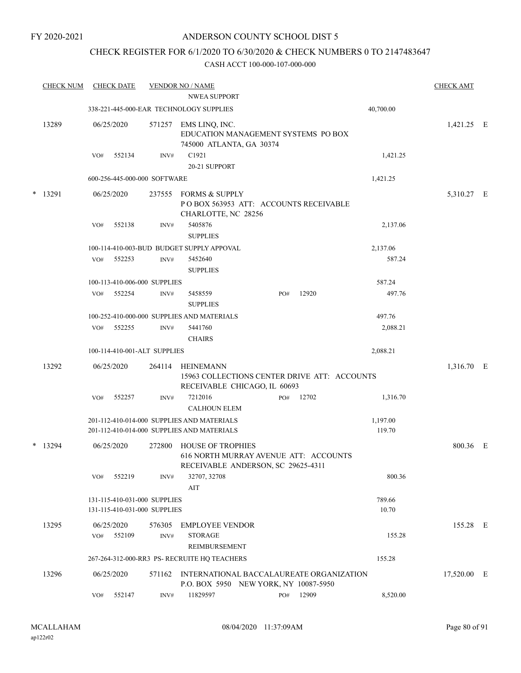## CHECK REGISTER FOR 6/1/2020 TO 6/30/2020 & CHECK NUMBERS 0 TO 2147483647

| <b>CHECK NUM</b> |     | <b>CHECK DATE</b> |                                                              | <b>VENDOR NO / NAME</b>                                                                                 |     |       |                    | <b>CHECK AMT</b> |  |
|------------------|-----|-------------------|--------------------------------------------------------------|---------------------------------------------------------------------------------------------------------|-----|-------|--------------------|------------------|--|
|                  |     |                   |                                                              | <b>NWEA SUPPORT</b>                                                                                     |     |       |                    |                  |  |
|                  |     |                   |                                                              | 338-221-445-000-EAR TECHNOLOGY SUPPLIES                                                                 |     |       | 40,700.00          |                  |  |
| 13289            |     | 06/25/2020        | 571257                                                       | EMS LINQ, INC.<br>EDUCATION MANAGEMENT SYSTEMS PO BOX<br>745000 ATLANTA, GA 30374                       |     |       |                    | 1,421.25 E       |  |
|                  | VO# | 552134            | INV#                                                         | C1921                                                                                                   |     |       | 1,421.25           |                  |  |
|                  |     |                   |                                                              | 20-21 SUPPORT                                                                                           |     |       |                    |                  |  |
|                  |     |                   | 600-256-445-000-000 SOFTWARE                                 |                                                                                                         |     |       | 1,421.25           |                  |  |
| * 13291          |     | 06/25/2020        | 237555                                                       | <b>FORMS &amp; SUPPLY</b><br>POBOX 563953 ATT: ACCOUNTS RECEIVABLE<br>CHARLOTTE, NC 28256               |     |       |                    | 5,310.27 E       |  |
|                  | VO# | 552138            | INV#                                                         | 5405876<br><b>SUPPLIES</b>                                                                              |     |       | 2,137.06           |                  |  |
|                  |     |                   |                                                              | 100-114-410-003-BUD BUDGET SUPPLY APPOVAL                                                               |     |       | 2,137.06           |                  |  |
|                  | VO# | 552253            | INV#                                                         | 5452640<br><b>SUPPLIES</b>                                                                              |     |       | 587.24             |                  |  |
|                  |     |                   | 100-113-410-006-000 SUPPLIES                                 |                                                                                                         |     |       | 587.24             |                  |  |
|                  | VO# | 552254            | INV#                                                         | 5458559<br><b>SUPPLIES</b>                                                                              | PO# | 12920 | 497.76             |                  |  |
|                  |     |                   |                                                              | 100-252-410-000-000 SUPPLIES AND MATERIALS                                                              |     |       | 497.76             |                  |  |
|                  | VO# | 552255            | INV#                                                         | 5441760<br><b>CHAIRS</b>                                                                                |     |       | 2,088.21           |                  |  |
|                  |     |                   | 100-114-410-001-ALT SUPPLIES                                 |                                                                                                         |     |       | 2,088.21           |                  |  |
| 13292            |     | 06/25/2020        | 264114                                                       | <b>HEINEMANN</b><br>15963 COLLECTIONS CENTER DRIVE ATT: ACCOUNTS                                        |     |       |                    | 1,316.70 E       |  |
|                  |     |                   |                                                              | RECEIVABLE CHICAGO, IL 60693                                                                            |     |       |                    |                  |  |
|                  | VO# | 552257            | INV#                                                         | 7212016<br><b>CALHOUN ELEM</b>                                                                          | PO# | 12702 | 1,316.70           |                  |  |
|                  |     |                   |                                                              | 201-112-410-014-000 SUPPLIES AND MATERIALS<br>201-112-410-014-000 SUPPLIES AND MATERIALS                |     |       | 1,197.00<br>119.70 |                  |  |
| $*$ 13294        |     | 06/25/2020        | 272800                                                       | <b>HOUSE OF TROPHIES</b><br>616 NORTH MURRAY AVENUE ATT: ACCOUNTS<br>RECEIVABLE ANDERSON, SC 29625-4311 |     |       |                    | 800.36 E         |  |
|                  | VO# | 552219            | INV#                                                         | 32707, 32708<br>AIT                                                                                     |     |       | 800.36             |                  |  |
|                  |     |                   | 131-115-410-031-000 SUPPLIES<br>131-115-410-031-000 SUPPLIES |                                                                                                         |     |       | 789.66<br>10.70    |                  |  |
| 13295            |     | 06/25/2020        | 576305                                                       | <b>EMPLOYEE VENDOR</b>                                                                                  |     |       |                    | 155.28 E         |  |
|                  | VO# | 552109            | INV#                                                         | <b>STORAGE</b><br>REIMBURSEMENT                                                                         |     |       | 155.28             |                  |  |
|                  |     |                   |                                                              | 267-264-312-000-RR3 PS- RECRUITE HQ TEACHERS                                                            |     |       | 155.28             |                  |  |
| 13296            |     | 06/25/2020        |                                                              | 571162 INTERNATIONAL BACCALAUREATE ORGANIZATION<br>P.O. BOX 5950 NEW YORK, NY 10087-5950                |     |       |                    | 17,520.00 E      |  |
|                  | VO# | 552147            | INV#                                                         | 11829597                                                                                                | PO# | 12909 | 8,520.00           |                  |  |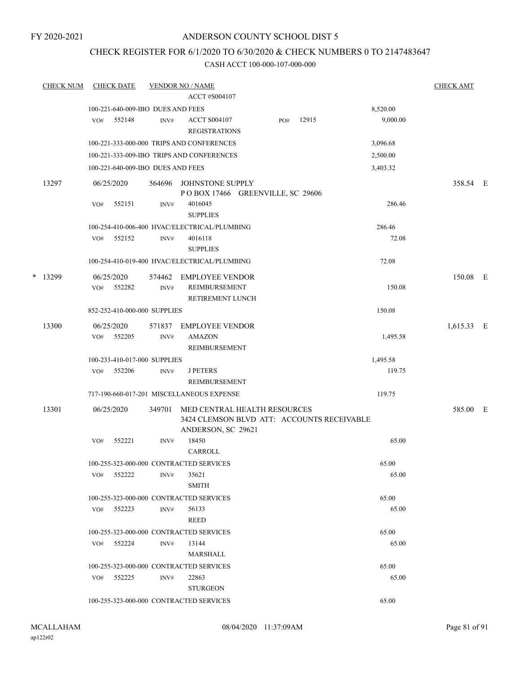## CHECK REGISTER FOR 6/1/2020 TO 6/30/2020 & CHECK NUMBERS 0 TO 2147483647

|   | <b>CHECK NUM</b> | <b>CHECK DATE</b>                 |                | <b>VENDOR NO / NAME</b><br>ACCT #S004107                                                         |     |       |          | <b>CHECK AMT</b> |  |
|---|------------------|-----------------------------------|----------------|--------------------------------------------------------------------------------------------------|-----|-------|----------|------------------|--|
|   |                  | 100-221-640-009-IBO DUES AND FEES |                |                                                                                                  |     |       | 8,520.00 |                  |  |
|   |                  | VO#<br>552148                     | INV#           | <b>ACCT S004107</b><br><b>REGISTRATIONS</b>                                                      | PO# | 12915 | 9,000.00 |                  |  |
|   |                  |                                   |                | 100-221-333-000-000 TRIPS AND CONFERENCES                                                        |     |       | 3,096.68 |                  |  |
|   |                  |                                   |                | 100-221-333-009-IBO TRIPS AND CONFERENCES                                                        |     |       | 2,500.00 |                  |  |
|   |                  | 100-221-640-009-IBO DUES AND FEES |                |                                                                                                  |     |       | 3,403.32 |                  |  |
|   | 13297            | 06/25/2020                        | 564696         | JOHNSTONE SUPPLY<br>POBOX 17466 GREENVILLE, SC 29606                                             |     |       |          | 358.54 E         |  |
|   |                  | VO#<br>552151                     | INV#           | 4016045<br><b>SUPPLIES</b>                                                                       |     |       | 286.46   |                  |  |
|   |                  |                                   |                | 100-254-410-006-400 HVAC/ELECTRICAL/PLUMBING                                                     |     |       | 286.46   |                  |  |
|   |                  | 552152<br>VO#                     | INV#           | 4016118<br><b>SUPPLIES</b>                                                                       |     |       | 72.08    |                  |  |
|   |                  |                                   |                | 100-254-410-019-400 HVAC/ELECTRICAL/PLUMBING                                                     |     |       | 72.08    |                  |  |
| * | 13299            | 06/25/2020<br>552282<br>VO#       | INV#           | 574462 EMPLOYEE VENDOR<br><b>REIMBURSEMENT</b><br>RETIREMENT LUNCH                               |     |       | 150.08   | 150.08 E         |  |
|   |                  | 852-252-410-000-000 SUPPLIES      |                |                                                                                                  |     |       | 150.08   |                  |  |
|   | 13300            | 06/25/2020<br>VO#<br>552205       | 571837<br>INV# | EMPLOYEE VENDOR<br><b>AMAZON</b>                                                                 |     |       | 1,495.58 | 1,615.33 E       |  |
|   |                  |                                   |                | REIMBURSEMENT                                                                                    |     |       |          |                  |  |
|   |                  | 100-233-410-017-000 SUPPLIES      |                |                                                                                                  |     |       | 1,495.58 |                  |  |
|   |                  | 552206<br>VO#                     | INV#           | <b>J PETERS</b><br>REIMBURSEMENT                                                                 |     |       | 119.75   |                  |  |
|   |                  |                                   |                | 717-190-660-017-201 MISCELLANEOUS EXPENSE                                                        |     |       | 119.75   |                  |  |
|   | 13301            | 06/25/2020                        | 349701         | MED CENTRAL HEALTH RESOURCES<br>3424 CLEMSON BLVD ATT: ACCOUNTS RECEIVABLE<br>ANDERSON, SC 29621 |     |       |          | 585.00 E         |  |
|   |                  | 552221<br>VO#                     | INV#           | 18450<br>CARROLL                                                                                 |     |       | 65.00    |                  |  |
|   |                  |                                   |                | 100-255-323-000-000 CONTRACTED SERVICES                                                          |     |       | 65.00    |                  |  |
|   |                  | VO# 552222                        | INV#           | 35621<br><b>SMITH</b>                                                                            |     |       | 65.00    |                  |  |
|   |                  |                                   |                | 100-255-323-000-000 CONTRACTED SERVICES                                                          |     |       | 65.00    |                  |  |
|   |                  | VO# 552223                        | INV#           | 56133<br>REED                                                                                    |     |       | 65.00    |                  |  |
|   |                  |                                   |                | 100-255-323-000-000 CONTRACTED SERVICES                                                          |     |       | 65.00    |                  |  |
|   |                  | 552224<br>VO#                     | INV#           | 13144<br>MARSHALL                                                                                |     |       | 65.00    |                  |  |
|   |                  |                                   |                | 100-255-323-000-000 CONTRACTED SERVICES                                                          |     |       | 65.00    |                  |  |
|   |                  | VO# 552225                        | INV#           | 22863<br><b>STURGEON</b>                                                                         |     |       | 65.00    |                  |  |
|   |                  |                                   |                | 100-255-323-000-000 CONTRACTED SERVICES                                                          |     |       | 65.00    |                  |  |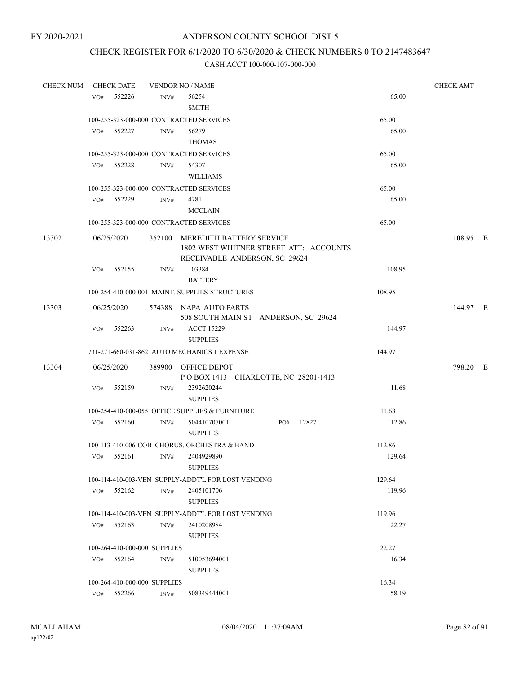# CHECK REGISTER FOR 6/1/2020 TO 6/30/2020 & CHECK NUMBERS 0 TO 2147483647

| <b>CHECK NUM</b> |     | <b>CHECK DATE</b> |                              | <b>VENDOR NO / NAME</b>                                                                                    |     |       |        | <b>CHECK AMT</b> |  |
|------------------|-----|-------------------|------------------------------|------------------------------------------------------------------------------------------------------------|-----|-------|--------|------------------|--|
|                  | VO# | 552226            | INV#                         | 56254<br><b>SMITH</b>                                                                                      |     |       | 65.00  |                  |  |
|                  |     |                   |                              | 100-255-323-000-000 CONTRACTED SERVICES                                                                    |     |       | 65.00  |                  |  |
|                  | VO# | 552227            | INV#                         | 56279<br><b>THOMAS</b>                                                                                     |     |       | 65.00  |                  |  |
|                  |     |                   |                              | 100-255-323-000-000 CONTRACTED SERVICES                                                                    |     |       | 65.00  |                  |  |
|                  |     | VO# 552228        | INV#                         | 54307<br><b>WILLIAMS</b>                                                                                   |     |       | 65.00  |                  |  |
|                  |     |                   |                              | 100-255-323-000-000 CONTRACTED SERVICES                                                                    |     |       | 65.00  |                  |  |
|                  | VO# | 552229            | INV#                         | 4781                                                                                                       |     |       | 65.00  |                  |  |
|                  |     |                   |                              | <b>MCCLAIN</b>                                                                                             |     |       |        |                  |  |
|                  |     |                   |                              | 100-255-323-000-000 CONTRACTED SERVICES                                                                    |     |       | 65.00  |                  |  |
| 13302            |     | 06/25/2020        |                              | 352100 MEREDITH BATTERY SERVICE<br>1802 WEST WHITNER STREET ATT: ACCOUNTS<br>RECEIVABLE ANDERSON, SC 29624 |     |       |        | 108.95 E         |  |
|                  | VO# | 552155            | INV#                         | 103384<br><b>BATTERY</b>                                                                                   |     |       | 108.95 |                  |  |
|                  |     |                   |                              | 100-254-410-000-001 MAINT. SUPPLIES-STRUCTURES                                                             |     |       | 108.95 |                  |  |
| 13303            |     | 06/25/2020        |                              | 574388 NAPA AUTO PARTS<br>508 SOUTH MAIN ST ANDERSON, SC 29624                                             |     |       |        | 144.97 E         |  |
|                  | VO# | 552263            | INV#                         | <b>ACCT 15229</b><br><b>SUPPLIES</b>                                                                       |     |       | 144.97 |                  |  |
|                  |     |                   |                              | 731-271-660-031-862 AUTO MECHANICS 1 EXPENSE                                                               |     |       | 144.97 |                  |  |
| 13304            |     | 06/25/2020        |                              | 389900 OFFICE DEPOT<br>POBOX 1413 CHARLOTTE, NC 28201-1413                                                 |     |       |        | 798.20 E         |  |
|                  | VO# | 552159            | INV#                         | 2392620244<br><b>SUPPLIES</b>                                                                              |     |       | 11.68  |                  |  |
|                  |     |                   |                              | 100-254-410-000-055 OFFICE SUPPLIES & FURNITURE                                                            |     |       | 11.68  |                  |  |
|                  | VO# | 552160            | INV#                         | 504410707001<br><b>SUPPLIES</b>                                                                            | PO# | 12827 | 112.86 |                  |  |
|                  |     |                   |                              | 100-113-410-006-COB CHORUS, ORCHESTRA & BAND                                                               |     |       | 112.86 |                  |  |
|                  | VO# | 552161            | INV#                         | 2404929890<br><b>SUPPLIES</b>                                                                              |     |       | 129.64 |                  |  |
|                  |     |                   |                              | 100-114-410-003-VEN SUPPLY-ADDT'L FOR LOST VENDING                                                         |     |       | 129.64 |                  |  |
|                  | VO# | 552162            | INV#                         | 2405101706<br><b>SUPPLIES</b>                                                                              |     |       | 119.96 |                  |  |
|                  |     |                   |                              | 100-114-410-003-VEN SUPPLY-ADDT'L FOR LOST VENDING                                                         |     |       | 119.96 |                  |  |
|                  | VO# | 552163            | INV#                         | 2410208984<br><b>SUPPLIES</b>                                                                              |     |       | 22.27  |                  |  |
|                  |     |                   | 100-264-410-000-000 SUPPLIES |                                                                                                            |     |       | 22.27  |                  |  |
|                  | VO# | 552164            | INV#                         | 510053694001<br><b>SUPPLIES</b>                                                                            |     |       | 16.34  |                  |  |
|                  |     |                   | 100-264-410-000-000 SUPPLIES |                                                                                                            |     |       | 16.34  |                  |  |
|                  |     | $VO#$ 552266      | INV#                         | 508349444001                                                                                               |     |       | 58.19  |                  |  |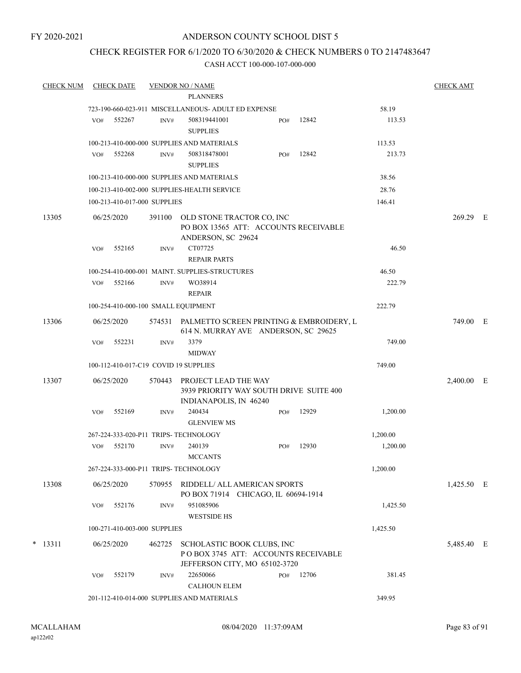## ANDERSON COUNTY SCHOOL DIST 5

## CHECK REGISTER FOR 6/1/2020 TO 6/30/2020 & CHECK NUMBERS 0 TO 2147483647

| <b>CHECK NUM</b> |     | <b>CHECK DATE</b>            |        | <b>VENDOR NO / NAME</b>                                                                   |     |       |          | <b>CHECK AMT</b> |   |
|------------------|-----|------------------------------|--------|-------------------------------------------------------------------------------------------|-----|-------|----------|------------------|---|
|                  |     |                              |        | <b>PLANNERS</b>                                                                           |     |       |          |                  |   |
|                  |     |                              |        | 723-190-660-023-911 MISCELLANEOUS- ADULT ED EXPENSE                                       |     |       | 58.19    |                  |   |
|                  | VO# | 552267                       | INV#   | 508319441001<br><b>SUPPLIES</b>                                                           | PO# | 12842 | 113.53   |                  |   |
|                  |     |                              |        | 100-213-410-000-000 SUPPLIES AND MATERIALS                                                |     |       | 113.53   |                  |   |
|                  | VO# | 552268                       | INV#   | 508318478001<br><b>SUPPLIES</b>                                                           | PO# | 12842 | 213.73   |                  |   |
|                  |     |                              |        | 100-213-410-000-000 SUPPLIES AND MATERIALS                                                |     |       | 38.56    |                  |   |
|                  |     |                              |        | 100-213-410-002-000 SUPPLIES-HEALTH SERVICE                                               |     |       | 28.76    |                  |   |
|                  |     | 100-213-410-017-000 SUPPLIES |        |                                                                                           |     |       | 146.41   |                  |   |
| 13305            |     | 06/25/2020                   | 391100 | OLD STONE TRACTOR CO, INC<br>PO BOX 13565 ATT: ACCOUNTS RECEIVABLE<br>ANDERSON, SC 29624  |     |       |          | 269.29 E         |   |
|                  | VO# | 552165                       | INV#   | CT07725<br><b>REPAIR PARTS</b>                                                            |     |       | 46.50    |                  |   |
|                  |     |                              |        | 100-254-410-000-001 MAINT. SUPPLIES-STRUCTURES                                            |     |       | 46.50    |                  |   |
|                  | VO# | 552166                       | INV#   | WO38914<br>REPAIR                                                                         |     |       | 222.79   |                  |   |
|                  |     |                              |        | 100-254-410-000-100 SMALL EQUIPMENT                                                       |     |       | 222.79   |                  |   |
| 13306            |     | 06/25/2020                   | 574531 | PALMETTO SCREEN PRINTING & EMBROIDERY, L<br>614 N. MURRAY AVE ANDERSON, SC 29625          |     |       |          | 749.00 E         |   |
|                  | VO# | 552231                       | INV#   | 3379<br><b>MIDWAY</b>                                                                     |     |       | 749.00   |                  |   |
|                  |     |                              |        | 100-112-410-017-C19 COVID 19 SUPPLIES                                                     |     |       | 749.00   |                  |   |
| 13307            |     | 06/25/2020                   | 570443 | PROJECT LEAD THE WAY<br>3939 PRIORITY WAY SOUTH DRIVE SUITE 400<br>INDIANAPOLIS, IN 46240 |     |       |          | 2,400.00         | E |
|                  | VO# | 552169                       | INV#   | 240434<br><b>GLENVIEW MS</b>                                                              | PO# | 12929 | 1,200.00 |                  |   |
|                  |     |                              |        | 267-224-333-020-P11 TRIPS- TECHNOLOGY                                                     |     |       | 1,200.00 |                  |   |
|                  | VO# | 552170                       | INV#   | 240139<br><b>MCCANTS</b>                                                                  | PO# | 12930 | 1,200.00 |                  |   |
|                  |     |                              |        | 267-224-333-000-P11 TRIPS- TECHNOLOGY                                                     |     |       | 1,200.00 |                  |   |
| 13308            |     | 06/25/2020                   | 570955 | RIDDELL/ ALL AMERICAN SPORTS<br>PO BOX 71914 CHICAGO, IL 60694-1914                       |     |       |          | 1,425.50 E       |   |
|                  | VO# | 552176                       | INV#   | 951085906<br><b>WESTSIDE HS</b>                                                           |     |       | 1,425.50 |                  |   |
|                  |     | 100-271-410-003-000 SUPPLIES |        |                                                                                           |     |       | 1,425.50 |                  |   |
| $*$ 13311        |     | 06/25/2020                   | 462725 | SCHOLASTIC BOOK CLUBS, INC<br>POBOX 3745 ATT: ACCOUNTS RECEIVABLE                         |     |       |          | 5,485.40 E       |   |
|                  | VO# | 552179                       | INV#   | JEFFERSON CITY, MO 65102-3720<br>22650066<br><b>CALHOUN ELEM</b>                          | PO# | 12706 | 381.45   |                  |   |
|                  |     |                              |        | 201-112-410-014-000 SUPPLIES AND MATERIALS                                                |     |       | 349.95   |                  |   |
|                  |     |                              |        |                                                                                           |     |       |          |                  |   |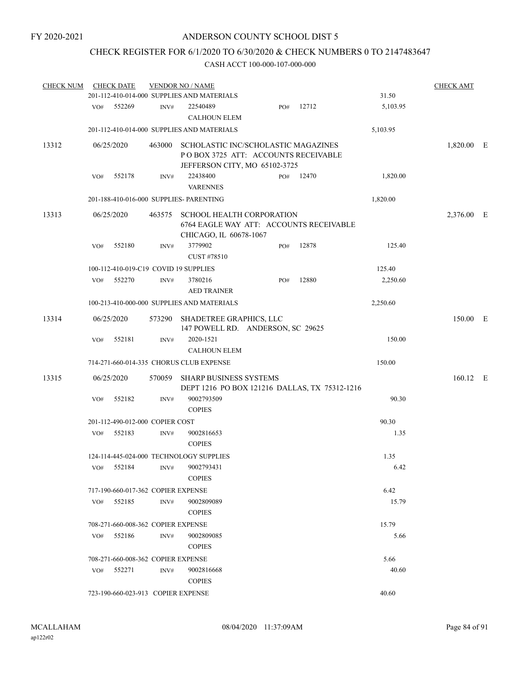# CHECK REGISTER FOR 6/1/2020 TO 6/30/2020 & CHECK NUMBERS 0 TO 2147483647

| <b>CHECK NUM</b> |     | <b>CHECK DATE</b>                  |        | <b>VENDOR NO / NAME</b>                                                                                     |     |       |          | <b>CHECK AMT</b> |  |
|------------------|-----|------------------------------------|--------|-------------------------------------------------------------------------------------------------------------|-----|-------|----------|------------------|--|
|                  |     |                                    |        | 201-112-410-014-000 SUPPLIES AND MATERIALS                                                                  |     |       | 31.50    |                  |  |
|                  | VO# | 552269                             | INV#   | 22540489<br><b>CALHOUN ELEM</b>                                                                             | PO# | 12712 | 5,103.95 |                  |  |
|                  |     |                                    |        | 201-112-410-014-000 SUPPLIES AND MATERIALS                                                                  |     |       | 5,103.95 |                  |  |
| 13312            |     | 06/25/2020                         | 463000 | SCHOLASTIC INC/SCHOLASTIC MAGAZINES<br>POBOX 3725 ATT: ACCOUNTS RECEIVABLE<br>JEFFERSON CITY, MO 65102-3725 |     |       |          | 1,820.00 E       |  |
|                  | VO# | 552178                             | INV#   | 22438400<br><b>VARENNES</b>                                                                                 | PO# | 12470 | 1,820.00 |                  |  |
|                  |     |                                    |        | 201-188-410-016-000 SUPPLIES- PARENTING                                                                     |     |       | 1,820.00 |                  |  |
| 13313            |     | 06/25/2020                         |        | 463575 SCHOOL HEALTH CORPORATION<br>6764 EAGLE WAY ATT: ACCOUNTS RECEIVABLE<br>CHICAGO, IL 60678-1067       |     |       |          | 2,376.00 E       |  |
|                  | VO# | 552180                             | INV#   | 3779902<br>CUST #78510                                                                                      | PO# | 12878 | 125.40   |                  |  |
|                  |     |                                    |        | 100-112-410-019-C19 COVID 19 SUPPLIES                                                                       |     |       | 125.40   |                  |  |
|                  |     | VO# 552270                         | INV#   | 3780216<br><b>AED TRAINER</b>                                                                               | PO# | 12880 | 2,250.60 |                  |  |
|                  |     |                                    |        | 100-213-410-000-000 SUPPLIES AND MATERIALS                                                                  |     |       | 2,250.60 |                  |  |
| 13314            |     | 06/25/2020                         |        | 573290 SHADETREE GRAPHICS, LLC<br>147 POWELL RD. ANDERSON, SC 29625                                         |     |       |          | 150.00 E         |  |
|                  | VO# | 552181                             | INV#   | 2020-1521<br><b>CALHOUN ELEM</b>                                                                            |     |       | 150.00   |                  |  |
|                  |     |                                    |        | 714-271-660-014-335 CHORUS CLUB EXPENSE                                                                     |     |       | 150.00   |                  |  |
| 13315            |     | 06/25/2020                         | 570059 | <b>SHARP BUSINESS SYSTEMS</b><br>DEPT 1216 PO BOX 121216 DALLAS, TX 75312-1216                              |     |       |          | 160.12 E         |  |
|                  | VO# | 552182                             | INV#   | 9002793509<br><b>COPIES</b>                                                                                 |     |       | 90.30    |                  |  |
|                  |     | 201-112-490-012-000 COPIER COST    |        |                                                                                                             |     |       | 90.30    |                  |  |
|                  | VO# | 552183                             | INV#   | 9002816653<br><b>COPIES</b>                                                                                 |     |       | 1.35     |                  |  |
|                  |     |                                    |        | 124-114-445-024-000 TECHNOLOGY SUPPLIES                                                                     |     |       | 1.35     |                  |  |
|                  | VO# | 552184                             | INV#   | 9002793431<br><b>COPIES</b>                                                                                 |     |       | 6.42     |                  |  |
|                  |     | 717-190-660-017-362 COPIER EXPENSE |        |                                                                                                             |     |       | 6.42     |                  |  |
|                  | VO# | 552185                             | INV#   | 9002809089<br><b>COPIES</b>                                                                                 |     |       | 15.79    |                  |  |
|                  |     | 708-271-660-008-362 COPIER EXPENSE |        |                                                                                                             |     |       | 15.79    |                  |  |
|                  | VO# | 552186                             | INV#   | 9002809085<br><b>COPIES</b>                                                                                 |     |       | 5.66     |                  |  |
|                  |     | 708-271-660-008-362 COPIER EXPENSE |        |                                                                                                             |     |       | 5.66     |                  |  |
|                  | VO# | 552271                             | INV#   | 9002816668<br><b>COPIES</b>                                                                                 |     |       | 40.60    |                  |  |
|                  |     | 723-190-660-023-913 COPIER EXPENSE |        |                                                                                                             |     |       | 40.60    |                  |  |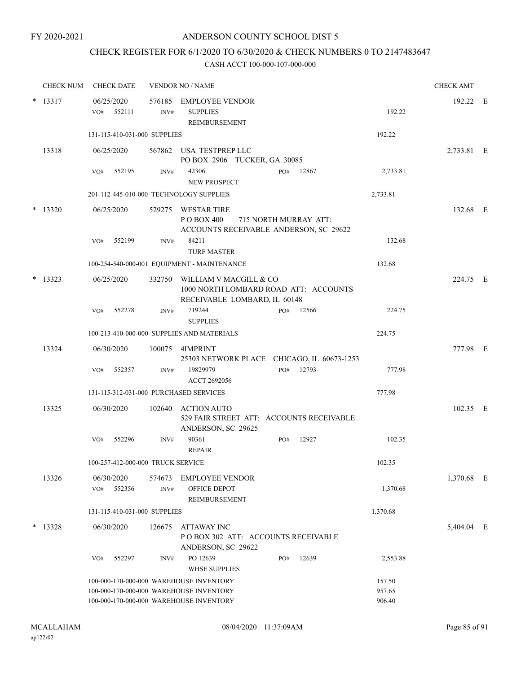# CHECK REGISTER FOR 6/1/2020 TO 6/30/2020 & CHECK NUMBERS 0 TO 2147483647

|        | <b>CHECK NUM</b> | <b>CHECK DATE</b>                                                                  |                | <b>VENDOR NO / NAME</b>                                                                              |       |                            | <b>CHECK AMT</b> |  |
|--------|------------------|------------------------------------------------------------------------------------|----------------|------------------------------------------------------------------------------------------------------|-------|----------------------------|------------------|--|
| $\ast$ | 13317            | 06/25/2020<br>VO#<br>552111                                                        | 576185<br>INV# | EMPLOYEE VENDOR<br><b>SUPPLIES</b><br>REIMBURSEMENT                                                  |       | 192.22                     | 192.22 E         |  |
|        |                  | 131-115-410-031-000 SUPPLIES                                                       |                |                                                                                                      |       | 192.22                     |                  |  |
|        | 13318            | 06/25/2020                                                                         |                | 567862 USA TESTPREP LLC<br>PO BOX 2906 TUCKER, GA 30085                                              |       |                            | 2,733.81 E       |  |
|        |                  | 552195<br>VO#                                                                      | INV#           | 42306<br>PO#<br><b>NEW PROSPECT</b>                                                                  | 12867 | 2,733.81                   |                  |  |
|        |                  | 201-112-445-010-000 TECHNOLOGY SUPPLIES                                            |                |                                                                                                      |       | 2,733.81                   |                  |  |
| *      | 13320            | 06/25/2020                                                                         |                | 529275 WESTAR TIRE<br>P O BOX 400<br>715 NORTH MURRAY ATT:<br>ACCOUNTS RECEIVABLE ANDERSON, SC 29622 |       |                            | 132.68 E         |  |
|        |                  | 552199<br>VO#                                                                      | INV#           | 84211<br><b>TURF MASTER</b>                                                                          |       | 132.68                     |                  |  |
|        |                  |                                                                                    |                | 100-254-540-000-001 EQUIPMENT - MAINTENANCE                                                          |       | 132.68                     |                  |  |
| $\ast$ | 13323            | 06/25/2020                                                                         | 332750         | WILLIAM V MACGILL & CO<br>1000 NORTH LOMBARD ROAD ATT: ACCOUNTS<br>RECEIVABLE LOMBARD, IL 60148      |       |                            | 224.75 E         |  |
|        |                  | 552278<br>VO#                                                                      | INV#           | 719244<br>PO#<br><b>SUPPLIES</b>                                                                     | 12566 | 224.75                     |                  |  |
|        |                  |                                                                                    |                | 100-213-410-000-000 SUPPLIES AND MATERIALS                                                           |       | 224.75                     |                  |  |
|        | 13324            | 06/30/2020                                                                         |                | 100075 4IMPRINT<br>25303 NETWORK PLACE CHICAGO, IL 60673-1253                                        |       |                            | 777.98 E         |  |
|        |                  | 552357<br>VO#                                                                      | INV#           | 19829979<br>PO#<br>ACCT 2692056                                                                      | 12793 | 777.98                     |                  |  |
|        |                  | 131-115-312-031-000 PURCHASED SERVICES                                             |                |                                                                                                      |       | 777.98                     |                  |  |
|        | 13325            | 06/30/2020                                                                         |                | 102640 ACTION AUTO<br>529 FAIR STREET ATT: ACCOUNTS RECEIVABLE<br>ANDERSON, SC 29625                 |       |                            | 102.35 E         |  |
|        |                  | 552296<br>VO#                                                                      | INV#           | 90361<br>PO#<br><b>REPAIR</b>                                                                        | 12927 | 102.35                     |                  |  |
|        |                  | 100-257-412-000-000 TRUCK SERVICE                                                  |                |                                                                                                      |       | 102.35                     |                  |  |
|        | 13326            | 06/30/2020<br>552356<br>VO#                                                        | 574673<br>INV# | <b>EMPLOYEE VENDOR</b><br>OFFICE DEPOT<br>REIMBURSEMENT                                              |       | 1,370.68                   | 1,370.68 E       |  |
|        |                  | 131-115-410-031-000 SUPPLIES                                                       |                |                                                                                                      |       | 1,370.68                   |                  |  |
|        | $* 13328$        | 06/30/2020                                                                         | 126675         | ATTAWAY INC<br>POBOX 302 ATT: ACCOUNTS RECEIVABLE<br>ANDERSON, SC 29622                              |       |                            | 5,404.04 E       |  |
|        |                  | 552297<br>VO#                                                                      | INV#           | PO 12639<br>PO#<br><b>WHSE SUPPLIES</b>                                                              | 12639 | 2,553.88                   |                  |  |
|        |                  | 100-000-170-000-000 WAREHOUSE INVENTORY<br>100-000-170-000-000 WAREHOUSE INVENTORY |                | 100-000-170-000-000 WAREHOUSE INVENTORY                                                              |       | 157.50<br>957.65<br>906.40 |                  |  |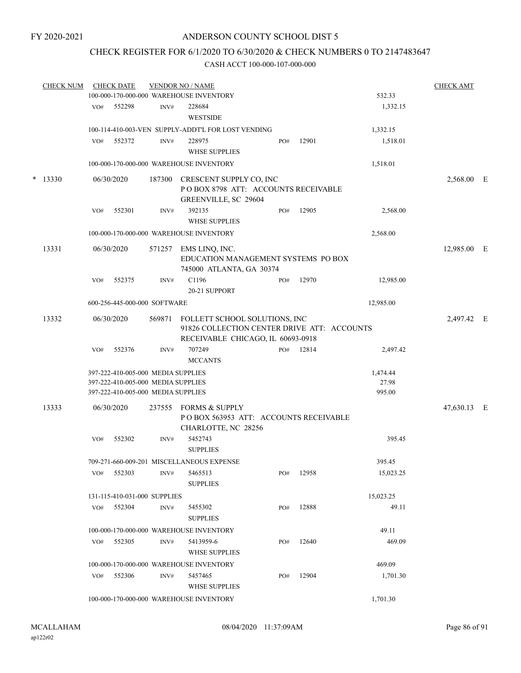## CHECK REGISTER FOR 6/1/2020 TO 6/30/2020 & CHECK NUMBERS 0 TO 2147483647

| <b>CHECK NUM</b> |     | <b>CHECK DATE</b>                                                                                              |        | <b>VENDOR NO / NAME</b><br>100-000-170-000-000 WAREHOUSE INVENTORY                                                |     |       | 532.33                      | <b>CHECK AMT</b> |  |
|------------------|-----|----------------------------------------------------------------------------------------------------------------|--------|-------------------------------------------------------------------------------------------------------------------|-----|-------|-----------------------------|------------------|--|
|                  | VO# | 552298                                                                                                         | INV#   | 228684<br><b>WESTSIDE</b>                                                                                         |     |       | 1,332.15                    |                  |  |
|                  |     |                                                                                                                |        |                                                                                                                   |     |       |                             |                  |  |
|                  |     |                                                                                                                |        | 100-114-410-003-VEN SUPPLY-ADDT'L FOR LOST VENDING                                                                |     |       | 1,332.15                    |                  |  |
|                  | VO# | 552372                                                                                                         | INV#   | 228975<br><b>WHSE SUPPLIES</b>                                                                                    | PO# | 12901 | 1,518.01                    |                  |  |
|                  |     |                                                                                                                |        | 100-000-170-000-000 WAREHOUSE INVENTORY                                                                           |     |       | 1,518.01                    |                  |  |
| $*$ 13330        |     | 06/30/2020                                                                                                     |        | 187300 CRESCENT SUPPLY CO, INC<br>POBOX 8798 ATT: ACCOUNTS RECEIVABLE<br>GREENVILLE, SC 29604                     |     |       |                             | 2,568.00 E       |  |
|                  | VO# | 552301                                                                                                         | INV#   | 392135<br><b>WHSE SUPPLIES</b>                                                                                    | PO# | 12905 | 2,568.00                    |                  |  |
|                  |     |                                                                                                                |        | 100-000-170-000-000 WAREHOUSE INVENTORY                                                                           |     |       | 2,568.00                    |                  |  |
| 13331            |     | 06/30/2020                                                                                                     | 571257 | EMS LINQ, INC.<br>EDUCATION MANAGEMENT SYSTEMS PO BOX<br>745000 ATLANTA, GA 30374                                 |     |       |                             | 12,985.00 E      |  |
|                  | VO# | 552375                                                                                                         | INV#   | C1196<br>20-21 SUPPORT                                                                                            | PO# | 12970 | 12,985.00                   |                  |  |
|                  |     | 600-256-445-000-000 SOFTWARE                                                                                   |        |                                                                                                                   |     |       | 12,985.00                   |                  |  |
| 13332            |     | 06/30/2020                                                                                                     | 569871 | FOLLETT SCHOOL SOLUTIONS, INC<br>91826 COLLECTION CENTER DRIVE ATT: ACCOUNTS<br>RECEIVABLE CHICAGO, IL 60693-0918 |     |       |                             | 2,497.42 E       |  |
|                  | VO# | 552376                                                                                                         | INV#   | 707249<br><b>MCCANTS</b>                                                                                          | PO# | 12814 | 2,497.42                    |                  |  |
|                  |     | 397-222-410-005-000 MEDIA SUPPLIES<br>397-222-410-005-000 MEDIA SUPPLIES<br>397-222-410-005-000 MEDIA SUPPLIES |        |                                                                                                                   |     |       | 1,474.44<br>27.98<br>995.00 |                  |  |
| 13333            |     | 06/30/2020                                                                                                     | 237555 | FORMS & SUPPLY<br>POBOX 563953 ATT: ACCOUNTS RECEIVABLE                                                           |     |       |                             | 47,630.13 E      |  |
|                  | VO# | 552302                                                                                                         | INV#   | CHARLOTTE, NC 28256<br>5452743<br><b>SUPPLIES</b>                                                                 |     |       | 395.45                      |                  |  |
|                  |     |                                                                                                                |        | 709-271-660-009-201 MISCELLANEOUS EXPENSE                                                                         |     |       | 395.45                      |                  |  |
|                  | VO# | 552303                                                                                                         | INV#   | 5465513<br><b>SUPPLIES</b>                                                                                        | PO# | 12958 | 15,023.25                   |                  |  |
|                  |     | 131-115-410-031-000 SUPPLIES                                                                                   |        |                                                                                                                   |     |       | 15,023.25                   |                  |  |
|                  |     | VO# 552304                                                                                                     | INV#   | 5455302<br><b>SUPPLIES</b>                                                                                        | PO# | 12888 | 49.11                       |                  |  |
|                  |     |                                                                                                                |        | 100-000-170-000-000 WAREHOUSE INVENTORY                                                                           |     |       | 49.11                       |                  |  |
|                  | VO# | 552305                                                                                                         | INV#   | 5413959-6<br><b>WHSE SUPPLIES</b>                                                                                 | PO# | 12640 | 469.09                      |                  |  |
|                  |     |                                                                                                                |        | 100-000-170-000-000 WAREHOUSE INVENTORY                                                                           |     |       | 469.09                      |                  |  |
|                  | VO# | 552306                                                                                                         | INV#   | 5457465<br><b>WHSE SUPPLIES</b>                                                                                   | PO# | 12904 | 1,701.30                    |                  |  |
|                  |     |                                                                                                                |        | 100-000-170-000-000 WAREHOUSE INVENTORY                                                                           |     |       | 1,701.30                    |                  |  |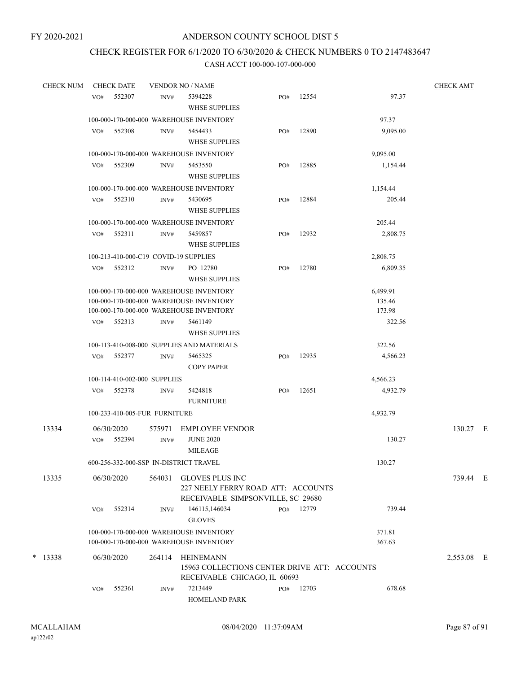# CHECK REGISTER FOR 6/1/2020 TO 6/30/2020 & CHECK NUMBERS 0 TO 2147483647

| <b>CHECK NUM</b> |     | <b>CHECK DATE</b>             |                | <b>VENDOR NO / NAME</b>                                      |     |       |          | <b>CHECK AMT</b> |  |
|------------------|-----|-------------------------------|----------------|--------------------------------------------------------------|-----|-------|----------|------------------|--|
|                  | VO# | 552307                        | INV#           | 5394228<br>WHSE SUPPLIES                                     | PO# | 12554 | 97.37    |                  |  |
|                  |     |                               |                | 100-000-170-000-000 WAREHOUSE INVENTORY                      |     |       | 97.37    |                  |  |
|                  | VO# | 552308                        | INV#           | 5454433<br><b>WHSE SUPPLIES</b>                              | PO# | 12890 | 9,095.00 |                  |  |
|                  |     |                               |                | 100-000-170-000-000 WAREHOUSE INVENTORY                      |     |       | 9,095.00 |                  |  |
|                  | VO# | 552309                        | INV#           | 5453550                                                      | PO# | 12885 | 1,154.44 |                  |  |
|                  |     |                               |                | <b>WHSE SUPPLIES</b>                                         |     |       |          |                  |  |
|                  |     |                               |                | 100-000-170-000-000 WAREHOUSE INVENTORY                      |     |       | 1,154.44 |                  |  |
|                  | VO# | 552310                        | INV#           | 5430695                                                      | PO# | 12884 | 205.44   |                  |  |
|                  |     |                               |                | <b>WHSE SUPPLIES</b>                                         |     |       |          |                  |  |
|                  |     |                               |                | 100-000-170-000-000 WAREHOUSE INVENTORY                      |     |       | 205.44   |                  |  |
|                  | VO# | 552311                        | INV#           | 5459857                                                      | PO# | 12932 | 2,808.75 |                  |  |
|                  |     |                               |                | <b>WHSE SUPPLIES</b>                                         |     |       |          |                  |  |
|                  |     |                               |                | 100-213-410-000-C19 COVID-19 SUPPLIES                        |     |       | 2,808.75 |                  |  |
|                  | VO# | 552312                        | INV#           | PO 12780<br><b>WHSE SUPPLIES</b>                             | PO# | 12780 | 6,809.35 |                  |  |
|                  |     |                               |                | 100-000-170-000-000 WAREHOUSE INVENTORY                      |     |       | 6,499.91 |                  |  |
|                  |     |                               |                | 100-000-170-000-000 WAREHOUSE INVENTORY                      |     |       | 135.46   |                  |  |
|                  |     |                               |                | 100-000-170-000-000 WAREHOUSE INVENTORY                      |     |       | 173.98   |                  |  |
|                  | VO# | 552313                        | INV#           | 5461149<br><b>WHSE SUPPLIES</b>                              |     |       | 322.56   |                  |  |
|                  |     |                               |                | 100-113-410-008-000 SUPPLIES AND MATERIALS                   |     |       | 322.56   |                  |  |
|                  | VO# | 552377                        | INV#           | 5465325<br><b>COPY PAPER</b>                                 | PO# | 12935 | 4,566.23 |                  |  |
|                  |     | 100-114-410-002-000 SUPPLIES  |                |                                                              |     |       | 4,566.23 |                  |  |
|                  | VO# | 552378                        | INV#           | 5424818<br><b>FURNITURE</b>                                  | PO# | 12651 | 4,932.79 |                  |  |
|                  |     | 100-233-410-005-FUR FURNITURE |                |                                                              |     |       | 4,932.79 |                  |  |
|                  |     |                               |                |                                                              |     |       |          |                  |  |
| 13334            | VO# | 06/30/2020<br>552394          | 575971<br>INV# | <b>EMPLOYEE VENDOR</b><br><b>JUNE 2020</b>                   |     |       | 130.27   | 130.27 E         |  |
|                  |     |                               |                | MILEAGE                                                      |     |       |          |                  |  |
|                  |     |                               |                | 600-256-332-000-SSP IN-DISTRICT TRAVEL                       |     |       | 130.27   |                  |  |
| 13335            |     | 06/30/2020                    | 564031         | <b>GLOVES PLUS INC</b><br>227 NEELY FERRY ROAD ATT: ACCOUNTS |     |       |          | 739.44 E         |  |
|                  |     |                               |                | RECEIVABLE SIMPSONVILLE, SC 29680                            |     |       |          |                  |  |
|                  | VO# | 552314                        | INV#           | 146115,146034<br><b>GLOVES</b>                               | PO# | 12779 | 739.44   |                  |  |
|                  |     |                               |                | 100-000-170-000-000 WAREHOUSE INVENTORY                      |     |       | 371.81   |                  |  |
|                  |     |                               |                | 100-000-170-000-000 WAREHOUSE INVENTORY                      |     |       | 367.63   |                  |  |
| $*$ 13338        |     | 06/30/2020                    | 264114         | HEINEMANN<br>15963 COLLECTIONS CENTER DRIVE ATT: ACCOUNTS    |     |       |          | 2,553.08 E       |  |
|                  | VO# | 552361                        | INV#           | RECEIVABLE CHICAGO, IL 60693<br>7213449<br>HOMELAND PARK     | PO# | 12703 | 678.68   |                  |  |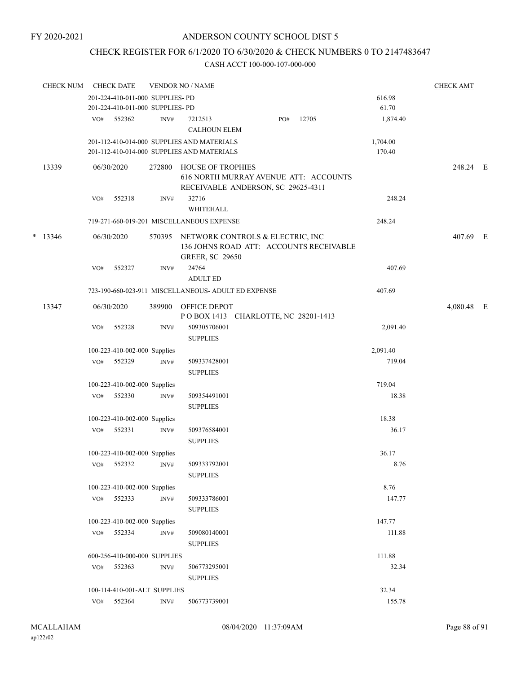## CHECK REGISTER FOR 6/1/2020 TO 6/30/2020 & CHECK NUMBERS 0 TO 2147483647

|   | <b>CHECK NUM</b> |     | <b>CHECK DATE</b>                |                | <b>VENDOR NO / NAME</b>                                                                               |          | <b>CHECK AMT</b> |  |
|---|------------------|-----|----------------------------------|----------------|-------------------------------------------------------------------------------------------------------|----------|------------------|--|
|   |                  |     | 201-224-410-011-000 SUPPLIES- PD |                |                                                                                                       | 616.98   |                  |  |
|   |                  |     | 201-224-410-011-000 SUPPLIES- PD |                |                                                                                                       | 61.70    |                  |  |
|   |                  | VO# | 552362                           | INV#           | 12705<br>7212513<br>PO#<br><b>CALHOUN ELEM</b>                                                        | 1,874.40 |                  |  |
|   |                  |     |                                  |                | 201-112-410-014-000 SUPPLIES AND MATERIALS                                                            | 1,704.00 |                  |  |
|   |                  |     |                                  |                | 201-112-410-014-000 SUPPLIES AND MATERIALS                                                            | 170.40   |                  |  |
|   | 13339            |     | 06/30/2020                       | 272800         | <b>HOUSE OF TROPHIES</b><br>616 NORTH MURRAY AVENUE ATT: ACCOUNTS                                     |          | 248.24 E         |  |
|   |                  | VO# | 552318                           | INV#           | RECEIVABLE ANDERSON, SC 29625-4311<br>32716<br>WHITEHALL                                              | 248.24   |                  |  |
|   |                  |     |                                  |                | 719-271-660-019-201 MISCELLANEOUS EXPENSE                                                             | 248.24   |                  |  |
| * | 13346            |     | 06/30/2020                       | 570395         | NETWORK CONTROLS & ELECTRIC, INC<br>136 JOHNS ROAD ATT: ACCOUNTS RECEIVABLE<br><b>GREER, SC 29650</b> |          | 407.69 E         |  |
|   |                  | VO# | 552327                           | INV#           | 24764<br><b>ADULT ED</b>                                                                              | 407.69   |                  |  |
|   |                  |     |                                  |                | 723-190-660-023-911 MISCELLANEOUS- ADULT ED EXPENSE                                                   | 407.69   |                  |  |
|   |                  |     |                                  |                |                                                                                                       |          |                  |  |
|   | 13347            |     | 06/30/2020                       | 389900         | OFFICE DEPOT<br>POBOX 1413 CHARLOTTE, NC 28201-1413                                                   |          | 4,080.48 E       |  |
|   |                  | VO# | 552328                           | INV#           | 509305706001<br><b>SUPPLIES</b>                                                                       | 2,091.40 |                  |  |
|   |                  |     | 100-223-410-002-000 Supplies     |                |                                                                                                       | 2,091.40 |                  |  |
|   |                  | VO# | 552329                           | INV#           | 509337428001                                                                                          | 719.04   |                  |  |
|   |                  |     |                                  |                | <b>SUPPLIES</b>                                                                                       |          |                  |  |
|   |                  |     | 100-223-410-002-000 Supplies     |                |                                                                                                       | 719.04   |                  |  |
|   |                  | VO# | 552330                           | INV#           | 509354491001<br><b>SUPPLIES</b>                                                                       | 18.38    |                  |  |
|   |                  |     | 100-223-410-002-000 Supplies     |                |                                                                                                       | 18.38    |                  |  |
|   |                  | VO# | 552331                           | INV#           | 509376584001                                                                                          | 36.17    |                  |  |
|   |                  |     |                                  |                | <b>SUPPLIES</b>                                                                                       |          |                  |  |
|   |                  |     | 100-223-410-002-000 Supplies     |                |                                                                                                       | 36.17    |                  |  |
|   |                  | VO# | 552332                           | INV#           | 509333792001<br><b>SUPPLIES</b>                                                                       | 8.76     |                  |  |
|   |                  |     | 100-223-410-002-000 Supplies     |                |                                                                                                       | 8.76     |                  |  |
|   |                  | VO# | 552333                           | INV#           | 509333786001                                                                                          | 147.77   |                  |  |
|   |                  |     |                                  |                | <b>SUPPLIES</b>                                                                                       |          |                  |  |
|   |                  |     | 100-223-410-002-000 Supplies     |                |                                                                                                       | 147.77   |                  |  |
|   |                  | VO# | 552334                           | INV#           | 509080140001<br><b>SUPPLIES</b>                                                                       | 111.88   |                  |  |
|   |                  |     | 600-256-410-000-000 SUPPLIES     |                |                                                                                                       | 111.88   |                  |  |
|   |                  |     | VO# 552363                       | INV#           | 506773295001<br><b>SUPPLIES</b>                                                                       | 32.34    |                  |  |
|   |                  |     | 100-114-410-001-ALT SUPPLIES     |                |                                                                                                       | 32.34    |                  |  |
|   |                  | VO# | 552364                           | $\text{INV}\#$ | 506773739001                                                                                          | 155.78   |                  |  |
|   |                  |     |                                  |                |                                                                                                       |          |                  |  |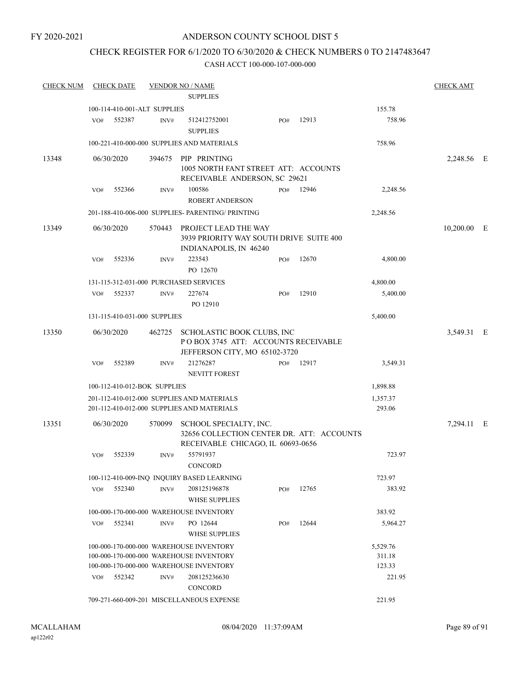## ANDERSON COUNTY SCHOOL DIST 5

## CHECK REGISTER FOR 6/1/2020 TO 6/30/2020 & CHECK NUMBERS 0 TO 2147483647

| <b>CHECK NUM</b> | <b>CHECK DATE</b> |                                        |        | <b>VENDOR NO / NAME</b><br><b>SUPPLIES</b>                                                                                                    |     |           |                                        | <b>CHECK AMT</b> |  |
|------------------|-------------------|----------------------------------------|--------|-----------------------------------------------------------------------------------------------------------------------------------------------|-----|-----------|----------------------------------------|------------------|--|
|                  |                   |                                        |        |                                                                                                                                               |     |           |                                        |                  |  |
|                  | VO#               | 100-114-410-001-ALT SUPPLIES<br>552387 | INV#   | 512412752001<br><b>SUPPLIES</b>                                                                                                               | PO# | 12913     | 155.78<br>758.96                       |                  |  |
|                  |                   |                                        |        | 100-221-410-000-000 SUPPLIES AND MATERIALS                                                                                                    |     |           | 758.96                                 |                  |  |
| 13348            | 06/30/2020        |                                        |        | 394675 PIP PRINTING<br>1005 NORTH FANT STREET ATT: ACCOUNTS<br>RECEIVABLE ANDERSON, SC 29621                                                  |     |           |                                        | 2,248.56 E       |  |
|                  | VO#               | 552366                                 | INV#   | 100586<br><b>ROBERT ANDERSON</b>                                                                                                              |     | PO# 12946 | 2,248.56                               |                  |  |
|                  |                   |                                        |        | 201-188-410-006-000 SUPPLIES- PARENTING/ PRINTING                                                                                             |     |           | 2,248.56                               |                  |  |
| 13349            | 06/30/2020        |                                        |        | 570443 PROJECT LEAD THE WAY<br>3939 PRIORITY WAY SOUTH DRIVE SUITE 400<br>INDIANAPOLIS, IN 46240                                              |     |           |                                        | $10,200.00$ E    |  |
|                  | VO#               | 552336                                 | INV#   | 223543<br>PO 12670                                                                                                                            | PO# | 12670     | 4,800.00                               |                  |  |
|                  |                   |                                        |        | 131-115-312-031-000 PURCHASED SERVICES                                                                                                        |     |           | 4,800.00                               |                  |  |
|                  | VO#               | 552337                                 | INV#   | 227674<br>PO 12910                                                                                                                            | PO# | 12910     | 5,400.00                               |                  |  |
|                  |                   | 131-115-410-031-000 SUPPLIES           |        |                                                                                                                                               |     |           | 5,400.00                               |                  |  |
| 13350            | 06/30/2020        |                                        |        | 462725 SCHOLASTIC BOOK CLUBS, INC<br>POBOX 3745 ATT: ACCOUNTS RECEIVABLE<br>JEFFERSON CITY, MO 65102-3720                                     |     |           |                                        | 3,549.31 E       |  |
|                  | VO#               | 552389                                 | INV#   | 21276287<br><b>NEVITT FOREST</b>                                                                                                              | PO# | 12917     | 3,549.31                               |                  |  |
|                  |                   | 100-112-410-012-BOK SUPPLIES           |        |                                                                                                                                               |     |           | 1,898.88                               |                  |  |
|                  |                   |                                        |        | 201-112-410-012-000 SUPPLIES AND MATERIALS<br>201-112-410-012-000 SUPPLIES AND MATERIALS                                                      |     |           | 1,357.37<br>293.06                     |                  |  |
| 13351            | 06/30/2020        |                                        | 570099 | SCHOOL SPECIALTY, INC.<br>32656 COLLECTION CENTER DR. ATT: ACCOUNTS<br>RECEIVABLE CHICAGO, IL 60693-0656                                      |     |           |                                        | 7,294.11 E       |  |
|                  | VO#               | 552339                                 | INV#   | 55791937<br>CONCORD                                                                                                                           |     |           | 723.97                                 |                  |  |
|                  |                   |                                        |        | 100-112-410-009-INQ INQUIRY BASED LEARNING                                                                                                    |     |           | 723.97                                 |                  |  |
|                  | VO#<br>552340     |                                        | INV#   | 208125196878<br><b>WHSE SUPPLIES</b>                                                                                                          | PO# | 12765     | 383.92                                 |                  |  |
|                  |                   |                                        |        | 100-000-170-000-000 WAREHOUSE INVENTORY                                                                                                       |     |           | 383.92                                 |                  |  |
|                  | VO#               | 552341                                 | INV#   | PO 12644<br><b>WHSE SUPPLIES</b>                                                                                                              | PO# | 12644     | 5,964.27                               |                  |  |
|                  | VO#               | 552342                                 | INV#   | 100-000-170-000-000 WAREHOUSE INVENTORY<br>100-000-170-000-000 WAREHOUSE INVENTORY<br>100-000-170-000-000 WAREHOUSE INVENTORY<br>208125236630 |     |           | 5,529.76<br>311.18<br>123.33<br>221.95 |                  |  |
|                  |                   |                                        |        | <b>CONCORD</b>                                                                                                                                |     |           |                                        |                  |  |
|                  |                   |                                        |        | 709-271-660-009-201 MISCELLANEOUS EXPENSE                                                                                                     |     |           | 221.95                                 |                  |  |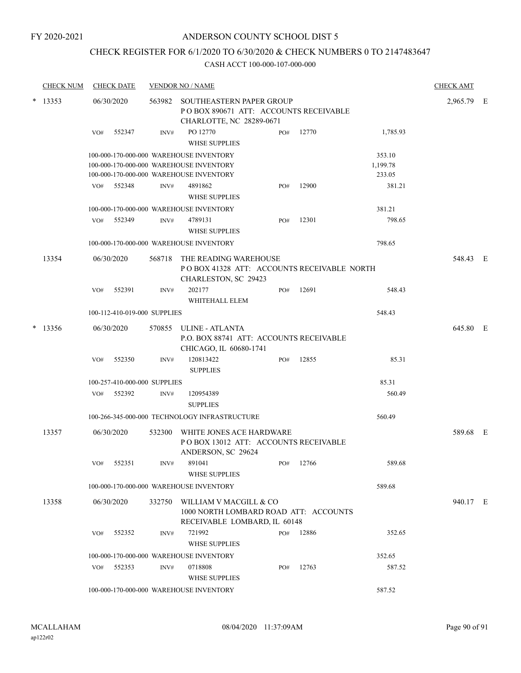## CHECK REGISTER FOR 6/1/2020 TO 6/30/2020 & CHECK NUMBERS 0 TO 2147483647

|                 | <b>CHECK NUM</b> |            | <b>CHECK DATE</b>            |        | <b>VENDOR NO / NAME</b>                                                                                                       |     |           |                              | <b>CHECK AMT</b> |  |
|-----------------|------------------|------------|------------------------------|--------|-------------------------------------------------------------------------------------------------------------------------------|-----|-----------|------------------------------|------------------|--|
| 13353<br>$\ast$ |                  | 06/30/2020 |                              |        | 563982 SOUTHEASTERN PAPER GROUP<br>POBOX 890671 ATT: ACCOUNTS RECEIVABLE<br>CHARLOTTE, NC 28289-0671                          |     |           |                              | 2,965.79 E       |  |
|                 |                  | VO#        | 552347                       | INV#   | PO 12770<br><b>WHSE SUPPLIES</b>                                                                                              | PO# | 12770     | 1,785.93                     |                  |  |
|                 |                  |            |                              |        | 100-000-170-000-000 WAREHOUSE INVENTORY<br>100-000-170-000-000 WAREHOUSE INVENTORY<br>100-000-170-000-000 WAREHOUSE INVENTORY |     |           | 353.10<br>1,199.78<br>233.05 |                  |  |
|                 |                  | VO#        | 552348                       | INV#   | 4891862<br><b>WHSE SUPPLIES</b>                                                                                               | PO# | 12900     | 381.21                       |                  |  |
|                 |                  |            |                              |        | 100-000-170-000-000 WAREHOUSE INVENTORY                                                                                       |     |           | 381.21                       |                  |  |
|                 |                  | VO#        | 552349                       | INV#   | 4789131<br><b>WHSE SUPPLIES</b>                                                                                               | PO# | 12301     | 798.65                       |                  |  |
|                 |                  |            |                              |        | 100-000-170-000-000 WAREHOUSE INVENTORY                                                                                       |     |           | 798.65                       |                  |  |
|                 | 13354            |            | 06/30/2020                   |        | 568718 THE READING WAREHOUSE<br>PO BOX 41328 ATT: ACCOUNTS RECEIVABLE NORTH<br>CHARLESTON, SC 29423                           |     |           |                              | 548.43 E         |  |
|                 |                  | VO#        | 552391                       | INV#   | 202177<br>WHITEHALL ELEM                                                                                                      | PO# | 12691     | 548.43                       |                  |  |
|                 |                  |            | 100-112-410-019-000 SUPPLIES |        |                                                                                                                               |     |           | 548.43                       |                  |  |
|                 | $*$ 13356        |            | 06/30/2020                   |        | 570855 ULINE - ATLANTA<br>P.O. BOX 88741 ATT: ACCOUNTS RECEIVABLE<br>CHICAGO, IL 60680-1741                                   |     |           |                              | 645.80 E         |  |
|                 |                  | VO#        | 552350                       | INV#   | 120813422<br><b>SUPPLIES</b>                                                                                                  | PO# | 12855     | 85.31                        |                  |  |
|                 |                  |            | 100-257-410-000-000 SUPPLIES |        |                                                                                                                               |     |           | 85.31                        |                  |  |
|                 |                  |            | VO# 552392                   | INV#   | 120954389<br><b>SUPPLIES</b>                                                                                                  |     |           | 560.49                       |                  |  |
|                 |                  |            |                              |        | 100-266-345-000-000 TECHNOLOGY INFRASTRUCTURE                                                                                 |     |           | 560.49                       |                  |  |
|                 | 13357            |            | 06/30/2020                   | 532300 | WHITE JONES ACE HARDWARE<br>POBOX 13012 ATT: ACCOUNTS RECEIVABLE<br>ANDERSON, SC 29624                                        |     |           |                              | 589.68 E         |  |
|                 |                  |            | VO# 552351                   | INV#   | 891041<br><b>WHSE SUPPLIES</b>                                                                                                |     | PO# 12766 | 589.68                       |                  |  |
|                 |                  |            |                              |        | 100-000-170-000-000 WAREHOUSE INVENTORY                                                                                       |     |           | 589.68                       |                  |  |
|                 | 13358            |            | 06/30/2020                   |        | 332750 WILLIAM V MACGILL & CO                                                                                                 |     |           |                              | 940.17 E         |  |
|                 |                  |            |                              |        | 1000 NORTH LOMBARD ROAD ATT: ACCOUNTS<br>RECEIVABLE LOMBARD, IL 60148                                                         |     |           |                              |                  |  |
|                 |                  | VO#        | 552352                       | INV#   | 721992<br><b>WHSE SUPPLIES</b>                                                                                                |     | PO# 12886 | 352.65                       |                  |  |
|                 |                  |            |                              |        | 100-000-170-000-000 WAREHOUSE INVENTORY                                                                                       |     |           | 352.65                       |                  |  |
|                 |                  | VO#        | 552353                       | INV#   | 0718808<br><b>WHSE SUPPLIES</b>                                                                                               | PO# | 12763     | 587.52                       |                  |  |
|                 |                  |            |                              |        | 100-000-170-000-000 WAREHOUSE INVENTORY                                                                                       |     |           | 587.52                       |                  |  |